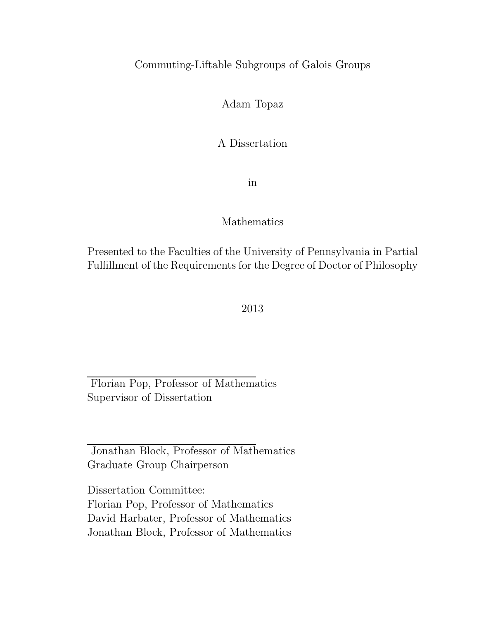### Commuting-Liftable Subgroups of Galois Groups

#### Adam Topaz

#### A Dissertation

in

#### Mathematics

Presented to the Faculties of the University of Pennsylvania in Partial Fulfillment of the Requirements for the Degree of Doctor of Philosophy

#### 2013

Florian Pop, Professor of Mathematics Supervisor of Dissertation

Jonathan Block, Professor of Mathematics Graduate Group Chairperson

Dissertation Committee: Florian Pop, Professor of Mathematics David Harbater, Professor of Mathematics Jonathan Block, Professor of Mathematics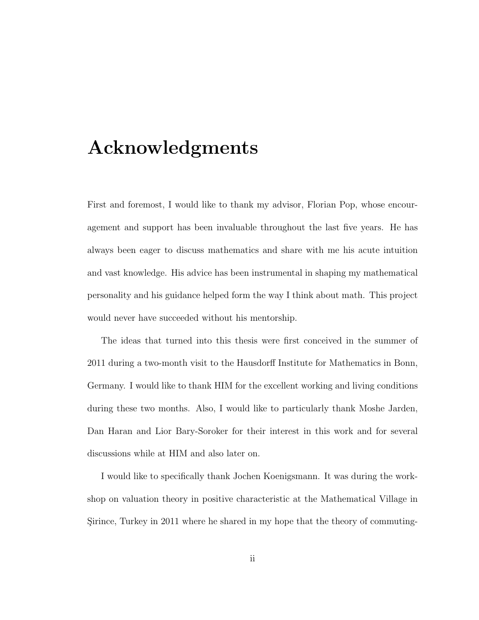# Acknowledgments

First and foremost, I would like to thank my advisor, Florian Pop, whose encouragement and support has been invaluable throughout the last five years. He has always been eager to discuss mathematics and share with me his acute intuition and vast knowledge. His advice has been instrumental in shaping my mathematical personality and his guidance helped form the way I think about math. This project would never have succeeded without his mentorship.

The ideas that turned into this thesis were first conceived in the summer of 2011 during a two-month visit to the Hausdorff Institute for Mathematics in Bonn, Germany. I would like to thank HIM for the excellent working and living conditions during these two months. Also, I would like to particularly thank Moshe Jarden, Dan Haran and Lior Bary-Soroker for their interest in this work and for several discussions while at HIM and also later on.

I would like to specifically thank Jochen Koenigsmann. It was during the workshop on valuation theory in positive characteristic at the Mathematical Village in Sirince, Turkey in 2011 where he shared in my hope that the theory of commuting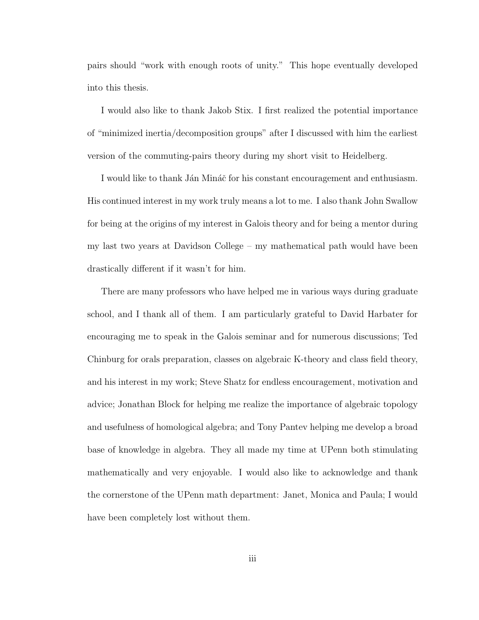pairs should "work with enough roots of unity." This hope eventually developed into this thesis.

I would also like to thank Jakob Stix. I first realized the potential importance of "minimized inertia/decomposition groups" after I discussed with him the earliest version of the commuting-pairs theory during my short visit to Heidelberg.

I would like to thank Ján Mináč for his constant encouragement and enthusiasm. His continued interest in my work truly means a lot to me. I also thank John Swallow for being at the origins of my interest in Galois theory and for being a mentor during my last two years at Davidson College – my mathematical path would have been drastically different if it wasn't for him.

There are many professors who have helped me in various ways during graduate school, and I thank all of them. I am particularly grateful to David Harbater for encouraging me to speak in the Galois seminar and for numerous discussions; Ted Chinburg for orals preparation, classes on algebraic K-theory and class field theory, and his interest in my work; Steve Shatz for endless encouragement, motivation and advice; Jonathan Block for helping me realize the importance of algebraic topology and usefulness of homological algebra; and Tony Pantev helping me develop a broad base of knowledge in algebra. They all made my time at UPenn both stimulating mathematically and very enjoyable. I would also like to acknowledge and thank the cornerstone of the UPenn math department: Janet, Monica and Paula; I would have been completely lost without them.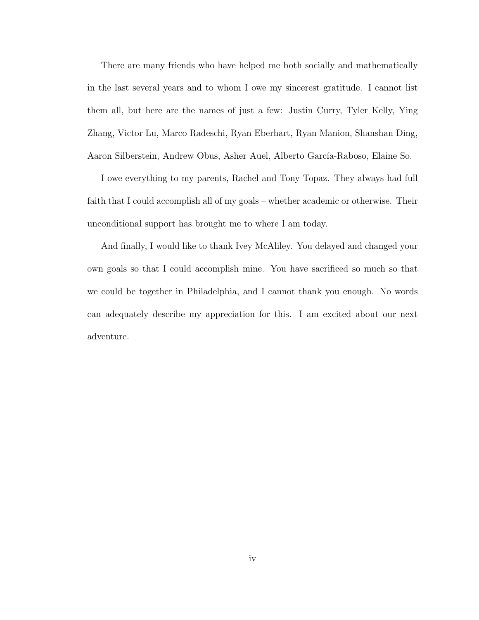There are many friends who have helped me both socially and mathematically in the last several years and to whom I owe my sincerest gratitude. I cannot list them all, but here are the names of just a few: Justin Curry, Tyler Kelly, Ying Zhang, Victor Lu, Marco Radeschi, Ryan Eberhart, Ryan Manion, Shanshan Ding, Aaron Silberstein, Andrew Obus, Asher Auel, Alberto García-Raboso, Elaine So.

I owe everything to my parents, Rachel and Tony Topaz. They always had full faith that I could accomplish all of my goals – whether academic or otherwise. Their unconditional support has brought me to where I am today.

And finally, I would like to thank Ivey McAliley. You delayed and changed your own goals so that I could accomplish mine. You have sacrificed so much so that we could be together in Philadelphia, and I cannot thank you enough. No words can adequately describe my appreciation for this. I am excited about our next adventure.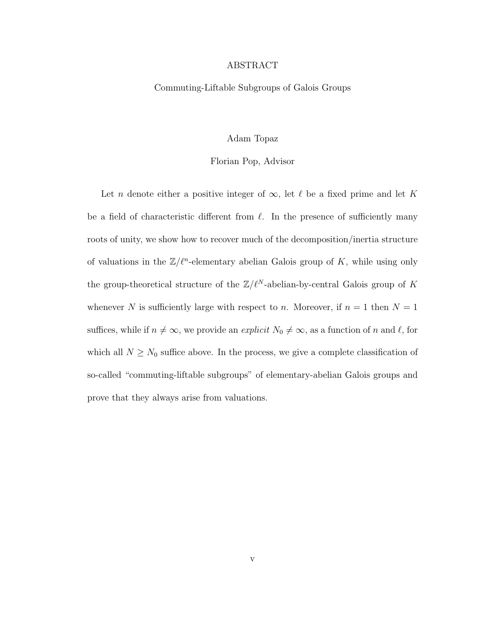#### ABSTRACT

#### Commuting-Liftable Subgroups of Galois Groups

#### Adam Topaz

#### Florian Pop, Advisor

Let n denote either a positive integer of  $\infty$ , let  $\ell$  be a fixed prime and let K be a field of characteristic different from  $\ell$ . In the presence of sufficiently many roots of unity, we show how to recover much of the decomposition/inertia structure of valuations in the  $\mathbb{Z}/\ell^n$ -elementary abelian Galois group of K, while using only the group-theoretical structure of the  $\mathbb{Z}/\ell^N$ -abelian-by-central Galois group of K whenever N is sufficiently large with respect to n. Moreover, if  $n = 1$  then  $N = 1$ suffices, while if  $n \neq \infty$ , we provide an *explicit*  $N_0 \neq \infty$ , as a function of n and  $\ell$ , for which all  $N \geq N_0$  suffice above. In the process, we give a complete classification of so-called "commuting-liftable subgroups" of elementary-abelian Galois groups and prove that they always arise from valuations.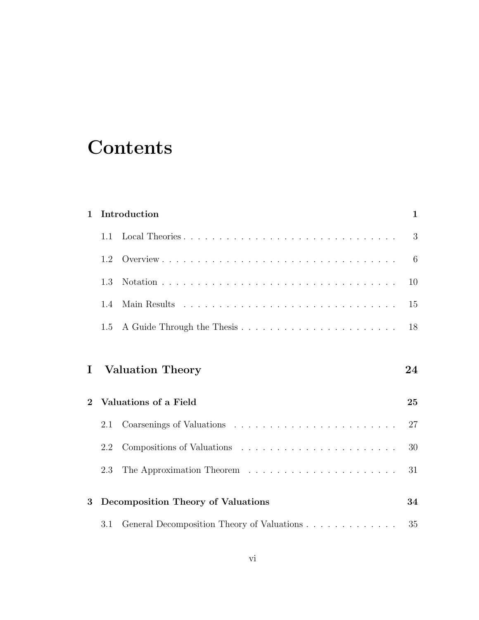# **Contents**

| $\mathbf{1}$ |     | Introduction                              | $\mathbf{1}$ |
|--------------|-----|-------------------------------------------|--------------|
|              | 1.1 |                                           | 3            |
|              | 1.2 |                                           | 6            |
|              | 1.3 |                                           | 10           |
|              | 1.4 |                                           | 15           |
|              | 1.5 |                                           | 18           |
|              |     |                                           |              |
| Ι            |     | <b>Valuation Theory</b>                   | 24           |
| $\mathbf{2}$ |     | Valuations of a Field                     | 25           |
|              | 2.1 |                                           | 27           |
|              | 2.2 |                                           | 30           |
|              | 2.3 |                                           | 31           |
| 3            |     | <b>Decomposition Theory of Valuations</b> | 34           |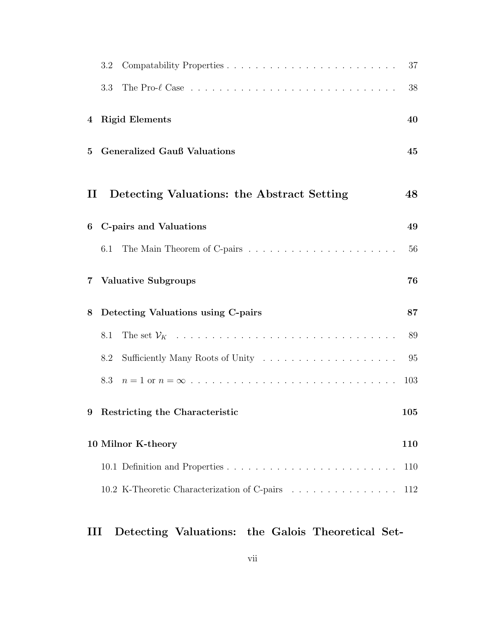| 3.2                                                          | 37  |
|--------------------------------------------------------------|-----|
| 3.3                                                          | 38  |
| <b>Rigid Elements</b><br>4                                   | 40  |
| <b>Generalized Gauß Valuations</b><br>$\bf{5}$               | 45  |
| Detecting Valuations: the Abstract Setting<br>$\mathbf{\Pi}$ | 48  |
| <b>C-pairs and Valuations</b><br>6                           | 49  |
| 6.1                                                          | 56  |
| <b>Valuative Subgroups</b><br>7                              | 76  |
| Detecting Valuations using C-pairs<br>8                      | 87  |
| 8.1                                                          | 89  |
| Sufficiently Many Roots of Unity<br>8.2                      | 95  |
| 8.3                                                          | 103 |
| 9<br>Restricting the Characteristic                          | 105 |
| 10 Milnor K-theory                                           | 110 |
|                                                              | 110 |
| 10.2 K-Theoretic Characterization of C-pairs                 | 112 |

## III Detecting Valuations: the Galois Theoretical Set-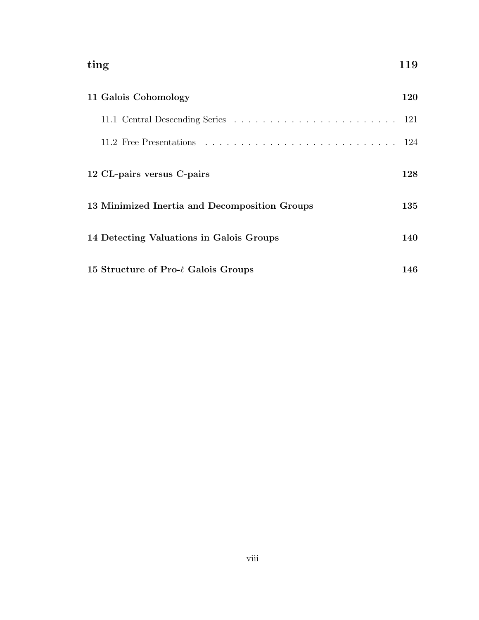| ting<br>119<br>120<br>11 Galois Cohomology    |     |
|-----------------------------------------------|-----|
|                                               |     |
|                                               |     |
| 12 CL-pairs versus C-pairs                    | 128 |
| 13 Minimized Inertia and Decomposition Groups | 135 |
| 14 Detecting Valuations in Galois Groups      | 140 |
| 15 Structure of Pro- $\ell$ Galois Groups     | 146 |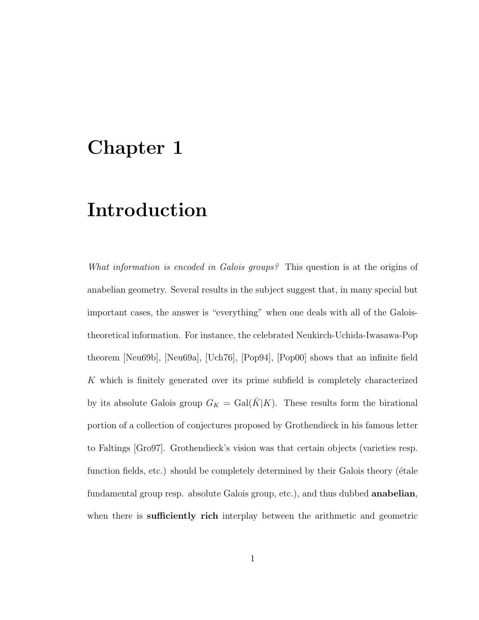## Chapter 1

# Introduction

What information is encoded in Galois groups? This question is at the origins of anabelian geometry. Several results in the subject suggest that, in many special but important cases, the answer is "everything" when one deals with all of the Galoistheoretical information. For instance, the celebrated Neukirch-Uchida-Iwasawa-Pop theorem [Neu69b], [Neu69a], [Uch76], [Pop94], [Pop00] shows that an infinite field K which is finitely generated over its prime subfield is completely characterized by its absolute Galois group  $G_K = \text{Gal}(\overline{K}|K)$ . These results form the birational portion of a collection of conjectures proposed by Grothendieck in his famous letter to Faltings [Gro97]. Grothendieck's vision was that certain objects (varieties resp. function fields, etc.) should be completely determined by their Galois theory (étale fundamental group resp. absolute Galois group, etc.), and thus dubbed **anabelian**, when there is sufficiently rich interplay between the arithmetic and geometric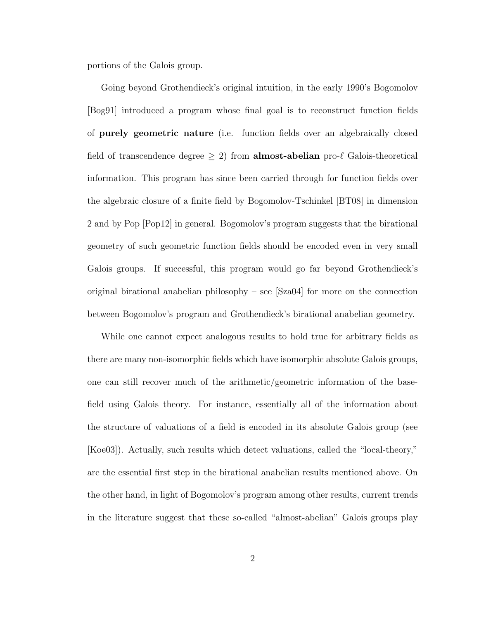portions of the Galois group.

Going beyond Grothendieck's original intuition, in the early 1990's Bogomolov [Bog91] introduced a program whose final goal is to reconstruct function fields of purely geometric nature (i.e. function fields over an algebraically closed field of transcendence degree  $\geq 2$ ) from **almost-abelian** pro- $\ell$  Galois-theoretical information. This program has since been carried through for function fields over the algebraic closure of a finite field by Bogomolov-Tschinkel [BT08] in dimension 2 and by Pop [Pop12] in general. Bogomolov's program suggests that the birational geometry of such geometric function fields should be encoded even in very small Galois groups. If successful, this program would go far beyond Grothendieck's original birational anabelian philosophy – see [Sza04] for more on the connection between Bogomolov's program and Grothendieck's birational anabelian geometry.

While one cannot expect analogous results to hold true for arbitrary fields as there are many non-isomorphic fields which have isomorphic absolute Galois groups, one can still recover much of the arithmetic/geometric information of the basefield using Galois theory. For instance, essentially all of the information about the structure of valuations of a field is encoded in its absolute Galois group (see [Koe03]). Actually, such results which detect valuations, called the "local-theory," are the essential first step in the birational anabelian results mentioned above. On the other hand, in light of Bogomolov's program among other results, current trends in the literature suggest that these so-called "almost-abelian" Galois groups play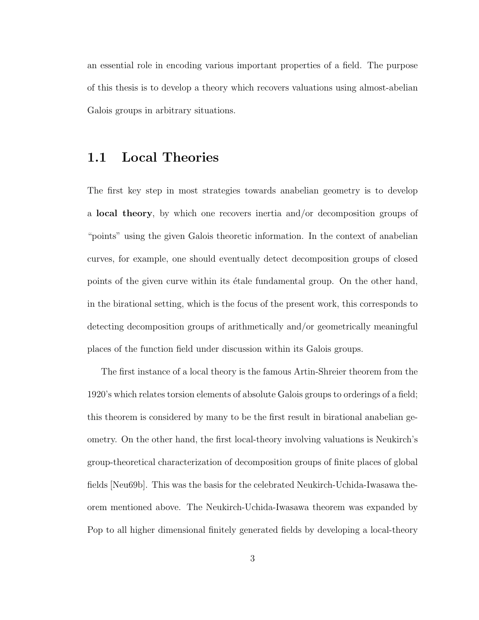an essential role in encoding various important properties of a field. The purpose of this thesis is to develop a theory which recovers valuations using almost-abelian Galois groups in arbitrary situations.

## 1.1 Local Theories

The first key step in most strategies towards anabelian geometry is to develop a local theory, by which one recovers inertia and/or decomposition groups of "points" using the given Galois theoretic information. In the context of anabelian curves, for example, one should eventually detect decomposition groups of closed points of the given curve within its étale fundamental group. On the other hand, in the birational setting, which is the focus of the present work, this corresponds to detecting decomposition groups of arithmetically and/or geometrically meaningful places of the function field under discussion within its Galois groups.

The first instance of a local theory is the famous Artin-Shreier theorem from the 1920's which relates torsion elements of absolute Galois groups to orderings of a field; this theorem is considered by many to be the first result in birational anabelian geometry. On the other hand, the first local-theory involving valuations is Neukirch's group-theoretical characterization of decomposition groups of finite places of global fields [Neu69b]. This was the basis for the celebrated Neukirch-Uchida-Iwasawa theorem mentioned above. The Neukirch-Uchida-Iwasawa theorem was expanded by Pop to all higher dimensional finitely generated fields by developing a local-theory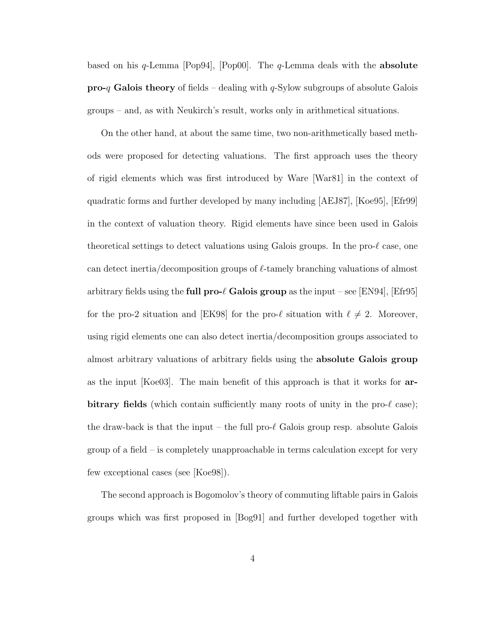based on his  $q$ -Lemma [Pop94], [Pop00]. The  $q$ -Lemma deals with the **absolute**  $\mathbf{pro-}q$  Galois theory of fields – dealing with q-Sylow subgroups of absolute Galois groups – and, as with Neukirch's result, works only in arithmetical situations.

On the other hand, at about the same time, two non-arithmetically based methods were proposed for detecting valuations. The first approach uses the theory of rigid elements which was first introduced by Ware [War81] in the context of quadratic forms and further developed by many including [AEJ87], [Koe95], [Efr99] in the context of valuation theory. Rigid elements have since been used in Galois theoretical settings to detect valuations using Galois groups. In the pro- $\ell$  case, one can detect inertia/decomposition groups of  $\ell$ -tamely branching valuations of almost arbitrary fields using the full pro- $\ell$  Galois group as the input – see [EN94], [Efr95] for the pro-2 situation and [EK98] for the pro- $\ell$  situation with  $\ell \neq 2$ . Moreover, using rigid elements one can also detect inertia/decomposition groups associated to almost arbitrary valuations of arbitrary fields using the absolute Galois group as the input [Koe03]. The main benefit of this approach is that it works for arbitrary fields (which contain sufficiently many roots of unity in the pro- $\ell$  case); the draw-back is that the input – the full pro- $\ell$  Galois group resp. absolute Galois group of a field – is completely unapproachable in terms calculation except for very few exceptional cases (see [Koe98]).

The second approach is Bogomolov's theory of commuting liftable pairs in Galois groups which was first proposed in [Bog91] and further developed together with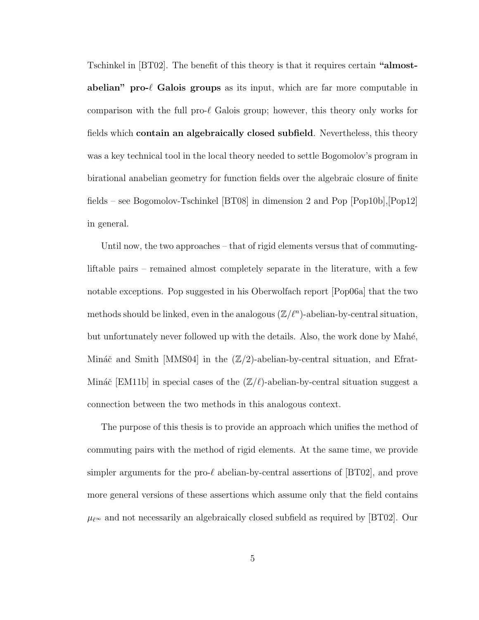Tschinkel in [BT02]. The benefit of this theory is that it requires certain "almostabelian" pro- $\ell$  Galois groups as its input, which are far more computable in comparison with the full pro- $\ell$  Galois group; however, this theory only works for fields which contain an algebraically closed subfield. Nevertheless, this theory was a key technical tool in the local theory needed to settle Bogomolov's program in birational anabelian geometry for function fields over the algebraic closure of finite fields – see Bogomolov-Tschinkel [BT08] in dimension 2 and Pop [Pop10b],[Pop12] in general.

Until now, the two approaches – that of rigid elements versus that of commutingliftable pairs – remained almost completely separate in the literature, with a few notable exceptions. Pop suggested in his Oberwolfach report [Pop06a] that the two methods should be linked, even in the analogous  $(\mathbb{Z}/\ell^n)$ -abelian-by-central situation, but unfortunately never followed up with the details. Also, the work done by Mahé, Mináč and Smith  $|MMS04|$  in the  $(\mathbb{Z}/2)$ -abelian-by-central situation, and Efrat-Mináč [EM11b] in special cases of the  $(\mathbb{Z}/\ell)$ -abelian-by-central situation suggest a connection between the two methods in this analogous context.

The purpose of this thesis is to provide an approach which unifies the method of commuting pairs with the method of rigid elements. At the same time, we provide simpler arguments for the pro- $\ell$  abelian-by-central assertions of  $|BT02|$ , and prove more general versions of these assertions which assume only that the field contains  $\mu_{\ell}$  and not necessarily an algebraically closed subfield as required by [BT02]. Our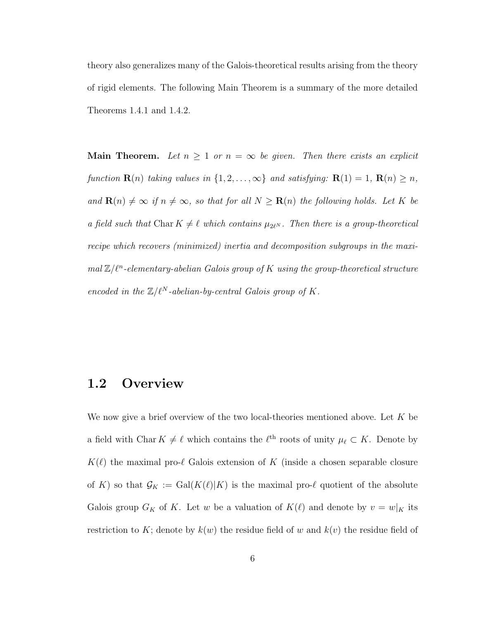theory also generalizes many of the Galois-theoretical results arising from the theory of rigid elements. The following Main Theorem is a summary of the more detailed Theorems 1.4.1 and 1.4.2.

**Main Theorem.** Let  $n \geq 1$  or  $n = \infty$  be given. Then there exists an explicit function  $\mathbf{R}(n)$  taking values in  $\{1, 2, ..., \infty\}$  and satisfying:  $\mathbf{R}(1) = 1$ ,  $\mathbf{R}(n) \geq n$ , and  $\mathbf{R}(n) \neq \infty$  if  $n \neq \infty$ , so that for all  $N \geq \mathbf{R}(n)$  the following holds. Let K be a field such that Char  $K \neq \ell$  which contains  $\mu_{2\ell^N}$ . Then there is a group-theoretical recipe which recovers (minimized) inertia and decomposition subgroups in the maxi $mal Z/l<sup>n</sup>$ -elementary-abelian Galois group of K using the group-theoretical structure encoded in the  $\mathbb{Z}/\ell^N$ -abelian-by-central Galois group of K.

#### 1.2 Overview

We now give a brief overview of the two local-theories mentioned above. Let  $K$  be a field with Char  $K \neq \ell$  which contains the  $\ell^{\text{th}}$  roots of unity  $\mu_{\ell} \subset K$ . Denote by  $K(\ell)$  the maximal pro- $\ell$  Galois extension of K (inside a chosen separable closure of K) so that  $\mathcal{G}_K := \text{Gal}(K(\ell)|K)$  is the maximal pro- $\ell$  quotient of the absolute Galois group  $G_K$  of K. Let w be a valuation of  $K(\ell)$  and denote by  $v = w|_K$  its restriction to K; denote by  $k(w)$  the residue field of w and  $k(v)$  the residue field of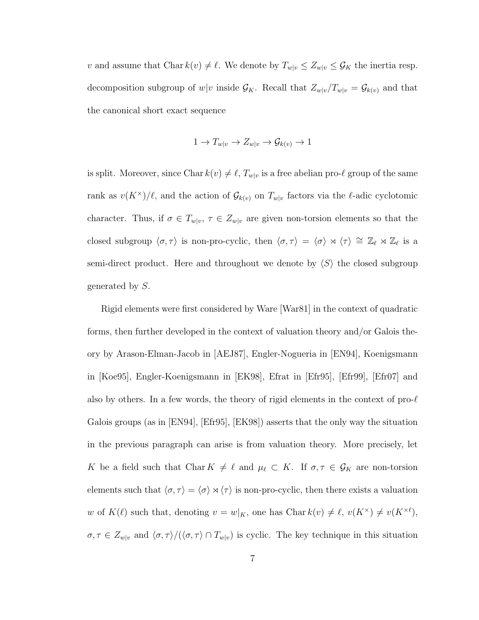v and assume that Char  $k(v) \neq \ell$ . We denote by  $T_{w|v} \leq Z_{w|v} \leq \mathcal{G}_K$  the inertia resp. decomposition subgroup of  $w|v$  inside  $\mathcal{G}_K$ . Recall that  $Z_{w|v}/T_{w|v} = \mathcal{G}_{k(v)}$  and that the canonical short exact sequence

$$
1 \to T_{w|v} \to Z_{w|v} \to \mathcal{G}_{k(v)} \to 1
$$

is split. Moreover, since Char  $k(v) \neq \ell$ ,  $T_{w|v}$  is a free abelian pro- $\ell$  group of the same rank as  $v(K^{\times})/\ell$ , and the action of  $\mathcal{G}_{k(v)}$  on  $T_{w|v}$  factors via the  $\ell$ -adic cyclotomic character. Thus, if  $\sigma \in T_{w|v}, \tau \in Z_{w|v}$  are given non-torsion elements so that the closed subgroup  $\langle \sigma, \tau \rangle$  is non-pro-cyclic, then  $\langle \sigma, \tau \rangle = \langle \sigma \rangle \rtimes \langle \tau \rangle \cong \mathbb{Z}_{\ell} \rtimes \mathbb{Z}_{\ell}$  is a semi-direct product. Here and throughout we denote by  $\langle S \rangle$  the closed subgroup generated by S.

Rigid elements were first considered by Ware [War81] in the context of quadratic forms, then further developed in the context of valuation theory and/or Galois theory by Arason-Elman-Jacob in [AEJ87], Engler-Nogueria in [EN94], Koenigsmann in [Koe95], Engler-Koenigsmann in [EK98], Efrat in [Efr95], [Efr99], [Efr07] and also by others. In a few words, the theory of rigid elements in the context of pro- $\ell$ Galois groups (as in [EN94], [Efr95], [EK98]) asserts that the only way the situation in the previous paragraph can arise is from valuation theory. More precisely, let K be a field such that Char  $K \neq \ell$  and  $\mu_{\ell} \subset K$ . If  $\sigma, \tau \in \mathcal{G}_K$  are non-torsion elements such that  $\langle \sigma, \tau \rangle = \langle \sigma \rangle \rtimes \langle \tau \rangle$  is non-pro-cyclic, then there exists a valuation w of  $K(\ell)$  such that, denoting  $v = w|_K$ , one has Char  $k(v) \neq \ell$ ,  $v(K^{\times}) \neq v(K^{\times \ell})$ ,  $\sigma, \tau \in Z_{w|v}$  and  $\langle \sigma, \tau \rangle / (\langle \sigma, \tau \rangle \cap T_{w|v})$  is cyclic. The key technique in this situation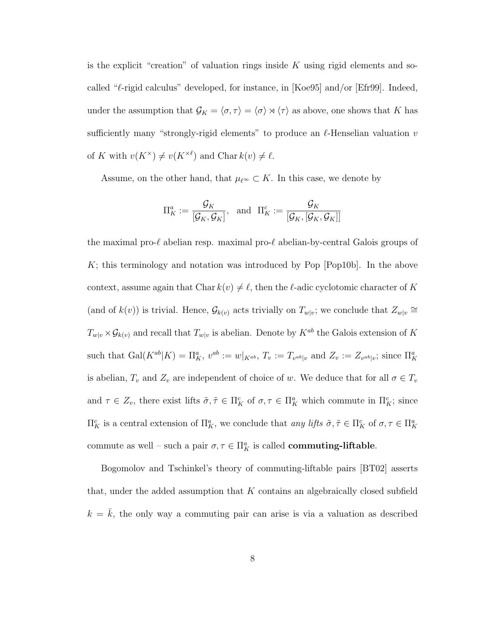is the explicit "creation" of valuation rings inside  $K$  using rigid elements and socalled " $\ell$ -rigid calculus" developed, for instance, in [Koe95] and/or [Efr99]. Indeed, under the assumption that  $\mathcal{G}_K = \langle \sigma, \tau \rangle = \langle \sigma \rangle \rtimes \langle \tau \rangle$  as above, one shows that K has sufficiently many "strongly-rigid elements" to produce an  $\ell$ -Henselian valuation v of K with  $v(K^{\times}) \neq v(K^{\times \ell})$  and Char  $k(v) \neq \ell$ .

Assume, on the other hand, that  $\mu_{\ell^{\infty}} \subset K$ . In this case, we denote by

$$
\Pi_K^a:=\frac{\mathcal{G}_K}{\left[\mathcal{G}_K,\mathcal{G}_K\right]},\;\;\text{and}\;\;\Pi_K^c:=\frac{\mathcal{G}_K}{\left[\mathcal{G}_K,\left[\mathcal{G}_K,\mathcal{G}_K\right]\right]}
$$

the maximal pro- $\ell$  abelian resp. maximal pro- $\ell$  abelian-by-central Galois groups of  $K$ ; this terminology and notation was introduced by Pop [Pop10b]. In the above context, assume again that Char  $k(v) \neq \ell$ , then the  $\ell$ -adic cyclotomic character of K (and of  $k(v)$ ) is trivial. Hence,  $\mathcal{G}_{k(v)}$  acts trivially on  $T_{w|v}$ ; we conclude that  $Z_{w|v} \cong$  $T_{w|v} \times \mathcal{G}_{k(v)}$  and recall that  $T_{w|v}$  is abelian. Denote by  $K^{ab}$  the Galois extension of K such that  $\text{Gal}(K^{ab}|K) = \Pi_K^a$ ,  $v^{ab} := w|_{K^{ab}}$ ,  $T_v := T_{v^{ab}|v}$  and  $Z_v := Z_{v^{ab}|v}$ ; since  $\Pi_K^a$ is abelian,  $T_v$  and  $Z_v$  are independent of choice of w. We deduce that for all  $\sigma \in T_v$ and  $\tau \in Z_v$ , there exist lifts  $\tilde{\sigma}, \tilde{\tau} \in \Pi_K^c$  of  $\sigma, \tau \in \Pi_K^a$  which commute in  $\Pi_K^c$ ; since  $\Pi_K^c$  is a central extension of  $\Pi_K^a$ , we conclude that any lifts  $\tilde{\sigma}, \tilde{\tau} \in \Pi_K^c$  of  $\sigma, \tau \in \Pi_K^a$ commute as well – such a pair  $\sigma, \tau \in \Pi_K^a$  is called **commuting-liftable**.

Bogomolov and Tschinkel's theory of commuting-liftable pairs [BT02] asserts that, under the added assumption that  $K$  contains an algebraically closed subfield  $k = \bar{k}$ , the only way a commuting pair can arise is via a valuation as described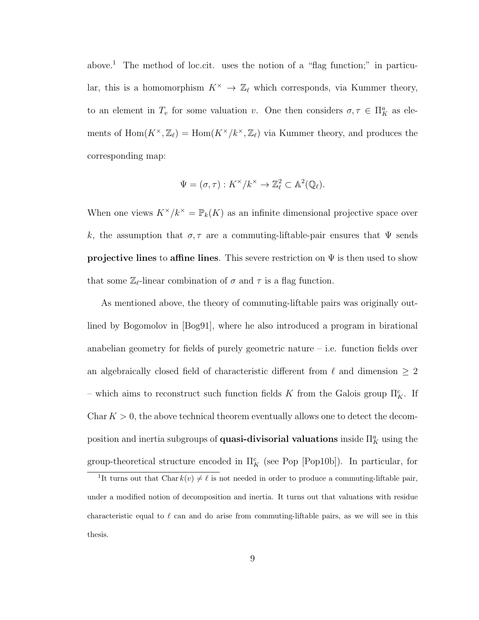above.<sup>1</sup> The method of loc.cit. uses the notion of a "flag function;" in particular, this is a homomorphism  $K^{\times} \to \mathbb{Z}_{\ell}$  which corresponds, via Kummer theory, to an element in  $T_v$  for some valuation v. One then considers  $\sigma, \tau \in \Pi_K^a$  as elements of  $\text{Hom}(K^{\times}, \mathbb{Z}_{\ell}) = \text{Hom}(K^{\times}/k^{\times}, \mathbb{Z}_{\ell})$  via Kummer theory, and produces the corresponding map:

$$
\Psi = (\sigma, \tau) : K^{\times}/k^{\times} \to \mathbb{Z}_{\ell}^2 \subset \mathbb{A}^2(\mathbb{Q}_{\ell}).
$$

When one views  $K^{\times}/k^{\times} = \mathbb{P}_k(K)$  as an infinite dimensional projective space over k, the assumption that  $\sigma, \tau$  are a commuting-liftable-pair ensures that  $\Psi$  sends **projective lines** to affine lines. This severe restriction on  $\Psi$  is then used to show that some  $\mathbb{Z}_{\ell}$ -linear combination of  $\sigma$  and  $\tau$  is a flag function.

As mentioned above, the theory of commuting-liftable pairs was originally outlined by Bogomolov in [Bog91], where he also introduced a program in birational anabelian geometry for fields of purely geometric nature – i.e. function fields over an algebraically closed field of characteristic different from  $\ell$  and dimension  $\geq 2$ – which aims to reconstruct such function fields K from the Galois group  $\Pi_K^c$ . If Char  $K > 0$ , the above technical theorem eventually allows one to detect the decomposition and inertia subgroups of **quasi-divisorial valuations** inside  $\Pi_K^a$  using the group-theoretical structure encoded in  $\Pi_K^c$  (see Pop [Pop10b]). In particular, for

<sup>&</sup>lt;sup>1</sup>It turns out that Char  $k(v) \neq \ell$  is not needed in order to produce a commuting-liftable pair, under a modified notion of decomposition and inertia. It turns out that valuations with residue characteristic equal to  $\ell$  can and do arise from commuting-liftable pairs, as we will see in this thesis.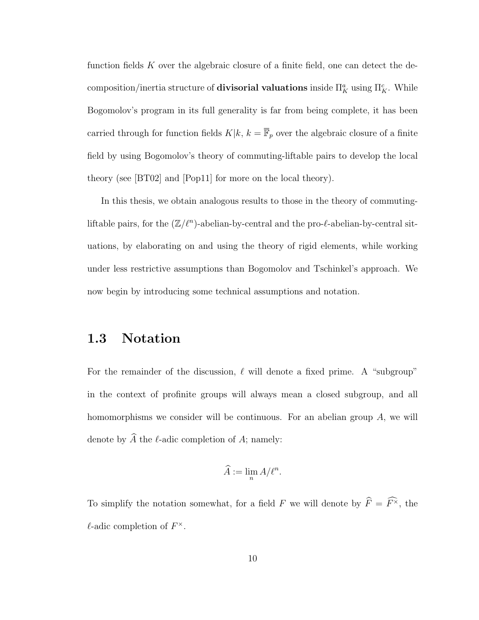function fields K over the algebraic closure of a finite field, one can detect the decomposition/inertia structure of **divisorial valuations** inside  $\Pi_K^a$  using  $\Pi_K^c$ . While Bogomolov's program in its full generality is far from being complete, it has been carried through for function fields  $K|k, k = \overline{\mathbb{F}}_p$  over the algebraic closure of a finite field by using Bogomolov's theory of commuting-liftable pairs to develop the local theory (see [BT02] and [Pop11] for more on the local theory).

In this thesis, we obtain analogous results to those in the theory of commutingliftable pairs, for the  $(\mathbb{Z}/\ell^n)$ -abelian-by-central and the pro- $\ell$ -abelian-by-central situations, by elaborating on and using the theory of rigid elements, while working under less restrictive assumptions than Bogomolov and Tschinkel's approach. We now begin by introducing some technical assumptions and notation.

## 1.3 Notation

For the remainder of the discussion,  $\ell$  will denote a fixed prime. A "subgroup" in the context of profinite groups will always mean a closed subgroup, and all homomorphisms we consider will be continuous. For an abelian group  $A$ , we will denote by  $\widehat{A}$  the  $\ell$ -adic completion of A; namely:

$$
\widehat{A} := \lim_{n} A/\ell^{n}.
$$

To simplify the notation somewhat, for a field F we will denote by  $\widehat{F} = \widehat{F}^{\times}$ , the  $\ell$ -adic completion of  $F^{\times}$ .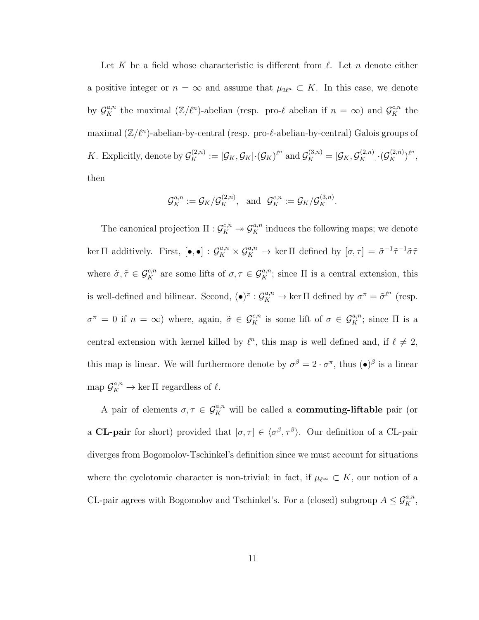Let K be a field whose characteristic is different from  $\ell$ . Let n denote either a positive integer or  $n = \infty$  and assume that  $\mu_{2\ell^n} \subset K$ . In this case, we denote by  $\mathcal{G}_{K}^{a,n}$  the maximal  $(\mathbb{Z}/\ell^{n})$ -abelian (resp. pro- $\ell$  abelian if  $n = \infty$ ) and  $\mathcal{G}_{K}^{c,n}$  the maximal  $(\mathbb{Z}/\ell^n)$ -abelian-by-central (resp. pro- $\ell$ -abelian-by-central) Galois groups of K. Explicitly, denote by  $\mathcal{G}_K^{(2,n)} := [\mathcal{G}_K, \mathcal{G}_K] \cdot (\mathcal{G}_K)^{\ell^n}$  and  $\mathcal{G}_K^{(3,n)} = [\mathcal{G}_K, \mathcal{G}_K^{(2,n)}] \cdot (\mathcal{G}_K^{(2,n)})^{\ell^n}$ , then

$$
\mathcal{G}_K^{a,n}:=\mathcal{G}_K/\mathcal{G}_K^{(2,n)}, \ \ \text{and} \ \ \mathcal{G}_K^{c,n}:=\mathcal{G}_K/\mathcal{G}_K^{(3,n)}.
$$

The canonical projection  $\Pi: \mathcal{G}_K^{c,n} \to \mathcal{G}_K^{a,n}$  induces the following maps; we denote ker  $\Pi$  additively. First,  $[\bullet, \bullet] : \mathcal{G}_K^{a,n} \times \mathcal{G}_K^{a,n} \to \text{ker } \Pi$  defined by  $[\sigma, \tau] = \tilde{\sigma}^{-1} \tilde{\tau}^{-1} \tilde{\sigma} \tilde{\tau}$ where  $\tilde{\sigma}, \tilde{\tau} \in \mathcal{G}_K^{c,n}$  are some lifts of  $\sigma, \tau \in \mathcal{G}_K^{a,n}$ ; since  $\Pi$  is a central extension, this is well-defined and bilinear. Second,  $(\bullet)^{\pi}: \mathcal{G}_K^{a,n} \to \ker \Pi$  defined by  $\sigma^{\pi} = \tilde{\sigma}^{\ell^n}$  (resp.  $\sigma^{\pi} = 0$  if  $n = \infty$ ) where, again,  $\tilde{\sigma} \in \mathcal{G}_K^{c,n}$  is some lift of  $\sigma \in \mathcal{G}_K^{a,n}$ ; since  $\Pi$  is a central extension with kernel killed by  $\ell^n$ , this map is well defined and, if  $\ell \neq 2$ , this map is linear. We will furthermore denote by  $\sigma^{\beta} = 2 \cdot \sigma^{\pi}$ , thus  $(\bullet)^{\beta}$  is a linear map  $\mathcal{G}_K^{a,n} \to \ker \Pi$  regardless of  $\ell$ .

A pair of elements  $\sigma, \tau \in \mathcal{G}_K^{a,n}$  will be called a **commuting-liftable** pair (or a **CL-pair** for short) provided that  $[\sigma, \tau] \in \langle \sigma^{\beta}, \tau^{\beta} \rangle$ . Our definition of a CL-pair diverges from Bogomolov-Tschinkel's definition since we must account for situations where the cyclotomic character is non-trivial; in fact, if  $\mu_{\ell} \in K$ , our notion of a CL-pair agrees with Bogomolov and Tschinkel's. For a (closed) subgroup  $A \leq \mathcal{G}_{K}^{a,n}$ ,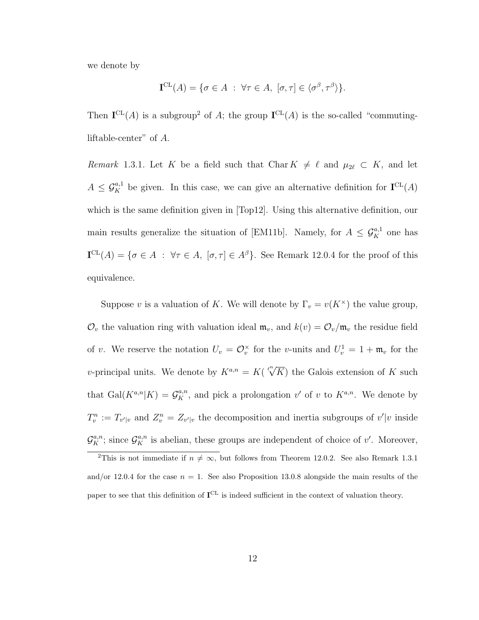we denote by

$$
\mathbf{I}^{\mathrm{CL}}(A) = \{ \sigma \in A : \forall \tau \in A, [\sigma, \tau] \in \langle \sigma^{\beta}, \tau^{\beta} \rangle \}.
$$

Then  $I^{CL}(A)$  is a subgroup<sup>2</sup> of A; the group  $I^{CL}(A)$  is the so-called "commutingliftable-center" of A.

Remark 1.3.1. Let K be a field such that Char  $K \neq \ell$  and  $\mu_{2\ell} \subset K$ , and let  $A \leq \mathcal{G}_K^{a,1}$  be given. In this case, we can give an alternative definition for  $\mathbf{I}^{\mathrm{CL}}(A)$ which is the same definition given in [Top12]. Using this alternative definition, our main results generalize the situation of [EM11b]. Namely, for  $A \leq \mathcal{G}_{K}^{a,1}$  one has  $I<sup>CL</sup>(A) = \{ \sigma \in A : \forall \tau \in A, [\sigma, \tau] \in A^{\beta} \}.$  See Remark 12.0.4 for the proof of this equivalence.

Suppose v is a valuation of K. We will denote by  $\Gamma_v = v(K^{\times})$  the value group,  $\mathcal{O}_v$  the valuation ring with valuation ideal  $\mathfrak{m}_v$ , and  $k(v) = \mathcal{O}_v/\mathfrak{m}_v$  the residue field of v. We reserve the notation  $U_v = \mathcal{O}_v^{\times}$  for the v-units and  $U_v^1 = 1 + \mathfrak{m}_v$  for the v-principal units. We denote by  $K^{a,n} = K(\sqrt[\ell^n]{K})$  the Galois extension of K such that  $Gal(K^{a,n}|K) = \mathcal{G}_{K}^{a,n}$ , and pick a prolongation  $v'$  of v to  $K^{a,n}$ . We denote by  $T_v^n := T_{v'|v}$  and  $Z_v^n = Z_{v'|v}$  the decomposition and inertia subgroups of  $v'|v$  inside  $\mathcal{G}_{K}^{a,n}$ ; since  $\mathcal{G}_{K}^{a,n}$  is abelian, these groups are independent of choice of v'. Moreover,

<sup>&</sup>lt;sup>2</sup>This is not immediate if  $n \neq \infty$ , but follows from Theorem 12.0.2. See also Remark 1.3.1 and/or 12.0.4 for the case  $n = 1$ . See also Proposition 13.0.8 alongside the main results of the paper to see that this definition of  $I^{CL}$  is indeed sufficient in the context of valuation theory.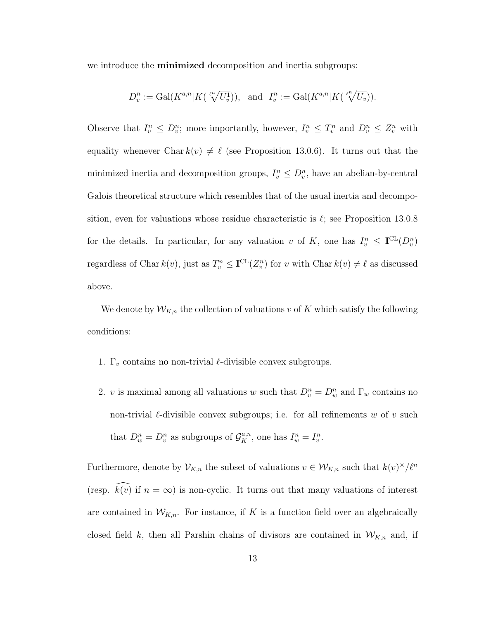we introduce the **minimized** decomposition and inertia subgroups:

$$
D_v^n := \mathrm{Gal}(K^{a,n}|K(\sqrt[p^n]{U_v^1})), \text{ and } I_v^n := \mathrm{Gal}(K^{a,n}|K(\sqrt[p^n]{U_v})).
$$

Observe that  $I_v^n \leq D_v^n$ ; more importantly, however,  $I_v^n \leq T_v^n$  and  $D_v^n \leq Z_v^n$  with equality whenever Char  $k(v) \neq \ell$  (see Proposition 13.0.6). It turns out that the minimized inertia and decomposition groups,  $I_v^n \leq D_v^n$ , have an abelian-by-central Galois theoretical structure which resembles that of the usual inertia and decomposition, even for valuations whose residue characteristic is  $\ell$ ; see Proposition 13.0.8 for the details. In particular, for any valuation v of K, one has  $I_v^n \leq \mathbf{I}^{\mathrm{CL}}(D_v^n)$ regardless of Char  $k(v)$ , just as  $T_v^n \leq \mathbf{I}^{\mathrm{CL}}(Z_v^n)$  for v with Char  $k(v) \neq \ell$  as discussed above.

We denote by  $W_{K,n}$  the collection of valuations v of K which satisfy the following conditions:

- 1.  $\Gamma_v$  contains no non-trivial  $\ell$ -divisible convex subgroups.
- 2. v is maximal among all valuations w such that  $D_v^n = D_w^n$  and  $\Gamma_w$  contains no non-trivial  $\ell$ -divisible convex subgroups; i.e. for all refinements w of v such that  $D_w^n = D_v^n$  as subgroups of  $\mathcal{G}_K^{a,n}$ , one has  $I_w^n = I_v^n$ .

Furthermore, denote by  $\mathcal{V}_{K,n}$  the subset of valuations  $v \in \mathcal{W}_{K,n}$  such that  $k(v)^{\times}/\ell^{n}$ (resp.  $k(v)$  if  $n = \infty$ ) is non-cyclic. It turns out that many valuations of interest are contained in  $W_{K,n}$ . For instance, if K is a function field over an algebraically closed field k, then all Parshin chains of divisors are contained in  $W_{K,n}$  and, if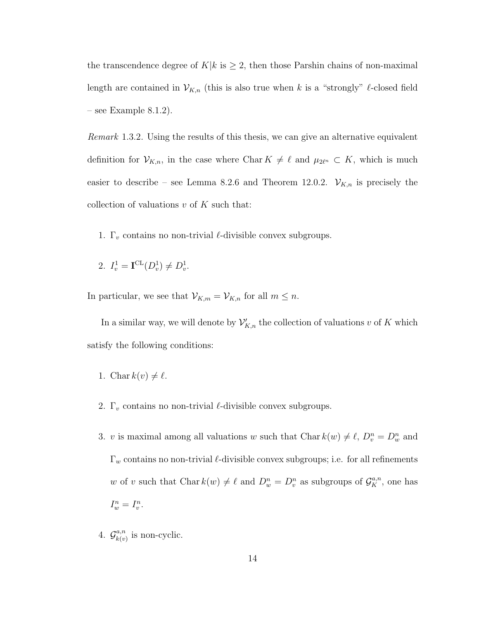the transcendence degree of  $K|k$  is  $\geq 2$ , then those Parshin chains of non-maximal length are contained in  $\mathcal{V}_{K,n}$  (this is also true when k is a "strongly"  $\ell$ -closed field – see Example 8.1.2).

Remark 1.3.2. Using the results of this thesis, we can give an alternative equivalent definition for  $\mathcal{V}_{K,n}$ , in the case where Char  $K \neq \ell$  and  $\mu_{2\ell^n} \subset K$ , which is much easier to describe – see Lemma 8.2.6 and Theorem 12.0.2.  $\mathcal{V}_{K,n}$  is precisely the collection of valuations  $v$  of  $K$  such that:

- 1.  $\Gamma_v$  contains no non-trivial  $\ell$ -divisible convex subgroups.
- 2.  $I_v^1 = \mathbf{I}^{\mathrm{CL}}(D_v^1) \neq D_v^1$ .

In particular, we see that  $\mathcal{V}_{K,m} = \mathcal{V}_{K,n}$  for all  $m \leq n$ .

In a similar way, we will denote by  $\mathcal{V}'_{K,n}$  the collection of valuations v of K which satisfy the following conditions:

1. Char 
$$
k(v) \neq \ell
$$
.

- 2.  $\Gamma_v$  contains no non-trivial  $\ell$ -divisible convex subgroups.
- 3. v is maximal among all valuations w such that Char  $k(w) \neq \ell$ ,  $D_v^n = D_w^n$  and  $\Gamma_w$  contains no non-trivial  $\ell$ -divisible convex subgroups; i.e. for all refinements w of v such that Char  $k(w) \neq \ell$  and  $D_w^n = D_v^n$  as subgroups of  $\mathcal{G}_K^{a,n}$ , one has  $I_w^n = I_v^n$ .
- 4.  $\mathcal{G}_{k(n)}^{a,n}$  $\binom{a,n}{k(v)}$  is non-cyclic.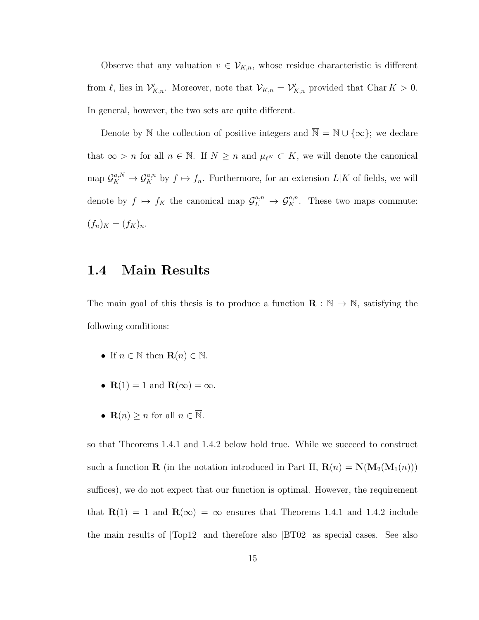Observe that any valuation  $v \in V_{K,n}$ , whose residue characteristic is different from  $\ell$ , lies in  $\mathcal{V}'_{K,n}$ . Moreover, note that  $\mathcal{V}_{K,n} = \mathcal{V}'_{K,n}$  provided that Char  $K > 0$ . In general, however, the two sets are quite different.

Denote by N the collection of positive integers and  $\overline{\mathbb{N}} = \mathbb{N} \cup \{\infty\}$ ; we declare that  $\infty > n$  for all  $n \in \mathbb{N}$ . If  $N \geq n$  and  $\mu_{\ell^N} \subset K$ , we will denote the canonical map  $\mathcal{G}_K^{a,N} \to \mathcal{G}_K^{a,n}$  by  $f \mapsto f_n$ . Furthermore, for an extension  $L|K$  of fields, we will denote by  $f \mapsto f_K$  the canonical map  $\mathcal{G}_L^{a,n} \to \mathcal{G}_K^{a,n}$ . These two maps commute:  $(f_n)_K = (f_K)_n.$ 

## 1.4 Main Results

The main goal of this thesis is to produce a function  $\mathbf{R} : \overline{\mathbb{N}} \to \overline{\mathbb{N}}$ , satisfying the following conditions:

- If  $n \in \mathbb{N}$  then  $\mathbf{R}(n) \in \mathbb{N}$ .
- $R(1) = 1$  and  $R(\infty) = \infty$ .
- $\mathbf{R}(n) \geq n$  for all  $n \in \overline{\mathbb{N}}$ .

so that Theorems 1.4.1 and 1.4.2 below hold true. While we succeed to construct such a function **R** (in the notation introduced in Part II,  $\mathbf{R}(n) = \mathbf{N}(\mathbf{M}_2(\mathbf{M}_1(n)))$ suffices), we do not expect that our function is optimal. However, the requirement that  $\mathbf{R}(1) = 1$  and  $\mathbf{R}(\infty) = \infty$  ensures that Theorems 1.4.1 and 1.4.2 include the main results of [Top12] and therefore also [BT02] as special cases. See also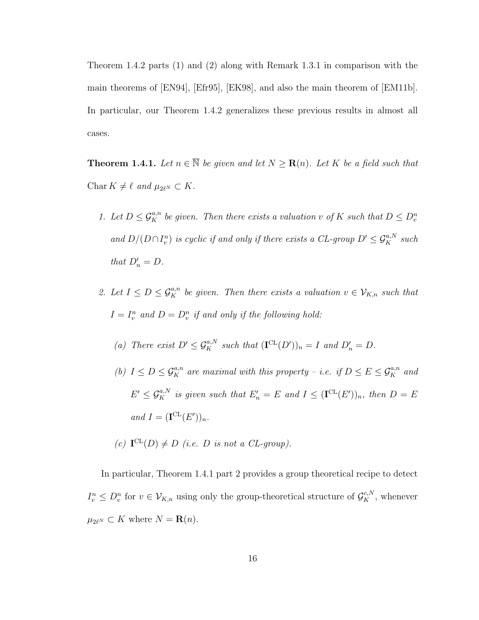Theorem 1.4.2 parts (1) and (2) along with Remark 1.3.1 in comparison with the main theorems of [EN94], [Efr95], [EK98], and also the main theorem of [EM11b]. In particular, our Theorem 1.4.2 generalizes these previous results in almost all cases.

**Theorem 1.4.1.** Let  $n \in \overline{\mathbb{N}}$  be given and let  $N \geq \mathbf{R}(n)$ . Let K be a field such that Char  $K \neq \ell$  and  $\mu_{2\ell^N} \subset K$ .

- 1. Let  $D \leq \mathcal{G}_{K}^{a,n}$  be given. Then there exists a valuation v of K such that  $D \leq D_{v}^{n}$ and  $D/(D \cap I_v^n)$  is cyclic if and only if there exists a CL-group  $D' \leq \mathcal{G}_K^{a,N}$  such that  $D'_n = D$ .
- 2. Let  $I \leq D \leq \mathcal{G}_K^{a,n}$  be given. Then there exists a valuation  $v \in \mathcal{V}_{K,n}$  such that  $I = I_v^n$  and  $D = D_v^n$  if and only if the following hold:
	- (a) There exist  $D' \leq \mathcal{G}_K^{a,N}$  such that  $(\mathbf{I}^{\mathrm{CL}}(D'))_n = I$  and  $D'_n = D$ .
	- (b)  $I \leq D \leq \mathcal{G}_{K}^{a,n}$  are maximal with this property i.e. if  $D \leq E \leq \mathcal{G}_{K}^{a,n}$  and  $E' \leq \mathcal{G}_K^{a,N}$  is given such that  $E'_n = E$  and  $I \leq (\mathbf{I}^{\mathrm{CL}}(E'))_n$ , then  $D = E$ and  $I = (\mathbf{I}^{\mathrm{CL}}(E'))_n$ .
	- (c)  $\mathbf{I}^{\mathrm{CL}}(D) \neq D$  (i.e. D is not a CL-group).

In particular, Theorem 1.4.1 part 2 provides a group theoretical recipe to detect  $I_v^n \leq D_v^n$  for  $v \in V_{K,n}$  using only the group-theoretical structure of  $\mathcal{G}_K^{c,N}$ , whenever  $\mu_{2\ell^N} \subset K$  where  $N = \mathbf{R}(n)$ .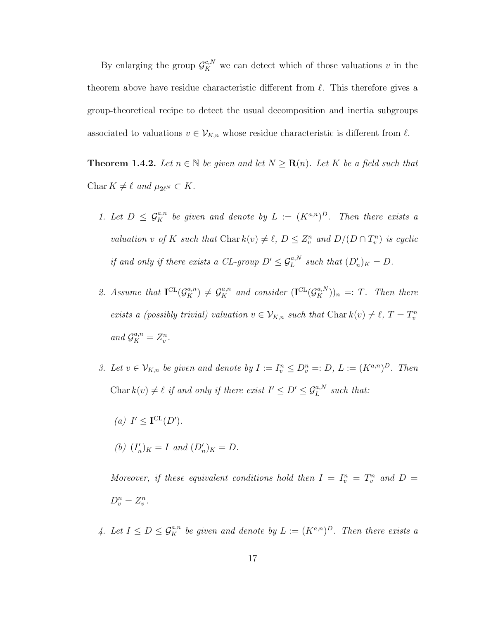By enlarging the group  $\mathcal{G}_K^{c,N}$  we can detect which of those valuations v in the theorem above have residue characteristic different from  $\ell$ . This therefore gives a group-theoretical recipe to detect the usual decomposition and inertia subgroups associated to valuations  $v \in V_{K,n}$  whose residue characteristic is different from  $\ell$ .

**Theorem 1.4.2.** Let  $n \in \overline{\mathbb{N}}$  be given and let  $N \geq \mathbf{R}(n)$ . Let K be a field such that Char  $K \neq \ell$  and  $\mu_{2\ell^N} \subset K$ .

- 1. Let  $D \leq \mathcal{G}_{K}^{a,n}$  be given and denote by  $L := (K^{a,n})^D$ . Then there exists a valuation v of K such that Char  $k(v) \neq \ell$ ,  $D \leq Z_v^n$  and  $D/(D \cap T_v^n)$  is cyclic if and only if there exists a CL-group  $D' \leq \mathcal{G}_L^{a,N}$  such that  $(D'_n)_K = D$ .
- 2. Assume that  $\mathbf{I}^{CL}(\mathcal{G}_K^{a,n}) \neq \mathcal{G}_K^{a,n}$  and consider  $(\mathbf{I}^{CL}(\mathcal{G}_K^{a,N}))_n =: T$ . Then there exists a (possibly trivial) valuation  $v \in V_{K,n}$  such that Char  $k(v) \neq \ell$ ,  $T = T_v^n$ and  $\mathcal{G}_K^{a,n} = Z_v^n$ .
- 3. Let  $v \in V_{K,n}$  be given and denote by  $I := I_v^n \leq D_v^n =: D, L := (K^{a,n})^D$ . Then Char $k(v) \neq \ell$  if and only if there exist  $I' \leq D' \leq \mathcal{G}_L^{a,N}$  such that:
	- (a)  $I' \leq \mathbf{I}^{\mathrm{CL}}(D')$ .
	- (b)  $(I'_n)_K = I$  and  $(D'_n)_K = D$ .

Moreover, if these equivalent conditions hold then  $I = I_v^n = T_v^n$  and  $D =$  $D_v^n = Z_v^n$ .

4. Let  $I \leq D \leq \mathcal{G}_K^{a,n}$  be given and denote by  $L := (K^{a,n})^D$ . Then there exists a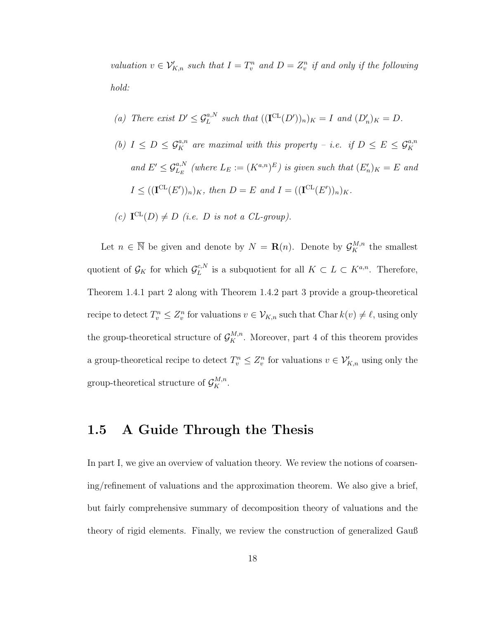valuation  $v \in \mathcal{V}_{K,n}'$  such that  $I = T_v^n$  and  $D = Z_v^n$  if and only if the following hold:

- (a) There exist  $D' \leq \mathcal{G}_L^{a,N}$  such that  $((\mathbf{I}^{\mathrm{CL}}(D'))_n)_K = I$  and  $(D'_n)_K = D$ .
- (b)  $I \leq D \leq \mathcal{G}_K^{a,n}$  are maximal with this property i.e. if  $D \leq E \leq \mathcal{G}_K^{a,n}$ and  $E' \leq \mathcal{G}_{L_E}^{a,N}$  (where  $L_E := (K^{a,n})^E$ ) is given such that  $(E'_n)_K = E$  and  $I \leq ((\mathbf{I}^{\mathrm{CL}}(E'))_n)_K$ , then  $D = E$  and  $I = ((\mathbf{I}^{\mathrm{CL}}(E'))_n)_K$ .

(c) 
$$
\mathbf{I}^{\mathrm{CL}}(D) \neq D
$$
 (i.e. *D* is not a CL-group).

Let  $n \in \overline{\mathbb{N}}$  be given and denote by  $N = \mathbf{R}(n)$ . Denote by  $\mathcal{G}_K^{M,n}$  the smallest quotient of  $\mathcal{G}_K$  for which  $\mathcal{G}_L^{c,N}$  $L^{c,N}$  is a subquotient for all  $K \subset L \subset K^{a,n}$ . Therefore, Theorem 1.4.1 part 2 along with Theorem 1.4.2 part 3 provide a group-theoretical recipe to detect  $T_v^n \leq Z_v^n$  for valuations  $v \in \mathcal{V}_{K,n}$  such that Char  $k(v) \neq \ell$ , using only the group-theoretical structure of  $\mathcal{G}_{K}^{M,n}$ . Moreover, part 4 of this theorem provides a group-theoretical recipe to detect  $T_v^n \leq Z_v^n$  for valuations  $v \in \mathcal{V}'_{K,n}$  using only the group-theoretical structure of  $\mathcal{G}_K^{M,n}$ .

## 1.5 A Guide Through the Thesis

In part I, we give an overview of valuation theory. We review the notions of coarsening/refinement of valuations and the approximation theorem. We also give a brief, but fairly comprehensive summary of decomposition theory of valuations and the theory of rigid elements. Finally, we review the construction of generalized Gauß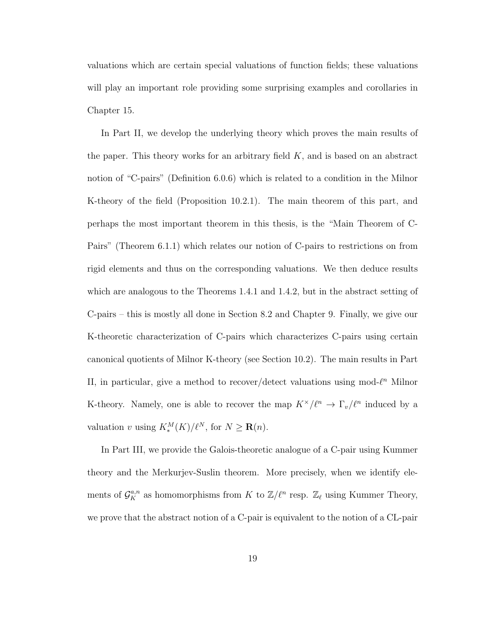valuations which are certain special valuations of function fields; these valuations will play an important role providing some surprising examples and corollaries in Chapter 15.

In Part II, we develop the underlying theory which proves the main results of the paper. This theory works for an arbitrary field  $K$ , and is based on an abstract notion of "C-pairs" (Definition 6.0.6) which is related to a condition in the Milnor K-theory of the field (Proposition 10.2.1). The main theorem of this part, and perhaps the most important theorem in this thesis, is the "Main Theorem of C-Pairs" (Theorem 6.1.1) which relates our notion of C-pairs to restrictions on from rigid elements and thus on the corresponding valuations. We then deduce results which are analogous to the Theorems 1.4.1 and 1.4.2, but in the abstract setting of C-pairs – this is mostly all done in Section 8.2 and Chapter 9. Finally, we give our K-theoretic characterization of C-pairs which characterizes C-pairs using certain canonical quotients of Milnor K-theory (see Section 10.2). The main results in Part II, in particular, give a method to recover/detect valuations using mod- $\ell^n$  Milnor K-theory. Namely, one is able to recover the map  $K^{\times}/\ell^n \to \Gamma_v/\ell^n$  induced by a valuation v using  $K_*^M(K)/\ell^N$ , for  $N \geq \mathbf{R}(n)$ .

In Part III, we provide the Galois-theoretic analogue of a C-pair using Kummer theory and the Merkurjev-Suslin theorem. More precisely, when we identify elements of  $\mathcal{G}_K^{a,n}$  as homomorphisms from K to  $\mathbb{Z}/\ell^n$  resp.  $\mathbb{Z}_\ell$  using Kummer Theory, we prove that the abstract notion of a C-pair is equivalent to the notion of a CL-pair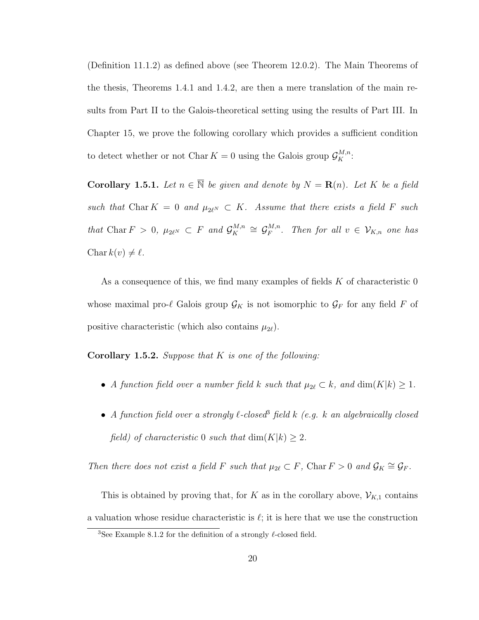(Definition 11.1.2) as defined above (see Theorem 12.0.2). The Main Theorems of the thesis, Theorems 1.4.1 and 1.4.2, are then a mere translation of the main results from Part II to the Galois-theoretical setting using the results of Part III. In Chapter 15, we prove the following corollary which provides a sufficient condition to detect whether or not Char  $K = 0$  using the Galois group  $\mathcal{G}_K^{M,n}$ :

**Corollary 1.5.1.** Let  $n \in \overline{\mathbb{N}}$  be given and denote by  $N = \mathbf{R}(n)$ . Let K be a field such that Char K = 0 and  $\mu_{2\ell^N} \subset K$ . Assume that there exists a field F such that Char  $F > 0$ ,  $\mu_{2\ell^N} \subset F$  and  $\mathcal{G}_K^{M,n}$  $\mathcal{G}_K^{M,n} \cong \mathcal{G}_F^{M,n}$  $F^{M,n}_{F}$ . Then for all  $v \in \mathcal{V}_{K,n}$  one has Char  $k(v) \neq \ell$ .

As a consequence of this, we find many examples of fields  $K$  of characteristic 0 whose maximal pro- $\ell$  Galois group  $\mathcal{G}_K$  is not isomorphic to  $\mathcal{G}_F$  for any field F of positive characteristic (which also contains  $\mu_{2\ell}$ ).

**Corollary 1.5.2.** Suppose that  $K$  is one of the following:

- A function field over a number field k such that  $\mu_{2\ell} \subset k$ , and  $\dim(K|k) \geq 1$ .
- A function field over a strongly  $\ell$ -closed<sup>3</sup> field k (e.g. k an algebraically closed field) of characteristic 0 such that  $\dim(K|k) \geq 2$ .

Then there does not exist a field F such that  $\mu_{2\ell} \subset F$ , Char  $F > 0$  and  $\mathcal{G}_K \cong \mathcal{G}_F$ .

This is obtained by proving that, for K as in the corollary above,  $\mathcal{V}_{K,1}$  contains a valuation whose residue characteristic is  $\ell$ ; it is here that we use the construction

<sup>&</sup>lt;sup>3</sup>See Example 8.1.2 for the definition of a strongly  $\ell$ -closed field.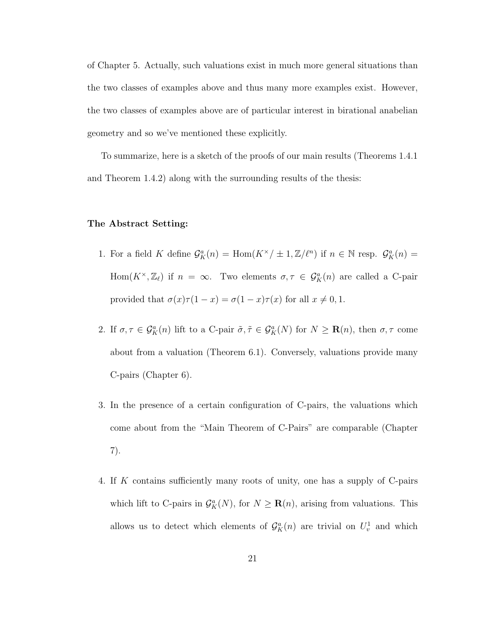of Chapter 5. Actually, such valuations exist in much more general situations than the two classes of examples above and thus many more examples exist. However, the two classes of examples above are of particular interest in birational anabelian geometry and so we've mentioned these explicitly.

To summarize, here is a sketch of the proofs of our main results (Theorems 1.4.1 and Theorem 1.4.2) along with the surrounding results of the thesis:

#### The Abstract Setting:

- 1. For a field K define  $\mathcal{G}_{K}^{a}(n) = \text{Hom}(K^{\times}/\pm 1,\mathbb{Z}/\ell^{n})$  if  $n \in \mathbb{N}$  resp.  $\mathcal{G}_{K}^{a}(n) =$ Hom $(K^{\times},\mathbb{Z}_{\ell})$  if  $n = \infty$ . Two elements  $\sigma, \tau \in \mathcal{G}_{K}^{a}(n)$  are called a C-pair provided that  $\sigma(x)\tau(1-x) = \sigma(1-x)\tau(x)$  for all  $x \neq 0, 1$ .
- 2. If  $\sigma, \tau \in \mathcal{G}_K^a(n)$  lift to a C-pair  $\tilde{\sigma}, \tilde{\tau} \in \mathcal{G}_K^a(N)$  for  $N \geq \mathbf{R}(n)$ , then  $\sigma, \tau$  come about from a valuation (Theorem 6.1). Conversely, valuations provide many C-pairs (Chapter 6).
- 3. In the presence of a certain configuration of C-pairs, the valuations which come about from the "Main Theorem of C-Pairs" are comparable (Chapter 7).
- 4. If K contains sufficiently many roots of unity, one has a supply of C-pairs which lift to C-pairs in  $\mathcal{G}_{K}^{a}(N)$ , for  $N \geq \mathbf{R}(n)$ , arising from valuations. This allows us to detect which elements of  $\mathcal{G}_{K}^{a}(n)$  are trivial on  $U_{v}^{1}$  and which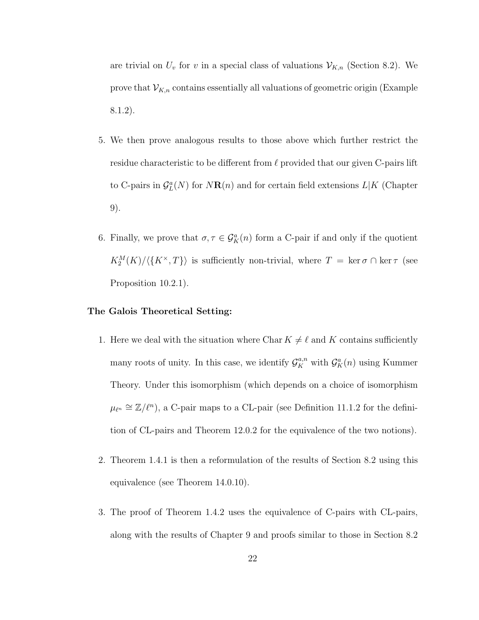are trivial on  $U_v$  for v in a special class of valuations  $\mathcal{V}_{K,n}$  (Section 8.2). We prove that  $\mathcal{V}_{K,n}$  contains essentially all valuations of geometric origin (Example 8.1.2).

- 5. We then prove analogous results to those above which further restrict the residue characteristic to be different from  $\ell$  provided that our given C-pairs lift to C-pairs in  $\mathcal{G}_{L}^{a}(N)$  for  $N\mathbf{R}(n)$  and for certain field extensions  $L|K$  (Chapter 9).
- 6. Finally, we prove that  $\sigma, \tau \in \mathcal{G}_{K}^{\alpha}(n)$  form a C-pair if and only if the quotient  $K_2^M(K)/\langle K^\times, T \rangle$  is sufficiently non-trivial, where  $T = \ker \sigma \cap \ker \tau$  (see Proposition 10.2.1).

#### The Galois Theoretical Setting:

- 1. Here we deal with the situation where Char  $K \neq \ell$  and K contains sufficiently many roots of unity. In this case, we identify  $\mathcal{G}_{K}^{a,n}$  with  $\mathcal{G}_{K}^{a}(n)$  using Kummer Theory. Under this isomorphism (which depends on a choice of isomorphism  $\mu_{\ell^n} \cong \mathbb{Z}/\ell^n$ ), a C-pair maps to a CL-pair (see Definition 11.1.2 for the definition of CL-pairs and Theorem 12.0.2 for the equivalence of the two notions).
- 2. Theorem 1.4.1 is then a reformulation of the results of Section 8.2 using this equivalence (see Theorem 14.0.10).
- 3. The proof of Theorem 1.4.2 uses the equivalence of C-pairs with CL-pairs, along with the results of Chapter 9 and proofs similar to those in Section 8.2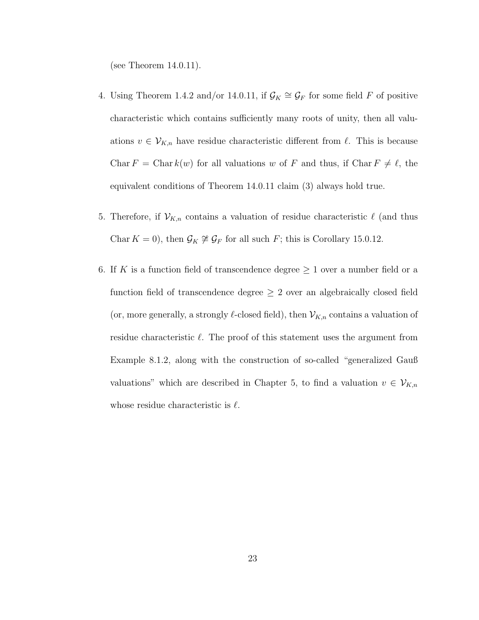(see Theorem 14.0.11).

- 4. Using Theorem 1.4.2 and/or 14.0.11, if  $\mathcal{G}_K \cong \mathcal{G}_F$  for some field F of positive characteristic which contains sufficiently many roots of unity, then all valuations  $v \in V_{K,n}$  have residue characteristic different from  $\ell$ . This is because Char  $F = \text{Char } k(w)$  for all valuations w of F and thus, if Char  $F \neq \ell$ , the equivalent conditions of Theorem 14.0.11 claim (3) always hold true.
- 5. Therefore, if  $\mathcal{V}_{K,n}$  contains a valuation of residue characteristic  $\ell$  (and thus Char  $K = 0$ , then  $\mathcal{G}_K \not\cong \mathcal{G}_F$  for all such F; this is Corollary 15.0.12.
- 6. If K is a function field of transcendence degree  $\geq 1$  over a number field or a function field of transcendence degree  $\geq 2$  over an algebraically closed field (or, more generally, a strongly  $\ell$ -closed field), then  $\mathcal{V}_{K,n}$  contains a valuation of residue characteristic  $\ell$ . The proof of this statement uses the argument from Example 8.1.2, along with the construction of so-called "generalized Gauß valuations" which are described in Chapter 5, to find a valuation  $v \in V_{K,n}$ whose residue characteristic is  $\ell$ .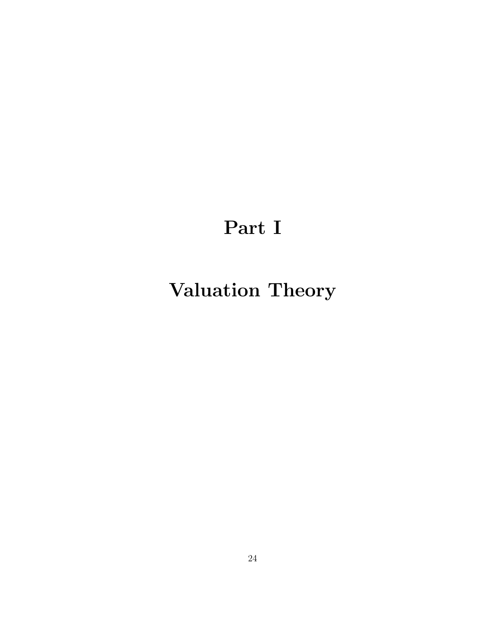# Part I

# Valuation Theory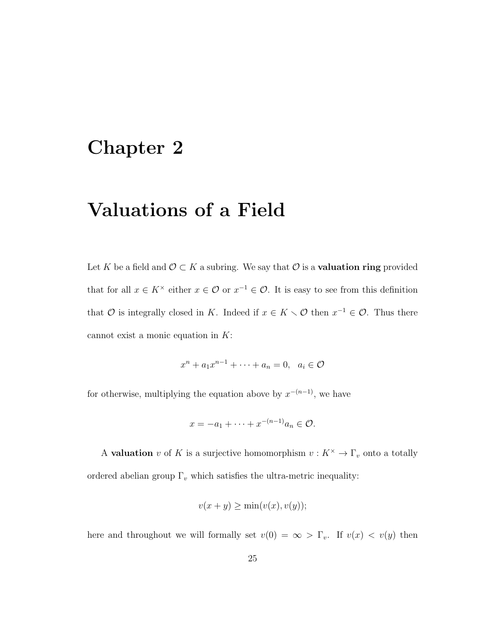## Chapter 2

## Valuations of a Field

Let K be a field and  $\mathcal{O} \subset K$  a subring. We say that  $\mathcal{O}$  is a **valuation ring** provided that for all  $x \in K^{\times}$  either  $x \in \mathcal{O}$  or  $x^{-1} \in \mathcal{O}$ . It is easy to see from this definition that  $\mathcal O$  is integrally closed in K. Indeed if  $x \in K \setminus \mathcal O$  then  $x^{-1} \in \mathcal O$ . Thus there cannot exist a monic equation in  $K$ :

$$
x^n + a_1 x^{n-1} + \dots + a_n = 0, \quad a_i \in \mathcal{O}
$$

for otherwise, multiplying the equation above by  $x^{-(n-1)}$ , we have

$$
x = -a_1 + \dots + x^{-(n-1)}a_n \in \mathcal{O}.
$$

A **valuation** v of K is a surjective homomorphism  $v : K^{\times} \to \Gamma_v$  onto a totally ordered abelian group  $\Gamma_v$  which satisfies the ultra-metric inequality:

$$
v(x + y) \ge \min(v(x), v(y));
$$

here and throughout we will formally set  $v(0) = \infty > \Gamma_v$ . If  $v(x) < v(y)$  then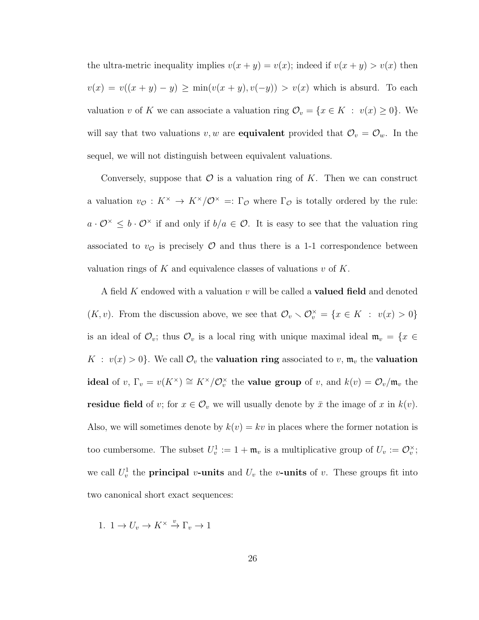the ultra-metric inequality implies  $v(x + y) = v(x)$ ; indeed if  $v(x + y) > v(x)$  then  $v(x) = v((x + y) - y) \ge \min(v(x + y), v(-y)) > v(x)$  which is absurd. To each valuation v of K we can associate a valuation ring  $\mathcal{O}_v = \{x \in K : v(x) \ge 0\}$ . We will say that two valuations v, w are **equivalent** provided that  $\mathcal{O}_v = \mathcal{O}_w$ . In the sequel, we will not distinguish between equivalent valuations.

Conversely, suppose that  $\mathcal O$  is a valuation ring of K. Then we can construct a valuation  $v_{\mathcal{O}}: K^{\times} \to K^{\times}/\mathcal{O}^{\times} =: \Gamma_{\mathcal{O}}$  where  $\Gamma_{\mathcal{O}}$  is totally ordered by the rule:  $a \cdot \mathcal{O}^{\times} \leq b \cdot \mathcal{O}^{\times}$  if and only if  $b/a \in \mathcal{O}$ . It is easy to see that the valuation ring associated to  $v_{\mathcal{O}}$  is precisely  $\mathcal O$  and thus there is a 1-1 correspondence between valuation rings of K and equivalence classes of valuations  $v$  of K.

A field K endowed with a valuation  $v$  will be called a **valued field** and denoted  $(K, v)$ . From the discussion above, we see that  $\mathcal{O}_v \setminus \mathcal{O}_v^{\times} = \{x \in K : v(x) > 0\}$ is an ideal of  $\mathcal{O}_v$ ; thus  $\mathcal{O}_v$  is a local ring with unique maximal ideal  $\mathfrak{m}_v = \{x \in$  $K : v(x) > 0$ . We call  $\mathcal{O}_v$  the **valuation ring** associated to v,  $\mathfrak{m}_v$  the **valuation ideal** of v,  $\Gamma_v = v(K^{\times}) \cong K^{\times}/\mathcal{O}_v^{\times}$  the **value group** of v, and  $k(v) = \mathcal{O}_v/\mathfrak{m}_v$  the **residue field** of v; for  $x \in \mathcal{O}_v$  we will usually denote by  $\bar{x}$  the image of x in  $k(v)$ . Also, we will sometimes denote by  $k(v) = kv$  in places where the former notation is too cumbersome. The subset  $U_v^1 := 1 + \mathfrak{m}_v$  is a multiplicative group of  $U_v := \mathcal{O}_v^{\times}$ ; we call  $U_v^1$  the **principal** v-units and  $U_v$  the v-units of v. These groups fit into two canonical short exact sequences:

1.  $1 \to U_v \to K^\times \overset{v}{\to} \Gamma_v \to 1$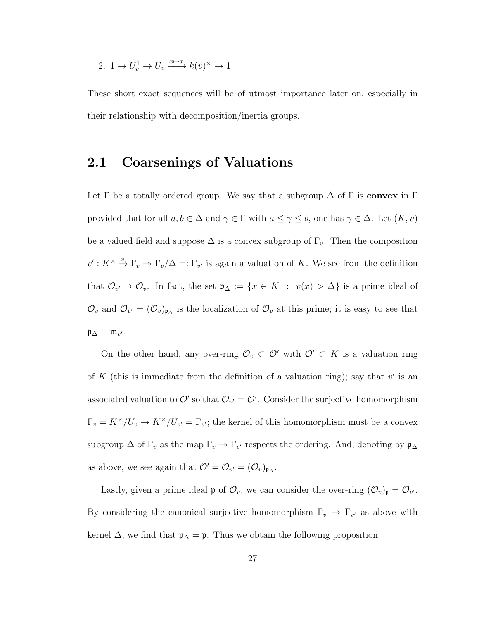2. 
$$
1 \to U_v^1 \to U_v \xrightarrow{x \mapsto \bar{x}} k(v)^{\times} \to 1
$$

These short exact sequences will be of utmost importance later on, especially in their relationship with decomposition/inertia groups.

### 2.1 Coarsenings of Valuations

Let  $\Gamma$  be a totally ordered group. We say that a subgroup  $\Delta$  of  $\Gamma$  is convex in  $\Gamma$ provided that for all  $a, b \in \Delta$  and  $\gamma \in \Gamma$  with  $a \leq \gamma \leq b$ , one has  $\gamma \in \Delta$ . Let  $(K, v)$ be a valued field and suppose  $\Delta$  is a convex subgroup of  $\Gamma_v$ . Then the composition  $v': K^{\times} \stackrel{v}{\to} \Gamma_v \to \Gamma_v/\Delta =: \Gamma_{v'}$  is again a valuation of K. We see from the definition that  $\mathcal{O}_{v'} \supset \mathcal{O}_v$ . In fact, the set  $\mathfrak{p}_{\Delta} := \{x \in K : v(x) > \Delta\}$  is a prime ideal of  $\mathcal{O}_v$  and  $\mathcal{O}_{v'} = (\mathcal{O}_v)_{\mathfrak{p}_\Delta}$  is the localization of  $\mathcal{O}_v$  at this prime; it is easy to see that  $\mathfrak{p}_{\Delta} = \mathfrak{m}_{v'}$ .

On the other hand, any over-ring  $\mathcal{O}_v \subset \mathcal{O}'$  with  $\mathcal{O}' \subset K$  is a valuation ring of K (this is immediate from the definition of a valuation ring); say that  $v'$  is an associated valuation to  $\mathcal{O}'$  so that  $\mathcal{O}_{v'} = \mathcal{O}'$ . Consider the surjective homomorphism  $\Gamma_v = K^\times / U_v \to K^\times / U_{v'} = \Gamma_{v'}$ ; the kernel of this homomorphism must be a convex subgroup  $\Delta$  of  $\Gamma_v$  as the map  $\Gamma_v \to \Gamma_{v'}$  respects the ordering. And, denoting by  $\mathfrak{p}_{\Delta}$ as above, we see again that  $\mathcal{O}' = \mathcal{O}_{v'} = (\mathcal{O}_v)_{\mathfrak{p}_{\Delta}}$ .

Lastly, given a prime ideal  $\mathfrak p$  of  $\mathcal O_v$ , we can consider the over-ring  $(\mathcal O_v)_{\mathfrak p}=\mathcal O_{v'}$ . By considering the canonical surjective homomorphism  $\Gamma_v \to \Gamma_{v'}$  as above with kernel  $\Delta$ , we find that  $\mathfrak{p}_{\Delta} = \mathfrak{p}$ . Thus we obtain the following proposition: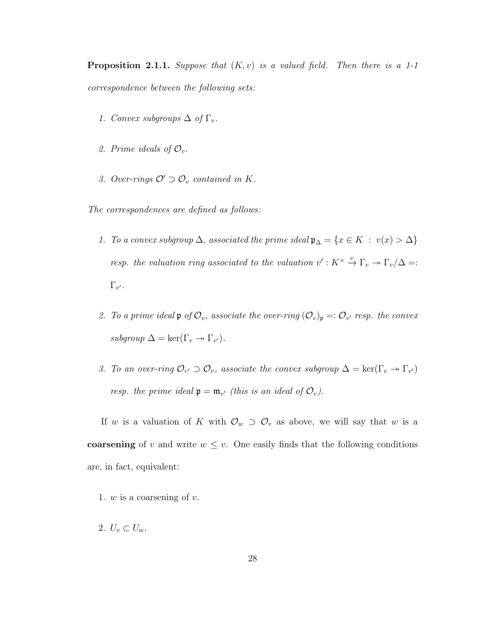**Proposition 2.1.1.** Suppose that  $(K, v)$  is a valued field. Then there is a 1-1 correspondence between the following sets:

- 1. Convex subgroups  $\Delta$  of  $\Gamma_v$ .
- 2. Prime ideals of  $\mathcal{O}_v$ .
- 3. Over-rings  $\mathcal{O}' \supset \mathcal{O}_v$  contained in K.

The correspondences are defined as follows:

- 1. To a convex subgroup  $\Delta$ , associated the prime ideal  $\mathfrak{p}_{\Delta} = \{x \in K : v(x) > \Delta\}$ resp. the valuation ring associated to the valuation  $v': K^{\times} \stackrel{v}{\to} \Gamma_v \to \Gamma_v/\Delta =$ :  $\Gamma_{v^\prime}.$
- 2. To a prime ideal  $\mathfrak{p}$  of  $\mathcal{O}_v$ , associate the over-ring  $(\mathcal{O}_v)_{\mathfrak{p}} =: \mathcal{O}_{v'}$  resp. the convex subgroup  $\Delta = \ker(\Gamma_v \to \Gamma_{v}).$
- 3. To an over-ring  $\mathcal{O}_{v'} \supset \mathcal{O}_v$ , associate the convex subgroup  $\Delta = \ker(\Gamma_v \to \Gamma_{v'})$ resp. the prime ideal  $\mathfrak{p} = \mathfrak{m}_{v'}$  (this is an ideal of  $\mathcal{O}_{v}$ ).

If w is a valuation of K with  $\mathcal{O}_w \supset \mathcal{O}_v$  as above, we will say that w is a coarsening of v and write  $w \leq v$ . One easily finds that the following conditions are, in fact, equivalent:

- 1.  $w$  is a coarsening of  $v$ .
- 2.  $U_v \subset U_w$ .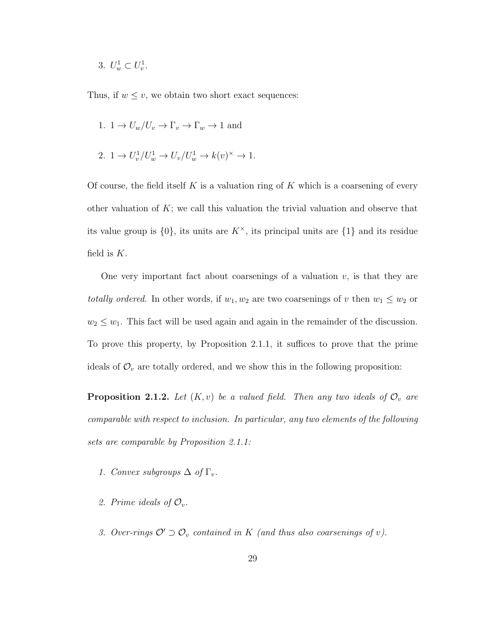3.  $U_w^1 \subset U_v^1$ .

Thus, if  $w \leq v$ , we obtain two short exact sequences:

- 1.  $1 \to U_w/U_v \to \Gamma_v \to \Gamma_w \to 1$  and
- 2.  $1 \to U_v^1/U_w^1 \to U_v/U_w^1 \to k(v)^\times \to 1$ .

Of course, the field itself K is a valuation ring of K which is a coarsening of every other valuation of  $K$ ; we call this valuation the trivial valuation and observe that its value group is  $\{0\}$ , its units are  $K^{\times}$ , its principal units are  $\{1\}$  and its residue field is  $K$ .

One very important fact about coarsenings of a valuation  $v$ , is that they are *totally ordered*. In other words, if  $w_1, w_2$  are two coarsenings of v then  $w_1 \leq w_2$  or  $w_2 \leq w_1$ . This fact will be used again and again in the remainder of the discussion. To prove this property, by Proposition 2.1.1, it suffices to prove that the prime ideals of  $\mathcal{O}_v$  are totally ordered, and we show this in the following proposition:

**Proposition 2.1.2.** Let  $(K, v)$  be a valued field. Then any two ideals of  $\mathcal{O}_v$  are comparable with respect to inclusion. In particular, any two elements of the following sets are comparable by Proposition 2.1.1:

- 1. Convex subgroups  $\Delta$  of  $\Gamma_v$ .
- 2. Prime ideals of  $\mathcal{O}_v$ .
- 3. Over-rings  $\mathcal{O}' \supset \mathcal{O}_v$  contained in K (and thus also coarsenings of v).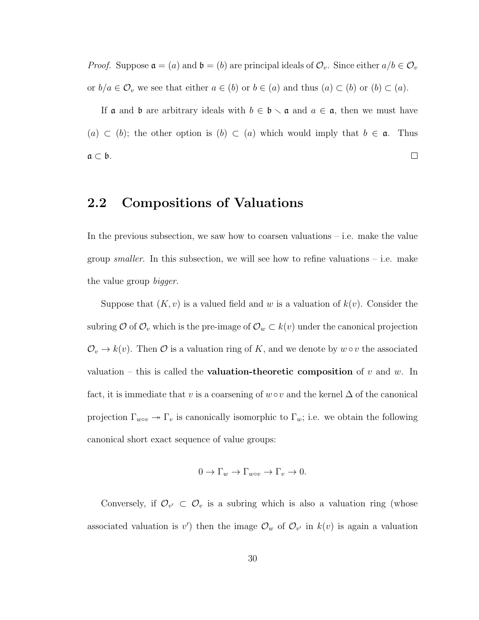*Proof.* Suppose  $\mathfrak{a} = (a)$  and  $\mathfrak{b} = (b)$  are principal ideals of  $\mathcal{O}_v$ . Since either  $a/b \in \mathcal{O}_v$ or  $b/a \in \mathcal{O}_v$  we see that either  $a \in (b)$  or  $b \in (a)$  and thus  $(a) \subset (b)$  or  $(b) \subset (a)$ .

If  $\mathfrak a$  and  $\mathfrak b$  are arbitrary ideals with  $b \in \mathfrak b \setminus \mathfrak a$  and  $a \in \mathfrak a$ , then we must have (a) ⊂ (b); the other option is (b) ⊂ (a) which would imply that  $b \in \mathfrak{a}$ . Thus  $\Box$  $a \subset b$ .

### 2.2 Compositions of Valuations

In the previous subsection, we saw how to coarsen valuations  $-$  i.e. make the value group *smaller*. In this subsection, we will see how to refine valuations  $-$  i.e. make the value group *bigger*.

Suppose that  $(K, v)$  is a valued field and w is a valuation of  $k(v)$ . Consider the subring  $\mathcal O$  of  $\mathcal O_v$  which is the pre-image of  $\mathcal O_w \subset k(v)$  under the canonical projection  $\mathcal{O}_v \to k(v)$ . Then  $\mathcal O$  is a valuation ring of K, and we denote by  $w \circ v$  the associated valuation – this is called the **valuation-theoretic composition** of v and w. In fact, it is immediate that v is a coarsening of  $w ∘ v$  and the kernel  $\Delta$  of the canonical projection  $\Gamma_{w\circ v} \to \Gamma_v$  is canonically isomorphic to  $\Gamma_w$ ; i.e. we obtain the following canonical short exact sequence of value groups:

$$
0 \to \Gamma_w \to \Gamma_{w \circ v} \to \Gamma_v \to 0.
$$

Conversely, if  $\mathcal{O}_{v'} \subset \mathcal{O}_v$  is a subring which is also a valuation ring (whose associated valuation is v') then the image  $\mathcal{O}_w$  of  $\mathcal{O}_{v'}$  in  $k(v)$  is again a valuation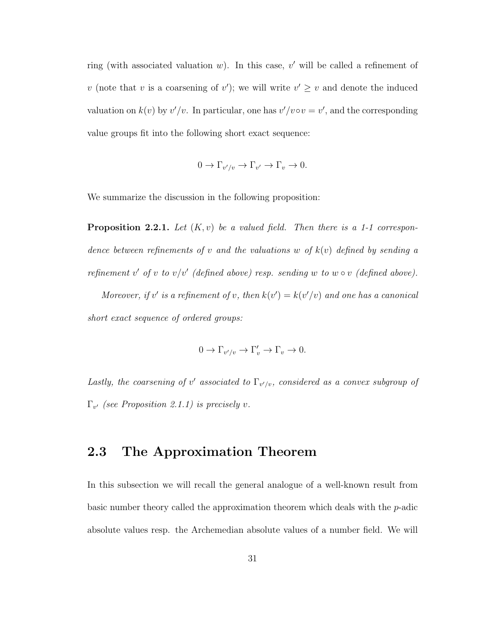ring (with associated valuation  $w$ ). In this case,  $v'$  will be called a refinement of v (note that v is a coarsening of v'); we will write  $v' \geq v$  and denote the induced valuation on  $k(v)$  by  $v'/v$ . In particular, one has  $v'/v \circ v = v'$ , and the corresponding value groups fit into the following short exact sequence:

$$
0 \to \Gamma_{v'/v} \to \Gamma_{v'} \to \Gamma_v \to 0.
$$

We summarize the discussion in the following proposition:

**Proposition 2.2.1.** Let  $(K, v)$  be a valued field. Then there is a 1-1 correspondence between refinements of v and the valuations w of  $k(v)$  defined by sending a refinement v' of v to v/v' (defined above) resp. sending w to w  $\circ$  v (defined above).

Moreover, if v' is a refinement of v, then  $k(v') = k(v'/v)$  and one has a canonical short exact sequence of ordered groups:

$$
0 \to \Gamma_{v'/v} \to \Gamma'_v \to \Gamma_v \to 0.
$$

Lastly, the coarsening of v' associated to  $\Gamma_{v'/v}$ , considered as a convex subgroup of  $\Gamma_{v'}$  (see Proposition 2.1.1) is precisely v.

### 2.3 The Approximation Theorem

In this subsection we will recall the general analogue of a well-known result from basic number theory called the approximation theorem which deals with the  $p$ -adic absolute values resp. the Archemedian absolute values of a number field. We will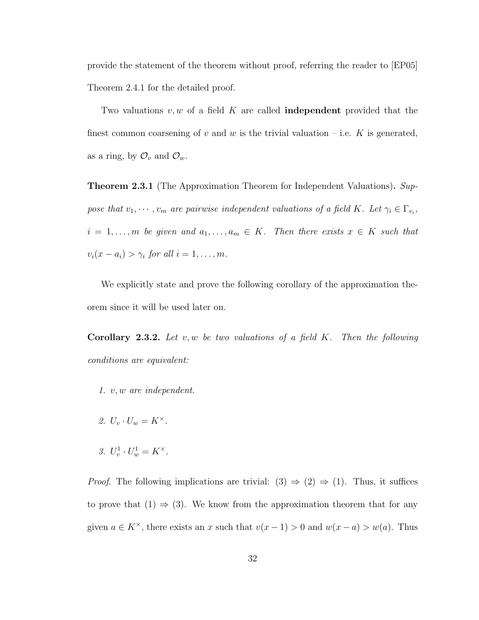provide the statement of the theorem without proof, referring the reader to [EP05] Theorem 2.4.1 for the detailed proof.

Two valuations  $v, w$  of a field K are called **independent** provided that the finest common coarsening of v and w is the trivial valuation – i.e. K is generated, as a ring, by  $\mathcal{O}_v$  and  $\mathcal{O}_w$ .

**Theorem 2.3.1** (The Approximation Theorem for Independent Valuations). Suppose that  $v_1, \dots, v_m$  are pairwise independent valuations of a field K. Let  $\gamma_i \in \Gamma_{v_i}$ ,  $i = 1, \ldots, m$  be given and  $a_1, \ldots, a_m \in K$ . Then there exists  $x \in K$  such that  $v_i(x-a_i) > \gamma_i$  for all  $i = 1, \ldots, m$ .

We explicitly state and prove the following corollary of the approximation theorem since it will be used later on.

**Corollary 2.3.2.** Let  $v, w$  be two valuations of a field K. Then the following conditions are equivalent:

- 1. v, w are independent.
- 2.  $U_v \cdot U_w = K^\times$ .
- 3.  $U_v^1 \cdot U_w^1 = K^{\times}$ .

*Proof.* The following implications are trivial:  $(3) \Rightarrow (2) \Rightarrow (1)$ . Thus, it suffices to prove that  $(1) \Rightarrow (3)$ . We know from the approximation theorem that for any given  $a \in K^{\times}$ , there exists an x such that  $v(x - 1) > 0$  and  $w(x - a) > w(a)$ . Thus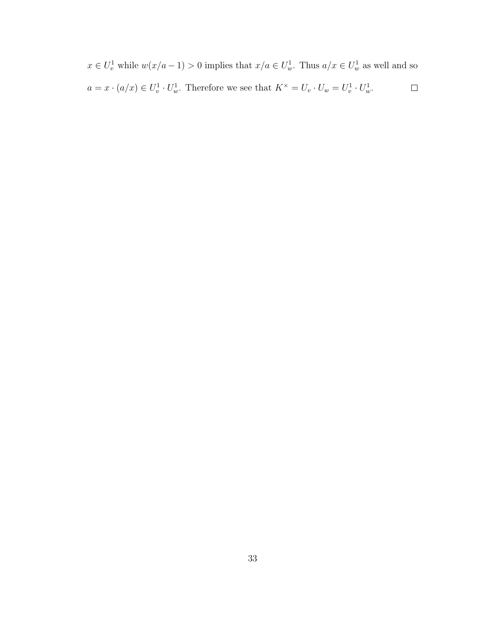$x \in U_v^1$  while  $w(x/a - 1) > 0$  implies that  $x/a \in U_w^1$ . Thus  $a/x \in U_w^1$  as well and so  $\Box$  $a = x \cdot (a/x) \in U_v^1 \cdot U_w^1$ . Therefore we see that  $K^\times = U_v \cdot U_w = U_v^1 \cdot U_w^1$ .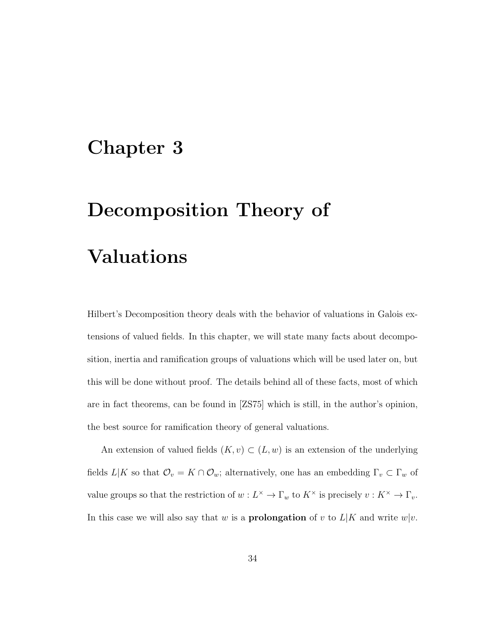### Chapter 3

# Decomposition Theory of Valuations

Hilbert's Decomposition theory deals with the behavior of valuations in Galois extensions of valued fields. In this chapter, we will state many facts about decomposition, inertia and ramification groups of valuations which will be used later on, but this will be done without proof. The details behind all of these facts, most of which are in fact theorems, can be found in [ZS75] which is still, in the author's opinion, the best source for ramification theory of general valuations.

An extension of valued fields  $(K, v) \subset (L, w)$  is an extension of the underlying fields  $L|K$  so that  $\mathcal{O}_v = K \cap \mathcal{O}_w$ ; alternatively, one has an embedding  $\Gamma_v \subset \Gamma_w$  of value groups so that the restriction of  $w: L^{\times} \to \Gamma_w$  to  $K^{\times}$  is precisely  $v: K^{\times} \to \Gamma_v$ . In this case we will also say that w is a **prolongation** of v to  $L|K$  and write  $w|v$ .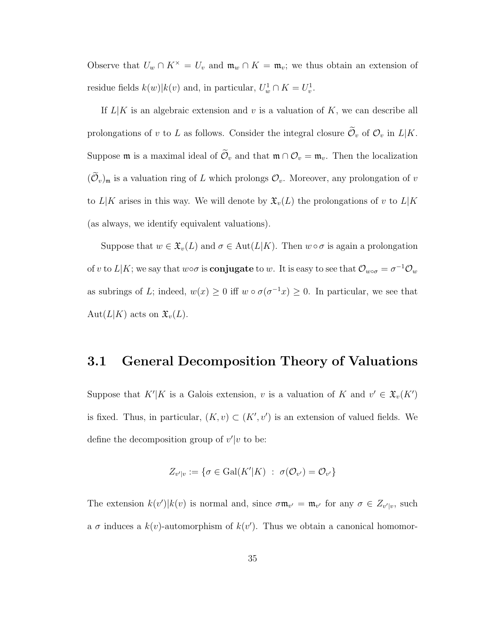Observe that  $U_w \cap K^\times = U_v$  and  $\mathfrak{m}_w \cap K = \mathfrak{m}_v$ ; we thus obtain an extension of residue fields  $k(w) \mid k(v)$  and, in particular,  $U_w^1 \cap K = U_v^1$ .

If  $L|K$  is an algebraic extension and v is a valuation of K, we can describe all prolongations of v to L as follows. Consider the integral closure  $\widetilde{\mathcal{O}}_v$  of  $\mathcal{O}_v$  in  $L|K$ . Suppose  $\mathfrak m$  is a maximal ideal of  $\tilde{\mathcal O}_v$  and that  $\mathfrak m \cap \mathcal O_v = \mathfrak m_v$ . Then the localization  $(\mathcal{O}_v)_{\mathfrak{m}}$  is a valuation ring of L which prolongs  $\mathcal{O}_v$ . Moreover, any prolongation of v to  $L|K$  arises in this way. We will denote by  $\mathfrak{X}_v(L)$  the prolongations of v to  $L|K$ (as always, we identify equivalent valuations).

Suppose that  $w \in \mathfrak{X}_v(L)$  and  $\sigma \in \text{Aut}(L|K)$ . Then  $w \circ \sigma$  is again a prolongation of v to  $L|K$ ; we say that  $w \circ \sigma$  is **conjugate** to w. It is easy to see that  $\mathcal{O}_{w \circ \sigma} = \sigma^{-1} \mathcal{O}_w$ as subrings of L; indeed,  $w(x) \geq 0$  iff  $w \circ \sigma(\sigma^{-1}x) \geq 0$ . In particular, we see that Aut $(L|K)$  acts on  $\mathfrak{X}_v(L)$ .

#### 3.1 General Decomposition Theory of Valuations

Suppose that  $K'|K$  is a Galois extension, v is a valuation of K and  $v' \in \mathfrak{X}_v(K')$ is fixed. Thus, in particular,  $(K, v) \subset (K', v')$  is an extension of valued fields. We define the decomposition group of  $v'|v$  to be:

$$
Z_{v'|v} := \{ \sigma \in \text{Gal}(K'|K) \ : \ \sigma(\mathcal{O}_{v'}) = \mathcal{O}_{v'} \}
$$

The extension  $k(v')|k(v)$  is normal and, since  $\sigma \mathfrak{m}_{v'} = \mathfrak{m}_{v'}$  for any  $\sigma \in Z_{v'|v}$ , such a  $\sigma$  induces a  $k(v)$ -automorphism of  $k(v')$ . Thus we obtain a canonical homomor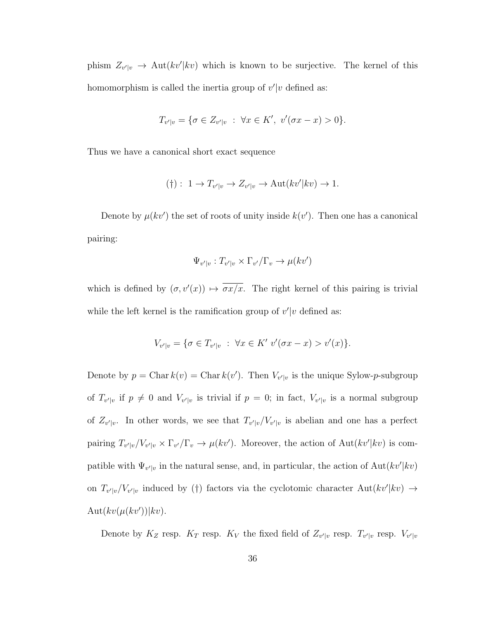phism  $Z_{v'|v} \to \text{Aut}(kv'|kv)$  which is known to be surjective. The kernel of this homomorphism is called the inertia group of  $v'|v$  defined as:

$$
T_{v'|v} = \{ \sigma \in Z_{v'|v} : \ \forall x \in K', \ v'(\sigma x - x) > 0 \}.
$$

Thus we have a canonical short exact sequence

$$
(\dagger): 1 \to T_{v'|v} \to Z_{v'|v} \to \text{Aut}(kv'|kv) \to 1.
$$

Denote by  $\mu(kv')$  the set of roots of unity inside  $k(v')$ . Then one has a canonical pairing:

$$
\Psi_{v'|v}: T_{v'|v} \times \Gamma_{v'}/\Gamma_v \to \mu(kv')
$$

which is defined by  $(\sigma, v'(x)) \mapsto \overline{\sigma x/x}$ . The right kernel of this pairing is trivial while the left kernel is the ramification group of  $v'|v$  defined as:

$$
V_{v'|v} = \{ \sigma \in T_{v'|v} : \ \forall x \in K' \ v'(\sigma x - x) > v'(x) \}.
$$

Denote by  $p = \text{Char } k(v) = \text{Char } k(v')$ . Then  $V_{v'|v}$  is the unique Sylow-p-subgroup of  $T_{v'|v}$  if  $p \neq 0$  and  $V_{v'|v}$  is trivial if  $p = 0$ ; in fact,  $V_{v'|v}$  is a normal subgroup of  $Z_{v'|v}$ . In other words, we see that  $T_{v'|v}/V_{v'|v}$  is abelian and one has a perfect pairing  $T_{v'|v}/V_{v'|v} \times \Gamma_{v'}/\Gamma_v \to \mu(kv')$ . Moreover, the action of Aut $(kv'|kv)$  is compatible with  $\Psi_{v'|v}$  in the natural sense, and, in particular, the action of  $\text{Aut}(kv'|kv)$ on  $T_{v'|v}/V_{v'|v}$  induced by (†) factors via the cyclotomic character Aut $(kv'|kv) \rightarrow$  $\text{Aut}(kv(\mu(kv'))|kv).$ 

Denote by  $K_Z$  resp.  $K_T$  resp.  $K_V$  the fixed field of  $Z_{v'|v}$  resp.  $T_{v'|v}$  resp.  $V_{v'|v}$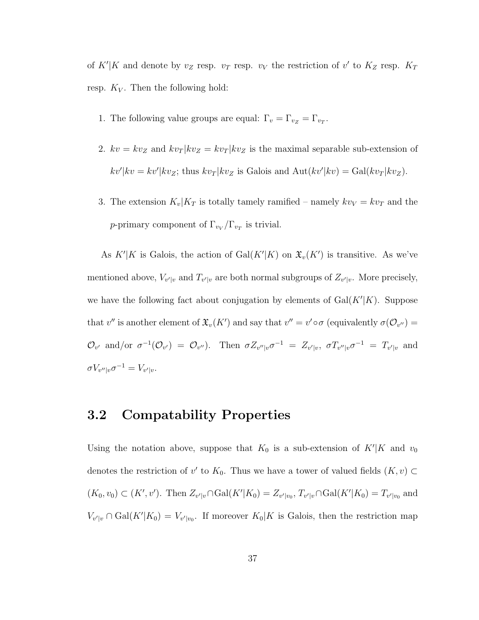of K'|K and denote by  $v_Z$  resp.  $v_T$  resp.  $v_V$  the restriction of v' to  $K_Z$  resp.  $K_T$ resp.  $K_V$ . Then the following hold:

- 1. The following value groups are equal:  $\Gamma_v = \Gamma_{v_Z} = \Gamma_{v_T}$ .
- 2.  $kv = kv_Z$  and  $kv_T | kv_Z = kv_T | kv_Z$  is the maximal separable sub-extension of  $kv'|kv = kv'|kv_Z$ ; thus  $kv_T|kv_Z$  is Galois and  $Aut(kv'|kv) = Gal(kv_T|kv_Z)$ .
- 3. The extension  $K_v|K_T$  is totally tamely ramified namely  $kv_V = kv_T$  and the p-primary component of  $\Gamma_{v_V}/\Gamma_{v_T}$  is trivial.

As  $K'|K$  is Galois, the action of  $Gal(K'|K)$  on  $\mathfrak{X}_v(K')$  is transitive. As we've mentioned above,  $V_{v'|v}$  and  $T_{v'|v}$  are both normal subgroups of  $Z_{v'|v}$ . More precisely, we have the following fact about conjugation by elements of  $Gal(K'|K)$ . Suppose that v'' is another element of  $\mathfrak{X}_v(K')$  and say that  $v'' = v' \circ \sigma$  (equivalently  $\sigma(\mathcal{O}_{v''}) =$  $\mathcal{O}_{v'}$  and/or  $\sigma^{-1}(\mathcal{O}_{v'}) = \mathcal{O}_{v''}$ . Then  $\sigma Z_{v''|v} \sigma^{-1} = Z_{v'|v}$ ,  $\sigma T_{v''|v} \sigma^{-1} = T_{v'|v}$  and  $\sigma V_{v''|v} \sigma^{-1} = V_{v'|v}.$ 

#### 3.2 Compatability Properties

Using the notation above, suppose that  $K_0$  is a sub-extension of  $K'|K$  and  $v_0$ denotes the restriction of v' to  $K_0$ . Thus we have a tower of valued fields  $(K, v) \subset$  $(K_0, v_0) \subset (K', v')$ . Then  $Z_{v'|v} \cap \text{Gal}(K'|K_0) = Z_{v'|v_0}, T_{v'|v} \cap \text{Gal}(K'|K_0) = T_{v'|v_0}$  and  $V_{v'|v} \cap \text{Gal}(K'|K_0) = V_{v'|v_0}.$  If moreover  $K_0|K$  is Galois, then the restriction map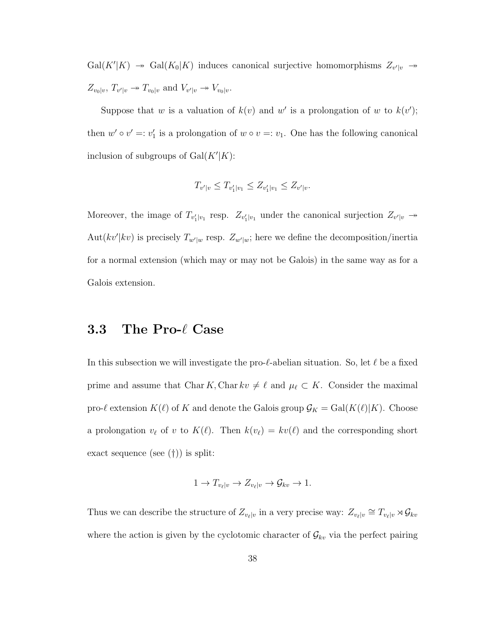$Gal(K'|K) \rightarrow Gal(K_0|K)$  induces canonical surjective homomorphisms  $Z_{v'|v} \rightarrow$  $Z_{v_0|v}, T_{v'|v} \twoheadrightarrow T_{v_0|v}$  and  $V_{v'|v} \twoheadrightarrow V_{v_0|v}$ .

Suppose that w is a valuation of  $k(v)$  and w' is a prolongation of w to  $k(v')$ ; then  $w' \circ v' =: v'_1$  is a prolongation of  $w \circ v =: v_1$ . One has the following canonical inclusion of subgroups of  $Gal(K'|K)$ :

$$
T_{v'|v} \leq T_{v'_1|v_1} \leq Z_{v'_1|v_1} \leq Z_{v'|v}.
$$

Moreover, the image of  $T_{v_1'|v_1}$  resp.  $Z_{v_1'|v_1}$  under the canonical surjection  $Z_{v'|v} \rightarrow$ Aut $(kv'|kv)$  is precisely  $T_{w'|w}$  resp.  $Z_{w'|w}$ ; here we define the decomposition/inertia for a normal extension (which may or may not be Galois) in the same way as for a Galois extension.

#### 3.3 The Pro- $\ell$  Case

In this subsection we will investigate the pro- $\ell$ -abelian situation. So, let  $\ell$  be a fixed prime and assume that Char K, Char  $kv \neq \ell$  and  $\mu_{\ell} \subset K$ . Consider the maximal pro- $\ell$  extension  $K(\ell)$  of K and denote the Galois group  $\mathcal{G}_K = \text{Gal}(K(\ell)|K)$ . Choose a prolongation  $v_{\ell}$  of v to  $K(\ell)$ . Then  $k(v_{\ell}) = kv(\ell)$  and the corresponding short exact sequence (see (†)) is split:

$$
1 \to T_{v_{\ell}|v} \to Z_{v_{\ell}|v} \to \mathcal{G}_{kv} \to 1.
$$

Thus we can describe the structure of  $Z_{v_\ell|v}$  in a very precise way:  $Z_{v_\ell|v} \cong T_{v_\ell|v} \rtimes \mathcal{G}_{kv}$ where the action is given by the cyclotomic character of  $\mathcal{G}_{kv}$  via the perfect pairing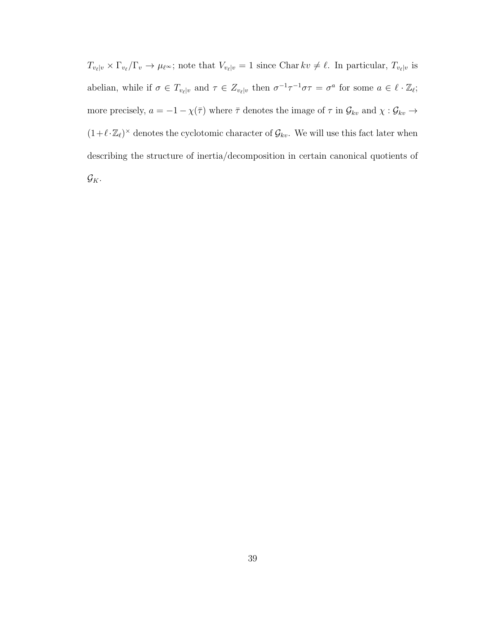$T_{v_\ell|v} \times \Gamma_{v_\ell}/\Gamma_v \to \mu_{\ell^{\infty}}$ ; note that  $V_{v_\ell|v} = 1$  since Char  $kv \neq \ell$ . In particular,  $T_{v_\ell|v}$  is abelian, while if  $\sigma \in T_{\nu_\ell|\nu}$  and  $\tau \in Z_{\nu_\ell|\nu}$  then  $\sigma^{-1}\tau^{-1}\sigma\tau = \sigma^a$  for some  $a \in \ell \cdot \mathbb{Z}_\ell$ ; more precisely,  $a = -1 - \chi(\bar{\tau})$  where  $\bar{\tau}$  denotes the image of  $\tau$  in  $\mathcal{G}_{kv}$  and  $\chi: \mathcal{G}_{kv} \to$  $(1+\ell \cdot \mathbb{Z}_\ell)^\times$  denotes the cyclotomic character of  $\mathcal{G}_{kv}$ . We will use this fact later when describing the structure of inertia/decomposition in certain canonical quotients of  $\mathcal{G}_K$ .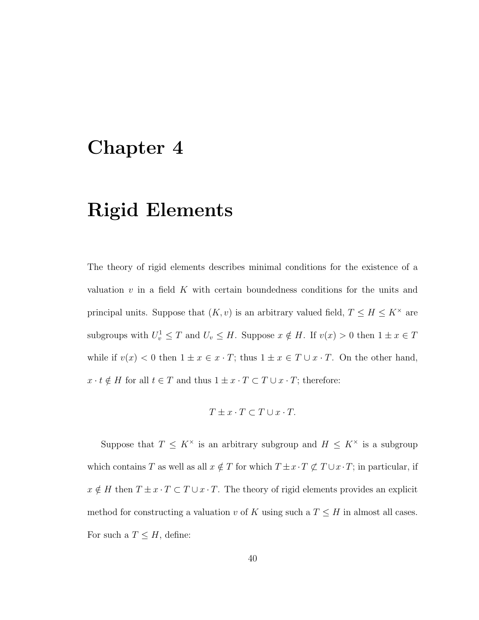### Chapter 4

### Rigid Elements

The theory of rigid elements describes minimal conditions for the existence of a valuation  $v$  in a field  $K$  with certain boundedness conditions for the units and principal units. Suppose that  $(K, v)$  is an arbitrary valued field,  $T \leq H \leq K^{\times}$  are subgroups with  $U_v^1 \leq T$  and  $U_v \leq H$ . Suppose  $x \notin H$ . If  $v(x) > 0$  then  $1 \pm x \in T$ while if  $v(x) < 0$  then  $1 \pm x \in x \cdot T$ ; thus  $1 \pm x \in T \cup x \cdot T$ . On the other hand,  $x \cdot t \notin H$  for all  $t \in T$  and thus  $1 \pm x \cdot T \subset T \cup x \cdot T$ ; therefore:

$$
T \pm x \cdot T \subset T \cup x \cdot T.
$$

Suppose that  $T \leq K^{\times}$  is an arbitrary subgroup and  $H \leq K^{\times}$  is a subgroup which contains T as well as all  $x \notin T$  for which  $T \pm x \cdot T \not\subset T \cup x \cdot T$ ; in particular, if  $x \notin H$  then  $T \pm x \cdot T \subset T \cup x \cdot T$  . The theory of rigid elements provides an explicit method for constructing a valuation v of K using such a  $T \leq H$  in almost all cases. For such a  $T \leq H$ , define: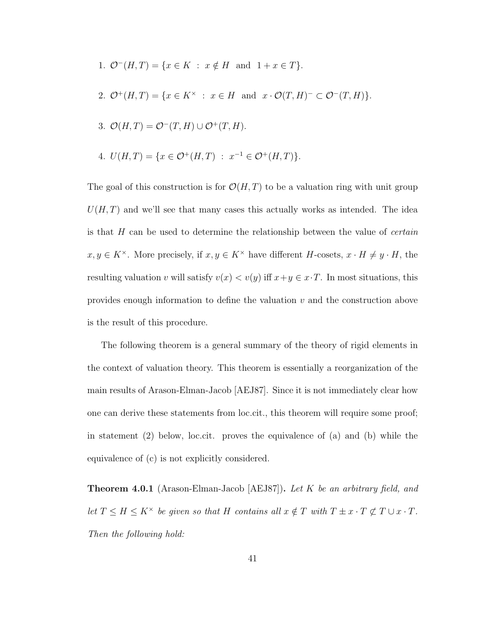1.  $\mathcal{O}^-(H,T) = \{x \in K : x \notin H \text{ and } 1 + x \in T\}.$ 2.  $\mathcal{O}^+(H,T) = \{x \in K^\times : x \in H \text{ and } x \cdot \mathcal{O}(T,H)^- \subset \mathcal{O}^-(T,H)\}.$ 3.  $\mathcal{O}(H,T) = \mathcal{O}^-(T,H) \cup \mathcal{O}^+(T,H).$ 

4. 
$$
U(H,T) = \{x \in \mathcal{O}^+(H,T) : x^{-1} \in \mathcal{O}^+(H,T)\}.
$$

The goal of this construction is for  $\mathcal{O}(H,T)$  to be a valuation ring with unit group  $U(H, T)$  and we'll see that many cases this actually works as intended. The idea is that  $H$  can be used to determine the relationship between the value of *certain*  $x, y \in K^{\times}$ . More precisely, if  $x, y \in K^{\times}$  have different H-cosets,  $x \cdot H \neq y \cdot H$ , the resulting valuation v will satisfy  $v(x) < v(y)$  iff  $x + y \in x \cdot T$ . In most situations, this provides enough information to define the valuation  $v$  and the construction above is the result of this procedure.

The following theorem is a general summary of the theory of rigid elements in the context of valuation theory. This theorem is essentially a reorganization of the main results of Arason-Elman-Jacob [AEJ87]. Since it is not immediately clear how one can derive these statements from loc.cit., this theorem will require some proof; in statement (2) below, loc.cit. proves the equivalence of (a) and (b) while the equivalence of (c) is not explicitly considered.

**Theorem 4.0.1** (Arason-Elman-Jacob [AEJ87]). Let K be an arbitrary field, and let  $T \leq H \leq K^{\times}$  be given so that H contains all  $x \notin T$  with  $T \pm x \cdot T \not\subset T \cup x \cdot T$ . Then the following hold: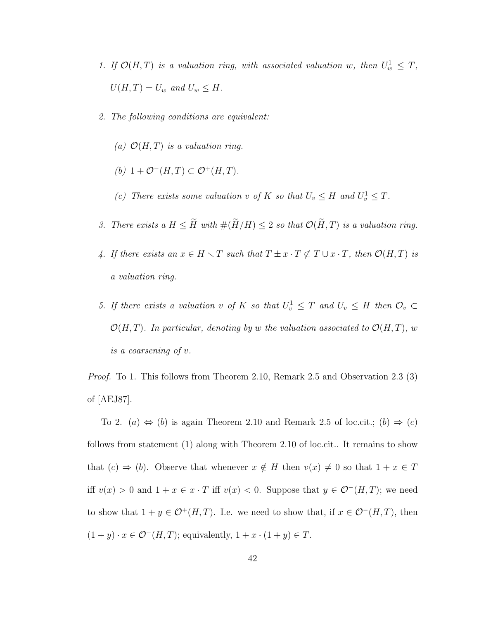- 1. If  $\mathcal{O}(H,T)$  is a valuation ring, with associated valuation w, then  $U_w^1 \leq T$ ,  $U(H, T) = U_w$  and  $U_w \leq H$ .
- 2. The following conditions are equivalent:
	- (a)  $\mathcal{O}(H,T)$  is a valuation ring.
	- (b)  $1 + \mathcal{O}^-(H,T) \subset \mathcal{O}^+(H,T)$ .
	- (c) There exists some valuation v of K so that  $U_v \leq H$  and  $U_v^1 \leq T$ .
- 3. There exists a  $H \leq \widetilde{H}$  with  $\#(\widetilde{H}/H) \leq 2$  so that  $\mathcal{O}(\widetilde{H}, T)$  is a valuation ring.
- 4. If there exists an  $x \in H \setminus T$  such that  $T \pm x \cdot T \not\subset T \cup x \cdot T$ , then  $\mathcal{O}(H,T)$  is a valuation ring.
- 5. If there exists a valuation v of K so that  $U_v^1 \leq T$  and  $U_v \leq H$  then  $\mathcal{O}_v \subset$  $\mathcal{O}(H,T)$ . In particular, denoting by w the valuation associated to  $\mathcal{O}(H,T)$ , w is a coarsening of v.

*Proof.* To 1. This follows from Theorem 2.10, Remark 2.5 and Observation 2.3 (3) of [AEJ87].

To 2. (a)  $\Leftrightarrow$  (b) is again Theorem 2.10 and Remark 2.5 of loc.cit.; (b)  $\Rightarrow$  (c) follows from statement (1) along with Theorem 2.10 of loc.cit.. It remains to show that  $(c) \Rightarrow (b)$ . Observe that whenever  $x \notin H$  then  $v(x) \neq 0$  so that  $1 + x \in T$ iff  $v(x) > 0$  and  $1 + x \in x \cdot T$  iff  $v(x) < 0$ . Suppose that  $y \in \mathcal{O}^{-}(H, T)$ ; we need to show that  $1 + y \in \mathcal{O}^+(H,T)$ . I.e. we need to show that, if  $x \in \mathcal{O}^-(H,T)$ , then  $(1 + y) \cdot x \in \mathcal{O}^{-}(H, T)$ ; equivalently,  $1 + x \cdot (1 + y) \in T$ .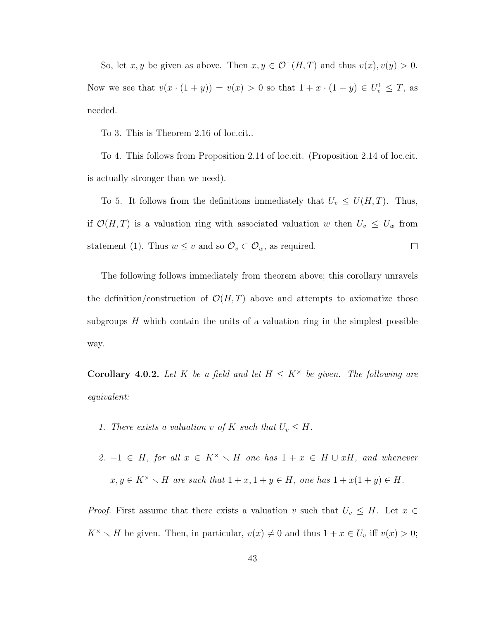So, let x, y be given as above. Then  $x, y \in \mathcal{O}^{-}(H,T)$  and thus  $v(x), v(y) > 0$ . Now we see that  $v(x \cdot (1 + y)) = v(x) > 0$  so that  $1 + x \cdot (1 + y) \in U_v^1 \leq T$ , as needed.

To 3. This is Theorem 2.16 of loc.cit..

To 4. This follows from Proposition 2.14 of loc.cit. (Proposition 2.14 of loc.cit. is actually stronger than we need).

To 5. It follows from the definitions immediately that  $U_v \le U(H,T)$ . Thus, if  $\mathcal{O}(H,T)$  is a valuation ring with associated valuation w then  $U_v \leq U_w$  from statement (1). Thus  $w \leq v$  and so  $\mathcal{O}_v \subset \mathcal{O}_w$ , as required.  $\Box$ 

The following follows immediately from theorem above; this corollary unravels the definition/construction of  $\mathcal{O}(H,T)$  above and attempts to axiomatize those subgroups  $H$  which contain the units of a valuation ring in the simplest possible way.

**Corollary 4.0.2.** Let K be a field and let  $H \leq K^{\times}$  be given. The following are equivalent:

- 1. There exists a valuation v of K such that  $U_v \leq H$ .
- 2.  $-1 \in H$ , for all  $x \in K^{\times} \setminus H$  one has  $1 + x \in H \cup xH$ , and whenever  $x, y \in K^{\times} \setminus H$  are such that  $1 + x, 1 + y \in H$ , one has  $1 + x(1 + y) \in H$ .

*Proof.* First assume that there exists a valuation v such that  $U_v \leq H$ . Let  $x \in$  $K^{\times} \setminus H$  be given. Then, in particular,  $v(x) \neq 0$  and thus  $1 + x \in U_v$  iff  $v(x) > 0$ ;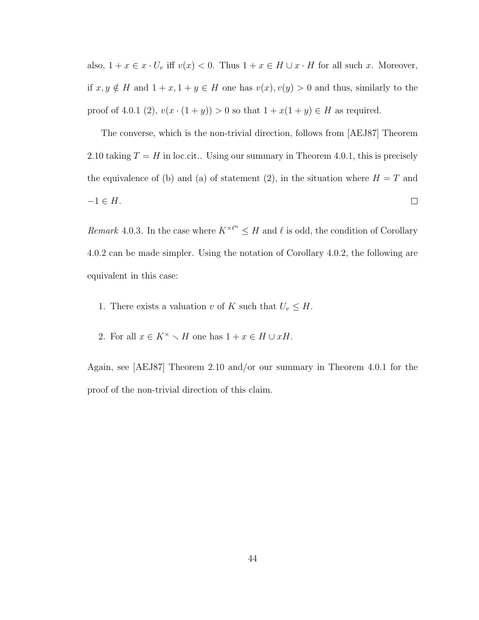also,  $1 + x \in x \cdot U_v$  iff  $v(x) < 0$ . Thus  $1 + x \in H \cup x \cdot H$  for all such x. Moreover, if  $x, y \notin H$  and  $1 + x, 1 + y \in H$  one has  $v(x), v(y) > 0$  and thus, similarly to the proof of 4.0.1 (2),  $v(x \cdot (1 + y)) > 0$  so that  $1 + x(1 + y) \in H$  as required.

The converse, which is the non-trivial direction, follows from [AEJ87] Theorem 2.10 taking  $T = H$  in loc.cit.. Using our summary in Theorem 4.0.1, this is precisely the equivalence of (b) and (a) of statement (2), in the situation where  $H = T$  and  $-1 \in H$ .  $\Box$ 

Remark 4.0.3. In the case where  $K^{\times \ell^n} \leq H$  and  $\ell$  is odd, the condition of Corollary 4.0.2 can be made simpler. Using the notation of Corollary 4.0.2, the following are equivalent in this case:

- 1. There exists a valuation v of K such that  $U_v \leq H$ .
- 2. For all  $x \in K^{\times} \setminus H$  one has  $1 + x \in H \cup xH$ .

Again, see [AEJ87] Theorem 2.10 and/or our summary in Theorem 4.0.1 for the proof of the non-trivial direction of this claim.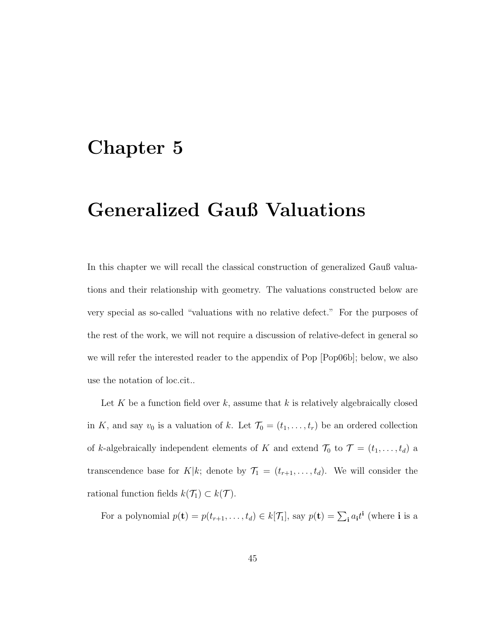### Chapter 5

### Generalized Gauß Valuations

In this chapter we will recall the classical construction of generalized Gauß valuations and their relationship with geometry. The valuations constructed below are very special as so-called "valuations with no relative defect." For the purposes of the rest of the work, we will not require a discussion of relative-defect in general so we will refer the interested reader to the appendix of Pop [Pop06b]; below, we also use the notation of loc.cit..

Let K be a function field over k, assume that k is relatively algebraically closed in K, and say  $v_0$  is a valuation of k. Let  $\mathcal{T}_0 = (t_1, \ldots, t_r)$  be an ordered collection of k-algebraically independent elements of K and extend  $\mathcal{T}_0$  to  $\mathcal{T} = (t_1, \ldots, t_d)$  a transcendence base for K|k; denote by  $\mathcal{T}_1 = (t_{r+1}, \ldots, t_d)$ . We will consider the rational function fields  $k(\mathcal{T}_1) \subset k(\mathcal{T})$ .

For a polynomial  $p(\mathbf{t}) = p(t_{r+1},...,t_d) \in k[\mathcal{T}_1]$ , say  $p(\mathbf{t}) = \sum_i a_i t^i$  (where **i** is a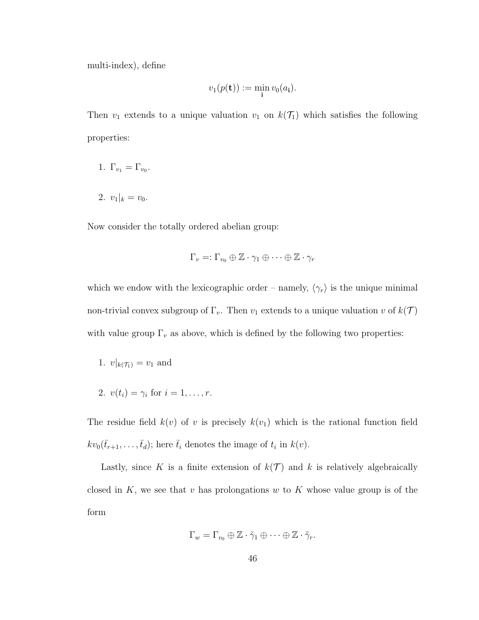multi-index), define

$$
v_1(p(\mathbf{t})) := \min_{\mathbf{i}} v_0(a_{\mathbf{i}}).
$$

Then  $v_1$  extends to a unique valuation  $v_1$  on  $k(\mathcal{T}_1)$  which satisfies the following properties:

- 1.  $\Gamma_{v_1} = \Gamma_{v_0}$ .
- 2.  $v_1|_k = v_0$ .

Now consider the totally ordered abelian group:

$$
\Gamma_v =: \Gamma_{v_0} \oplus \mathbb{Z} \cdot \gamma_1 \oplus \cdots \oplus \mathbb{Z} \cdot \gamma_r
$$

which we endow with the lexicographic order – namely,  $\langle \gamma_r \rangle$  is the unique minimal non-trivial convex subgroup of  $\Gamma_v$ . Then  $v_1$  extends to a unique valuation v of  $k(\mathcal{T})$ with value group  $\Gamma_v$  as above, which is defined by the following two properties:

1. 
$$
v|_{k(\mathcal{T}_1)} = v_1
$$
 and

2.  $v(t_i) = \gamma_i \text{ for } i = 1, ..., r.$ 

The residue field  $k(v)$  of v is precisely  $k(v_1)$  which is the rational function field  $kv_0(\bar{t}_{r+1},\ldots,\bar{t}_d);$  here  $\bar{t}_i$  denotes the image of  $t_i$  in  $k(v)$ .

Lastly, since K is a finite extension of  $k(\mathcal{T})$  and k is relatively algebraically closed in  $K$ , we see that v has prolongations w to  $K$  whose value group is of the form

$$
\Gamma_w = \Gamma_{v_0} \oplus \mathbb{Z} \cdot \tilde{\gamma}_1 \oplus \cdots \oplus \mathbb{Z} \cdot \tilde{\gamma}_r.
$$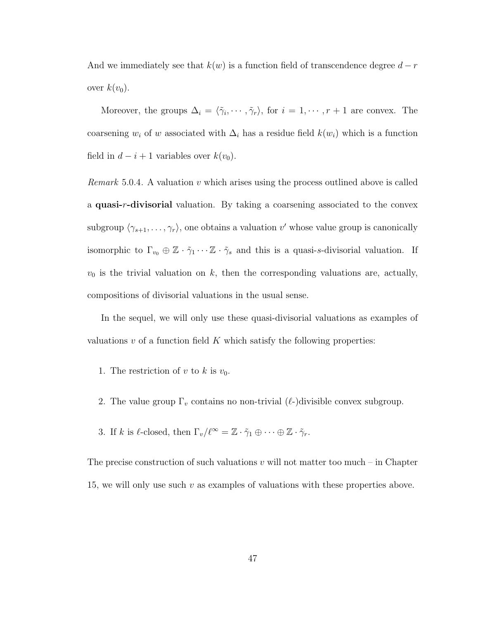And we immediately see that  $k(w)$  is a function field of transcendence degree  $d-r$ over  $k(v_0)$ .

Moreover, the groups  $\Delta_i = \langle \tilde{\gamma}_i, \cdots, \tilde{\gamma}_r \rangle$ , for  $i = 1, \cdots, r + 1$  are convex. The coarsening  $w_i$  of w associated with  $\Delta_i$  has a residue field  $k(w_i)$  which is a function field in  $d - i + 1$  variables over  $k(v_0)$ .

*Remark* 5.0.4. A valuation  $v$  which arises using the process outlined above is called a quasi-r-divisorial valuation. By taking a coarsening associated to the convex subgroup  $\langle \gamma_{s+1}, \ldots, \gamma_r \rangle$ , one obtains a valuation v' whose value group is canonically isomorphic to  $\Gamma_{v_0} \oplus \mathbb{Z} \cdot \tilde{\gamma}_1 \cdots \mathbb{Z} \cdot \tilde{\gamma}_s$  and this is a quasi-s-divisorial valuation. If  $v_0$  is the trivial valuation on k, then the corresponding valuations are, actually, compositions of divisorial valuations in the usual sense.

In the sequel, we will only use these quasi-divisorial valuations as examples of valuations  $v$  of a function field  $K$  which satisfy the following properties:

- 1. The restriction of v to k is  $v_0$ .
- 2. The value group  $\Gamma_v$  contains no non-trivial ( $\ell$ -)divisible convex subgroup.
- 3. If k is  $\ell$ -closed, then  $\Gamma_v/\ell^{\infty} = \mathbb{Z} \cdot \tilde{\gamma}_1 \oplus \cdots \oplus \mathbb{Z} \cdot \tilde{\gamma}_r$ .

The precise construction of such valuations  $v$  will not matter too much – in Chapter 15, we will only use such  $v$  as examples of valuations with these properties above.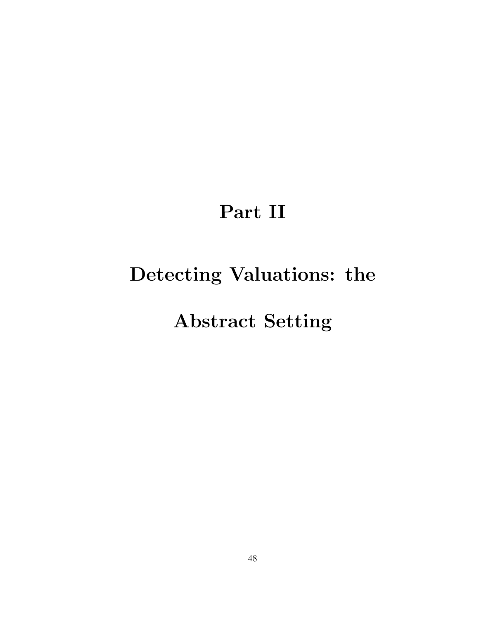# Part II

# Detecting Valuations: the

## Abstract Setting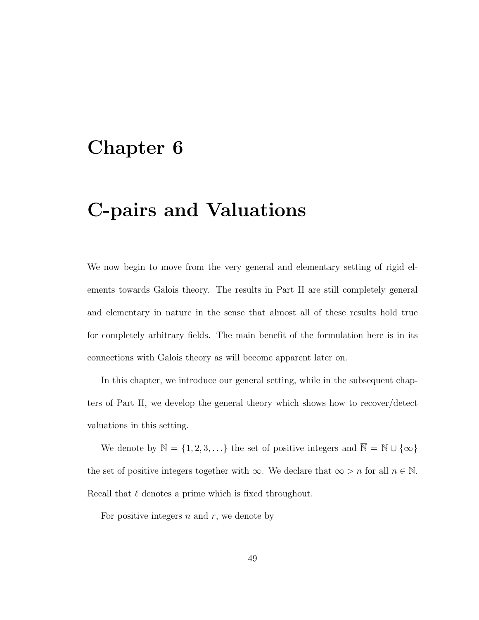### Chapter 6

### C-pairs and Valuations

We now begin to move from the very general and elementary setting of rigid elements towards Galois theory. The results in Part II are still completely general and elementary in nature in the sense that almost all of these results hold true for completely arbitrary fields. The main benefit of the formulation here is in its connections with Galois theory as will become apparent later on.

In this chapter, we introduce our general setting, while in the subsequent chapters of Part II, we develop the general theory which shows how to recover/detect valuations in this setting.

We denote by  $\mathbb{N} = \{1, 2, 3, \ldots\}$  the set of positive integers and  $\overline{\mathbb{N}} = \mathbb{N} \cup \{\infty\}$ the set of positive integers together with  $\infty$ . We declare that  $\infty > n$  for all  $n \in \mathbb{N}$ . Recall that  $\ell$  denotes a prime which is fixed throughout.

For positive integers  $n$  and  $r$ , we denote by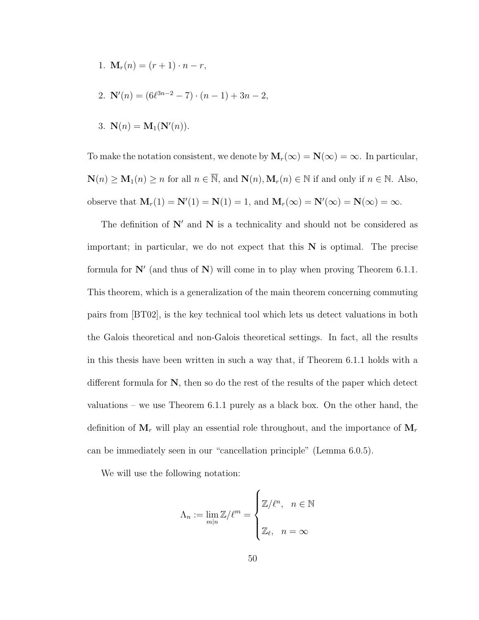- 1.  $\mathbf{M}_r(n) = (r+1) \cdot n r$ ,
- 2.  $\mathbf{N}'(n) = (6\ell^{3n-2} 7) \cdot (n-1) + 3n 2,$
- 3.  $N(n) = M_1(N'(n)).$

To make the notation consistent, we denote by  $\mathbf{M}_r(\infty) = \mathbf{N}(\infty) = \infty$ . In particular,  $\mathbf{N}(n) \geq \mathbf{M}_1(n) \geq n$  for all  $n \in \overline{\mathbb{N}}$ , and  $\mathbf{N}(n), \mathbf{M}_r(n) \in \mathbb{N}$  if and only if  $n \in \mathbb{N}$ . Also, observe that  $\mathbf{M}_r(1) = \mathbf{N}'(1) = \mathbf{N}(1) = 1$ , and  $\mathbf{M}_r(\infty) = \mathbf{N}'(\infty) = \mathbf{N}(\infty) = \infty$ .

The definition of  $N'$  and  $N$  is a technicality and should not be considered as important; in particular, we do not expect that this  $N$  is optimal. The precise formula for  $\mathbb{N}'$  (and thus of  $\mathbb{N}$ ) will come in to play when proving Theorem 6.1.1. This theorem, which is a generalization of the main theorem concerning commuting pairs from [BT02], is the key technical tool which lets us detect valuations in both the Galois theoretical and non-Galois theoretical settings. In fact, all the results in this thesis have been written in such a way that, if Theorem 6.1.1 holds with a different formula for  $N$ , then so do the rest of the results of the paper which detect valuations – we use Theorem 6.1.1 purely as a black box. On the other hand, the definition of  $M_r$  will play an essential role throughout, and the importance of  $M_r$ can be immediately seen in our "cancellation principle" (Lemma 6.0.5).

We will use the following notation:

$$
\Lambda_n := \lim_{m|n} \mathbb{Z}/\ell^m = \begin{cases} \mathbb{Z}/\ell^n, & n \in \mathbb{N} \\ \mathbb{Z}_{\ell}, & n = \infty \end{cases}
$$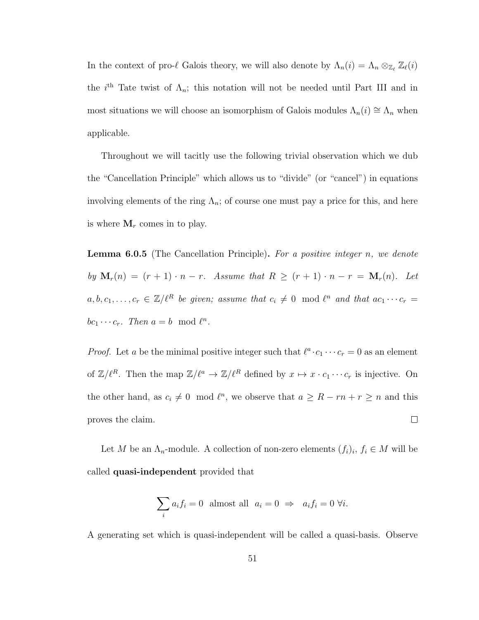In the context of pro- $\ell$  Galois theory, we will also denote by  $\Lambda_n(i) = \Lambda_n \otimes_{\mathbb{Z}_{\ell}} \mathbb{Z}_{\ell}(i)$ the i<sup>th</sup> Tate twist of  $\Lambda_n$ ; this notation will not be needed until Part III and in most situations we will choose an isomorphism of Galois modules  $\Lambda_n(i) \cong \Lambda_n$  when applicable.

Throughout we will tacitly use the following trivial observation which we dub the "Cancellation Principle" which allows us to "divide" (or "cancel") in equations involving elements of the ring  $\Lambda_n$ ; of course one must pay a price for this, and here is where  $M_r$  comes in to play.

**Lemma 6.0.5** (The Cancellation Principle). For a positive integer n, we denote by  $\mathbf{M}_r(n) = (r+1) \cdot n - r$ . Assume that  $R \ge (r+1) \cdot n - r = \mathbf{M}_r(n)$ . Let  $a, b, c_1, \ldots, c_r \in \mathbb{Z}/\ell^R$  be given; assume that  $c_i \neq 0 \mod \ell^n$  and that  $ac_1 \cdots c_r =$  $bc_1 \cdots c_r$ . Then  $a = b \mod \ell^n$ .

*Proof.* Let a be the minimal positive integer such that  $\ell^a \cdot c_1 \cdots c_r = 0$  as an element of  $\mathbb{Z}/\ell^R$ . Then the map  $\mathbb{Z}/\ell^a \to \mathbb{Z}/\ell^R$  defined by  $x \mapsto x \cdot c_1 \cdots c_r$  is injective. On the other hand, as  $c_i \neq 0 \mod l^n$ , we observe that  $a \geq R - rn + r \geq n$  and this proves the claim.  $\Box$ 

Let M be an  $\Lambda_n$ -module. A collection of non-zero elements  $(f_i)_i, f_i \in M$  will be called quasi-independent provided that

$$
\sum_i a_i f_i = 0 \text{ almost all } a_i = 0 \Rightarrow a_i f_i = 0 \forall i.
$$

A generating set which is quasi-independent will be called a quasi-basis. Observe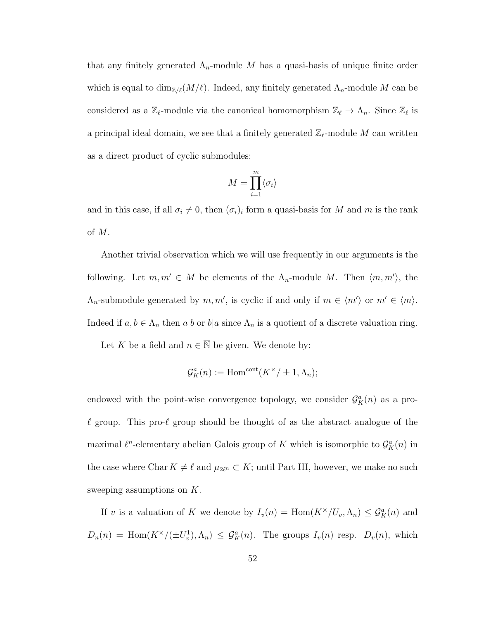that any finitely generated  $\Lambda_n$ -module M has a quasi-basis of unique finite order which is equal to  $\dim_{\mathbb{Z}/\ell}(M/\ell)$ . Indeed, any finitely generated  $\Lambda_n$ -module M can be considered as a  $\mathbb{Z}_{\ell}$ -module via the canonical homomorphism  $\mathbb{Z}_{\ell} \to \Lambda_n$ . Since  $\mathbb{Z}_{\ell}$  is a principal ideal domain, we see that a finitely generated  $\mathbb{Z}_{\ell}$ -module M can written as a direct product of cyclic submodules:

$$
M = \prod_{i=1}^{m} \langle \sigma_i \rangle
$$

and in this case, if all  $\sigma_i \neq 0$ , then  $(\sigma_i)_i$  form a quasi-basis for M and m is the rank of M.

Another trivial observation which we will use frequently in our arguments is the following. Let  $m, m' \in M$  be elements of the  $\Lambda_n$ -module M. Then  $\langle m, m' \rangle$ , the  $\Lambda_n$ -submodule generated by  $m, m'$ , is cyclic if and only if  $m \in \langle m' \rangle$  or  $m' \in \langle m \rangle$ . Indeed if  $a, b \in \Lambda_n$  then  $a|b$  or  $b|a$  since  $\Lambda_n$  is a quotient of a discrete valuation ring.

Let K be a field and  $n \in \overline{\mathbb{N}}$  be given. We denote by:

$$
\mathcal{G}_K^a(n) := \mathrm{Hom}^{\mathrm{cont}}(K^\times / \pm 1, \Lambda_n);
$$

endowed with the point-wise convergence topology, we consider  $\mathcal{G}_{K}^{a}(n)$  as a pro- $\ell$  group. This pro- $\ell$  group should be thought of as the abstract analogue of the maximal  $\ell^n$ -elementary abelian Galois group of K which is isomorphic to  $\mathcal{G}_{K}^a(n)$  in the case where Char  $K \neq \ell$  and  $\mu_{2\ell^n} \subset K$ ; until Part III, however, we make no such sweeping assumptions on K.

If v is a valuation of K we denote by  $I_v(n) = \text{Hom}(K^\times/U_v, \Lambda_n) \leq \mathcal{G}^a_K(n)$  and  $D_n(n) = \text{Hom}(K^{\times}/(\pm U_v^1), \Lambda_n) \leq \mathcal{G}_K^a(n)$ . The groups  $I_v(n)$  resp.  $D_v(n)$ , which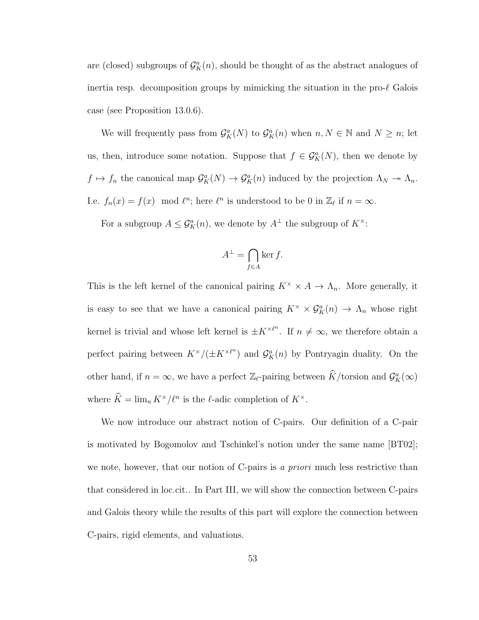are (closed) subgroups of  $\mathcal{G}_{K}^{a}(n)$ , should be thought of as the abstract analogues of inertia resp. decomposition groups by mimicking the situation in the pro- $\ell$  Galois case (see Proposition 13.0.6).

We will frequently pass from  $\mathcal{G}_{K}^{a}(N)$  to  $\mathcal{G}_{K}^{a}(n)$  when  $n, N \in \mathbb{N}$  and  $N \geq n$ ; let us, then, introduce some notation. Suppose that  $f \in \mathcal{G}_K^a(N)$ , then we denote by  $f \mapsto f_n$  the canonical map  $\mathcal{G}_{K}^{a}(N) \to \mathcal{G}_{K}^{a}(n)$  induced by the projection  $\Lambda_N \to \Lambda_n$ . I.e.  $f_n(x) = f(x) \mod l^n$ ; here  $l^n$  is understood to be 0 in  $\mathbb{Z}_l$  if  $n = \infty$ .

For a subgroup  $A \leq \mathcal{G}_{K}^{a}(n)$ , we denote by  $A^{\perp}$  the subgroup of  $K^{\times}$ :

$$
A^{\perp} = \bigcap_{f \in A} \ker f.
$$

This is the left kernel of the canonical pairing  $K^{\times} \times A \to \Lambda_n$ . More generally, it is easy to see that we have a canonical pairing  $K^{\times} \times \mathcal{G}_{K}^{a}(n) \to \Lambda_{n}$  whose right kernel is trivial and whose left kernel is  $\pm K^{\times \ell^n}$ . If  $n \neq \infty$ , we therefore obtain a perfect pairing between  $K^{\times}/(\pm K^{\times \ell^n})$  and  $\mathcal{G}_K^a(n)$  by Pontryagin duality. On the other hand, if  $n = \infty$ , we have a perfect  $\mathbb{Z}_{\ell}$ -pairing between  $\widehat{K}/\text{torsion}$  and  $\mathcal{G}_{K}^{a}(\infty)$ where  $\hat{K} = \lim_n K^{\times}/\ell^n$  is the  $\ell$ -adic completion of  $K^{\times}$ .

We now introduce our abstract notion of C-pairs. Our definition of a C-pair is motivated by Bogomolov and Tschinkel's notion under the same name [BT02]; we note, however, that our notion of C-pairs is a priori much less restrictive than that considered in loc.cit.. In Part III, we will show the connection between C-pairs and Galois theory while the results of this part will explore the connection between C-pairs, rigid elements, and valuations.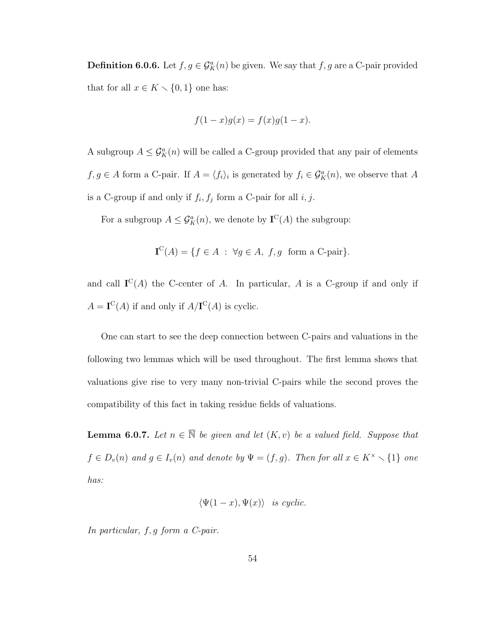**Definition 6.0.6.** Let  $f, g \in \mathcal{G}_K^a(n)$  be given. We say that  $f, g$  are a C-pair provided that for all  $x \in K \setminus \{0, 1\}$  one has:

$$
f(1-x)g(x) = f(x)g(1-x).
$$

A subgroup  $A \leq \mathcal{G}_{K}^{a}(n)$  will be called a C-group provided that any pair of elements  $f, g \in A$  form a C-pair. If  $A = \langle f_i \rangle_i$  is generated by  $f_i \in \mathcal{G}_K^a(n)$ , we observe that A is a C-group if and only if  $f_i, f_j$  form a C-pair for all  $i, j$ .

For a subgroup  $A \leq \mathcal{G}_{K}^{a}(n)$ , we denote by  $\mathbf{I}^{C}(A)$  the subgroup:

$$
\mathbf{I}^{\mathcal{C}}(A) = \{ f \in A : \forall g \in A, f, g \text{ form a C-pair} \}.
$$

and call  $I^C(A)$  the C-center of A. In particular, A is a C-group if and only if  $A = I^C(A)$  if and only if  $A/I^C(A)$  is cyclic.

One can start to see the deep connection between C-pairs and valuations in the following two lemmas which will be used throughout. The first lemma shows that valuations give rise to very many non-trivial C-pairs while the second proves the compatibility of this fact in taking residue fields of valuations.

**Lemma 6.0.7.** Let  $n \in \overline{\mathbb{N}}$  be given and let  $(K, v)$  be a valued field. Suppose that  $f \in D_v(n)$  and  $g \in I_v(n)$  and denote by  $\Psi = (f, g)$ . Then for all  $x \in K^\times \setminus \{1\}$  one has:

$$
\langle \Psi(1-x), \Psi(x) \rangle
$$
 is cyclic.

In particular, f, g form a C-pair.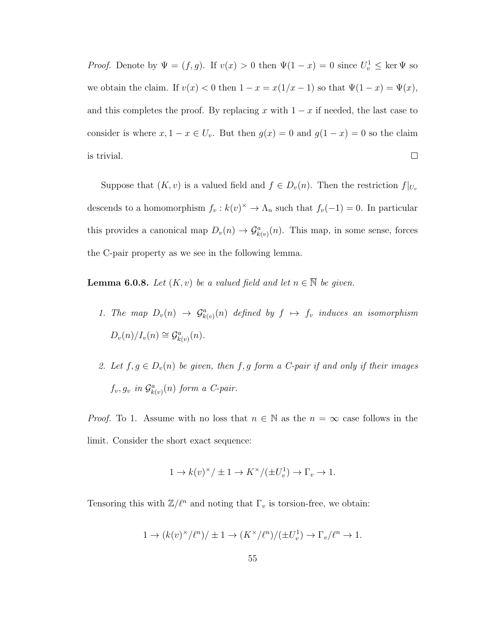*Proof.* Denote by  $\Psi = (f, g)$ . If  $v(x) > 0$  then  $\Psi(1-x) = 0$  since  $U_v^1 \leq \ker \Psi$  so we obtain the claim. If  $v(x) < 0$  then  $1 - x = x(1/x - 1)$  so that  $\Psi(1 - x) = \Psi(x)$ , and this completes the proof. By replacing x with  $1 - x$  if needed, the last case to consider is where  $x, 1 - x \in U_v$ . But then  $g(x) = 0$  and  $g(1 - x) = 0$  so the claim  $\Box$ is trivial.

Suppose that  $(K, v)$  is a valued field and  $f \in D_v(n)$ . Then the restriction  $f|_{U_v}$ descends to a homomorphism  $f_v : k(v)^{\times} \to \Lambda_n$  such that  $f_v(-1) = 0$ . In particular this provides a canonical map  $D_v(n) \to \mathcal{G}_{k(v)}^a(n)$ . This map, in some sense, forces the C-pair property as we see in the following lemma.

**Lemma 6.0.8.** Let  $(K, v)$  be a valued field and let  $n \in \overline{\mathbb{N}}$  be given.

- 1. The map  $D_v(n) \to \mathcal{G}_{k(v)}^a(n)$  defined by  $f \mapsto f_v$  induces an isomorphism  $D_v(n)/I_v(n) \cong \mathcal{G}_{k(v)}^a(n)$ .
- 2. Let  $f, g \in D_v(n)$  be given, then  $f, g$  form a C-pair if and only if their images  $f_v, g_v$  in  $\mathcal{G}_{k(v)}^a(n)$  form a C-pair.

*Proof.* To 1. Assume with no loss that  $n \in \mathbb{N}$  as the  $n = \infty$  case follows in the limit. Consider the short exact sequence:

$$
1 \rightarrow k(v)^\times/\pm 1 \rightarrow K^\times/(\pm U_v^1) \rightarrow \Gamma_v \rightarrow 1.
$$

Tensoring this with  $\mathbb{Z}/\ell^n$  and noting that  $\Gamma_v$  is torsion-free, we obtain:

$$
1 \to (k(v)^{\times}/\ell^{n})/\pm 1 \to (K^{\times}/\ell^{n})/(\pm U_{v}^{1}) \to \Gamma_{v}/\ell^{n} \to 1.
$$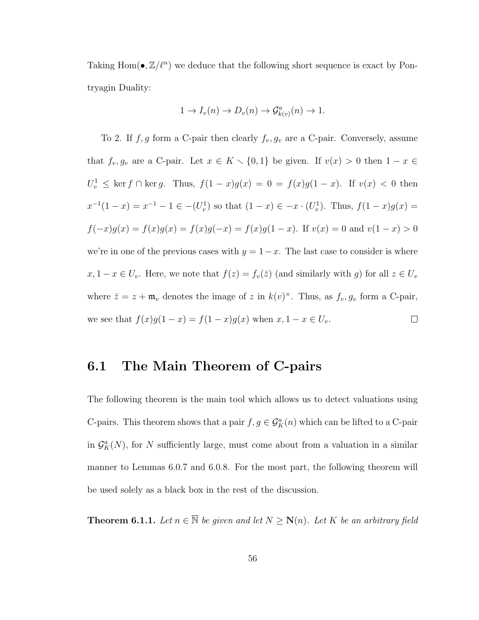Taking  $\text{Hom}(\bullet, \mathbb{Z}/\ell^n)$  we deduce that the following short sequence is exact by Pontryagin Duality:

$$
1 \to I_v(n) \to D_v(n) \to \mathcal{G}_{k(v)}^a(n) \to 1.
$$

To 2. If  $f, g$  form a C-pair then clearly  $f_v, g_v$  are a C-pair. Conversely, assume that  $f_v, g_v$  are a C-pair. Let  $x \in K \setminus \{0, 1\}$  be given. If  $v(x) > 0$  then  $1 - x \in$  $U_v^1$  ≤ ker f ∩ ker g. Thus,  $f(1-x)g(x) = 0 = f(x)g(1-x)$ . If  $v(x) < 0$  then  $x^{-1}(1-x) = x^{-1} - 1 \in -(U_v^1)$  so that  $(1-x) \in -x \cdot (U_v^1)$ . Thus,  $f(1-x)g(x) =$  $f(-x)g(x) = f(x)g(x) = f(x)g(-x) = f(x)g(1-x)$ . If  $v(x) = 0$  and  $v(1-x) > 0$ we're in one of the previous cases with  $y = 1-x$ . The last case to consider is where  $x, 1 - x \in U_v$ . Here, we note that  $f(z) = f_v(\overline{z})$  (and similarly with g) for all  $z \in U_v$ where  $\bar{z} = z + \mathfrak{m}_v$  denotes the image of z in  $k(v)^{\times}$ . Thus, as  $f_v, g_v$  form a C-pair, we see that  $f(x)g(1-x) = f(1-x)g(x)$  when  $x, 1-x \in U_v$ .  $\Box$ 

#### 6.1 The Main Theorem of C-pairs

The following theorem is the main tool which allows us to detect valuations using C-pairs. This theorem shows that a pair  $f, g \in \mathcal{G}_K^a(n)$  which can be lifted to a C-pair in  $\mathcal{G}_{K}^{a}(N)$ , for N sufficiently large, must come about from a valuation in a similar manner to Lemmas 6.0.7 and 6.0.8. For the most part, the following theorem will be used solely as a black box in the rest of the discussion.

**Theorem 6.1.1.** Let  $n \in \overline{\mathbb{N}}$  be given and let  $N \geq N(n)$ . Let K be an arbitrary field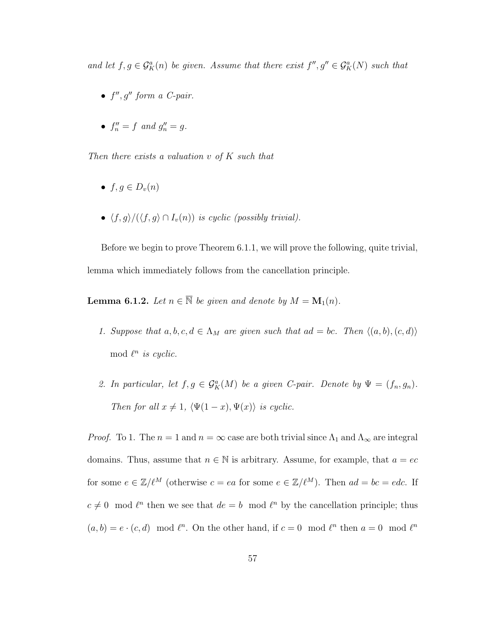and let  $f, g \in \mathcal{G}_{K}^{a}(n)$  be given. Assume that there exist  $f'', g'' \in \mathcal{G}_{K}^{a}(N)$  such that

- $\bullet$   $f'', g''$  form a C-pair.
- $f''_n = f$  and  $g''_n = g$ .

Then there exists a valuation  $v$  of  $K$  such that

- $f, q \in D_v(n)$
- $\langle f, g \rangle / (\langle f, g \rangle \cap I_v(n))$  is cyclic (possibly trivial).

Before we begin to prove Theorem 6.1.1, we will prove the following, quite trivial, lemma which immediately follows from the cancellation principle.

**Lemma 6.1.2.** Let  $n \in \overline{\mathbb{N}}$  be given and denote by  $M = \mathbf{M}_1(n)$ .

- 1. Suppose that  $a, b, c, d \in \Lambda_M$  are given such that  $ad = bc$ . Then  $\langle (a, b), (c, d) \rangle$ mod  $\ell^n$  is cyclic.
- 2. In particular, let  $f, g \in \mathcal{G}_K^a(M)$  be a given C-pair. Denote by  $\Psi = (f_n, g_n)$ . Then for all  $x \neq 1$ ,  $\langle \Psi(1-x), \Psi(x) \rangle$  is cyclic.

*Proof.* To 1. The  $n = 1$  and  $n = \infty$  case are both trivial since  $\Lambda_1$  and  $\Lambda_\infty$  are integral domains. Thus, assume that  $n \in \mathbb{N}$  is arbitrary. Assume, for example, that  $a = ec$ for some  $e \in \mathbb{Z}/\ell^M$  (otherwise  $c = ea$  for some  $e \in \mathbb{Z}/\ell^M$ ). Then  $ad = bc = edc$ . If  $c \neq 0 \mod l^n$  then we see that  $de = b \mod l^n$  by the cancellation principle; thus  $(a, b) = e \cdot (c, d) \mod l^n$ . On the other hand, if  $c = 0 \mod l^n$  then  $a = 0 \mod l^n$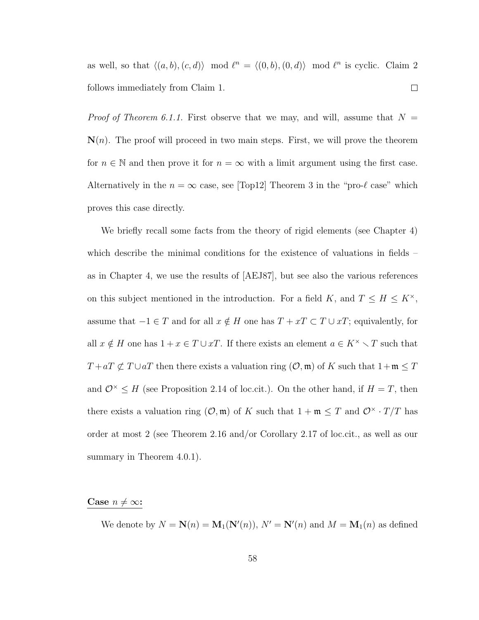as well, so that  $\langle (a, b), (c, d) \rangle \mod l^n = \langle (0, b), (0, d) \rangle \mod l^n$  is cyclic. Claim 2  $\Box$ follows immediately from Claim 1.

*Proof of Theorem 6.1.1.* First observe that we may, and will, assume that  $N =$  $\mathbf{N}(n)$ . The proof will proceed in two main steps. First, we will prove the theorem for  $n \in \mathbb{N}$  and then prove it for  $n = \infty$  with a limit argument using the first case. Alternatively in the  $n = \infty$  case, see [Top12] Theorem 3 in the "pro- $\ell$  case" which proves this case directly.

We briefly recall some facts from the theory of rigid elements (see Chapter 4) which describe the minimal conditions for the existence of valuations in fields – as in Chapter 4, we use the results of [AEJ87], but see also the various references on this subject mentioned in the introduction. For a field K, and  $T \leq H \leq K^{\times}$ , assume that  $-1 \in T$  and for all  $x \notin H$  one has  $T + xT \subset T \cup xT$ ; equivalently, for all  $x \notin H$  one has  $1 + x \in T \cup xT$ . If there exists an element  $a \in K^{\times} \setminus T$  such that  $T + aT \nsubseteq T \cup aT$  then there exists a valuation ring  $(\mathcal{O}, \mathfrak{m})$  of K such that  $1 + \mathfrak{m} \leq T$ and  $\mathcal{O}^{\times} \leq H$  (see Proposition 2.14 of loc.cit.). On the other hand, if  $H = T$ , then there exists a valuation ring  $(\mathcal{O}, \mathfrak{m})$  of K such that  $1 + \mathfrak{m} \leq T$  and  $\mathcal{O}^{\times} \cdot T/T$  has order at most 2 (see Theorem 2.16 and/or Corollary 2.17 of loc.cit., as well as our summary in Theorem 4.0.1).

#### Case  $n \neq \infty$ :

We denote by  $N = \mathbf{N}(n) = \mathbf{M}_1(\mathbf{N}'(n)), N' = \mathbf{N}'(n)$  and  $M = \mathbf{M}_1(n)$  as defined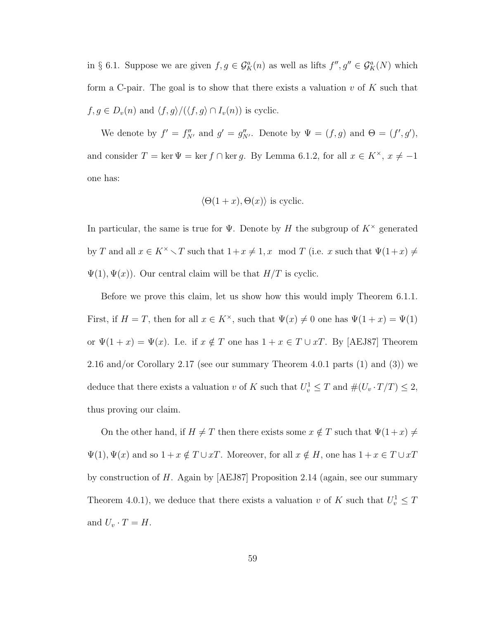in § 6.1. Suppose we are given  $f, g \in \mathcal{G}_{K}^{a}(n)$  as well as lifts  $f'', g'' \in \mathcal{G}_{K}^{a}(N)$  which form a C-pair. The goal is to show that there exists a valuation v of  $K$  such that  $f, g \in D_v(n)$  and  $\langle f, g \rangle / (\langle f, g \rangle \cap I_v(n))$  is cyclic.

We denote by  $f' = f''_{N'}$  and  $g' = g''_{N'}$ . Denote by  $\Psi = (f, g)$  and  $\Theta = (f', g')$ , and consider  $T = \ker \Psi = \ker f \cap \ker g$ . By Lemma 6.1.2, for all  $x \in K^{\times}$ ,  $x \neq -1$ one has:

$$
\langle \Theta(1+x), \Theta(x) \rangle
$$
 is cyclic.

In particular, the same is true for  $\Psi$ . Denote by H the subgroup of  $K^{\times}$  generated by T and all  $x \in K^{\times} \setminus T$  such that  $1+x \neq 1, x \mod T$  (i.e. x such that  $\Psi(1+x) \neq 0$  $\Psi(1), \Psi(x)$ . Our central claim will be that  $H/T$  is cyclic.

Before we prove this claim, let us show how this would imply Theorem 6.1.1. First, if  $H = T$ , then for all  $x \in K^{\times}$ , such that  $\Psi(x) \neq 0$  one has  $\Psi(1 + x) = \Psi(1)$ or  $\Psi(1+x) = \Psi(x)$ . I.e. if  $x \notin T$  one has  $1+x \in T \cup xT$ . By [AEJ87] Theorem 2.16 and/or Corollary 2.17 (see our summary Theorem 4.0.1 parts (1) and (3)) we deduce that there exists a valuation v of K such that  $U_v^1 \leq T$  and  $\#(U_v \cdot T/T) \leq 2$ , thus proving our claim.

On the other hand, if  $H \neq T$  then there exists some  $x \notin T$  such that  $\Psi(1+x) \neq T$  $\Psi(1), \Psi(x)$  and so  $1 + x \notin T \cup xT$ . Moreover, for all  $x \notin H$ , one has  $1 + x \in T \cup xT$ by construction of H. Again by [AEJ87] Proposition 2.14 (again, see our summary Theorem 4.0.1), we deduce that there exists a valuation v of K such that  $U_v^1 \leq T$ and  $U_v \cdot T = H$ .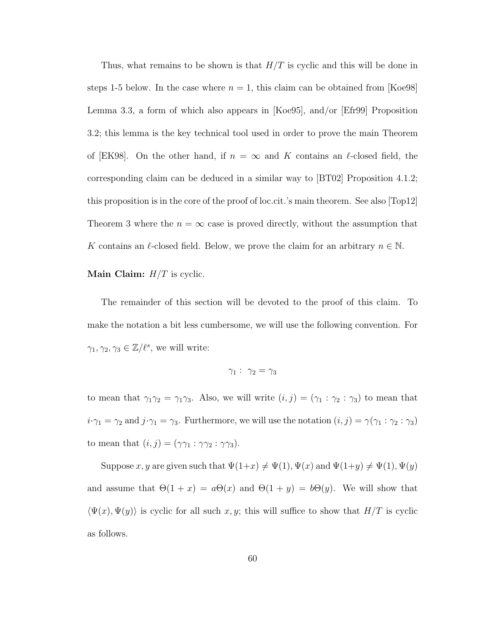Thus, what remains to be shown is that  $H/T$  is cyclic and this will be done in steps 1-5 below. In the case where  $n = 1$ , this claim can be obtained from [Koe98] Lemma 3.3, a form of which also appears in [Koe95], and/or [Efr99] Proposition 3.2; this lemma is the key technical tool used in order to prove the main Theorem of [EK98]. On the other hand, if  $n = \infty$  and K contains an l-closed field, the corresponding claim can be deduced in a similar way to [BT02] Proposition 4.1.2; this proposition is in the core of the proof of loc.cit.'s main theorem. See also [Top12] Theorem 3 where the  $n = \infty$  case is proved directly, without the assumption that K contains an  $\ell$ -closed field. Below, we prove the claim for an arbitrary  $n \in \mathbb{N}$ .

#### **Main Claim:**  $H/T$  is cyclic.

The remainder of this section will be devoted to the proof of this claim. To make the notation a bit less cumbersome, we will use the following convention. For  $\gamma_1, \gamma_2, \gamma_3 \in \mathbb{Z}/\ell^s$ , we will write:

$$
\gamma_1: \ \gamma_2 = \gamma_3
$$

to mean that  $\gamma_1\gamma_2 = \gamma_1\gamma_3$ . Also, we will write  $(i, j) = (\gamma_1 : \gamma_2 : \gamma_3)$  to mean that  $i \cdot \gamma_1 = \gamma_2$  and  $j \cdot \gamma_1 = \gamma_3$ . Furthermore, we will use the notation  $(i, j) = \gamma(\gamma_1 : \gamma_2 : \gamma_3)$ to mean that  $(i, j) = (\gamma \gamma_1 : \gamma \gamma_2 : \gamma \gamma_3).$ 

Suppose  $x, y$  are given such that  $\Psi(1+x) \neq \Psi(1), \Psi(x)$  and  $\Psi(1+y) \neq \Psi(1), \Psi(y)$ and assume that  $\Theta(1+x) = a\Theta(x)$  and  $\Theta(1+y) = b\Theta(y)$ . We will show that  $\langle \Psi(x), \Psi(y) \rangle$  is cyclic for all such x, y; this will suffice to show that  $H/T$  is cyclic as follows.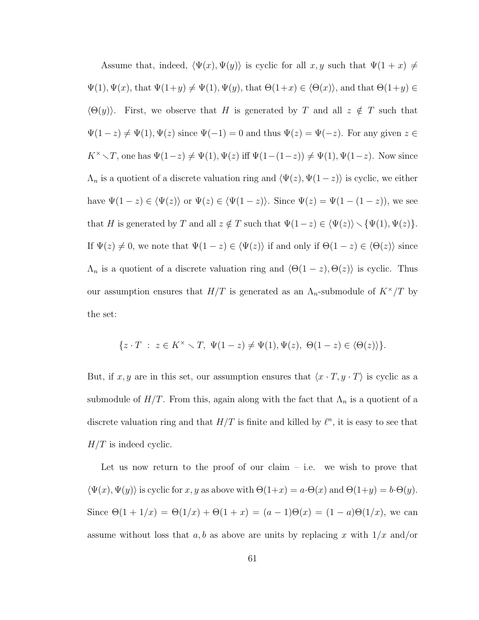Assume that, indeed,  $\langle \Psi(x), \Psi(y) \rangle$  is cyclic for all  $x, y$  such that  $\Psi(1 + x) \neq 0$  $\Psi(1), \Psi(x)$ , that  $\Psi(1+y) \neq \Psi(1), \Psi(y)$ , that  $\Theta(1+x) \in \langle \Theta(x) \rangle$ , and that  $\Theta(1+y) \in$  $\langle \Theta(y) \rangle$ . First, we observe that H is generated by T and all  $z \notin T$  such that  $\Psi(1-z) \neq \Psi(1), \Psi(z)$  since  $\Psi(-1) = 0$  and thus  $\Psi(z) = \Psi(-z)$ . For any given  $z \in \mathbb{R}$ K<sup>×</sup>  $\setminus T$ , one has  $\Psi(1-z) \neq \Psi(1)$ ,  $\Psi(z)$  iff  $\Psi(1-(1-z)) \neq \Psi(1)$ ,  $\Psi(1-z)$ . Now since  $\Lambda_n$  is a quotient of a discrete valuation ring and  $\langle \Psi(z), \Psi(1-z) \rangle$  is cyclic, we either have  $\Psi(1-z) \in \langle \Psi(z) \rangle$  or  $\Psi(z) \in \langle \Psi(1-z) \rangle$ . Since  $\Psi(z) = \Psi(1-(1-z))$ , we see that H is generated by T and all  $z \notin T$  such that  $\Psi(1-z) \in \langle \Psi(z) \rangle \setminus \{\Psi(1), \Psi(z)\}.$ If  $\Psi(z) \neq 0$ , we note that  $\Psi(1 - z) \in \langle \Psi(z) \rangle$  if and only if  $\Theta(1 - z) \in \langle \Theta(z) \rangle$  since  $\Lambda_n$  is a quotient of a discrete valuation ring and  $\langle \Theta(1 - z), \Theta(z) \rangle$  is cyclic. Thus our assumption ensures that  $H/T$  is generated as an  $\Lambda_n$ -submodule of  $K^{\times}/T$  by the set:

$$
\{z \cdot T \ : \ z \in K^{\times} \setminus T, \ \Psi(1-z) \neq \Psi(1), \Psi(z), \ \Theta(1-z) \in \langle \Theta(z) \rangle \}.
$$

But, if x, y are in this set, our assumption ensures that  $\langle x \cdot T, y \cdot T \rangle$  is cyclic as a submodule of  $H/T$ . From this, again along with the fact that  $\Lambda_n$  is a quotient of a discrete valuation ring and that  $H/T$  is finite and killed by  $\ell^n$ , it is easy to see that  $H/T$  is indeed cyclic.

Let us now return to the proof of our claim  $-$  i.e. we wish to prove that  $\langle \Psi(x), \Psi(y) \rangle$  is cyclic for x, y as above with  $\Theta(1+x) = a \cdot \Theta(x)$  and  $\Theta(1+y) = b \cdot \Theta(y)$ . Since  $\Theta(1 + 1/x) = \Theta(1/x) + \Theta(1 + x) = (a - 1)\Theta(x) = (1 - a)\Theta(1/x)$ , we can assume without loss that a, b as above are units by replacing x with  $1/x$  and/or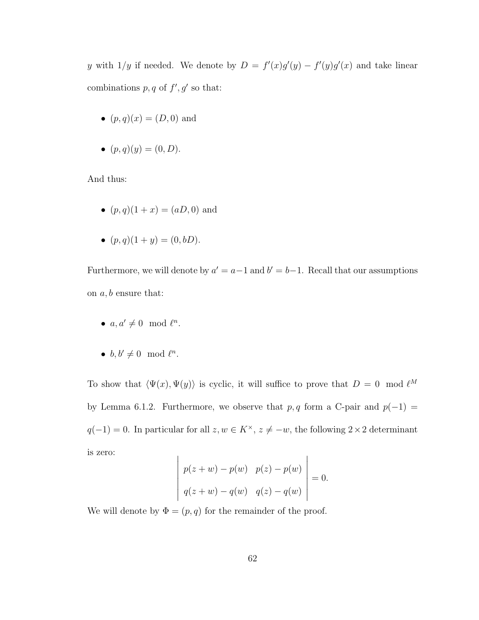y with  $1/y$  if needed. We denote by  $D = f'(x)g'(y) - f'(y)g'(x)$  and take linear combinations  $p, q$  of  $f', g'$  so that:

- $(p, q)(x) = (D, 0)$  and
- $(p, q)(y) = (0, D).$

And thus:

- $(p, q)(1 + x) = (aD, 0)$  and
- $(p, q)(1 + y) = (0, bD).$

Furthermore, we will denote by  $a' = a - 1$  and  $b' = b - 1$ . Recall that our assumptions on  $a, b$  ensure that:

- $a, a' \neq 0 \mod l^n$ .
- $b, b' \neq 0 \mod \ell^n$ .

To show that  $\langle \Psi(x), \Psi(y) \rangle$  is cyclic, it will suffice to prove that  $D = 0 \mod \ell^M$ by Lemma 6.1.2. Furthermore, we observe that  $p, q$  form a C-pair and  $p(-1) =$  $q(-1) = 0$ . In particular for all  $z, w \in K^{\times}, z \neq -w$ , the following 2 × 2 determinant is zero:  $\overline{1}$ 

$$
\begin{vmatrix} p(z+w) - p(w) & p(z) - p(w) \ q(z+w) - q(w) & q(z) - q(w) \end{vmatrix} = 0.
$$

We will denote by  $\Phi = (p, q)$  for the remainder of the proof.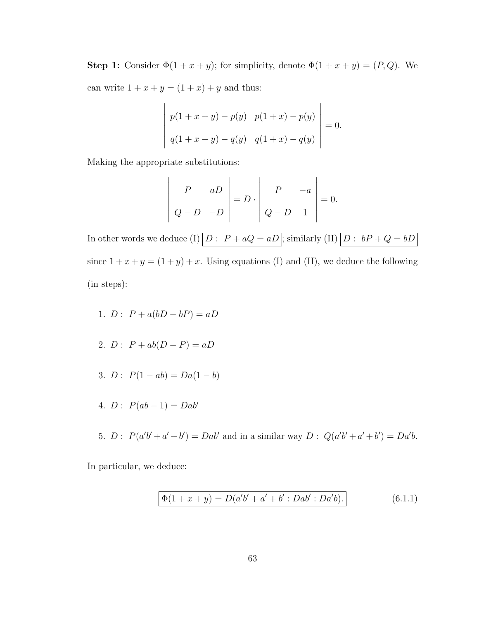**Step 1:** Consider  $\Phi(1 + x + y)$ ; for simplicity, denote  $\Phi(1 + x + y) = (P, Q)$ . We can write  $1 + x + y = (1 + x) + y$  and thus:

$$
\begin{vmatrix} p(1+x+y) - p(y) & p(1+x) - p(y) \ q(1+x+y) - q(y) & q(1+x) - q(y) \end{vmatrix} = 0.
$$

Making the appropriate substitutions:

$$
\left|\begin{array}{cc} P & aD \\ Q-D & -D \end{array}\right| = D \cdot \left|\begin{array}{cc} P & -a \\ Q-D & 1 \end{array}\right| = 0.
$$

In other words we deduce (I)  $\boxed{D : P + aQ = aD}$ ; similarly (II)  $\boxed{D : bP + Q = bD}$ since  $1 + x + y = (1 + y) + x$ . Using equations (I) and (II), we deduce the following (in steps):

- 1.  $D: P + a(bD bP) = aD$
- 2.  $D: P + ab(D P) = aD$
- 3.  $D: P(1 ab) = Da(1 b)$
- 4.  $D: P(ab-1) = Dab'$
- 5.  $D: P(a'b'+a'+b') = Dab'$  and in a similar way  $D: Q(a'b'+a'+b') = Da'b$ .

In particular, we deduce:

$$
\Phi(1+x+y) = D(a'b' + a' + b' : Dab' : Da'b).
$$
\n(6.1.1)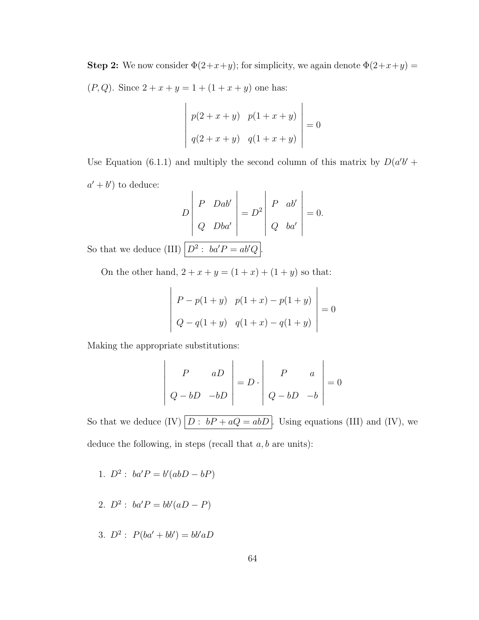**Step 2:** We now consider  $\Phi(2+x+y)$ ; for simplicity, we again denote  $\Phi(2+x+y)$  =  $(P, Q)$ . Since  $2 + x + y = 1 + (1 + x + y)$  one has:

$$
\begin{vmatrix} p(2+x+y) & p(1+x+y) \ q(2+x+y) & q(1+x+y) \end{vmatrix} = 0
$$

Use Equation (6.1.1) and multiply the second column of this matrix by  $D(a'b' +$  $a' + b'$  to deduce:  $\overline{1}$ 

$$
D\begin{vmatrix} P & Dab' \\ Q & Dba' \end{vmatrix} = D^{2} \begin{vmatrix} P & ab' \\ Q & ba' \end{vmatrix} = 0.
$$

So that we deduce (III)  $D^2$ :  $ba'P = ab'Q$ .

On the other hand,  $2 + x + y = (1 + x) + (1 + y)$  so that:

$$
\begin{vmatrix} P - p(1+y) & p(1+x) - p(1+y) \ Q - q(1+y) & q(1+x) - q(1+y) \end{vmatrix} = 0
$$

Making the appropriate substitutions:

$$
\left|\begin{array}{cc} P & aD \\ Q - bD & -bD \end{array}\right| = D \cdot \left|\begin{array}{cc} P & a \\ Q - bD & -b \end{array}\right| = 0
$$

So that we deduce (IV)  $\boxed{D : bP + aQ = abD}$ . Using equations (III) and (IV), we deduce the following, in steps (recall that  $a, b$  are units):

- 1.  $D^2$ :  $ba'P = b'(abD bP)$
- 2.  $D^2$ :  $ba'P = bb'(aD P)$
- 3.  $D^2$ :  $P(ba' + bb') = bb'aD$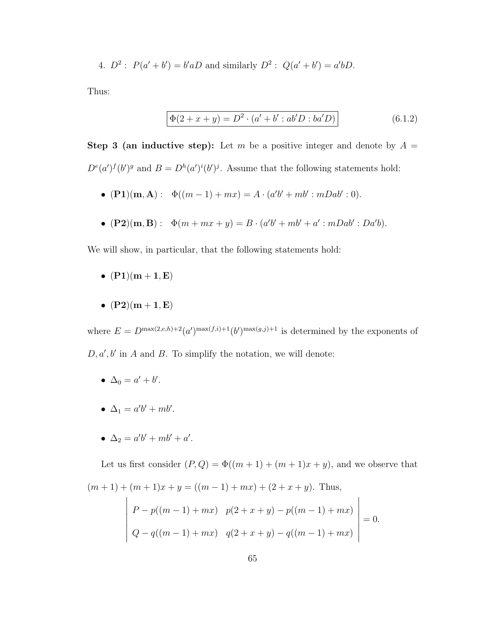4.  $D^2$ :  $P(a'+b') = b'aD$  and similarly  $D^2$ :  $Q(a'+b') = a'bD$ .

Thus:

$$
\Phi(2+x+y) = D^2 \cdot (a'+b':ab'D:ba'D)
$$
\n(6.1.2)

**Step 3 (an inductive step):** Let m be a positive integer and denote by  $A =$  $D^{e}(a')^{f}(b')^{g}$  and  $B = D^{h}(a')^{i}(b')^{j}$ . Assume that the following statements hold:

- $({\bf P1})({\bf m}, {\bf A}): \Phi((m-1) + mx) = A \cdot (a'b' + mb' : mDab' : 0).$
- $({\bf P2})({\bf m},{\bf B}): \Phi(m+mx+y) = B \cdot (a'b' + mb' + a' : mDab' : Da'b).$

We will show, in particular, that the following statements hold:

- $(P1)(m + 1, E)$
- $(P2)(m + 1, E)$

where  $E = D^{\max(2,e,h)+2}(a')^{\max(f,i)+1}(b')^{\max(g,j)+1}$  is determined by the exponents of  $D, a', b'$  in A and B. To simplify the notation, we will denote:

- $\Delta_0 = a' + b'.$
- $\Delta_1 = a'b' + mb'.$
- $\Delta_2 = a'b' + mb' + a'.$

Let us first consider  $(P,Q) = \Phi((m+1) + (m+1)x + y)$ , and we observe that  $(m+1) + (m+1)x + y = ((m-1) + mx) + (2 + x + y)$ . Thus,

$$
\begin{vmatrix} P - p((m-1) + mx) & p(2 + x + y) - p((m-1) + mx) \\ Q - q((m-1) + mx) & q(2 + x + y) - q((m-1) + mx) \end{vmatrix} = 0.
$$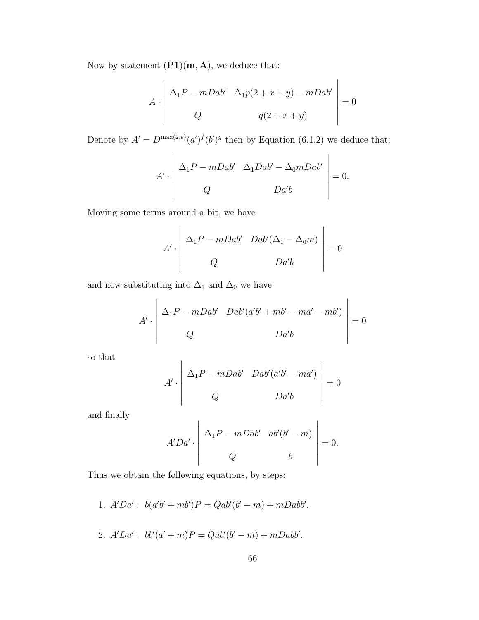Now by statement  $(PI)(m, A)$ , we deduce that:

$$
A \cdot \begin{vmatrix} \Delta_1 P - mDab' & \Delta_1 p(2+x+y) - mDab' \\ Q & q(2+x+y) \end{vmatrix} = 0
$$

Denote by  $A' = D^{\max(2,e)}(a')^f(b')^g$  then by Equation (6.1.2) we deduce that:

$$
A' \cdot \begin{vmatrix} \Delta_1 P - mDab' & \Delta_1 Dab' - \Delta_0 mDab' \\ Q & Da'b \end{vmatrix} = 0.
$$

Moving some terms around a bit, we have

$$
A' \cdot \begin{vmatrix} \Delta_1 P - mDab' & Dab'(\Delta_1 - \Delta_0 m) \\ Q & Da'b \end{vmatrix} = 0
$$

and now substituting into  $\Delta_1$  and  $\Delta_0$  we have:

$$
A' \cdot \begin{vmatrix} \Delta_1 P - mDab' & Dab'(a'b' + mb' - ma' - mb') \\ Q & Da'b \end{vmatrix} = 0
$$

so that

$$
A' \cdot \begin{vmatrix} \Delta_1 P - mDab' & Dab'(a'b' - ma') \\ Q & Da'b \end{vmatrix} = 0
$$

and finally

$$
A'Da' \cdot \begin{vmatrix} \Delta_1 P - mDab' & ab'(b'-m) \\ Q & b \end{vmatrix} = 0.
$$

Thus we obtain the following equations, by steps:

- 1.  $A'Da'$ :  $b(a'b' + mb')P = Qab'(b'-m) + mDabb'$ .
- 2.  $A'Da'$ :  $bb'(a'+m)P = Qab'(b'-m) + mDabb'$ .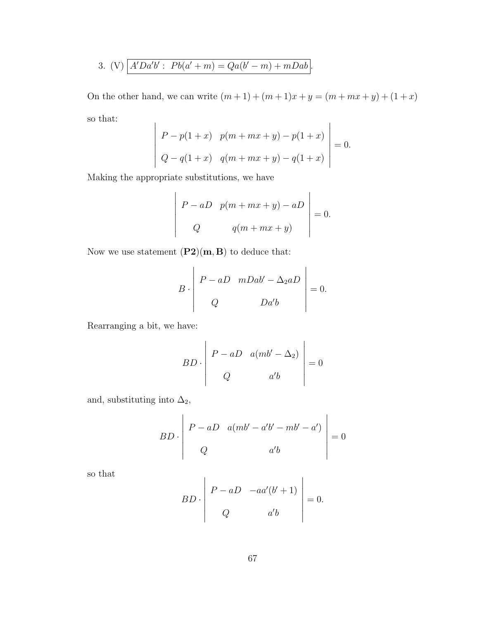3. (V) 
$$
\boxed{A'Da'b': Pb(a'+m) = Qa(b'-m) + mDab}
$$
.

On the other hand, we can write  $(m + 1) + (m + 1)x + y = (m + mx + y) + (1 + x)$ so that:  $\overline{\phantom{a}}$ 

$$
\begin{vmatrix} P - p(1+x) & p(m+mx+y) - p(1+x) \ Q - q(1+x) & q(m+mx+y) - q(1+x) \end{vmatrix} = 0.
$$

Making the appropriate substitutions, we have

 $\overline{1}$ 

$$
\begin{vmatrix} P - aD & p(m+mx+y) - aD \\ Q & q(m+mx+y) \end{vmatrix} = 0.
$$

 $\mathbf{I}$ 

Now we use statement  $(\mathbf{P2})(\mathbf{m},\mathbf{B})$  to deduce that:

$$
B \cdot \begin{vmatrix} P - aD & mDab' - \Delta_2 aD \\ Q & Da'b \end{vmatrix} = 0.
$$

Rearranging a bit, we have:

$$
BD \cdot \begin{vmatrix} P - aD & a(mb' - \Delta_2) \\ Q & a'b \end{vmatrix} = 0
$$

and, substituting into  $\Delta_2$ ,

$$
BD \cdot \begin{vmatrix} P - aD & a(mb' - a'b' - mb' - a') \\ Q & a'b \end{vmatrix} = 0
$$

so that

$$
BD \cdot \begin{vmatrix} P - aD & -aa'(b'+1) \\ Q & a'b \end{vmatrix} = 0.
$$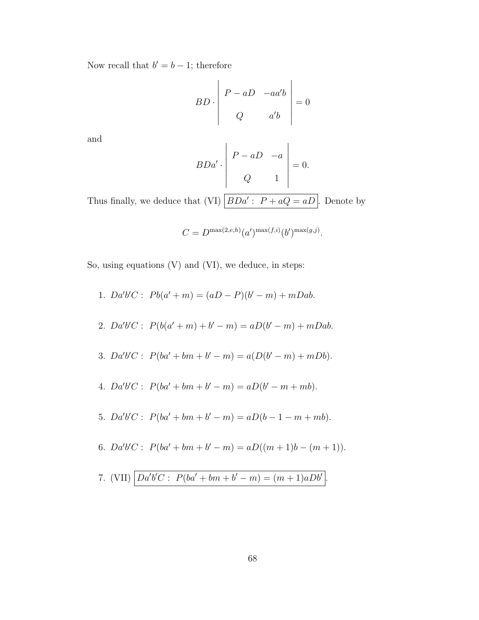Now recall that  $b' = b - 1$ ; therefore

$$
BD \cdot \begin{vmatrix} P - aD & -aa'b \\ Q & a'b \end{vmatrix} = 0
$$

and

$$
BDa' \cdot \begin{vmatrix} P - aD & -a \\ Q & 1 \end{vmatrix} = 0.
$$

Thus finally, we deduce that (VI)  $\vert BDa' : P + aQ = aD \vert$ . Denote by

$$
C = D^{\max(2,e,h)}(a')^{\max(f,i)}(b')^{\max(g,j)}.
$$

So, using equations (V) and (VI), we deduce, in steps:

1.  $Da'b'C: Pb(a'+m) = (aD - P)(b'-m) + mDab.$ 2.  $Da'b'C: P(b(a'+m)+b'-m) = aD(b'-m) + mDab.$ 3.  $Da'b'C: P(ba'+bm+b''-m) = a(D(b'-m)+mDb).$ 4.  $Da'b'C: P(ba'+bm+b'-m) = aD(b'-m+mb).$ 5.  $Da'b'C: P(ba'+bm+b''-m) = aD(b-1-m+mb).$ 6.  $Da'b'C: P(ba'+bm+b'-m) = aD((m+1)b-(m+1)).$ 7. (VII)  $\big| Da'b'C : P(ba' + bm + b' - m) = (m + 1)aDb' \big|$ .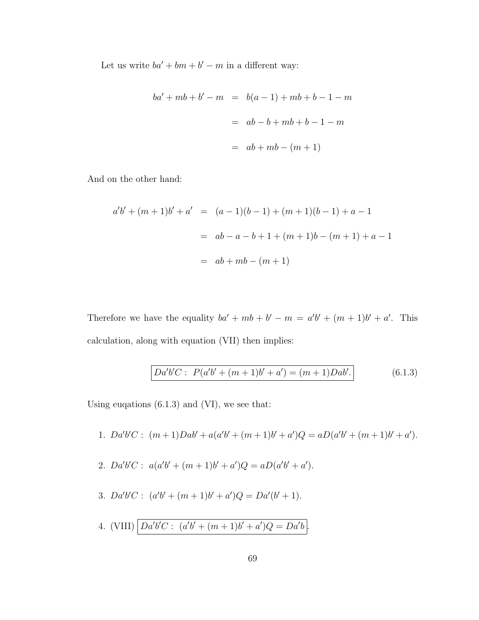Let us write  $ba' + bm + b' - m$  in a different way:

$$
ba' + mb + b' - m = b(a - 1) + mb + b - 1 - m
$$
  
=  $ab - b + mb + b - 1 - m$   
=  $ab + mb - (m + 1)$ 

And on the other hand:

$$
a'b' + (m+1)b' + a' = (a-1)(b-1) + (m+1)(b-1) + a - 1
$$
  
=  $ab - a - b + 1 + (m+1)b - (m+1) + a - 1$   
=  $ab + mb - (m+1)$ 

Therefore we have the equality  $ba' + mb + b' - m = a'b' + (m+1)b' + a'$ . This calculation, along with equation (VII) then implies:

$$
Da'b'C: P(a'b' + (m+1)b' + a') = (m+1)Dab'.
$$
 (6.1.3)

Using euqations (6.1.3) and (VI), we see that:

- 1.  $Da'b'C: (m+1)Dab' + a(a'b' + (m+1)b' + a')Q = aD(a'b' + (m+1)b' + a').$
- 2.  $Da'b'C: a(a'b' + (m+1)b' + a')Q = aD(a'b' + a').$
- 3.  $Da'b'C: (a'b' + (m+1)b' + a')Q = Da'(b' + 1).$
- 4. (VIII)  $\left| Da'b'C : (a'b' + (m+1)b' + a')Q = Da'b \right|$ .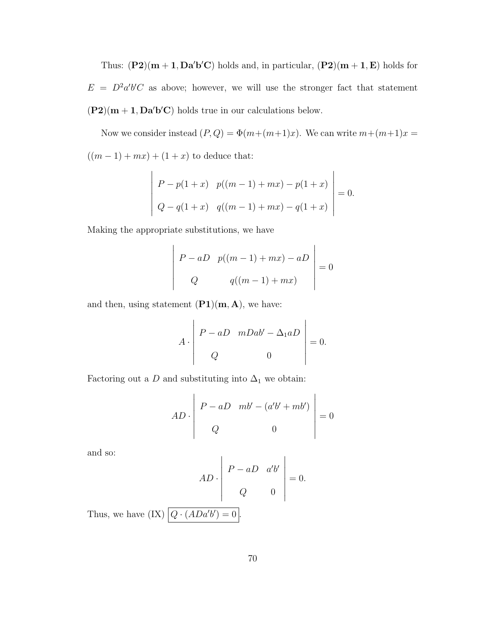Thus:  $(P2)(m+1, Da'b'C)$  holds and, in particular,  $(P2)(m+1, E)$  holds for  $E = D^2 a'b'C$  as above; however, we will use the stronger fact that statement  $(P2)(m + 1, Da'b'C)$  holds true in our calculations below.

Now we consider instead  $(P, Q) = \Phi(m + (m+1)x)$ . We can write  $m + (m+1)x =$  $((m - 1) + mx) + (1 + x)$  to deduce that:

$$
\begin{vmatrix} P - p(1+x) & p((m-1) + mx) - p(1+x) \ Q - q(1+x) & q((m-1) + mx) - q(1+x) \end{vmatrix} = 0.
$$

Making the appropriate substitutions, we have

$$
\begin{vmatrix} P - aD & p((m-1) + mx) - aD \\ Q & q((m-1) + mx) \end{vmatrix} = 0
$$

and then, using statement  $(PI)(m, A)$ , we have:

$$
A \cdot \begin{vmatrix} P - aD & mDab' - \Delta_1 aD \\ Q & 0 \end{vmatrix} = 0.
$$

Factoring out a  $D$  and substituting into  $\Delta_1$  we obtain:

$$
AD \cdot \begin{vmatrix} P - aD & mb' - (a'b' + mb') \\ Q & 0 \end{vmatrix} = 0
$$

and so:

$$
AD \cdot \begin{vmatrix} P - aD & a'b' \\ Q & 0 \end{vmatrix} = 0.
$$

Thus, we have  $(IX) | Q \cdot (ADa'b') = 0$ .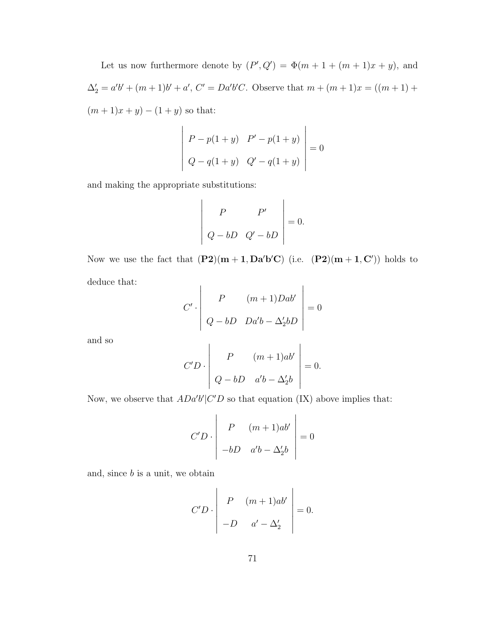Let us now furthermore denote by  $(P', Q') = \Phi(m + 1 + (m + 1)x + y)$ , and  $\Delta_2' = a'b' + (m+1)b' + a', C' = Da'b'C.$  Observe that  $m + (m+1)x = ((m+1) +$  $(m + 1)x + y) - (1 + y)$  so that:

$$
\begin{vmatrix} P - p(1+y) & P' - p(1+y) \ Q - q(1+y) & Q' - q(1+y) \end{vmatrix} = 0
$$

and making the appropriate substitutions:

$$
\left|\begin{array}{cc} P & P' \\ Q - bD & Q' - bD \end{array}\right| = 0.
$$

Now we use the fact that  $(P2)(m+1, Da'b'C)$  (i.e.  $(P2)(m+1, C')$ ) holds to deduce that:  $\mathbf{I}$  $\overline{1}$ 

$$
C' \cdot \begin{vmatrix} P & (m+1)Dab' \\ Q - bD & Da'b - \Delta_2'bD \end{vmatrix} = 0
$$

and so

$$
C'D \cdot \begin{vmatrix} P & (m+1)ab' \\ Q - bD & a'b - \Delta_2'b \end{vmatrix} = 0.
$$

Now, we observe that  $ADa'b'|C'D$  so that equation (IX) above implies that:

$$
C'D \cdot \begin{vmatrix} P & (m+1)ab' \\ -bD & a'b - \Delta_2'b \end{vmatrix} = 0
$$

and, since  $b$  is a unit, we obtain

$$
C'D \cdot \begin{vmatrix} P & (m+1)ab' \\ -D & a' - \Delta_2' \end{vmatrix} = 0.
$$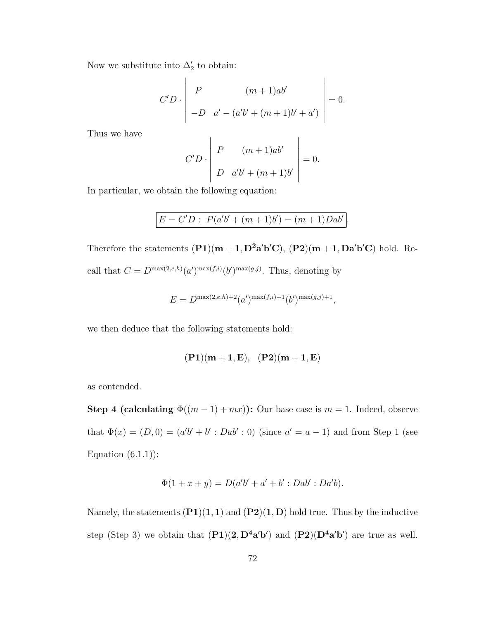Now we substitute into  $\Delta'_2$  to obtain:

$$
C'D \cdot \begin{vmatrix} P & (m+1)ab' \\ -D & a' - (a'b' + (m+1)b' + a') \end{vmatrix} = 0.
$$

Thus we have

$$
C'D \cdot \left| \begin{array}{ccc} P & (m+1)ab' \\ D & a'b' + (m+1)b' \end{array} \right| = 0.
$$

In particular, we obtain the following equation:

$$
E = C'D : P(a'b' + (m+1)b') = (m+1)Dab'
$$

.

Therefore the statements  $(P1)(m+1, D^2a'b'C)$ ,  $(P2)(m+1, Da'b'C)$  hold. Recall that  $C = D^{\max(2, e, h)}(a')^{\max(f, i)}(b')^{\max(g, j)}$ . Thus, denoting by

$$
E = D^{\max(2,e,h)+2}(a')^{\max(f,i)+1}(b')^{\max(g,j)+1},
$$

we then deduce that the following statements hold:

$$
(P1)(m+1, E), (P2)(m+1, E)
$$

as contended.

Step 4 (calculating  $\Phi((m-1) + mx)$ ): Our base case is  $m = 1$ . Indeed, observe that  $\Phi(x) = (D, 0) = (a'b' + b' : Dab' : 0)$  (since  $a' = a - 1$ ) and from Step 1 (see Equation  $(6.1.1)$ :

$$
\Phi(1 + x + y) = D(a'b' + a' + b' : Dab' : Da'b).
$$

Namely, the statements  $(P1)(1, 1)$  and  $(P2)(1, D)$  hold true. Thus by the inductive step (Step 3) we obtain that  $(\mathbf{P1})(2, \mathbf{D}^4\mathbf{a}'\mathbf{b}')$  and  $(\mathbf{P2})(\mathbf{D}^4\mathbf{a}'\mathbf{b}')$  are true as well.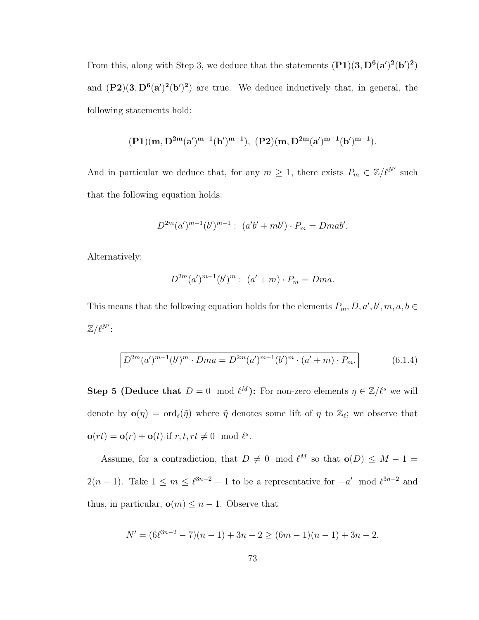From this, along with Step 3, we deduce that the statements  $(P1)(3, D^6(a')^2(b')^2)$ and  $(P2)(3, D^{6}(a')^{2}(b')^{2})$  are true. We deduce inductively that, in general, the following statements hold:

$$
(P1)(m,D^{2m}(a')^{m-1}(b')^{m-1}),\ (P2)(m,D^{2m}(a')^{m-1}(b')^{m-1}).
$$

And in particular we deduce that, for any  $m \geq 1$ , there exists  $P_m \in \mathbb{Z}/\ell^{N'}$  such that the following equation holds:

$$
D^{2m}(a')^{m-1}(b')^{m-1}: (a'b' + mb') \cdot P_m = Dmab'.
$$

Alternatively:

$$
D^{2m}(a')^{m-1}(b')^{m} : (a'+m) \cdot P_m = Dma.
$$

This means that the following equation holds for the elements  $P_m, D, a', b', m, a, b \in$  $\mathbb{Z}/\ell^{N'}$ :

$$
D^{2m}(a')^{m-1}(b')^{m} \cdot Dma = D^{2m}(a')^{m-1}(b')^{m} \cdot (a' + m) \cdot P_m.
$$
 (6.1.4)

**Step 5 (Deduce that**  $D = 0 \mod l^M$ ): For non-zero elements  $\eta \in \mathbb{Z}/l^s$  we will denote by  $\mathbf{o}(\eta) = \text{ord}_{\ell}(\tilde{\eta})$  where  $\tilde{\eta}$  denotes some lift of  $\eta$  to  $\mathbb{Z}_{\ell}$ ; we observe that  $\mathbf{o}(rt) = \mathbf{o}(r) + \mathbf{o}(t)$  if  $r, t, rt \neq 0 \mod l^s$ .

Assume, for a contradiction, that  $D \neq 0 \mod l^M$  so that  $o(D) \leq M - 1 =$  $2(n-1)$ . Take  $1 \leq m \leq \ell^{3n-2} - 1$  to be a representative for  $-a' \mod \ell^{3n-2}$  and thus, in particular,  $\mathbf{o}(m) \leq n - 1$ . Observe that

$$
N' = (6\ell^{3n-2} - 7)(n-1) + 3n - 2 \ge (6m - 1)(n-1) + 3n - 2.
$$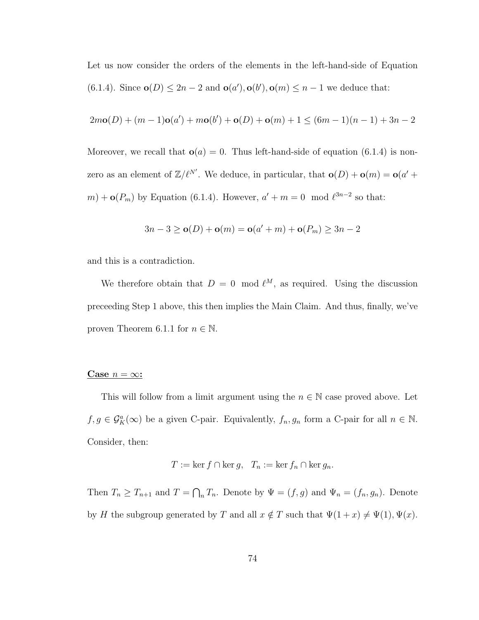Let us now consider the orders of the elements in the left-hand-side of Equation (6.1.4). Since  $\mathbf{o}(D) \leq 2n - 2$  and  $\mathbf{o}(a'), \mathbf{o}(b'), \mathbf{o}(m) \leq n - 1$  we deduce that:

$$
2m\mathbf{o}(D) + (m-1)\mathbf{o}(a') + m\mathbf{o}(b') + \mathbf{o}(D) + \mathbf{o}(m) + 1 \le (6m-1)(n-1) + 3n - 2
$$

Moreover, we recall that  $o(a) = 0$ . Thus left-hand-side of equation (6.1.4) is nonzero as an element of  $\mathbb{Z}/\ell^{N'}$ . We deduce, in particular, that  $\mathbf{o}(D) + \mathbf{o}(m) = \mathbf{o}(a' +$  $m$  +  $\mathbf{o}(P_m)$  by Equation (6.1.4). However,  $a' + m = 0 \mod l^{3n-2}$  so that:

$$
3n - 3 \ge o(D) + o(m) = o(a' + m) + o(P_m) \ge 3n - 2
$$

and this is a contradiction.

We therefore obtain that  $D = 0 \mod l^M$ , as required. Using the discussion preceeding Step 1 above, this then implies the Main Claim. And thus, finally, we've proven Theorem 6.1.1 for  $n \in \mathbb{N}$ .

#### Case  $n = \infty$ :

This will follow from a limit argument using the  $n \in \mathbb{N}$  case proved above. Let  $f, g \in \mathcal{G}_{K}^{a}(\infty)$  be a given C-pair. Equivalently,  $f_n, g_n$  form a C-pair for all  $n \in \mathbb{N}$ . Consider, then:

$$
T := \ker f \cap \ker g, \quad T_n := \ker f_n \cap \ker g_n.
$$

Then  $T_n \geq T_{n+1}$  and  $T = \bigcap_n T_n$ . Denote by  $\Psi = (f, g)$  and  $\Psi_n = (f_n, g_n)$ . Denote by H the subgroup generated by T and all  $x \notin T$  such that  $\Psi(1 + x) \neq \Psi(1)$ ,  $\Psi(x)$ .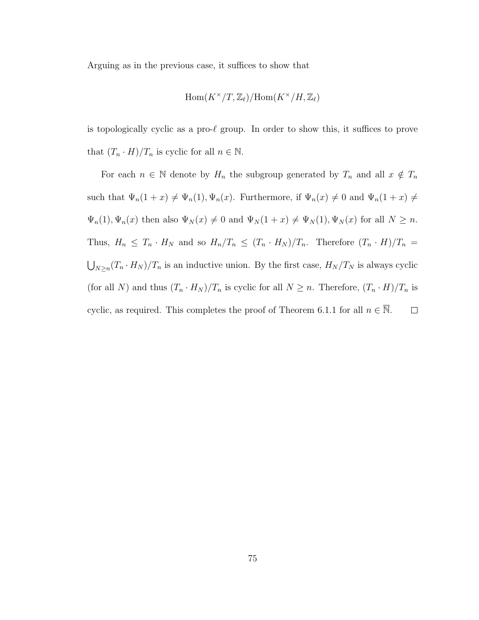Arguing as in the previous case, it suffices to show that

$$
\mathrm{Hom}(K^\times/T,\mathbb{Z}_\ell)/\mathrm{Hom}(K^\times/H,\mathbb{Z}_\ell)
$$

is topologically cyclic as a pro- $\ell$  group. In order to show this, it suffices to prove that  $(T_n \cdot H)/T_n$  is cyclic for all  $n \in \mathbb{N}$ .

For each  $n \in \mathbb{N}$  denote by  $H_n$  the subgroup generated by  $T_n$  and all  $x \notin T_n$ such that  $\Psi_n(1+x) \neq \Psi_n(1), \Psi_n(x)$ . Furthermore, if  $\Psi_n(x) \neq 0$  and  $\Psi_n(1+x) \neq 0$  $\Psi_n(1), \Psi_n(x)$  then also  $\Psi_N(x) \neq 0$  and  $\Psi_N(1+x) \neq \Psi_N(1), \Psi_N(x)$  for all  $N \geq n$ . Thus,  $H_n \leq T_n \cdot H_N$  and so  $H_n/T_n \leq (T_n \cdot H_N)/T_n$ . Therefore  $(T_n \cdot H)/T_n =$  $\bigcup_{N\geq n}(T_n\cdot H_N)/T_n$  is an inductive union. By the first case,  $H_N/T_N$  is always cyclic (for all N) and thus  $(T_n \cdot H_N)/T_n$  is cyclic for all  $N \geq n$ . Therefore,  $(T_n \cdot H)/T_n$  is cyclic, as required. This completes the proof of Theorem 6.1.1 for all  $n \in \overline{\mathbb{N}}$ .  $\Box$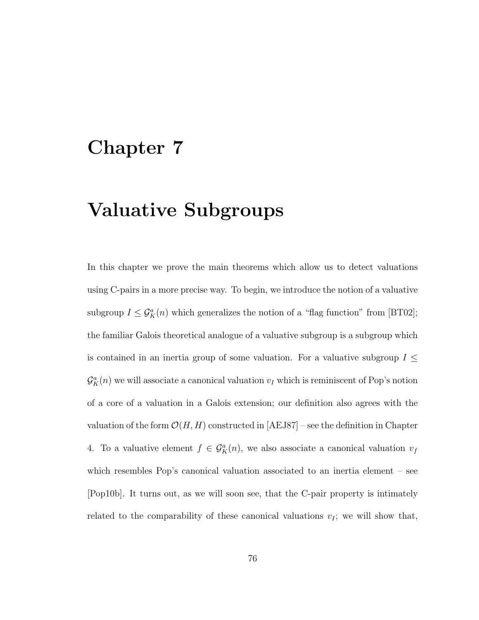# Chapter 7

# Valuative Subgroups

In this chapter we prove the main theorems which allow us to detect valuations using C-pairs in a more precise way. To begin, we introduce the notion of a valuative subgroup  $I \leq \mathcal{G}_{K}^{a}(n)$  which generalizes the notion of a "flag function" from [BT02]; the familiar Galois theoretical analogue of a valuative subgroup is a subgroup which is contained in an inertia group of some valuation. For a valuative subgroup  $I \leq$  $\mathcal{G}_{K}^{a}(n)$  we will associate a canonical valuation  $v_{I}$  which is reminiscent of Pop's notion of a core of a valuation in a Galois extension; our definition also agrees with the valuation of the form  $\mathcal{O}(H, H)$  constructed in [AEJ87] – see the definition in Chapter 4. To a valuative element  $f \in \mathcal{G}_K^a(n)$ , we also associate a canonical valuation  $v_f$ which resembles Pop's canonical valuation associated to an inertia element – see [Pop10b]. It turns out, as we will soon see, that the C-pair property is intimately related to the comparability of these canonical valuations  $v_I$ ; we will show that,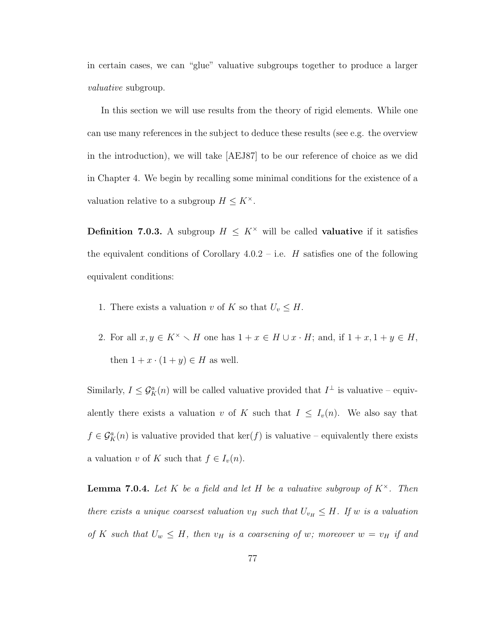in certain cases, we can "glue" valuative subgroups together to produce a larger valuative subgroup.

In this section we will use results from the theory of rigid elements. While one can use many references in the subject to deduce these results (see e.g. the overview in the introduction), we will take [AEJ87] to be our reference of choice as we did in Chapter 4. We begin by recalling some minimal conditions for the existence of a valuation relative to a subgroup  $H \leq K^{\times}$ .

**Definition 7.0.3.** A subgroup  $H \leq K^{\times}$  will be called **valuative** if it satisfies the equivalent conditions of Corollary  $4.0.2 - i.e.$  H satisfies one of the following equivalent conditions:

- 1. There exists a valuation v of K so that  $U_v \leq H$ .
- 2. For all  $x, y \in K^{\times} \setminus H$  one has  $1 + x \in H \cup x \cdot H$ ; and, if  $1 + x, 1 + y \in H$ , then  $1 + x \cdot (1 + y) \in H$  as well.

Similarly,  $I \leq \mathcal{G}_{K}^{a}(n)$  will be called valuative provided that  $I^{\perp}$  is valuative – equivalently there exists a valuation v of K such that  $I \leq I_v(n)$ . We also say that  $f \in \mathcal{G}_{K}^{a}(n)$  is valuative provided that  $\ker(f)$  is valuative – equivalently there exists a valuation v of K such that  $f \in I_v(n)$ .

**Lemma 7.0.4.** Let K be a field and let H be a valuative subgroup of  $K^{\times}$ . Then there exists a unique coarsest valuation  $v_H$  such that  $U_{v_H} \leq H$ . If w is a valuation of K such that  $U_w \leq H$ , then  $v_H$  is a coarsening of w; moreover  $w = v_H$  if and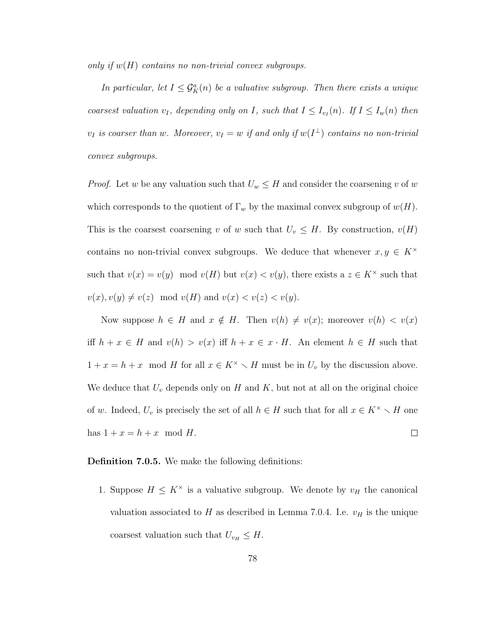only if  $w(H)$  contains no non-trivial convex subgroups.

In particular, let  $I \leq \mathcal{G}_{K}^{a}(n)$  be a valuative subgroup. Then there exists a unique coarsest valuation  $v_I$ , depending only on I, such that  $I \leq I_{v_I}(n)$ . If  $I \leq I_w(n)$  then  $v_I$  is coarser than w. Moreover,  $v_I = w$  if and only if  $w(I^{\perp})$  contains no non-trivial convex subgroups.

*Proof.* Let w be any valuation such that  $U_w \leq H$  and consider the coarsening v of w which corresponds to the quotient of  $\Gamma_w$  by the maximal convex subgroup of  $w(H)$ . This is the coarsest coarsening v of w such that  $U_v \leq H$ . By construction,  $v(H)$ contains no non-trivial convex subgroups. We deduce that whenever  $x, y \in K^{\times}$ such that  $v(x) = v(y) \mod v(H)$  but  $v(x) < v(y)$ , there exists a  $z \in K^{\times}$  such that  $v(x), v(y) \neq v(z) \mod v(H)$  and  $v(x) < v(z) < v(y)$ .

Now suppose  $h \in H$  and  $x \notin H$ . Then  $v(h) \neq v(x)$ ; moreover  $v(h) < v(x)$ iff  $h + x \in H$  and  $v(h) > v(x)$  iff  $h + x \in x \cdot H$ . An element  $h \in H$  such that  $1 + x = h + x \mod H$  for all  $x \in K^{\times} \setminus H$  must be in  $U_v$  by the discussion above. We deduce that  $U_v$  depends only on  $H$  and  $K$ , but not at all on the original choice of w. Indeed,  $U_v$  is precisely the set of all  $h \in H$  such that for all  $x \in K^{\times} \setminus H$  one has  $1 + x = h + x \mod H$ .  $\Box$ 

#### Definition 7.0.5. We make the following definitions:

1. Suppose  $H \leq K^{\times}$  is a valuative subgroup. We denote by  $v_H$  the canonical valuation associated to H as described in Lemma 7.0.4. I.e.  $v_H$  is the unique coarsest valuation such that  $U_{v_H} \leq H$ .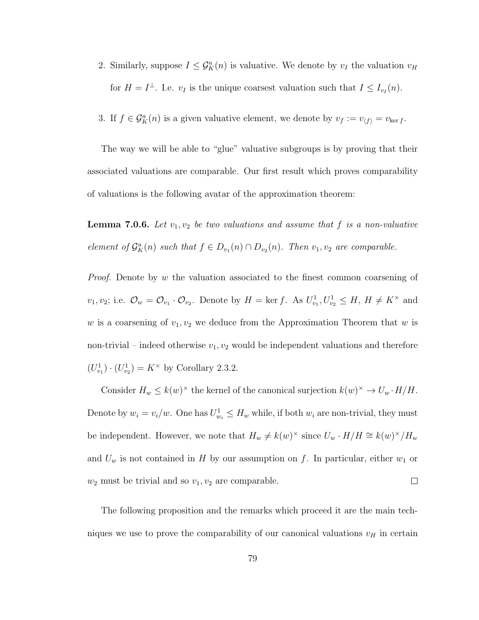- 2. Similarly, suppose  $I \leq \mathcal{G}_{K}^{a}(n)$  is valuative. We denote by  $v_I$  the valuation  $v_H$ for  $H = I^{\perp}$ . I.e.  $v_I$  is the unique coarsest valuation such that  $I \leq I_{v_I}(n)$ .
- 3. If  $f \in \mathcal{G}_{K}^{a}(n)$  is a given valuative element, we denote by  $v_{f} := v_{\langle f \rangle} = v_{\text{ker }f}$ .

The way we will be able to "glue" valuative subgroups is by proving that their associated valuations are comparable. Our first result which proves comparability of valuations is the following avatar of the approximation theorem:

**Lemma 7.0.6.** Let  $v_1, v_2$  be two valuations and assume that f is a non-valuative element of  $\mathcal{G}_{K}^{a}(n)$  such that  $f \in D_{v_1}(n) \cap D_{v_2}(n)$ . Then  $v_1, v_2$  are comparable.

*Proof.* Denote by  $w$  the valuation associated to the finest common coarsening of  $v_1, v_2$ ; i.e.  $\mathcal{O}_w = \mathcal{O}_{v_1} \cdot \mathcal{O}_{v_2}$ . Denote by  $H = \ker f$ . As  $U^1_{v_1}, U^1_{v_2} \leq H$ ,  $H \neq K^\times$  and w is a coarsening of  $v_1, v_2$  we deduce from the Approximation Theorem that w is non-trivial – indeed otherwise  $v_1, v_2$  would be independent valuations and therefore  $(U_{v_1}^1) \cdot (U_{v_2}^1) = K^\times$  by Corollary 2.3.2.

Consider  $H_w \leq k(w)^{\times}$  the kernel of the canonical surjection  $k(w)^{\times} \to U_w \cdot H/H$ . Denote by  $w_i = v_i/w$ . One has  $U_{w_i}^1 \leq H_w$  while, if both  $w_i$  are non-trivial, they must be independent. However, we note that  $H_w \neq k(w)^{\times}$  since  $U_w \cdot H/H \cong k(w)^{\times}/H_w$ and  $U_w$  is not contained in H by our assumption on f. In particular, either  $w_1$  or  $\Box$  $w_2$  must be trivial and so  $v_1, v_2$  are comparable.

The following proposition and the remarks which proceed it are the main techniques we use to prove the comparability of our canonical valuations  $v_H$  in certain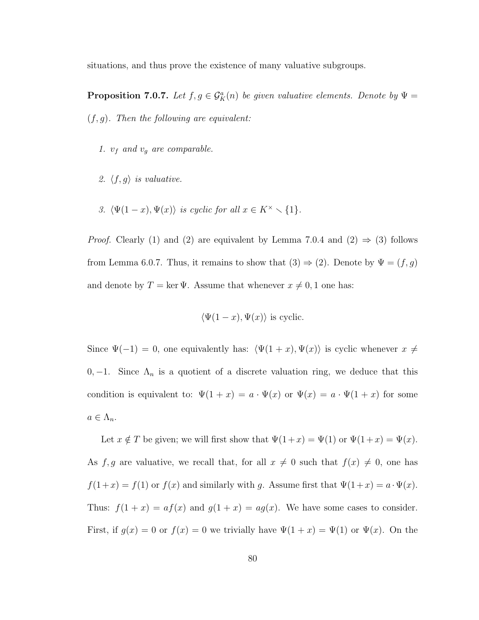situations, and thus prove the existence of many valuative subgroups.

**Proposition 7.0.7.** Let  $f, g \in \mathcal{G}_{K}^{a}(n)$  be given valuative elements. Denote by  $\Psi =$  $(f, g)$ . Then the following are equivalent:

- 1.  $v_f$  and  $v_g$  are comparable.
- 2.  $\langle f, g \rangle$  is valuative.
- 3.  $\langle \Psi(1-x), \Psi(x) \rangle$  is cyclic for all  $x \in K^{\times} \setminus \{1\}.$

*Proof.* Clearly (1) and (2) are equivalent by Lemma 7.0.4 and (2)  $\Rightarrow$  (3) follows from Lemma 6.0.7. Thus, it remains to show that  $(3) \Rightarrow (2)$ . Denote by  $\Psi = (f, g)$ and denote by  $T = \ker \Psi$ . Assume that whenever  $x \neq 0, 1$  one has:

$$
\langle \Psi(1-x), \Psi(x) \rangle
$$
 is cyclic.

Since  $\Psi(-1) = 0$ , one equivalently has:  $\langle \Psi(1 + x), \Psi(x) \rangle$  is cyclic whenever  $x \neq 0$ 0, -1. Since  $\Lambda_n$  is a quotient of a discrete valuation ring, we deduce that this condition is equivalent to:  $\Psi(1+x) = a \cdot \Psi(x)$  or  $\Psi(x) = a \cdot \Psi(1+x)$  for some  $a \in \Lambda_n$ .

Let  $x \notin T$  be given; we will first show that  $\Psi(1+x) = \Psi(1)$  or  $\Psi(1+x) = \Psi(x)$ . As  $f, g$  are valuative, we recall that, for all  $x \neq 0$  such that  $f(x) \neq 0$ , one has  $f(1+x) = f(1)$  or  $f(x)$  and similarly with g. Assume first that  $\Psi(1+x) = a \cdot \Psi(x)$ . Thus:  $f(1+x) = af(x)$  and  $g(1+x) = ag(x)$ . We have some cases to consider. First, if  $g(x) = 0$  or  $f(x) = 0$  we trivially have  $\Psi(1+x) = \Psi(1)$  or  $\Psi(x)$ . On the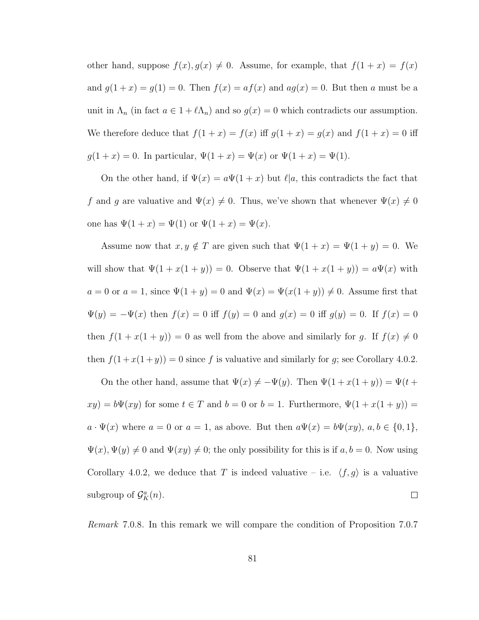other hand, suppose  $f(x)$ ,  $g(x) \neq 0$ . Assume, for example, that  $f(1 + x) = f(x)$ and  $g(1+x) = g(1) = 0$ . Then  $f(x) = af(x)$  and  $ag(x) = 0$ . But then a must be a unit in  $\Lambda_n$  (in fact  $a \in 1 + \ell \Lambda_n$ ) and so  $g(x) = 0$  which contradicts our assumption. We therefore deduce that  $f(1+x) = f(x)$  iff  $g(1+x) = g(x)$  and  $f(1+x) = 0$  iff  $g(1+x) = 0$ . In particular,  $\Psi(1+x) = \Psi(x)$  or  $\Psi(1+x) = \Psi(1)$ .

On the other hand, if  $\Psi(x) = a\Psi(1+x)$  but  $\ell|a$ , this contradicts the fact that f and g are valuative and  $\Psi(x) \neq 0$ . Thus, we've shown that whenever  $\Psi(x) \neq 0$ one has  $\Psi(1 + x) = \Psi(1)$  or  $\Psi(1 + x) = \Psi(x)$ .

Assume now that  $x, y \notin T$  are given such that  $\Psi(1 + x) = \Psi(1 + y) = 0$ . We will show that  $\Psi(1 + x(1 + y)) = 0$ . Observe that  $\Psi(1 + x(1 + y)) = a\Psi(x)$  with  $a = 0$  or  $a = 1$ , since  $\Psi(1 + y) = 0$  and  $\Psi(x) = \Psi(x(1 + y)) \neq 0$ . Assume first that  $\Psi(y) = -\Psi(x)$  then  $f(x) = 0$  iff  $f(y) = 0$  and  $g(x) = 0$  iff  $g(y) = 0$ . If  $f(x) = 0$ then  $f(1 + x(1 + y)) = 0$  as well from the above and similarly for g. If  $f(x) \neq 0$ then  $f(1 + x(1 + y)) = 0$  since f is valuative and similarly for g; see Corollary 4.0.2.

On the other hand, assume that  $\Psi(x) \neq -\Psi(y)$ . Then  $\Psi(1 + x(1 + y)) = \Psi(t +$  $xy$ ) =  $b\Psi(xy)$  for some  $t \in T$  and  $b = 0$  or  $b = 1$ . Furthermore,  $\Psi(1 + x(1 + y)) =$  $a \cdot \Psi(x)$  where  $a = 0$  or  $a = 1$ , as above. But then  $a\Psi(x) = b\Psi(xy)$ ,  $a, b \in \{0, 1\}$ ,  $\Psi(x), \Psi(y) \neq 0$  and  $\Psi(xy) \neq 0$ ; the only possibility for this is if  $a, b = 0$ . Now using Corollary 4.0.2, we deduce that T is indeed valuative – i.e.  $\langle f, g \rangle$  is a valuative subgroup of  $\mathcal{G}_{K}^{a}(n)$ .  $\Box$ 

Remark 7.0.8. In this remark we will compare the condition of Proposition 7.0.7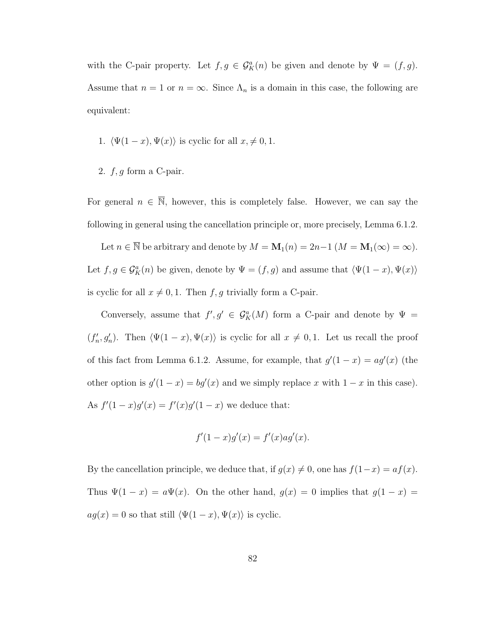with the C-pair property. Let  $f, g \in \mathcal{G}_{K}^{a}(n)$  be given and denote by  $\Psi = (f, g)$ . Assume that  $n = 1$  or  $n = \infty$ . Since  $\Lambda_n$  is a domain in this case, the following are equivalent:

1. 
$$
\langle \Psi(1-x), \Psi(x) \rangle
$$
 is cyclic for all  $x, \neq 0, 1$ .

2.  $f, g$  form a C-pair.

For general  $n \in \overline{\mathbb{N}}$ , however, this is completely false. However, we can say the following in general using the cancellation principle or, more precisely, Lemma 6.1.2.

Let  $n \in \overline{\mathbb{N}}$  be arbitrary and denote by  $M = \mathbf{M}_1(n) = 2n-1$   $(M = \mathbf{M}_1(\infty) = \infty)$ . Let  $f, g \in \mathcal{G}_{K}^{a}(n)$  be given, denote by  $\Psi = (f, g)$  and assume that  $\langle \Psi(1-x), \Psi(x) \rangle$ is cyclic for all  $x \neq 0, 1$ . Then  $f, g$  trivially form a C-pair.

Conversely, assume that  $f', g' \in \mathcal{G}_{K}^{a}(M)$  form a C-pair and denote by  $\Psi =$  $(f'_n, g'_n)$ . Then  $\langle \Psi(1-x), \Psi(x) \rangle$  is cyclic for all  $x \neq 0, 1$ . Let us recall the proof of this fact from Lemma 6.1.2. Assume, for example, that  $g'(1-x) = ag'(x)$  (the other option is  $g'(1-x) = bg'(x)$  and we simply replace x with  $1-x$  in this case). As  $f'(1-x)g'(x) = f'(x)g'(1-x)$  we deduce that:

$$
f'(1-x)g'(x) = f'(x)ag'(x).
$$

By the cancellation principle, we deduce that, if  $g(x) \neq 0$ , one has  $f(1-x) = af(x)$ . Thus  $\Psi(1-x) = a\Psi(x)$ . On the other hand,  $g(x) = 0$  implies that  $g(1-x) =$  $ag(x) = 0$  so that still  $\langle \Psi(1 - x), \Psi(x) \rangle$  is cyclic.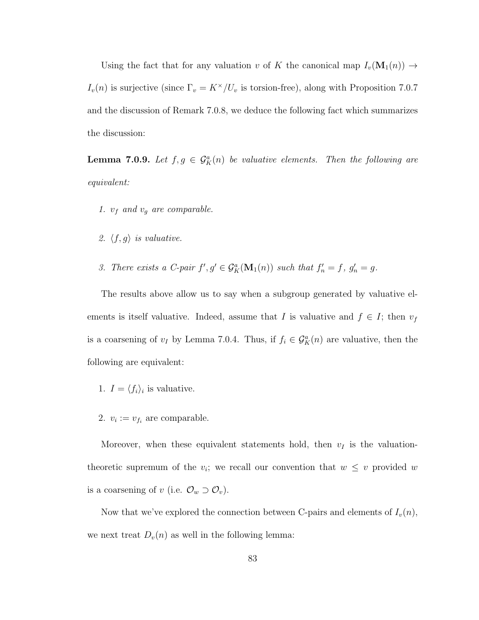Using the fact that for any valuation v of K the canonical map  $I_v(\mathbf{M}_1(n)) \to$  $I_v(n)$  is surjective (since  $\Gamma_v = K^\times / U_v$  is torsion-free), along with Proposition 7.0.7 and the discussion of Remark 7.0.8, we deduce the following fact which summarizes the discussion:

**Lemma 7.0.9.** Let  $f, g \in \mathcal{G}_{K}^{a}(n)$  be valuative elements. Then the following are equivalent:

- 1.  $v_f$  and  $v_g$  are comparable.
- 2.  $\langle f, g \rangle$  is valuative.
- 3. There exists a C-pair  $f', g' \in \mathcal{G}_K^a(\mathbf{M}_1(n))$  such that  $f'_n = f, g'_n = g$ .

The results above allow us to say when a subgroup generated by valuative elements is itself valuative. Indeed, assume that I is valuative and  $f \in I$ ; then  $v_f$ is a coarsening of  $v_I$  by Lemma 7.0.4. Thus, if  $f_i \in \mathcal{G}_K^a(n)$  are valuative, then the following are equivalent:

- 1.  $I = \langle f_i \rangle_i$  is valuative.
- 2.  $v_i := v_{f_i}$  are comparable.

Moreover, when these equivalent statements hold, then  $v_I$  is the valuationtheoretic supremum of the  $v_i$ ; we recall our convention that  $w \leq v$  provided w is a coarsening of v (i.e.  $\mathcal{O}_w \supset \mathcal{O}_v$ ).

Now that we've explored the connection between C-pairs and elements of  $I_v(n)$ , we next treat  $D_v(n)$  as well in the following lemma: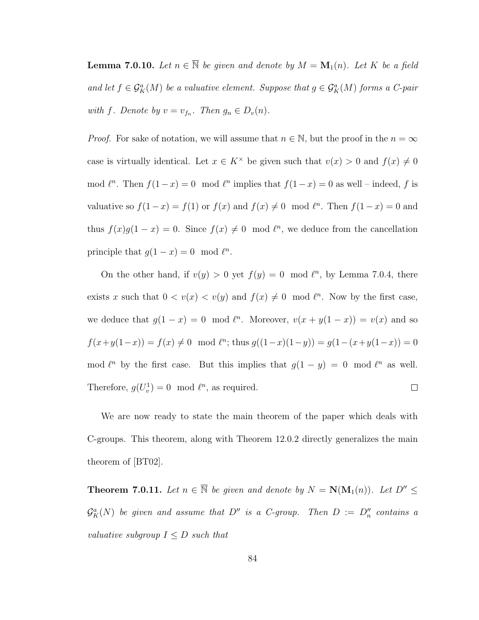**Lemma 7.0.10.** Let  $n \in \overline{\mathbb{N}}$  be given and denote by  $M = \mathbf{M}_1(n)$ . Let K be a field and let  $f \in \mathcal{G}_{K}^{a}(M)$  be a valuative element. Suppose that  $g \in \mathcal{G}_{K}^{a}(M)$  forms a C-pair with f. Denote by  $v = v_{f_n}$ . Then  $g_n \in D_v(n)$ .

*Proof.* For sake of notation, we will assume that  $n \in \mathbb{N}$ , but the proof in the  $n = \infty$ case is virtually identical. Let  $x \in K^{\times}$  be given such that  $v(x) > 0$  and  $f(x) \neq 0$ mod  $\ell^n$ . Then  $f(1-x) = 0 \mod \ell^n$  implies that  $f(1-x) = 0$  as well – indeed, f is valuative so  $f(1-x) = f(1)$  or  $f(x)$  and  $f(x) \neq 0 \mod l^n$ . Then  $f(1-x) = 0$  and thus  $f(x)g(1-x) = 0$ . Since  $f(x) \neq 0 \mod l^n$ , we deduce from the cancellation principle that  $g(1-x) = 0 \mod l^n$ .

On the other hand, if  $v(y) > 0$  yet  $f(y) = 0 \mod l^n$ , by Lemma 7.0.4, there exists x such that  $0 < v(x) < v(y)$  and  $f(x) \neq 0 \mod l^n$ . Now by the first case, we deduce that  $g(1-x) = 0 \mod l^n$ . Moreover,  $v(x + y(1-x)) = v(x)$  and so  $f(x+y(1-x)) = f(x) \neq 0 \mod l^{n}$ ; thus  $g((1-x)(1-y)) = g(1-(x+y(1-x))) = 0$ mod  $\ell^n$  by the first case. But this implies that  $g(1 - y) = 0 \mod \ell^n$  as well. Therefore,  $g(U_v^1) = 0 \mod \ell^n$ , as required.  $\Box$ 

We are now ready to state the main theorem of the paper which deals with C-groups. This theorem, along with Theorem 12.0.2 directly generalizes the main theorem of [BT02].

**Theorem 7.0.11.** Let  $n \in \overline{\mathbb{N}}$  be given and denote by  $N = \mathbf{N}(\mathbf{M}_1(n))$ . Let  $D'' \leq$  $\mathcal{G}_{K}^{a}(N)$  be given and assume that  $D''$  is a C-group. Then  $D := D''_n$  contains a valuative subgroup  $I \leq D$  such that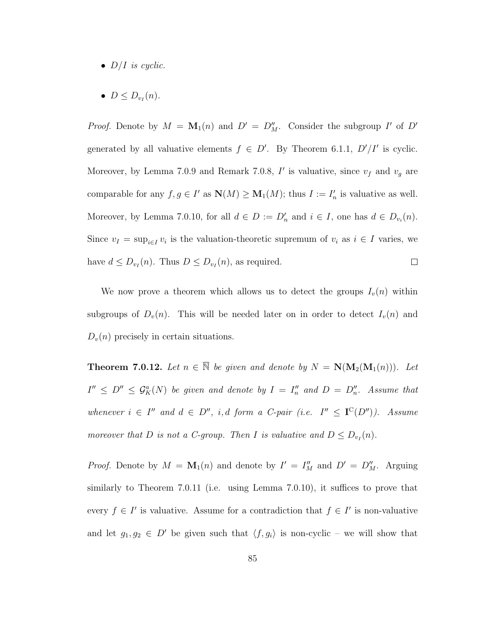- $D/I$  is cyclic.
- $\bullet$   $D \leq D_{v_I}(n)$ .

*Proof.* Denote by  $M = \mathbf{M}_1(n)$  and  $D' = D''_M$ . Consider the subgroup I' of D' generated by all valuative elements  $f \in D'$ . By Theorem 6.1.1,  $D'/I'$  is cyclic. Moreover, by Lemma 7.0.9 and Remark 7.0.8,  $I'$  is valuative, since  $v_f$  and  $v_g$  are comparable for any  $f, g \in I'$  as  $\mathbf{N}(M) \ge \mathbf{M}_1(M)$ ; thus  $I := I'_n$  is valuative as well. Moreover, by Lemma 7.0.10, for all  $d \in D := D'_n$  and  $i \in I$ , one has  $d \in D_{v_i}(n)$ . Since  $v_I = \sup_{i \in I} v_i$  is the valuation-theoretic supremum of  $v_i$  as  $i \in I$  varies, we have  $d \le D_{\nu_I}(n)$ . Thus  $D \le D_{\nu_I}(n)$ , as required.  $\Box$ 

We now prove a theorem which allows us to detect the groups  $I_v(n)$  within subgroups of  $D_v(n)$ . This will be needed later on in order to detect  $I_v(n)$  and  $D_v(n)$  precisely in certain situations.

**Theorem 7.0.12.** Let  $n \in \overline{\mathbb{N}}$  be given and denote by  $N = \mathbf{N}(\mathbf{M}_2(\mathbf{M}_1(n)))$ . Let  $I'' \leq D'' \leq \mathcal{G}_{K}^{a}(N)$  be given and denote by  $I = I''_{n}$  and  $D = D''_{n}$ . Assume that whenever  $i \in I''$  and  $d \in D''$ , i, d form a C-pair (i.e.  $I'' \leq I^{C}(D'')$ ). Assume moreover that D is not a C-group. Then I is valuative and  $D \le D_{\nu_I}(n)$ .

*Proof.* Denote by  $M = \mathbf{M}_1(n)$  and denote by  $I' = I''_M$  and  $D' = D''_M$ . Arguing similarly to Theorem 7.0.11 (i.e. using Lemma 7.0.10), it suffices to prove that every  $f \in I'$  is valuative. Assume for a contradiction that  $f \in I'$  is non-valuative and let  $g_1, g_2 \in D'$  be given such that  $\langle f, g_i \rangle$  is non-cyclic – we will show that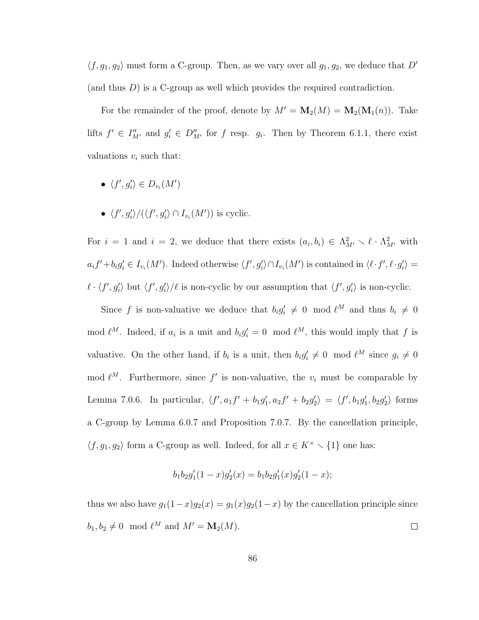$\langle f, g_1, g_2 \rangle$  must form a C-group. Then, as we vary over all  $g_1, g_2$ , we deduce that D' (and thus  $D$ ) is a C-group as well which provides the required contradiction.

For the remainder of the proof, denote by  $M' = M_2(M) = M_2(M_1(n))$ . Take lifts  $f' \in I''_{M'}$  and  $g'_i \in D''_{M'}$  for f resp.  $g_i$ . Then by Theorem 6.1.1, there exist valuations  $v_i$  such that:

- $\langle f', g'_i \rangle \in D_{v_i}(M')$
- $\langle f', g'_i \rangle / (\langle f', g'_i \rangle \cap I_{v_i}(M'))$  is cyclic.

For  $i = 1$  and  $i = 2$ , we deduce that there exists  $(a_i, b_i) \in \Lambda^2_{M'} \setminus \ell \cdot \Lambda^2_{M'}$  with  $a_i f' + b_i g'_i \in I_{v_i}(M')$ . Indeed otherwise  $\langle f', g'_i \rangle \cap I_{v_i}(M')$  is contained in  $\langle \ell \cdot f', \ell \cdot g'_i \rangle =$  $\ell \cdot \langle f', g'_i \rangle$  but  $\langle f', g'_i \rangle / \ell$  is non-cyclic by our assumption that  $\langle f', g'_i \rangle$  is non-cyclic.

Since f is non-valuative we deduce that  $b_i g'_i \neq 0 \mod \ell^M$  and thus  $b_i \neq 0$ mod  $\ell^M$ . Indeed, if  $a_i$  is a unit and  $b_i g'_i = 0 \mod \ell^M$ , this would imply that f is valuative. On the other hand, if  $b_i$  is a unit, then  $b_i g'_i \neq 0 \mod l^M$  since  $g_i \neq 0$ mod  $\ell^M$ . Furthermore, since f' is non-valuative, the  $v_i$  must be comparable by Lemma 7.0.6. In particular,  $\langle f', a_1 f' + b_1 g'_1, a_2 f' + b_2 g'_2 \rangle = \langle f', b_1 g'_1, b_2 g'_2 \rangle$  forms a C-group by Lemma 6.0.7 and Proposition 7.0.7. By the cancellation principle,  $\langle f, g_1, g_2 \rangle$  form a C-group as well. Indeed, for all  $x \in K^{\times} \setminus \{1\}$  one has:

$$
b_1b_2g'_1(1-x)g'_2(x) = b_1b_2g'_1(x)g'_2(1-x);
$$

thus we also have  $g_1(1-x)g_2(x) = g_1(x)g_2(1-x)$  by the cancellation principle since  $b_1, b_2 \neq 0 \mod \ell^M$  and  $M' = \mathbf{M}_2(M)$ .  $\Box$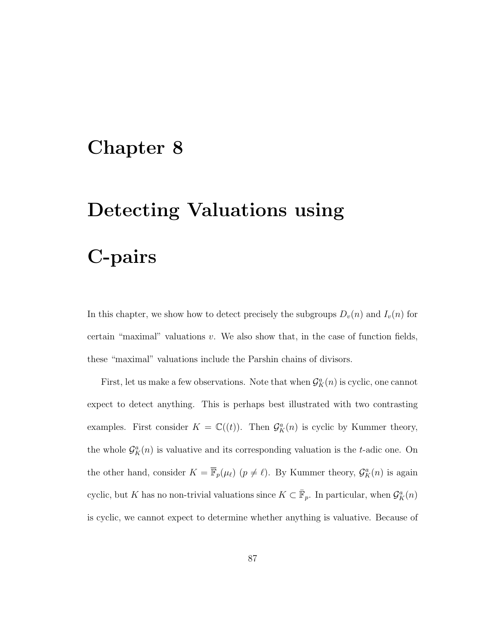## Chapter 8

# Detecting Valuations using

C-pairs

In this chapter, we show how to detect precisely the subgroups  $D_v(n)$  and  $I_v(n)$  for certain "maximal" valuations  $v$ . We also show that, in the case of function fields, these "maximal" valuations include the Parshin chains of divisors.

First, let us make a few observations. Note that when  $\mathcal{G}_{K}^{a}(n)$  is cyclic, one cannot expect to detect anything. This is perhaps best illustrated with two contrasting examples. First consider  $K = \mathbb{C}((t))$ . Then  $\mathcal{G}_{K}^{a}(n)$  is cyclic by Kummer theory, the whole  $\mathcal{G}_{K}^{a}(n)$  is valuative and its corresponding valuation is the t-adic one. On the other hand, consider  $K = \overline{\mathbb{F}}_p(\mu_\ell)$   $(p \neq \ell)$ . By Kummer theory,  $\mathcal{G}_K^a(n)$  is again cyclic, but K has no non-trivial valuations since  $K \subset \overline{\mathbb{F}}_p$ . In particular, when  $\mathcal{G}_K^a(n)$ is cyclic, we cannot expect to determine whether anything is valuative. Because of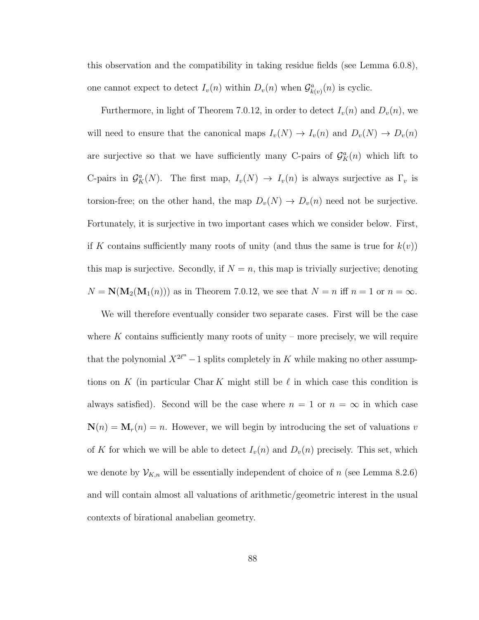this observation and the compatibility in taking residue fields (see Lemma 6.0.8), one cannot expect to detect  $I_v(n)$  within  $D_v(n)$  when  $\mathcal{G}_{k(v)}^a(n)$  is cyclic.

Furthermore, in light of Theorem 7.0.12, in order to detect  $I_v(n)$  and  $D_v(n)$ , we will need to ensure that the canonical maps  $I_v(N) \to I_v(n)$  and  $D_v(N) \to D_v(n)$ are surjective so that we have sufficiently many C-pairs of  $\mathcal{G}_{K}^{a}(n)$  which lift to C-pairs in  $\mathcal{G}_{K}^{a}(N)$ . The first map,  $I_{v}(N) \to I_{v}(n)$  is always surjective as  $\Gamma_{v}$  is torsion-free; on the other hand, the map  $D_v(N) \to D_v(n)$  need not be surjective. Fortunately, it is surjective in two important cases which we consider below. First, if K contains sufficiently many roots of unity (and thus the same is true for  $k(v)$ ) this map is surjective. Secondly, if  $N = n$ , this map is trivially surjective; denoting  $N = N(M_2(M_1(n)))$  as in Theorem 7.0.12, we see that  $N = n$  iff  $n = 1$  or  $n = \infty$ .

We will therefore eventually consider two separate cases. First will be the case where  $K$  contains sufficiently many roots of unity – more precisely, we will require that the polynomial  $X^{2\ell^n} - 1$  splits completely in K while making no other assumptions on K (in particular Char K might still be  $\ell$  in which case this condition is always satisfied). Second will be the case where  $n = 1$  or  $n = \infty$  in which case  $\mathbf{N}(n) = \mathbf{M}_r(n) = n$ . However, we will begin by introducing the set of valuations v of K for which we will be able to detect  $I_v(n)$  and  $D_v(n)$  precisely. This set, which we denote by  $\mathcal{V}_{K,n}$  will be essentially independent of choice of n (see Lemma 8.2.6) and will contain almost all valuations of arithmetic/geometric interest in the usual contexts of birational anabelian geometry.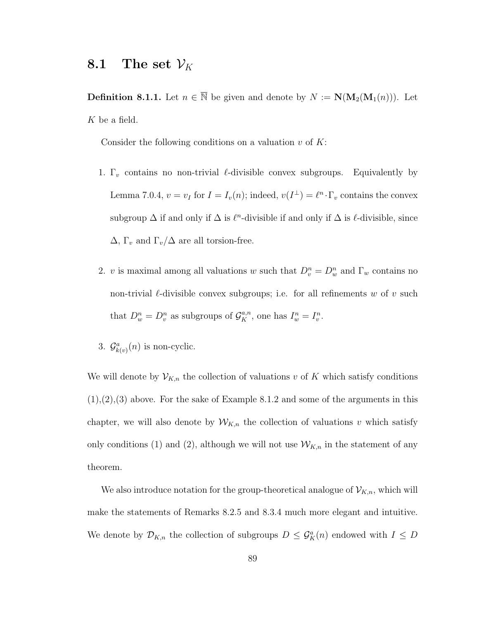### 8.1 The set  $\mathcal{V}_K$

**Definition 8.1.1.** Let  $n \in \overline{\mathbb{N}}$  be given and denote by  $N := \mathbf{N}(\mathbf{M}_2(\mathbf{M}_1(n)))$ . Let K be a field.

Consider the following conditions on a valuation  $v$  of  $K$ :

- 1.  $\Gamma_v$  contains no non-trivial  $\ell$ -divisible convex subgroups. Equivalently by Lemma 7.0.4,  $v = v_I$  for  $I = I_v(n)$ ; indeed,  $v(I^{\perp}) = \ell^n \cdot \Gamma_v$  contains the convex subgroup  $\Delta$  if and only if  $\Delta$  is  $\ell^n$ -divisible if and only if  $\Delta$  is  $\ell$ -divisible, since  $\Delta$ ,  $\Gamma_v$  and  $\Gamma_v/\Delta$  are all torsion-free.
- 2. v is maximal among all valuations w such that  $D_v^n = D_w^n$  and  $\Gamma_w$  contains no non-trivial  $\ell$ -divisible convex subgroups; i.e. for all refinements w of v such that  $D_w^n = D_v^n$  as subgroups of  $\mathcal{G}_K^{a,n}$ , one has  $I_w^n = I_v^n$ .
- 3.  $\mathcal{G}_{k(v)}^a(n)$  is non-cyclic.

We will denote by  $\mathcal{V}_{K,n}$  the collection of valuations v of K which satisfy conditions  $(1),(2),(3)$  above. For the sake of Example 8.1.2 and some of the arguments in this chapter, we will also denote by  $W_{K,n}$  the collection of valuations v which satisfy only conditions (1) and (2), although we will not use  $W_{K,n}$  in the statement of any theorem.

We also introduce notation for the group-theoretical analogue of  $\mathcal{V}_{K,n}$ , which will make the statements of Remarks 8.2.5 and 8.3.4 much more elegant and intuitive. We denote by  $\mathcal{D}_{K,n}$  the collection of subgroups  $D \leq \mathcal{G}_K^a(n)$  endowed with  $I \leq D$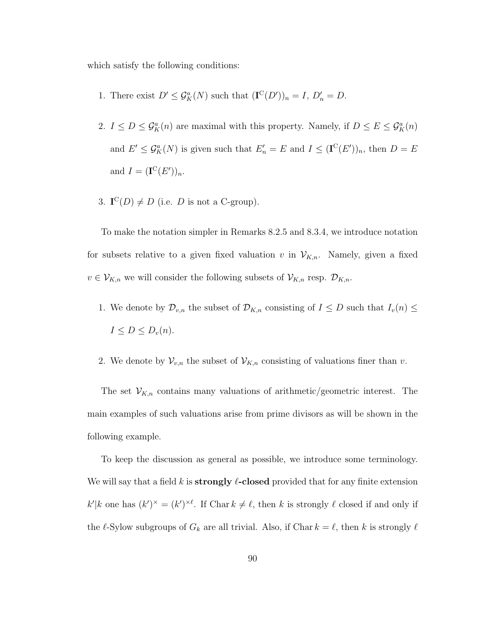which satisfy the following conditions:

- 1. There exist  $D' \leq \mathcal{G}_K^a(N)$  such that  $(\mathbf{I}^{\mathbf{C}}(D'))_n = I, D'_n = D$ .
- 2.  $I \leq D \leq \mathcal{G}_{K}^{a}(n)$  are maximal with this property. Namely, if  $D \leq E \leq \mathcal{G}_{K}^{a}(n)$ and  $E' \leq \mathcal{G}_{K}^{a}(N)$  is given such that  $E'_{n} = E$  and  $I \leq (\mathbf{I}^{C}(E'))_{n}$ , then  $D = E$ and  $I = (\mathbf{I}^{\mathcal{C}}(E'))_n$ .
- 3.  $\mathbf{I}^{\mathcal{C}}(D) \neq D$  (i.e. *D* is not a C-group).

To make the notation simpler in Remarks 8.2.5 and 8.3.4, we introduce notation for subsets relative to a given fixed valuation v in  $\mathcal{V}_{K,n}$ . Namely, given a fixed  $v \in \mathcal{V}_{K,n}$  we will consider the following subsets of  $\mathcal{V}_{K,n}$  resp.  $\mathcal{D}_{K,n}$ .

- 1. We denote by  $\mathcal{D}_{v,n}$  the subset of  $\mathcal{D}_{K,n}$  consisting of  $I \leq D$  such that  $I_v(n) \leq$  $I \leq D \leq D_v(n).$
- 2. We denote by  $\mathcal{V}_{v,n}$  the subset of  $\mathcal{V}_{K,n}$  consisting of valuations finer than v.

The set  $\mathcal{V}_{K,n}$  contains many valuations of arithmetic/geometric interest. The main examples of such valuations arise from prime divisors as will be shown in the following example.

To keep the discussion as general as possible, we introduce some terminology. We will say that a field k is **strongly**  $\ell$ -closed provided that for any finite extension  $k'|k$  one has  $(k')^* = (k')^{*l}$ . If Char  $k \neq l$ , then k is strongly  $l$  closed if and only if the  $\ell$ -Sylow subgroups of  $G_k$  are all trivial. Also, if Char  $k = \ell$ , then k is strongly  $\ell$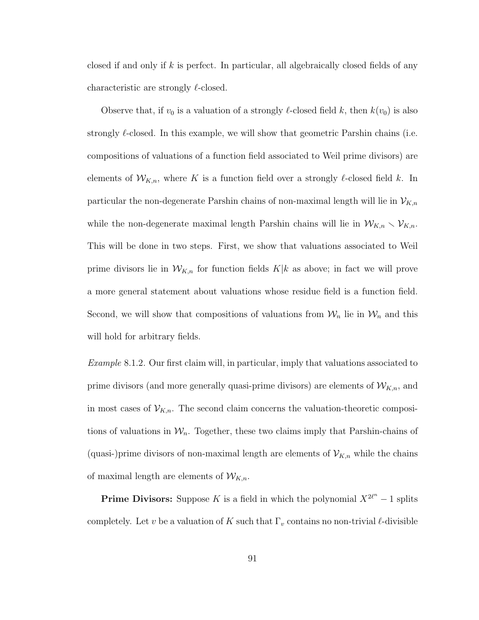closed if and only if  $k$  is perfect. In particular, all algebraically closed fields of any characteristic are strongly  $\ell$ -closed.

Observe that, if  $v_0$  is a valuation of a strongly  $\ell$ -closed field k, then  $k(v_0)$  is also strongly  $\ell$ -closed. In this example, we will show that geometric Parshin chains (i.e. compositions of valuations of a function field associated to Weil prime divisors) are elements of  $W_{K,n}$ , where K is a function field over a strongly  $\ell$ -closed field k. In particular the non-degenerate Parshin chains of non-maximal length will lie in  $\mathcal{V}_{K,n}$ while the non-degenerate maximal length Parshin chains will lie in  $W_{K,n} \setminus V_{K,n}$ . This will be done in two steps. First, we show that valuations associated to Weil prime divisors lie in  $W_{K,n}$  for function fields  $K|k$  as above; in fact we will prove a more general statement about valuations whose residue field is a function field. Second, we will show that compositions of valuations from  $\mathcal{W}_n$  lie in  $\mathcal{W}_n$  and this will hold for arbitrary fields.

Example 8.1.2. Our first claim will, in particular, imply that valuations associated to prime divisors (and more generally quasi-prime divisors) are elements of  $\mathcal{W}_{K,n}$ , and in most cases of  $\mathcal{V}_{K,n}$ . The second claim concerns the valuation-theoretic compositions of valuations in  $\mathcal{W}_n$ . Together, these two claims imply that Parshin-chains of (quasi-)prime divisors of non-maximal length are elements of  $\mathcal{V}_{K,n}$  while the chains of maximal length are elements of  $W_{K,n}$ .

**Prime Divisors:** Suppose K is a field in which the polynomial  $X^{2\ell^n} - 1$  splits completely. Let v be a valuation of K such that  $\Gamma_v$  contains no non-trivial l-divisible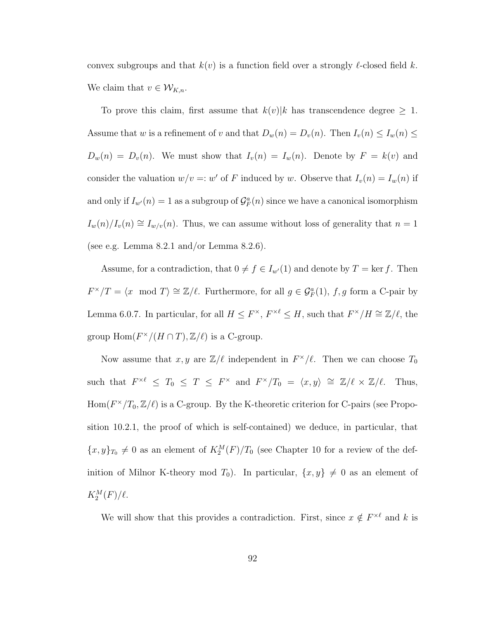convex subgroups and that  $k(v)$  is a function field over a strongly  $\ell$ -closed field k. We claim that  $v \in \mathcal{W}_{K,n}$ .

To prove this claim, first assume that  $k(v)|k$  has transcendence degree  $\geq 1$ . Assume that w is a refinement of v and that  $D_w(n) = D_v(n)$ . Then  $I_v(n) \le I_w(n) \le$  $D_w(n) = D_v(n)$ . We must show that  $I_v(n) = I_w(n)$ . Denote by  $F = k(v)$  and consider the valuation  $w/v = w'$  of F induced by w. Observe that  $I_v(n) = I_w(n)$  if and only if  $I_{w}(n) = 1$  as a subgroup of  $\mathcal{G}_F^a(n)$  since we have a canonical isomorphism  $I_w(n)/I_v(n) \cong I_{w/v}(n)$ . Thus, we can assume without loss of generality that  $n = 1$ (see e.g. Lemma  $8.2.1$  and/or Lemma  $8.2.6$ ).

Assume, for a contradiction, that  $0 \neq f \in I_{w'}(1)$  and denote by  $T = \text{ker } f$ . Then  $F^{\times}/T = \langle x \mod T \rangle \cong \mathbb{Z}/\ell$ . Furthermore, for all  $g \in \mathcal{G}_{F}^{a}(1)$ , f, g form a C-pair by Lemma 6.0.7. In particular, for all  $H \leq F^{\times}$ ,  $F^{\times \ell} \leq H$ , such that  $F^{\times}/H \cong \mathbb{Z}/\ell$ , the group  $\text{Hom}(F^{\times}/(H \cap T), \mathbb{Z}/\ell)$  is a C-group.

Now assume that  $x, y$  are  $\mathbb{Z}/\ell$  independent in  $F^{\times}/\ell$ . Then we can choose  $T_0$ such that  $F^{\times \ell} \leq T_0 \leq T \leq F^{\times}$  and  $F^{\times}/T_0 = \langle x, y \rangle \cong \mathbb{Z}/\ell \times \mathbb{Z}/\ell$ . Thus,  $Hom(F^{\times}/T_0, \mathbb{Z}/\ell)$  is a C-group. By the K-theoretic criterion for C-pairs (see Proposition 10.2.1, the proof of which is self-contained) we deduce, in particular, that  ${x, y}_{T_0} \neq 0$  as an element of  $K_2^M(F)/T_0$  (see Chapter 10 for a review of the definition of Milnor K-theory mod  $T_0$ ). In particular,  $\{x, y\} \neq 0$  as an element of  $K_2^M(F)/\ell.$ 

We will show that this provides a contradiction. First, since  $x \notin F^{\times \ell}$  and k is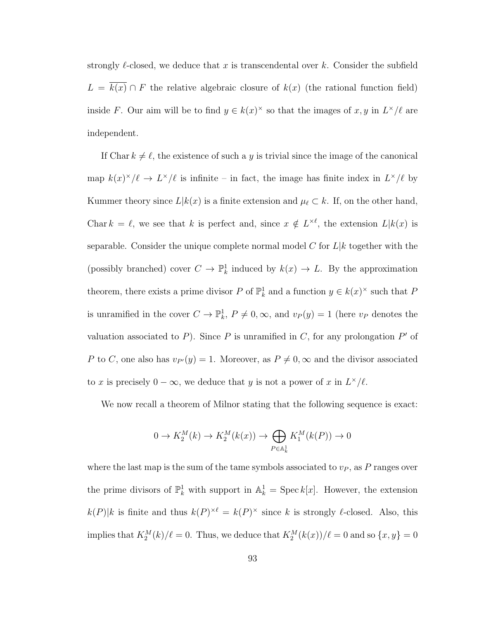strongly  $\ell$ -closed, we deduce that x is transcendental over k. Consider the subfield  $L = \overline{k(x)} \cap F$  the relative algebraic closure of  $k(x)$  (the rational function field) inside F. Our aim will be to find  $y \in k(x)^{\times}$  so that the images of  $x, y$  in  $L^{\times}/\ell$  are independent.

If Char  $k \neq \ell$ , the existence of such a y is trivial since the image of the canonical map  $k(x)^{\times}/\ell \rightarrow L^{\times}/\ell$  is infinite – in fact, the image has finite index in  $L^{\times}/\ell$  by Kummer theory since  $L|k(x)$  is a finite extension and  $\mu_\ell \subset k$ . If, on the other hand, Char  $k = \ell$ , we see that k is perfect and, since  $x \notin L^{\times \ell}$ , the extension  $L|k(x)$  is separable. Consider the unique complete normal model C for  $L|k$  together with the (possibly branched) cover  $C \to \mathbb{P}^1_k$  induced by  $k(x) \to L$ . By the approximation theorem, there exists a prime divisor P of  $\mathbb{P}^1_k$  and a function  $y \in k(x)^\times$  such that P is unramified in the cover  $C \to \mathbb{P}^1_k$ ,  $P \neq 0, \infty$ , and  $v_P(y) = 1$  (here  $v_P$  denotes the valuation associated to  $P$ ). Since  $P$  is unramified in  $C$ , for any prolongation  $P'$  of P to C, one also has  $v_{P}(y) = 1$ . Moreover, as  $P \neq 0$ ,  $\infty$  and the divisor associated to x is precisely  $0 - \infty$ , we deduce that y is not a power of x in  $L^{\times}/\ell$ .

We now recall a theorem of Milnor stating that the following sequence is exact:

$$
0 \to K_2^M(k) \to K_2^M(k(x)) \to \bigoplus_{P \in \mathbb{A}_k^1} K_1^M(k(P)) \to 0
$$

where the last map is the sum of the tame symbols associated to  $v<sub>P</sub>$ , as P ranges over the prime divisors of  $\mathbb{P}_k^1$  with support in  $\mathbb{A}_k^1 = \operatorname{Spec} k[x]$ . However, the extension  $k(P)|k$  is finite and thus  $k(P)^{\times \ell} = k(P)^{\times}$  since k is strongly  $\ell$ -closed. Also, this implies that  $K_2^M(k)/\ell = 0$ . Thus, we deduce that  $K_2^M(k(x))/\ell = 0$  and so  $\{x, y\} = 0$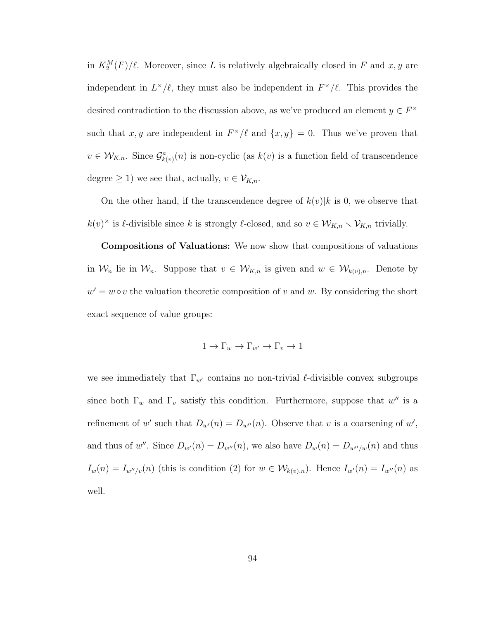in  $K_2^M(F)/\ell$ . Moreover, since L is relatively algebraically closed in F and  $x, y$  are independent in  $L^{\times}/\ell$ , they must also be independent in  $F^{\times}/\ell$ . This provides the desired contradiction to the discussion above, as we've produced an element  $y \in F^{\times}$ such that x, y are independent in  $F^{\times}/\ell$  and  $\{x, y\} = 0$ . Thus we've proven that  $v \in W_{K,n}$ . Since  $\mathcal{G}_{k(v)}^a(n)$  is non-cyclic (as  $k(v)$  is a function field of transcendence degree  $\geq 1$ ) we see that, actually,  $v \in \mathcal{V}_{K,n}$ .

On the other hand, if the transcendence degree of  $k(v)|k$  is 0, we observe that  $k(v)^{\times}$  is  $\ell$ -divisible since k is strongly  $\ell$ -closed, and so  $v \in \mathcal{W}_{K,n} \setminus \mathcal{V}_{K,n}$  trivially.

Compositions of Valuations: We now show that compositions of valuations in  $\mathcal{W}_n$  lie in  $\mathcal{W}_n$ . Suppose that  $v \in \mathcal{W}_{K,n}$  is given and  $w \in \mathcal{W}_{k(v),n}$ . Denote by  $w' = w \circ v$  the valuation theoretic composition of v and w. By considering the short exact sequence of value groups:

$$
1 \to \Gamma_w \to \Gamma_{w'} \to \Gamma_v \to 1
$$

we see immediately that  $\Gamma_{w'}$  contains no non-trivial  $\ell$ -divisible convex subgroups since both  $\Gamma_w$  and  $\Gamma_v$  satisfy this condition. Furthermore, suppose that w'' is a refinement of w' such that  $D_{w}(n) = D_{w}(n)$ . Observe that v is a coarsening of w', and thus of w''. Since  $D_{w}(n) = D_{w}(n)$ , we also have  $D_{w}(n) = D_{w''/w}(n)$  and thus  $I_w(n) = I_{w''/v}(n)$  (this is condition (2) for  $w \in \mathcal{W}_{k(v),n}$ ). Hence  $I_{w'}(n) = I_{w''}(n)$  as well.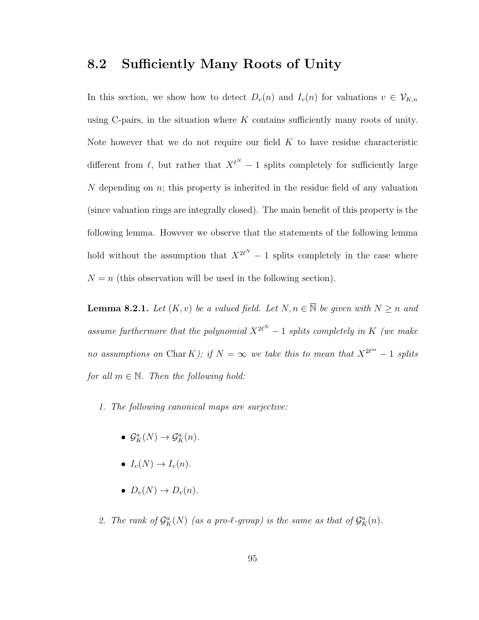#### 8.2 Sufficiently Many Roots of Unity

In this section, we show how to detect  $D_v(n)$  and  $I_v(n)$  for valuations  $v \in V_{K,n}$ using C-pairs, in the situation where  $K$  contains sufficiently many roots of unity. Note however that we do not require our field  $K$  to have residue characteristic different from  $\ell$ , but rather that  $X^{\ell^N} - 1$  splits completely for sufficiently large N depending on  $n$ ; this property is inherited in the residue field of any valuation (since valuation rings are integrally closed). The main benefit of this property is the following lemma. However we observe that the statements of the following lemma hold without the assumption that  $X^{2\ell^N} - 1$  splits completely in the case where  $N = n$  (this observation will be used in the following section).

**Lemma 8.2.1.** Let  $(K, v)$  be a valued field. Let  $N, n \in \overline{\mathbb{N}}$  be given with  $N \ge n$  and assume furthermore that the polynomial  $X^{2\ell^N} - 1$  splits completely in K (we make no assumptions on Char K); if  $N = \infty$  we take this to mean that  $X^{2\ell^m} - 1$  splits for all  $m \in \mathbb{N}$ . Then the following hold:

- 1. The following canonical maps are surjective:
	- $\mathcal{G}_{K}^{a}(N) \rightarrow \mathcal{G}_{K}^{a}(n)$ .
	- $I_v(N) \to I_v(n)$ .
	- $D_v(N) \to D_v(n)$ .
- 2. The rank of  $\mathcal{G}_{K}^{a}(N)$  (as a pro- $\ell$ -group) is the same as that of  $\mathcal{G}_{K}^{a}(n)$ .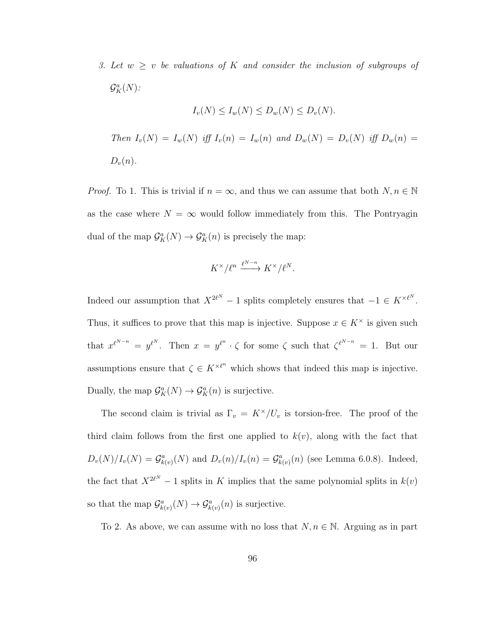3. Let  $w \geq v$  be valuations of K and consider the inclusion of subgroups of  $\mathcal{G}_{K}^{a}(N)$ :

$$
I_v(N) \le I_w(N) \le D_w(N) \le D_v(N).
$$
  
Then  $I_v(N) = I_w(N)$  iff  $I_v(n) = I_w(n)$  and  $D_w(N) = D_v(N)$  iff  $D_w(n) = D_v(n)$ .

*Proof.* To 1. This is trivial if  $n = \infty$ , and thus we can assume that both  $N, n \in \mathbb{N}$ as the case where  $N = \infty$  would follow immediately from this. The Pontryagin dual of the map  $\mathcal{G}_{K}^{a}(N) \to \mathcal{G}_{K}^{a}(n)$  is precisely the map:

$$
K^{\times}/\ell^n \xrightarrow{\ell^{N-n}} K^{\times}/\ell^N.
$$

Indeed our assumption that  $X^{2\ell^N} - 1$  splits completely ensures that  $-1 \in K^{\times \ell^N}$ . Thus, it suffices to prove that this map is injective. Suppose  $x \in K^{\times}$  is given such that  $x^{\ell^{N-n}} = y^{\ell^N}$ . Then  $x = y^{\ell^n} \cdot \zeta$  for some  $\zeta$  such that  $\zeta^{\ell^{N-n}} = 1$ . But our assumptions ensure that  $\zeta \in K^{\times \ell^n}$  which shows that indeed this map is injective. Dually, the map  $\mathcal{G}_{K}^{a}(N) \to \mathcal{G}_{K}^{a}(n)$  is surjective.

The second claim is trivial as  $\Gamma_v = K^\times/U_v$  is torsion-free. The proof of the third claim follows from the first one applied to  $k(v)$ , along with the fact that  $D_v(N)/I_v(N) = \mathcal{G}_{k(v)}^a(N)$  and  $D_v(n)/I_v(n) = \mathcal{G}_{k(v)}^a(n)$  (see Lemma 6.0.8). Indeed, the fact that  $X^{2\ell^N} - 1$  splits in K implies that the same polynomial splits in  $k(v)$ so that the map  $\mathcal{G}_{k(v)}^a(N) \to \mathcal{G}_{k(v)}^a(n)$  is surjective.

To 2. As above, we can assume with no loss that  $N, n \in \mathbb{N}$ . Arguing as in part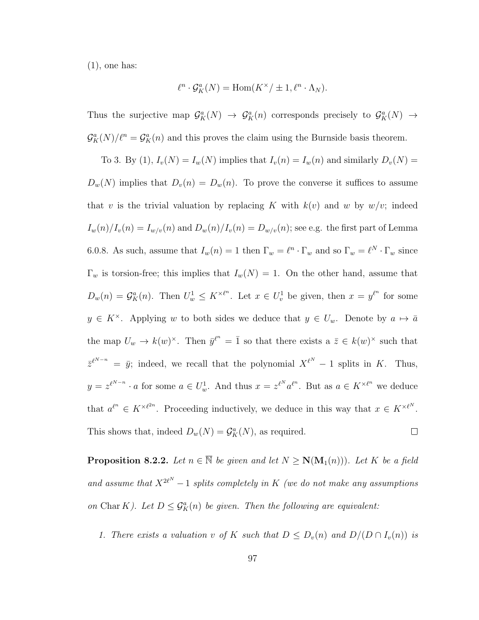$(1)$ , one has:

$$
\ell^n \cdot \mathcal{G}_K^a(N) = \text{Hom}(K^\times / \pm 1, \ell^n \cdot \Lambda_N).
$$

Thus the surjective map  $\mathcal{G}_{K}^{a}(N) \to \mathcal{G}_{K}^{a}(n)$  corresponds precisely to  $\mathcal{G}_{K}^{a}(N) \to$  $\mathcal{G}_{K}^{a}(N)/\ell^{n} = \mathcal{G}_{K}^{a}(n)$  and this proves the claim using the Burnside basis theorem.

To 3. By (1),  $I_v(N) = I_w(N)$  implies that  $I_v(n) = I_w(n)$  and similarly  $D_v(N) =$  $D_w(N)$  implies that  $D_v(n) = D_w(n)$ . To prove the converse it suffices to assume that v is the trivial valuation by replacing K with  $k(v)$  and w by  $w/v$ ; indeed  $I_w(n)/I_v(n) = I_{w/v}(n)$  and  $D_w(n)/I_v(n) = D_{w/v}(n)$ ; see e.g. the first part of Lemma 6.0.8. As such, assume that  $I_w(n) = 1$  then  $\Gamma_w = \ell^n \cdot \Gamma_w$  and so  $\Gamma_w = \ell^N \cdot \Gamma_w$  since  $\Gamma_w$  is torsion-free; this implies that  $I_w(N) = 1$ . On the other hand, assume that  $D_w(n) = \mathcal{G}_K^a(n)$ . Then  $U_w^1 \leq K^{\times \ell^n}$ . Let  $x \in U_v^1$  be given, then  $x = y^{\ell^n}$  for some  $y \in K^{\times}$ . Applying w to both sides we deduce that  $y \in U_w$ . Denote by  $a \mapsto \bar{a}$ the map  $U_w \to k(w)^{\times}$ . Then  $\bar{y}^{l^n} = \bar{1}$  so that there exists a  $\bar{z} \in k(w)^{\times}$  such that  $\bar{z}^{\ell^{N-n}} = \bar{y}$ ; indeed, we recall that the polynomial  $X^{\ell^N} - 1$  splits in K. Thus,  $y = z^{\ell^{N-n}} \cdot a$  for some  $a \in U_w^1$ . And thus  $x = z^{\ell^N} a^{\ell^n}$ . But as  $a \in K^{\times \ell^n}$  we deduce that  $a^{\ell^n} \in K^{\times \ell^{2n}}$ . Proceeding inductively, we deduce in this way that  $x \in K^{\times \ell^N}$ . This shows that, indeed  $D_w(N) = \mathcal{G}_K^a(N)$ , as required.  $\Box$ 

**Proposition 8.2.2.** Let  $n \in \overline{N}$  be given and let  $N \ge N(M_1(n))$ . Let K be a field and assume that  $X^{2\ell^N}-1$  splits completely in K (we do not make any assumptions on Char K). Let  $D \leq \mathcal{G}_{K}^{a}(n)$  be given. Then the following are equivalent:

1. There exists a valuation v of K such that  $D \le D_v(n)$  and  $D/(D \cap I_v(n))$  is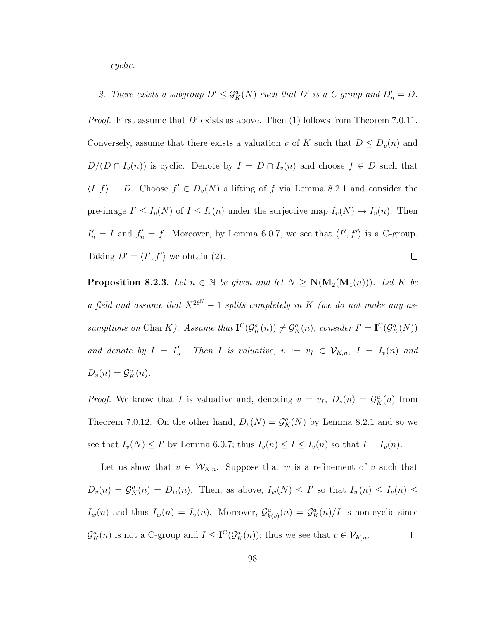cyclic.

2. There exists a subgroup  $D' \leq \mathcal{G}_{K}^{a}(N)$  such that  $D'$  is a C-group and  $D'_{n} = D$ .

*Proof.* First assume that  $D'$  exists as above. Then (1) follows from Theorem 7.0.11. Conversely, assume that there exists a valuation v of K such that  $D \leq D_v(n)$  and  $D/(D \cap I_v(n))$  is cyclic. Denote by  $I = D \cap I_v(n)$  and choose  $f \in D$  such that  $\langle I, f \rangle = D$ . Choose  $f' \in D_v(N)$  a lifting of f via Lemma 8.2.1 and consider the pre-image  $I' \leq I_v(N)$  of  $I \leq I_v(n)$  under the surjective map  $I_v(N) \to I_v(n)$ . Then  $I'_n = I$  and  $f'_n = f$ . Moreover, by Lemma 6.0.7, we see that  $\langle I', f' \rangle$  is a C-group. Taking  $D' = \langle I', f' \rangle$  we obtain (2).  $\Box$ 

**Proposition 8.2.3.** Let  $n \in \overline{\mathbb{N}}$  be given and let  $N \ge N(M_2(M_1(n)))$ . Let K be a field and assume that  $X^{2\ell^N} - 1$  splits completely in K (we do not make any assumptions on Char K). Assume that  $\mathbf{I}^{\mathbb{C}}(\mathcal{G}_{K}^{a}(n)) \neq \mathcal{G}_{K}^{a}(n)$ , consider  $I' = \mathbf{I}^{\mathbb{C}}(\mathcal{G}_{K}^{a}(N))$ and denote by  $I = I'_n$ . Then I is valuative,  $v := v_I \in V_{K,n}$ ,  $I = I_v(n)$  and  $D_v(n) = \mathcal{G}_K^a(n).$ 

*Proof.* We know that I is valuative and, denoting  $v = v_I$ ,  $D_v(n) = G_K^a(n)$  from Theorem 7.0.12. On the other hand,  $D_v(N) = \mathcal{G}_K^a(N)$  by Lemma 8.2.1 and so we see that  $I_v(N) \leq I'$  by Lemma 6.0.7; thus  $I_v(n) \leq I \leq I_v(n)$  so that  $I = I_v(n)$ .

Let us show that  $v \in W_{K,n}$ . Suppose that w is a refinement of v such that  $D_v(n) = \mathcal{G}_K^a(n) = D_w(n)$ . Then, as above,  $I_w(N) \leq I'$  so that  $I_w(n) \leq I_v(n) \leq I_w(n)$  $I_w(n)$  and thus  $I_w(n) = I_v(n)$ . Moreover,  $\mathcal{G}_{k(v)}^a(n) = \mathcal{G}_K^a(n)/I$  is non-cyclic since  $\mathcal{G}_{K}^{a}(n)$  is not a C-group and  $I \leq \mathbf{I}^{\mathbf{C}}(\mathcal{G}_{K}^{a}(n))$ ; thus we see that  $v \in \mathcal{V}_{K,n}$ .  $\Box$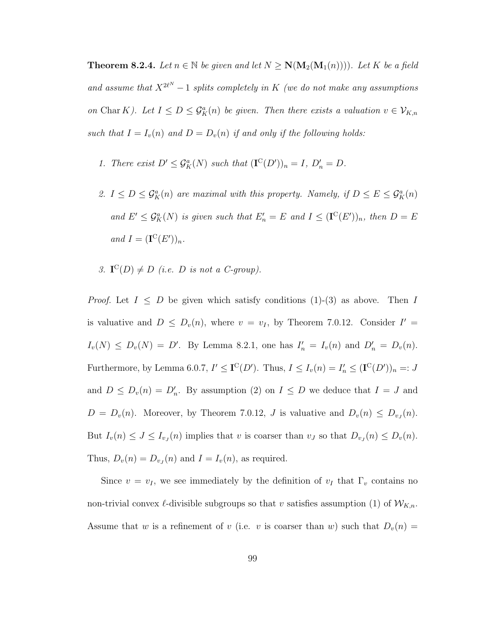**Theorem 8.2.4.** Let  $n \in \mathbb{N}$  be given and let  $N \ge N(M_2(M_1(n)))$ . Let K be a field and assume that  $X^{2\ell^N}-1$  splits completely in K (we do not make any assumptions on Char K). Let  $I \leq D \leq \mathcal{G}_{K}^{a}(n)$  be given. Then there exists a valuation  $v \in \mathcal{V}_{K,n}$ such that  $I = I_v(n)$  and  $D = D_v(n)$  if and only if the following holds:

- 1. There exist  $D' \leq \mathcal{G}_K^a(N)$  such that  $(\mathbf{I}^{\mathbf{C}}(D'))_n = I, D'_n = D$ .
- 2.  $I \leq D \leq \mathcal{G}_{K}^{a}(n)$  are maximal with this property. Namely, if  $D \leq E \leq \mathcal{G}_{K}^{a}(n)$ and  $E' \leq \mathcal{G}_{K}^{a}(N)$  is given such that  $E'_{n} = E$  and  $I \leq (\mathbf{I}^{C}(E'))_{n}$ , then  $D = E$ and  $I = (\mathbf{I}^{\mathcal{C}}(E'))_n$ .
- 3.  $\mathbf{I}^{\mathcal{C}}(D) \neq D$  (i.e. D is not a C-group).

*Proof.* Let  $I \leq D$  be given which satisfy conditions (1)-(3) as above. Then I is valuative and  $D \leq D_v(n)$ , where  $v = v_I$ , by Theorem 7.0.12. Consider  $I' =$  $I_v(N) \le D_v(N) = D'$ . By Lemma 8.2.1, one has  $I'_n = I_v(n)$  and  $D'_n = D_v(n)$ . Furthermore, by Lemma 6.0.7,  $I' \leq \mathbf{I}^{\mathbf{C}}(D')$ . Thus,  $I \leq I_v(n) = I'_n \leq (\mathbf{I}^{\mathbf{C}}(D'))_n =: J$ and  $D \leq D_v(n) = D'_n$ . By assumption (2) on  $I \leq D$  we deduce that  $I = J$  and  $D = D_v(n)$ . Moreover, by Theorem 7.0.12, J is valuative and  $D_v(n) \leq D_{v}(\eta)$ . But  $I_v(n) \leq J \leq I_{v_j}(n)$  implies that v is coarser than  $v_j$  so that  $D_{v_j}(n) \leq D_v(n)$ . Thus,  $D_v(n) = D_{v_J}(n)$  and  $I = I_v(n)$ , as required.

Since  $v = v_I$ , we see immediately by the definition of  $v_I$  that  $\Gamma_v$  contains no non-trivial convex  $\ell$ -divisible subgroups so that v satisfies assumption (1) of  $W_{K,n}$ . Assume that w is a refinement of v (i.e. v is coarser than w) such that  $D_v(n) =$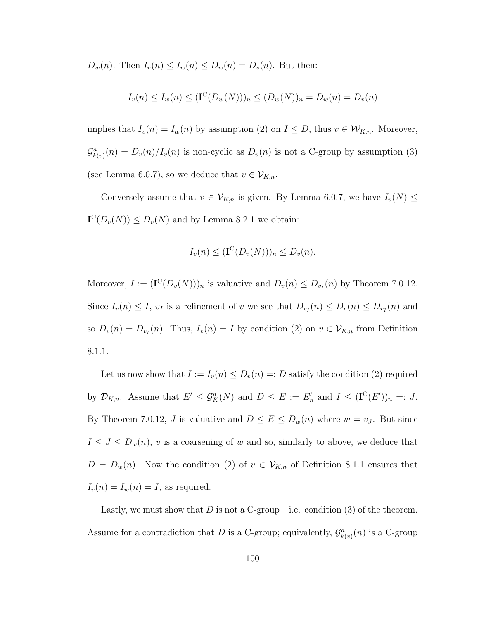$D_w(n)$ . Then  $I_v(n) \leq I_w(n) \leq D_w(n) = D_v(n)$ . But then:

$$
I_v(n) \le I_w(n) \le (\mathbf{I}^{\mathbb{C}}(D_w(N)))_n \le (D_w(N))_n = D_w(n) = D_v(n)
$$

implies that  $I_v(n) = I_w(n)$  by assumption (2) on  $I \leq D$ , thus  $v \in W_{K,n}$ . Moreover,  $\mathcal{G}_{k(v)}^{a}(n) = D_{v}(n)/I_{v}(n)$  is non-cyclic as  $D_{v}(n)$  is not a C-group by assumption (3) (see Lemma 6.0.7), so we deduce that  $v \in \mathcal{V}_{K,n}$ .

Conversely assume that  $v \in V_{K,n}$  is given. By Lemma 6.0.7, we have  $I_v(N) \leq$  $\mathbf{I}^{\mathbb{C}}(D_v(N)) \leq D_v(N)$  and by Lemma 8.2.1 we obtain:

$$
I_v(n) \leq (\mathbf{I}^{\mathbf{C}}(D_v(N)))_n \leq D_v(n).
$$

Moreover,  $I := (\mathbf{I}^{\mathcal{C}}(D_v(N)))_n$  is valuative and  $D_v(n) \leq D_{v_I}(n)$  by Theorem 7.0.12. Since  $I_v(n) \leq I$ ,  $v_I$  is a refinement of v we see that  $D_{v_I}(n) \leq D_v(n) \leq D_{v_I}(n)$  and so  $D_v(n) = D_{v_I}(n)$ . Thus,  $I_v(n) = I$  by condition (2) on  $v \in V_{K,n}$  from Definition 8.1.1.

Let us now show that  $I := I_v(n) \le D_v(n) =: D$  satisfy the condition (2) required by  $\mathcal{D}_{K,n}$ . Assume that  $E' \leq \mathcal{G}_{K}^{a}(N)$  and  $D \leq E := E'_{n}$  and  $I \leq (\mathbf{I}^{C}(E'))_{n} =: J$ . By Theorem 7.0.12, J is valuative and  $D \le E \le D_w(n)$  where  $w = v_J$ . But since  $I \leq J \leq D_w(n)$ , v is a coarsening of w and so, similarly to above, we deduce that  $D = D_w(n)$ . Now the condition (2) of  $v \in V_{K,n}$  of Definition 8.1.1 ensures that  $I_v(n) = I_w(n) = I$ , as required.

Lastly, we must show that D is not a C-group – i.e. condition (3) of the theorem. Assume for a contradiction that D is a C-group; equivalently,  $\mathcal{G}_{k(v)}^a(n)$  is a C-group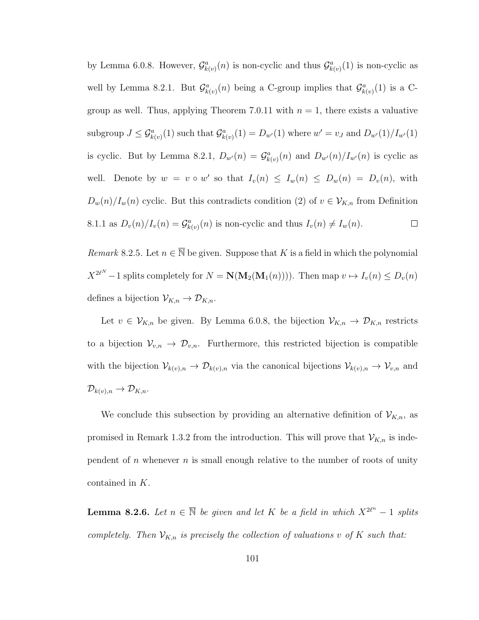by Lemma 6.0.8. However,  $\mathcal{G}_{k(v)}^a(n)$  is non-cyclic and thus  $\mathcal{G}_{k(v)}^a(1)$  is non-cyclic as well by Lemma 8.2.1. But  $\mathcal{G}_{k(v)}^a(n)$  being a C-group implies that  $\mathcal{G}_{k(v)}^a(1)$  is a Cgroup as well. Thus, applying Theorem 7.0.11 with  $n = 1$ , there exists a valuative subgroup  $J \leq \mathcal{G}_{k(v)}^a(1)$  such that  $\mathcal{G}_{k(v)}^a(1) = D_{w'}(1)$  where  $w' = v_J$  and  $D_{w'}(1)/I_{w'}(1)$ is cyclic. But by Lemma 8.2.1,  $D_{w'}(n) = G_{k(v)}^a(n)$  and  $D_{w'}(n)/I_{w'}(n)$  is cyclic as well. Denote by  $w = v \circ w'$  so that  $I_v(n) \leq I_w(n) \leq D_w(n) = D_v(n)$ , with  $D_w(n)/I_w(n)$  cyclic. But this contradicts condition (2) of  $v \in V_{K,n}$  from Definition 8.1.1 as  $D_v(n)/I_v(n) = \mathcal{G}_{k(v)}^a(n)$  is non-cyclic and thus  $I_v(n) \neq I_w(n)$ .  $\Box$ 

Remark 8.2.5. Let  $n \in \overline{\mathbb{N}}$  be given. Suppose that K is a field in which the polynomial  $X^{2\ell^N}-1$  splits completely for  $N = \mathbf{N}(\mathbf{M}_2(\mathbf{M}_1(n)))$ . Then map  $v \mapsto I_v(n) \leq D_v(n)$ defines a bijection  $\mathcal{V}_{K,n} \to \mathcal{D}_{K,n}$ .

Let  $v \in V_{K,n}$  be given. By Lemma 6.0.8, the bijection  $V_{K,n} \to \mathcal{D}_{K,n}$  restricts to a bijection  $\mathcal{V}_{v,n} \to \mathcal{D}_{v,n}$ . Furthermore, this restricted bijection is compatible with the bijection  $\mathcal{V}_{k(v),n} \to \mathcal{D}_{k(v),n}$  via the canonical bijections  $\mathcal{V}_{k(v),n} \to \mathcal{V}_{v,n}$  and  $\mathcal{D}_{k(v),n} \to \mathcal{D}_{K,n}.$ 

We conclude this subsection by providing an alternative definition of  $\mathcal{V}_{K,n}$ , as promised in Remark 1.3.2 from the introduction. This will prove that  $\mathcal{V}_{K,n}$  is independent of n whenever  $n$  is small enough relative to the number of roots of unity contained in K.

**Lemma 8.2.6.** Let  $n \in \overline{N}$  be given and let K be a field in which  $X^{2\ell^n} - 1$  splits completely. Then  $V_{K,n}$  is precisely the collection of valuations v of K such that: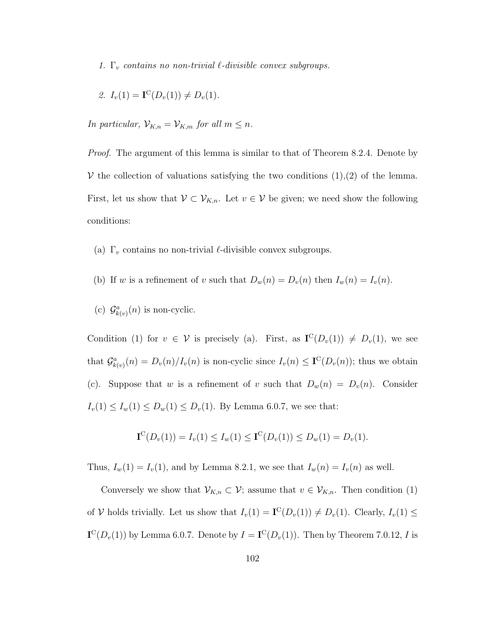1.  $\Gamma_v$  contains no non-trivial  $\ell$ -divisible convex subgroups.

2. 
$$
I_v(1) = \mathbf{I}^{\mathcal{C}}(D_v(1)) \neq D_v(1)
$$
.

In particular,  $\mathcal{V}_{K,n} = \mathcal{V}_{K,m}$  for all  $m \leq n$ .

*Proof.* The argument of this lemma is similar to that of Theorem 8.2.4. Denote by V the collection of valuations satisfying the two conditions  $(1),(2)$  of the lemma. First, let us show that  $V \subset V_{K,n}$ . Let  $v \in V$  be given; we need show the following conditions:

- (a)  $\Gamma_v$  contains no non-trivial  $\ell$ -divisible convex subgroups.
- (b) If w is a refinement of v such that  $D_w(n) = D_v(n)$  then  $I_w(n) = I_v(n)$ .
- (c)  $\mathcal{G}_{k(v)}^a(n)$  is non-cyclic.

Condition (1) for  $v \in V$  is precisely (a). First, as  $I^{C}(D_{v}(1)) \neq D_{v}(1)$ , we see that  $\mathcal{G}_{k(v)}^a(n) = D_v(n)/I_v(n)$  is non-cyclic since  $I_v(n) \leq \mathbf{I}^{\mathbb{C}}(D_v(n))$ ; thus we obtain (c). Suppose that w is a refinement of v such that  $D_w(n) = D_v(n)$ . Consider  $I_v(1) \le I_w(1) \le D_w(1) \le D_v(1)$ . By Lemma 6.0.7, we see that:

$$
\mathbf{I}^{\mathcal{C}}(D_{v}(1)) = I_{v}(1) \leq I_{w}(1) \leq \mathbf{I}^{\mathcal{C}}(D_{v}(1)) \leq D_{w}(1) = D_{v}(1).
$$

Thus,  $I_w(1) = I_v(1)$ , and by Lemma 8.2.1, we see that  $I_w(n) = I_v(n)$  as well.

Conversely we show that  $V_{K,n} \subset V$ ; assume that  $v \in V_{K,n}$ . Then condition (1) of V holds trivially. Let us show that  $I_v(1) = \mathbf{I}^{\mathbb{C}}(D_v(1)) \neq D_v(1)$ . Clearly,  $I_v(1) \leq$  $\mathbf{I}^{\mathrm{C}}(D_v(1))$  by Lemma 6.0.7. Denote by  $I = \mathbf{I}^{\mathrm{C}}(D_v(1))$ . Then by Theorem 7.0.12, I is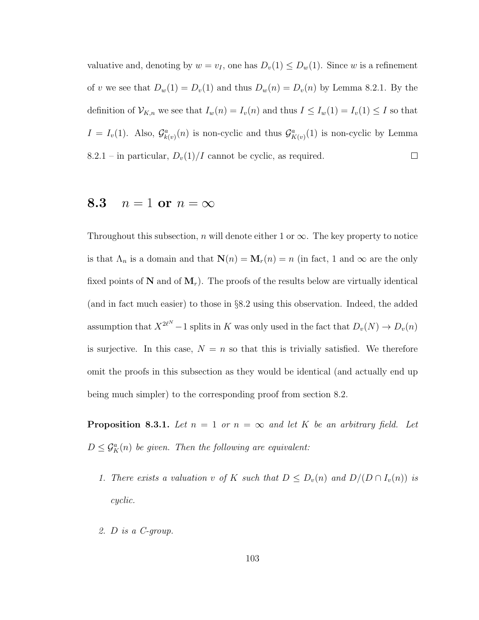valuative and, denoting by  $w = v_I$ , one has  $D_v(1) \leq D_w(1)$ . Since w is a refinement of v we see that  $D_w(1) = D_v(1)$  and thus  $D_w(n) = D_v(n)$  by Lemma 8.2.1. By the definition of  $\mathcal{V}_{K,n}$  we see that  $I_w(n) = I_v(n)$  and thus  $I \leq I_w(1) = I_v(1) \leq I$  so that  $I = I_v(1)$ . Also,  $\mathcal{G}_{k(v)}^a(n)$  is non-cyclic and thus  $\mathcal{G}_{K(v)}^a(1)$  is non-cyclic by Lemma 8.2.1 – in particular,  $D_v(1)/I$  cannot be cyclic, as required.  $\Box$ 

#### 8.3  $n=1$  or  $n=\infty$

Throughout this subsection, n will denote either 1 or  $\infty$ . The key property to notice is that  $\Lambda_n$  is a domain and that  $\mathbf{N}(n) = \mathbf{M}_r(n) = n$  (in fact, 1 and  $\infty$  are the only fixed points of  $N$  and of  $M_r$ ). The proofs of the results below are virtually identical (and in fact much easier) to those in §8.2 using this observation. Indeed, the added assumption that  $X^{2\ell^N} - 1$  splits in K was only used in the fact that  $D_v(N) \to D_v(n)$ is surjective. In this case,  $N = n$  so that this is trivially satisfied. We therefore omit the proofs in this subsection as they would be identical (and actually end up being much simpler) to the corresponding proof from section 8.2.

**Proposition 8.3.1.** Let  $n = 1$  or  $n = \infty$  and let K be an arbitrary field. Let  $D \leq \mathcal{G}_{K}^{a}(n)$  be given. Then the following are equivalent:

- 1. There exists a valuation v of K such that  $D \le D_v(n)$  and  $D/(D \cap I_v(n))$  is cyclic.
- 2. D is a C-group.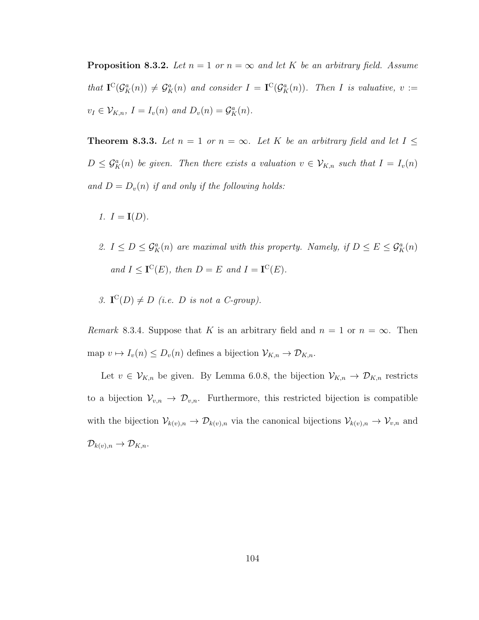**Proposition 8.3.2.** Let  $n = 1$  or  $n = \infty$  and let K be an arbitrary field. Assume that  $\mathbf{I}^{\mathbb{C}}(\mathcal{G}_{K}^{a}(n)) \neq \mathcal{G}_{K}^{a}(n)$  and consider  $I = \mathbf{I}^{\mathbb{C}}(\mathcal{G}_{K}^{a}(n))$ . Then I is valuative,  $v :=$  $v_I \in \mathcal{V}_{K,n}, I = I_v(n)$  and  $D_v(n) = \mathcal{G}_K^a(n)$ .

**Theorem 8.3.3.** Let  $n = 1$  or  $n = \infty$ . Let K be an arbitrary field and let  $I \leq$  $D \leq \mathcal{G}_{K}^{a}(n)$  be given. Then there exists a valuation  $v \in \mathcal{V}_{K,n}$  such that  $I = I_{v}(n)$ and  $D = D_v(n)$  if and only if the following holds:

- 1.  $I = I(D)$ .
- 2.  $I \leq D \leq \mathcal{G}_{K}^{a}(n)$  are maximal with this property. Namely, if  $D \leq E \leq \mathcal{G}_{K}^{a}(n)$ and  $I \leq \mathbf{I}^{\mathbf{C}}(E)$ , then  $D = E$  and  $I = \mathbf{I}^{\mathbf{C}}(E)$ .
- 3.  $\mathbf{I}^{\mathcal{C}}(D) \neq D$  (i.e. D is not a C-group).

Remark 8.3.4. Suppose that K is an arbitrary field and  $n = 1$  or  $n = \infty$ . Then map  $v \mapsto I_v(n) \le D_v(n)$  defines a bijection  $\mathcal{V}_{K,n} \to \mathcal{D}_{K,n}$ .

Let  $v \in V_{K,n}$  be given. By Lemma 6.0.8, the bijection  $V_{K,n} \to \mathcal{D}_{K,n}$  restricts to a bijection  $\mathcal{V}_{v,n} \to \mathcal{D}_{v,n}$ . Furthermore, this restricted bijection is compatible with the bijection  $\mathcal{V}_{k(v),n} \to \mathcal{D}_{k(v),n}$  via the canonical bijections  $\mathcal{V}_{k(v),n} \to \mathcal{V}_{v,n}$  and  $\mathcal{D}_{k(v),n} \to \mathcal{D}_{K,n}.$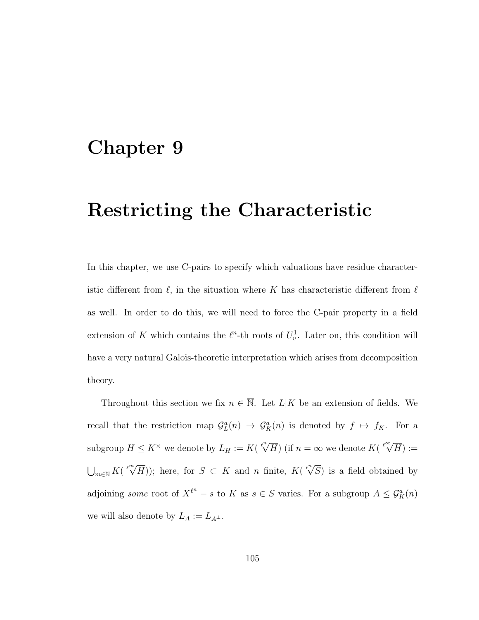### Chapter 9

# Restricting the Characteristic

In this chapter, we use C-pairs to specify which valuations have residue characteristic different from  $\ell$ , in the situation where K has characteristic different from  $\ell$ as well. In order to do this, we will need to force the C-pair property in a field extension of K which contains the  $\ell^n$ -th roots of  $U_v^1$ . Later on, this condition will have a very natural Galois-theoretic interpretation which arises from decomposition theory.

Throughout this section we fix  $n \in \overline{\mathbb{N}}$ . Let  $L|K$  be an extension of fields. We recall that the restriction map  $\mathcal{G}_L^a(n) \to \mathcal{G}_K^a(n)$  is denoted by  $f \mapsto f_K$ . For a subgroup  $H \leq K^{\times}$  we denote by  $L_H := K($  $\sqrt[\ell^n]{H}$  (if  $n = \infty$  we denote  $K(\sqrt[\ell^\infty]{H}) :=$  $\bigcup_{m\in\mathbb{N}}K($  $\sqrt[\ell^m]{H}$ ); here, for  $S \subset K$  and *n* finite,  $K(\sqrt[\ell^n]{S})$  is a field obtained by adjoining some root of  $X^{\ell^n} - s$  to K as  $s \in S$  varies. For a subgroup  $A \leq \mathcal{G}_K^a(n)$ we will also denote by  $L_A := L_{A^{\perp}}$ .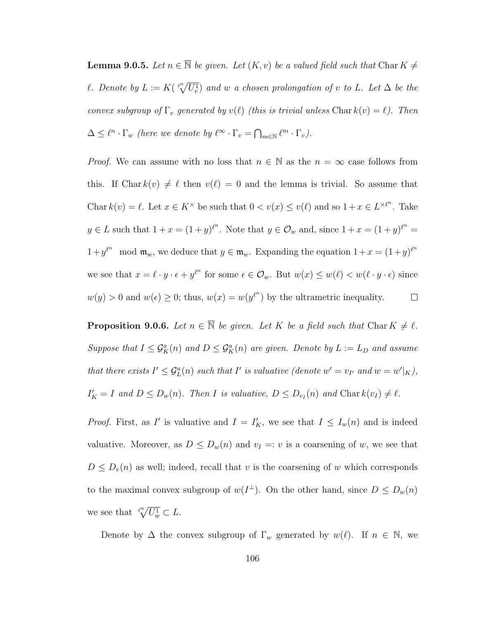**Lemma 9.0.5.** Let  $n \in \overline{\mathbb{N}}$  be given. Let  $(K, v)$  be a valued field such that Char  $K \neq$ l. Denote by  $L := K(\sqrt[\ell^n]{U_v^1})$  and w a chosen prolongation of v to L. Let  $\Delta$  be the convex subgroup of  $\Gamma_v$  generated by  $v(\ell)$  (this is trivial unless Char  $k(v) = \ell$ ). Then  $\Delta \leq \ell^n \cdot \Gamma_w$  (here we denote by  $\ell^{\infty} \cdot \Gamma_v = \bigcap_{m \in \mathbb{N}} \ell^m \cdot \Gamma_v$ ).

*Proof.* We can assume with no loss that  $n \in \mathbb{N}$  as the  $n = \infty$  case follows from this. If Char  $k(v) \neq \ell$  then  $v(\ell) = 0$  and the lemma is trivial. So assume that Char  $k(v) = \ell$ . Let  $x \in K^{\times}$  be such that  $0 < v(x) \le v(\ell)$  and so  $1 + x \in L^{\times \ell^n}$ . Take  $y \in L$  such that  $1 + x = (1 + y)^{\ell^n}$ . Note that  $y \in \mathcal{O}_w$  and, since  $1 + x = (1 + y)^{\ell^n}$  $1+y^{\ell^n} \mod \mathfrak{m}_w$ , we deduce that  $y \in \mathfrak{m}_w$ . Expanding the equation  $1+x=(1+y)^{\ell^n}$ we see that  $x = \ell \cdot y \cdot \epsilon + y^{\ell^n}$  for some  $\epsilon \in \mathcal{O}_w$ . But  $w(x) \leq w(\ell) < w(\ell \cdot y \cdot \epsilon)$  since  $w(y) > 0$  and  $w(\epsilon) \geq 0$ ; thus,  $w(x) = w(y^{\ell^n})$  by the ultrametric inequality.  $\Box$ 

**Proposition 9.0.6.** Let  $n \in \overline{\mathbb{N}}$  be given. Let K be a field such that Char  $K \neq \ell$ . Suppose that  $I \leq \mathcal{G}_{K}^{a}(n)$  and  $D \leq \mathcal{G}_{K}^{a}(n)$  are given. Denote by  $L := L_{D}$  and assume that there exists  $I' \leq \mathcal{G}_L^a(n)$  such that  $I'$  is valuative (denote  $w' = v_{I'}$  and  $w = w'|_K$ ),  $I'_K = I$  and  $D \le D_w(n)$ . Then I is valuative,  $D \le D_{v_I}(n)$  and  $\text{Char } k(v_I) \ne \ell$ .

*Proof.* First, as I' is valuative and  $I = I'_{K}$ , we see that  $I \leq I_{w}(n)$  and is indeed valuative. Moreover, as  $D \leq D_w(n)$  and  $v_I =: v$  is a coarsening of w, we see that  $D \leq D_v(n)$  as well; indeed, recall that v is the coarsening of w which corresponds to the maximal convex subgroup of  $w(I^{\perp})$ . On the other hand, since  $D \leq D_w(n)$ we see that  $\sqrt[\ell^n]{U_w^1} \subset L$ .

Denote by  $\Delta$  the convex subgroup of  $\Gamma_w$  generated by  $w(\ell)$ . If  $n \in \mathbb{N}$ , we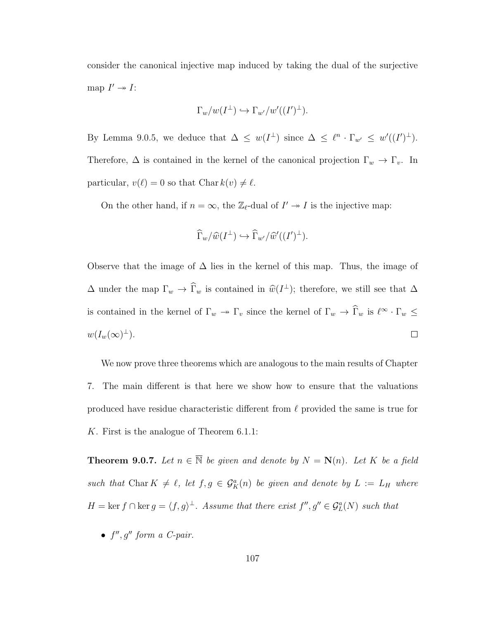consider the canonical injective map induced by taking the dual of the surjective map  $I' \rightarrow I$ :

$$
\Gamma_w/w(I^{\perp}) \hookrightarrow \Gamma_{w'}/w'((I')^{\perp}).
$$

By Lemma 9.0.5, we deduce that  $\Delta \leq w(I^{\perp})$  since  $\Delta \leq \ell^n \cdot \Gamma_{w'} \leq w'((I')^{\perp}).$ Therefore,  $\Delta$  is contained in the kernel of the canonical projection  $\Gamma_w \to \Gamma_v$ . In particular,  $v(\ell) = 0$  so that Char  $k(v) \neq \ell$ .

On the other hand, if  $n = \infty$ , the  $\mathbb{Z}_{\ell}$ -dual of  $I' \to I$  is the injective map:

$$
\widehat{\Gamma}_w/\widehat{w}(I^{\perp}) \hookrightarrow \widehat{\Gamma}_{w'}/\widehat{w}'((I')^{\perp}).
$$

Observe that the image of  $\Delta$  lies in the kernel of this map. Thus, the image of  $\Delta$  under the map  $\Gamma_w \to \widehat{\Gamma}_w$  is contained in  $\widehat{w}(I^{\perp})$ ; therefore, we still see that  $\Delta$ is contained in the kernel of  $\Gamma_w \to \Gamma_v$  since the kernel of  $\Gamma_w \to \widehat{\Gamma}_w$  is  $\ell^{\infty} \cdot \Gamma_w \leq$  $w(I_w(\infty)^{\perp}).$  $\Box$ 

We now prove three theorems which are analogous to the main results of Chapter 7. The main different is that here we show how to ensure that the valuations produced have residue characteristic different from  $\ell$  provided the same is true for K. First is the analogue of Theorem 6.1.1:

**Theorem 9.0.7.** Let  $n \in \overline{\mathbb{N}}$  be given and denote by  $N = \mathbf{N}(n)$ . Let K be a field such that Char  $K \neq \ell$ , let  $f, g \in \mathcal{G}_K^a(n)$  be given and denote by  $L := L_H$  where  $H = \ker f \cap \ker g = \langle f, g \rangle^{\perp}$ . Assume that there exist  $f'', g'' \in \mathcal{G}_L^a(N)$  such that

•  $f'', g''$  form a C-pair.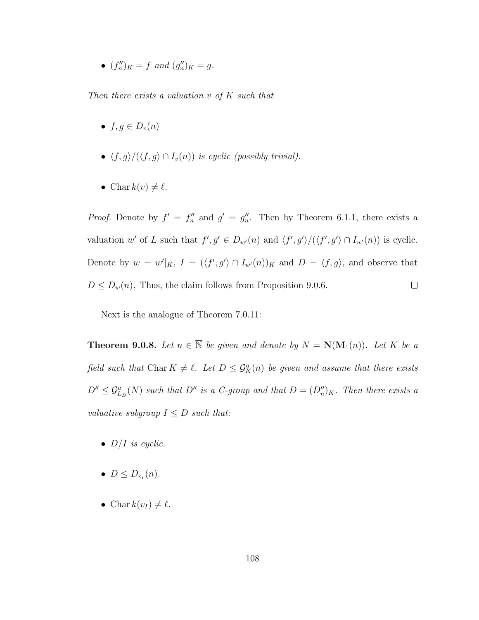•  $(f''_n)_K = f$  and  $(g''_n)_K = g$ .

Then there exists a valuation  $v$  of  $K$  such that

- $f, g \in D_v(n)$
- $\langle f, g \rangle/(\langle f, g \rangle \cap I_v(n))$  is cyclic (possibly trivial).
- Char  $k(v) \neq \ell$ .

*Proof.* Denote by  $f' = f''_n$  and  $g' = g''_n$ . Then by Theorem 6.1.1, there exists a valuation w' of L such that  $f', g' \in D_{w'}(n)$  and  $\langle f', g' \rangle / (\langle f', g' \rangle \cap I_{w'}(n))$  is cyclic. Denote by  $w = w'|_K$ ,  $I = (\langle f', g' \rangle \cap I_{w'}(n))_K$  and  $D = \langle f, g \rangle$ , and observe that  $D \le D_w(n)$ . Thus, the claim follows from Proposition 9.0.6.  $\Box$ 

Next is the analogue of Theorem 7.0.11:

**Theorem 9.0.8.** Let  $n \in \overline{\mathbb{N}}$  be given and denote by  $N = \mathbf{N}(\mathbf{M}_1(n))$ . Let K be a field such that Char  $K \neq \ell$ . Let  $D \leq \mathcal{G}_{K}^{a}(n)$  be given and assume that there exists  $D'' \leq \mathcal{G}_{L_D}^a(N)$  such that  $D''$  is a C-group and that  $D = (D''_n)_K$ . Then there exists a valuative subgroup  $I \leq D$  such that:

- $D/I$  is cyclic.
- $\bullet$   $D \leq D_{v_I}(n)$ .
- Char  $k(v_I) \neq \ell$ .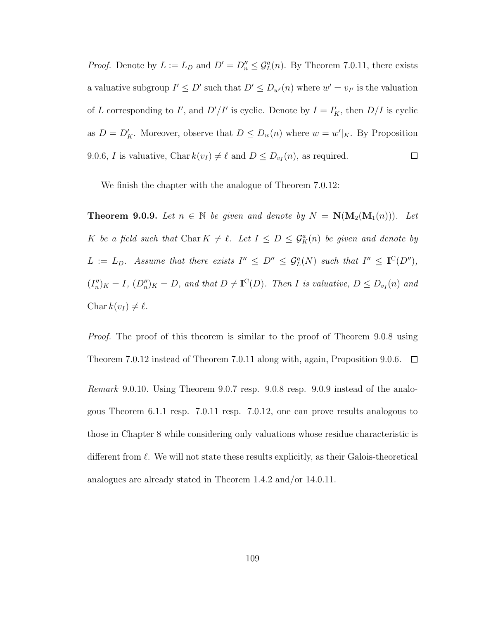*Proof.* Denote by  $L := L_D$  and  $D' = D''_n \leq \mathcal{G}_L^a(n)$ . By Theorem 7.0.11, there exists a valuative subgroup  $I' \leq D'$  such that  $D' \leq D_{w'}(n)$  where  $w' = v_{I'}$  is the valuation of L corresponding to I', and  $D'/I'$  is cyclic. Denote by  $I = I'_{K}$ , then  $D/I$  is cyclic as  $D = D'_{K}$ . Moreover, observe that  $D \le D_{w}(n)$  where  $w = w'|_{K}$ . By Proposition  $\Box$ 9.0.6, *I* is valuative, Char  $k(v_I) \neq \ell$  and  $D \leq D_{v_I}(n)$ , as required.

We finish the chapter with the analogue of Theorem 7.0.12:

**Theorem 9.0.9.** Let  $n \in \overline{\mathbb{N}}$  be given and denote by  $N = \mathbf{N}(\mathbf{M}_2(\mathbf{M}_1(n)))$ . Let K be a field such that Char  $K \neq \ell$ . Let  $I \leq D \leq \mathcal{G}_{K}^{a}(n)$  be given and denote by  $L := L_D$ . Assume that there exists  $I'' \leq D'' \leq \mathcal{G}_L^a(N)$  such that  $I'' \leq \mathbf{I}^C(D'')$ ,  $(I''_n)_K = I$ ,  $(D''_n)_K = D$ , and that  $D \neq \mathbf{I}^{\mathbf{C}}(D)$ . Then I is valuative,  $D \leq D_{v_I}(n)$  and Char  $k(v_I) \neq \ell$ .

*Proof.* The proof of this theorem is similar to the proof of Theorem 9.0.8 using Theorem 7.0.12 instead of Theorem 7.0.11 along with, again, Proposition 9.0.6.  $\Box$ 

Remark 9.0.10. Using Theorem 9.0.7 resp. 9.0.8 resp. 9.0.9 instead of the analogous Theorem 6.1.1 resp. 7.0.11 resp. 7.0.12, one can prove results analogous to those in Chapter 8 while considering only valuations whose residue characteristic is different from  $\ell$ . We will not state these results explicitly, as their Galois-theoretical analogues are already stated in Theorem 1.4.2 and/or 14.0.11.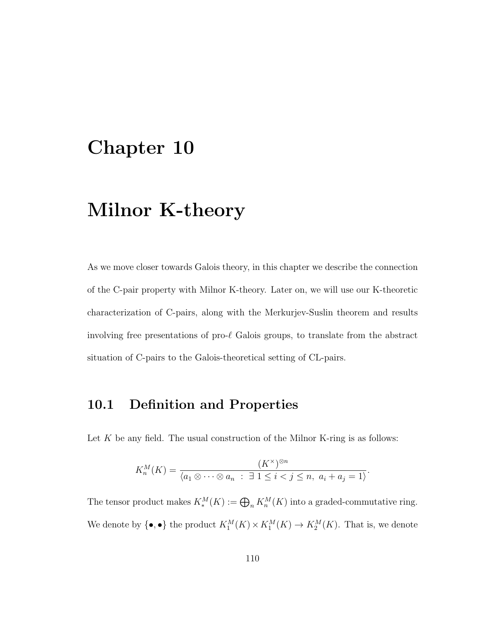# Chapter 10

# Milnor K-theory

As we move closer towards Galois theory, in this chapter we describe the connection of the C-pair property with Milnor K-theory. Later on, we will use our K-theoretic characterization of C-pairs, along with the Merkurjev-Suslin theorem and results involving free presentations of pro- $\ell$  Galois groups, to translate from the abstract situation of C-pairs to the Galois-theoretical setting of CL-pairs.

#### 10.1 Definition and Properties

Let  $K$  be any field. The usual construction of the Milnor K-ring is as follows:

$$
K_n^M(K) = \frac{(K^\times)^{\otimes n}}{\langle a_1 \otimes \cdots \otimes a_n : \exists 1 \le i < j \le n, a_i + a_j = 1 \rangle}.
$$

The tensor product makes  $K_*^M(K) := \bigoplus_n K_n^M(K)$  into a graded-commutative ring. We denote by  $\{\bullet,\bullet\}$  the product  $K_1^M(K) \times K_1^M(K) \to K_2^M(K)$ . That is, we denote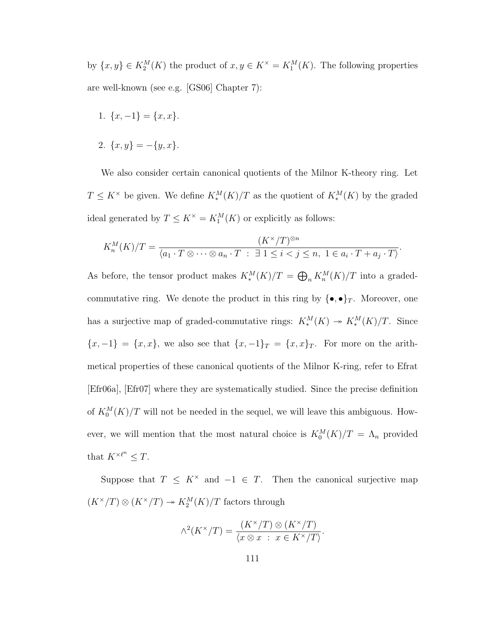by  $\{x, y\} \in K_2^M(K)$  the product of  $x, y \in K^{\times} = K_1^M(K)$ . The following properties are well-known (see e.g. [GS06] Chapter 7):

- 1.  $\{x, -1\} = \{x, x\}.$
- 2.  $\{x, y\} = -\{y, x\}.$

We also consider certain canonical quotients of the Milnor K-theory ring. Let  $T \leq K^{\times}$  be given. We define  $K_{*}^{M}(K)/T$  as the quotient of  $K_{*}^{M}(K)$  by the graded ideal generated by  $T \leq K^{\times} = K_1^M(K)$  or explicitly as follows:

$$
K_n^M(K)/T = \frac{(K^\times/T)^{\otimes n}}{\langle a_1 \cdot T \otimes \cdots \otimes a_n \cdot T \ : \ \exists \ 1 \leq i < j \leq n, \ 1 \in a_i \cdot T + a_j \cdot T \rangle}.
$$

As before, the tensor product makes  $K_*^M(K)/T = \bigoplus_n K_n^M(K)/T$  into a gradedcommutative ring. We denote the product in this ring by  $\{\bullet,\bullet\}_T$ . Moreover, one has a surjective map of graded-commutative rings:  $K_*^M(K) \to K_*^M(K)/T$ . Since  ${x, -1} = {x, x}$ , we also see that  ${x, -1}_T = {x, x}_T$ . For more on the arithmetical properties of these canonical quotients of the Milnor K-ring, refer to Efrat [Efr06a], [Efr07] where they are systematically studied. Since the precise definition of  $K_0^M(K)/T$  will not be needed in the sequel, we will leave this ambiguous. However, we will mention that the most natural choice is  $K_0^M(K)/T = \Lambda_n$  provided that  $K^{\times \ell^n} \leq T$ .

Suppose that  $T \leq K^{\times}$  and  $-1 \in T$ . Then the canonical surjective map  $(K^{\times}/T)\otimes(K^{\times}/T)\twoheadrightarrow K_2^M(K)/T$  factors through

$$
\wedge^2(K^{\times}/T) = \frac{(K^{\times}/T) \otimes (K^{\times}/T)}{\langle x \otimes x : x \in K^{\times}/T \rangle}.
$$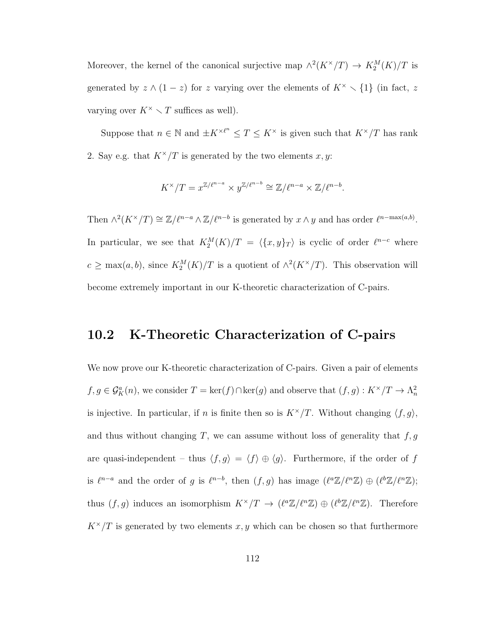Moreover, the kernel of the canonical surjective map  $\wedge^2 (K^{\times}/T) \to K_2^M(K)/T$  is generated by  $z \wedge (1-z)$  for z varying over the elements of  $K^{\times} \setminus \{1\}$  (in fact, z varying over  $K^{\times} \setminus T$  suffices as well).

Suppose that  $n \in \mathbb{N}$  and  $\pm K^{\times \ell^n} \leq T \leq K^\times$  is given such that  $K^\times/T$  has rank 2. Say e.g. that  $K^{\times}/T$  is generated by the two elements x, y:

$$
K^{\times}/T = x^{\mathbb{Z}/\ell^{n-a}} \times y^{\mathbb{Z}/\ell^{n-b}} \cong \mathbb{Z}/\ell^{n-a} \times \mathbb{Z}/\ell^{n-b}.
$$

Then  $\wedge^2 (K^\times/T) \cong \mathbb{Z}/\ell^{n-a} \wedge \mathbb{Z}/\ell^{n-b}$  is generated by  $x \wedge y$  and has order  $\ell^{n-\max(a,b)}$ . In particular, we see that  $K_2^M(K)/T = \langle \{x, y\}_T \rangle$  is cyclic of order  $\ell^{n-c}$  where  $c \ge \max(a, b)$ , since  $K_2^M(K)/T$  is a quotient of  $\wedge^2 (K^{\times}/T)$ . This observation will become extremely important in our K-theoretic characterization of C-pairs.

#### 10.2 K-Theoretic Characterization of C-pairs

We now prove our K-theoretic characterization of C-pairs. Given a pair of elements  $f, g \in \mathcal{G}_{K}^{a}(n)$ , we consider  $T = \ker(f) \cap \ker(g)$  and observe that  $(f, g) : K^{\times}/T \to \Lambda_n^2$ is injective. In particular, if *n* is finite then so is  $K^{\times}/T$ . Without changing  $\langle f, g \rangle$ , and thus without changing T, we can assume without loss of generality that  $f, g$ are quasi-independent – thus  $\langle f, g \rangle = \langle f \rangle \oplus \langle g \rangle$ . Furthermore, if the order of f is  $\ell^{n-a}$  and the order of g is  $\ell^{n-b}$ , then  $(f, g)$  has image  $(\ell^a \mathbb{Z}/\ell^n \mathbb{Z}) \oplus (\ell^b \mathbb{Z}/\ell^n \mathbb{Z});$ thus  $(f, g)$  induces an isomorphism  $K^{\times}/T \to (\ell^a \mathbb{Z}/\ell^n \mathbb{Z}) \oplus (\ell^b \mathbb{Z}/\ell^n \mathbb{Z})$ . Therefore  $K^{\times}/T$  is generated by two elements x, y which can be chosen so that furthermore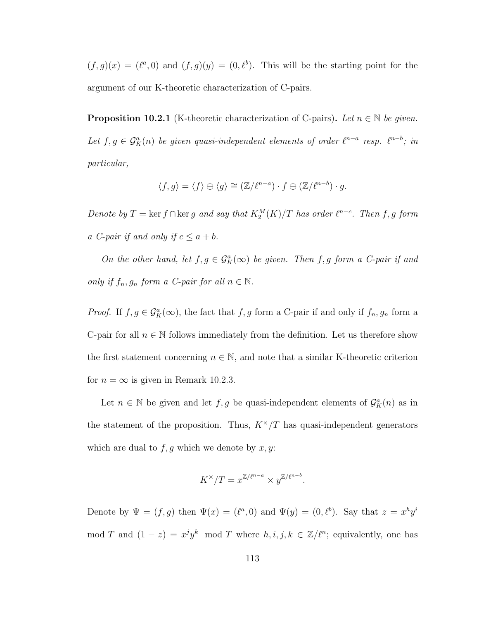$(f,g)(x) = (\ell^a,0)$  and  $(f,g)(y) = (0,\ell^b)$ . This will be the starting point for the argument of our K-theoretic characterization of C-pairs.

**Proposition 10.2.1** (K-theoretic characterization of C-pairs). Let  $n \in \mathbb{N}$  be given. Let  $f, g \in \mathcal{G}_{K}^{a}(n)$  be given quasi-independent elements of order  $\ell^{n-a}$  resp.  $\ell^{n-b}$ ; in particular,

$$
\langle f, g \rangle = \langle f \rangle \oplus \langle g \rangle \cong (\mathbb{Z}/\ell^{n-a}) \cdot f \oplus (\mathbb{Z}/\ell^{n-b}) \cdot g.
$$

Denote by  $T = \ker f \cap \ker g$  and say that  $K_2^M(K)/T$  has order  $\ell^{n-c}$ . Then f, g form a C-pair if and only if  $c \le a + b$ .

On the other hand, let  $f, g \in \mathcal{G}_{K}^{a}(\infty)$  be given. Then f, g form a C-pair if and only if  $f_n, g_n$  form a C-pair for all  $n \in \mathbb{N}$ .

*Proof.* If  $f, g \in \mathcal{G}_{K}^{a}(\infty)$ , the fact that  $f, g$  form a C-pair if and only if  $f_n, g_n$  form a C-pair for all  $n \in \mathbb{N}$  follows immediately from the definition. Let us therefore show the first statement concerning  $n \in \mathbb{N}$ , and note that a similar K-theoretic criterion for  $n = \infty$  is given in Remark 10.2.3.

Let  $n \in \mathbb{N}$  be given and let  $f, g$  be quasi-independent elements of  $\mathcal{G}_{K}^{a}(n)$  as in the statement of the proposition. Thus,  $K^{\times}/T$  has quasi-independent generators which are dual to  $f, g$  which we denote by  $x, y$ :

$$
K^{\times}/T = x^{\mathbb{Z}/\ell^{n-a}} \times y^{\mathbb{Z}/\ell^{n-b}}.
$$

Denote by  $\Psi = (f, g)$  then  $\Psi(x) = (\ell^a, 0)$  and  $\Psi(y) = (0, \ell^b)$ . Say that  $z = x^h y^i$ mod T and  $(1-z) = x^j y^k \mod T$  where  $h, i, j, k \in \mathbb{Z}/\ell^n$ ; equivalently, one has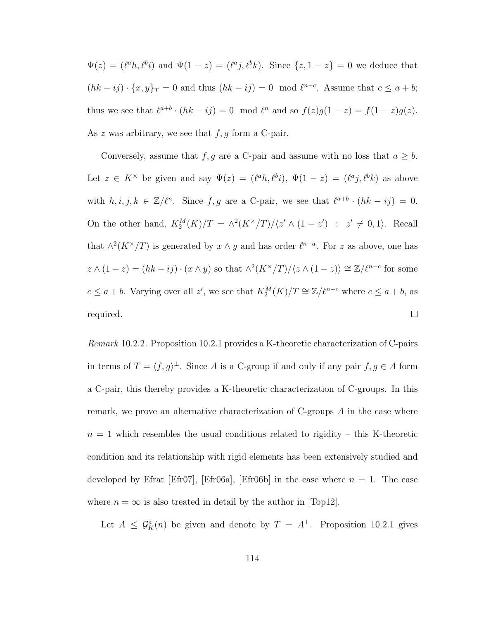$\Psi(z) = (\ell^a h, \ell^b i)$  and  $\Psi(1-z) = (\ell^a j, \ell^b k)$ . Since  $\{z, 1-z\} = 0$  we deduce that  $(hk - ij) \cdot \{x, y\}_T = 0$  and thus  $(hk - ij) = 0 \mod l^{n-c}$ . Assume that  $c \le a + b$ ; thus we see that  $\ell^{a+b} \cdot (hk - ij) = 0 \mod \ell^n$  and so  $f(z)g(1-z) = f(1-z)g(z)$ . As  $z$  was arbitrary, we see that  $f, g$  form a C-pair.

Conversely, assume that  $f, g$  are a C-pair and assume with no loss that  $a \geq b$ . Let  $z \in K^{\times}$  be given and say  $\Psi(z) = (\ell^{a}h, \ell^{b}i), \Psi(1-z) = (\ell^{a}j, \ell^{b}k)$  as above with  $h, i, j, k \in \mathbb{Z}/\ell^n$ . Since  $f, g$  are a C-pair, we see that  $\ell^{a+b} \cdot (hk - ij) = 0$ . On the other hand,  $K_2^M(K)/T = \frac{\lambda^2 (K^\times/T)}{z' \wedge (1-z')}$  :  $z' \neq 0,1$ . Recall that  $\wedge^2 (K^{\times}/T)$  is generated by  $x \wedge y$  and has order  $\ell^{n-a}$ . For z as above, one has  $z \wedge (1-z) = (hk - ij) \cdot (x \wedge y)$  so that  $\wedge^2 (K^\times/T)/\langle z \wedge (1-z) \rangle \cong \mathbb{Z}/\ell^{n-c}$  for some  $c \le a + b$ . Varying over all z', we see that  $K_2^M(K)/T \cong \mathbb{Z}/\ell^{n-c}$  where  $c \le a + b$ , as  $\Box$ required.

Remark 10.2.2. Proposition 10.2.1 provides a K-theoretic characterization of C-pairs in terms of  $T = \langle f, g \rangle^{\perp}$ . Since A is a C-group if and only if any pair  $f, g \in A$  form a C-pair, this thereby provides a K-theoretic characterization of C-groups. In this remark, we prove an alternative characterization of C-groups  $A$  in the case where  $n = 1$  which resembles the usual conditions related to rigidity – this K-theoretic condition and its relationship with rigid elements has been extensively studied and developed by Efrat [Efr07], [Efr06a], [Efr06b] in the case where  $n = 1$ . The case where  $n = \infty$  is also treated in detail by the author in [Top12].

Let  $A \leq \mathcal{G}_{K}^{a}(n)$  be given and denote by  $T = A^{\perp}$ . Proposition 10.2.1 gives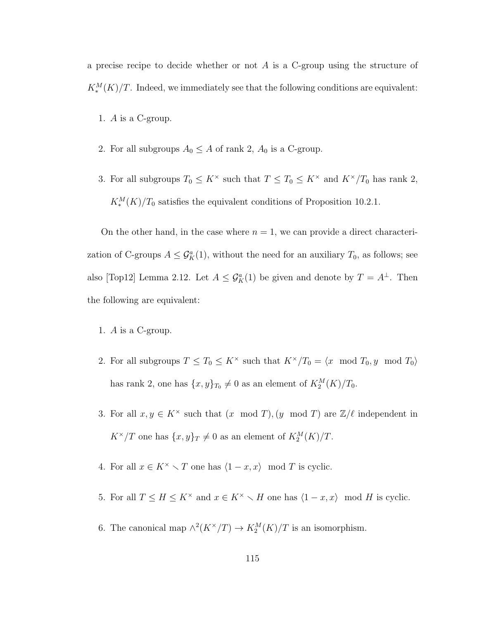a precise recipe to decide whether or not  $A$  is a C-group using the structure of  $K_*^M(K)/T$ . Indeed, we immediately see that the following conditions are equivalent:

- 1. A is a C-group.
- 2. For all subgroups  $A_0 \leq A$  of rank 2,  $A_0$  is a C-group.
- 3. For all subgroups  $T_0 \leq K^\times$  such that  $T \leq T_0 \leq K^\times$  and  $K^\times/T_0$  has rank 2,  $K_*^M(K)/T_0$  satisfies the equivalent conditions of Proposition 10.2.1.

On the other hand, in the case where  $n = 1$ , we can provide a direct characterization of C-groups  $A \leq \mathcal{G}_{K}^{a}(1)$ , without the need for an auxiliary  $T_0$ , as follows; see also [Top12] Lemma 2.12. Let  $A \leq \mathcal{G}_{K}^{a}(1)$  be given and denote by  $T = A^{\perp}$ . Then the following are equivalent:

- 1. A is a C-group.
- 2. For all subgroups  $T \leq T_0 \leq K^\times$  such that  $K^\times/T_0 = \langle x \mod T_0, y \mod T_0 \rangle$ has rank 2, one has  $\{x, y\}_{T_0} \neq 0$  as an element of  $K_2^M(K)/T_0$ .
- 3. For all  $x, y \in K^{\times}$  such that  $(x \mod T), (y \mod T)$  are  $\mathbb{Z}/\ell$  independent in  $K^{\times}/T$  one has  $\{x,y\}_T \neq 0$  as an element of  $K_2^M(K)/T$ .
- 4. For all  $x \in K^{\times} \setminus T$  one has  $\langle 1 x, x \rangle \mod T$  is cyclic.
- 5. For all  $T \leq H \leq K^{\times}$  and  $x \in K^{\times} \setminus H$  one has  $\langle 1 x, x \rangle$  mod H is cyclic.
- 6. The canonical map  $\wedge^2 (K^{\times}/T) \to K_2^M(K)/T$  is an isomorphism.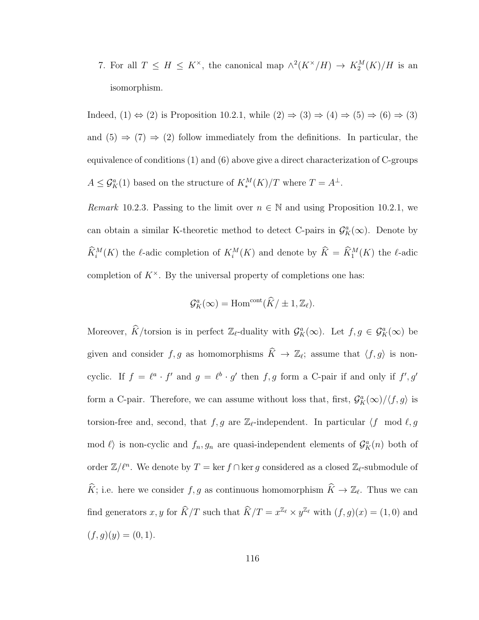7. For all  $T \leq H \leq K^{\times}$ , the canonical map  $\wedge^2(K^{\times}/H) \rightarrow K_2^M(K)/H$  is an isomorphism.

Indeed,  $(1) \Leftrightarrow (2)$  is Proposition 10.2.1, while  $(2) \Rightarrow (3) \Rightarrow (4) \Rightarrow (5) \Rightarrow (6) \Rightarrow (3)$ and (5)  $\Rightarrow$  (7)  $\Rightarrow$  (2) follow immediately from the definitions. In particular, the equivalence of conditions (1) and (6) above give a direct characterization of C-groups  $A \leq \mathcal{G}_{K}^{a}(1)$  based on the structure of  $K_{*}^{M}(K)/T$  where  $T = A^{\perp}$ .

Remark 10.2.3. Passing to the limit over  $n \in \mathbb{N}$  and using Proposition 10.2.1, we can obtain a similar K-theoretic method to detect C-pairs in  $\mathcal{G}_{K}^{a}(\infty)$ . Denote by  $\widetilde{K}_i^M(K)$  the  $\ell$ -adic completion of  $K_i^M(K)$  and denote by  $\widetilde{K} = \widetilde{K}_1^M(K)$  the  $\ell$ -adic completion of  $K^{\times}$ . By the universal property of completions one has:

$$
\mathcal{G}_{K}^{a}(\infty) = \text{Hom}^{\text{cont}}(\widehat{K}/\pm 1,\mathbb{Z}_{\ell}).
$$

Moreover,  $\widehat{K}/\text{torsion}$  is in perfect  $\mathbb{Z}_{\ell}$ -duality with  $\mathcal{G}_{K}^{a}(\infty)$ . Let  $f, g \in \mathcal{G}_{K}^{a}(\infty)$  be given and consider  $f, g$  as homomorphisms  $\widehat{K} \to \mathbb{Z}_\ell$ ; assume that  $\langle f, g \rangle$  is noncyclic. If  $f = \ell^a \cdot f'$  and  $g = \ell^b \cdot g'$  then f, g form a C-pair if and only if  $f', g'$ form a C-pair. Therefore, we can assume without loss that, first,  $\mathcal{G}_{K}^{a}(\infty)/\langle f,g \rangle$  is torsion-free and, second, that  $f, g$  are  $\mathbb{Z}_{\ell}$ -independent. In particular  $\langle f \mod \ell, g \rangle$ mod  $\ell$  is non-cyclic and  $f_n, g_n$  are quasi-independent elements of  $\mathcal{G}_{K}^a(n)$  both of order  $\mathbb{Z}/\ell^n$ . We denote by  $T = \ker f \cap \ker g$  considered as a closed  $\mathbb{Z}_{\ell}$ -submodule of  $\widehat{K}$ ; i.e. here we consider  $f, g$  as continuous homomorphism  $\widehat{K} \to \mathbb{Z}_{\ell}$ . Thus we can find generators  $x, y$  for  $\widehat{K}/T$  such that  $\widehat{K}/T = x^{\mathbb{Z}_{\ell}} \times y^{\mathbb{Z}_{\ell}}$  with  $(f, g)(x) = (1, 0)$  and  $(f, q)(y) = (0, 1).$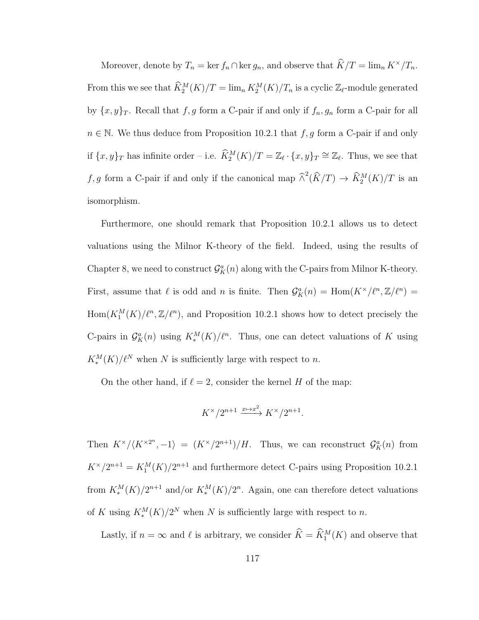Moreover, denote by  $T_n = \ker f_n \cap \ker g_n$ , and observe that  $\widehat{K}/T = \lim_n K^{\times}/T_n$ . From this we see that  $\widehat{K}_2^M(K)/T = \lim_n K_2^M(K)/T_n$  is a cyclic  $\mathbb{Z}_{\ell}$ -module generated by  $\{x, y\}_T$ . Recall that f, g form a C-pair if and only if  $f_n, g_n$  form a C-pair for all  $n \in \mathbb{N}$ . We thus deduce from Proposition 10.2.1 that  $f, g$  form a C-pair if and only if  $\{x, y\}_T$  has infinite order – i.e.  $\widehat{K}_2^M(K)/T = \mathbb{Z}_{\ell} \cdot \{x, y\}_T \cong \mathbb{Z}_{\ell}$ . Thus, we see that f, g form a C-pair if and only if the canonical map  $\hat{\wedge}^2(\hat{K}/T) \to \hat{K}_2^M(K)/T$  is an isomorphism.

Furthermore, one should remark that Proposition 10.2.1 allows us to detect valuations using the Milnor K-theory of the field. Indeed, using the results of Chapter 8, we need to construct  $\mathcal{G}_{K}^{a}(n)$  along with the C-pairs from Milnor K-theory. First, assume that  $\ell$  is odd and n is finite. Then  $\mathcal{G}_{K}^{a}(n) = \text{Hom}(K^{\times}/\ell^{n}, \mathbb{Z}/\ell^{n}) =$  $\text{Hom}(K_1^M(K)/\ell^n,\mathbb{Z}/\ell^n)$ , and Proposition 10.2.1 shows how to detect precisely the C-pairs in  $\mathcal{G}_{K}^{a}(n)$  using  $K_{*}^{M}(K)/\ell^{n}$ . Thus, one can detect valuations of K using  $K_*^M(K)/\ell^N$  when N is sufficiently large with respect to n.

On the other hand, if  $\ell = 2$ , consider the kernel H of the map:

$$
K^\times / 2^{n+1} \xrightarrow{x \mapsto x^2} K^\times / 2^{n+1}.
$$

Then  $K^{\times}/\langle K^{\times 2^n}, -1 \rangle = (K^{\times}/2^{n+1})/H$ . Thus, we can reconstruct  $\mathcal{G}_K^a(n)$  from  $K^{\times}/2^{n+1} = K_1^M(K)/2^{n+1}$  and furthermore detect C-pairs using Proposition 10.2.1 from  $K_*^M(K)/2^{n+1}$  and/or  $K_*^M(K)/2^n$ . Again, one can therefore detect valuations of K using  $K_*^M(K)/2^N$  when N is sufficiently large with respect to n.

Lastly, if  $n = \infty$  and  $\ell$  is arbitrary, we consider  $\hat{K} = \hat{K}_1^M(K)$  and observe that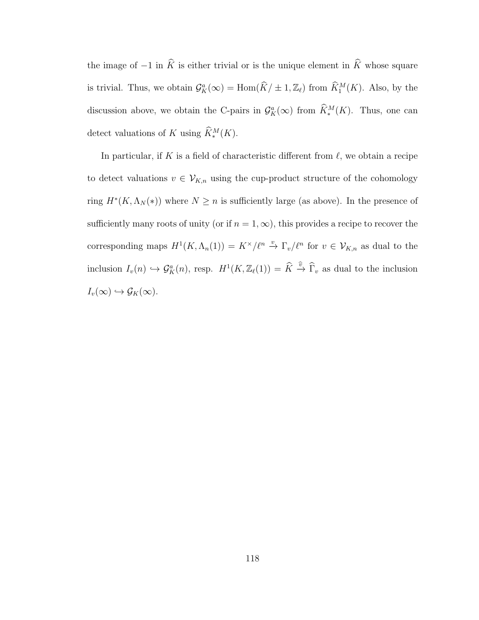the image of  $-1$  in  $\widehat{K}$  is either trivial or is the unique element in  $\widehat{K}$  whose square is trivial. Thus, we obtain  $\mathcal{G}_{K}^{a}(\infty) = \text{Hom}(\widehat{K}/\pm 1,\mathbb{Z}_{\ell})$  from  $\widehat{K}_{1}^{M}(K)$ . Also, by the discussion above, we obtain the C-pairs in  $\mathcal{G}_{K}^{a}(\infty)$  from  $\widehat{K}_{*}^{M}(K)$ . Thus, one can detect valuations of K using  $\hat{K}_{*}^{M}(K)$ .

In particular, if K is a field of characteristic different from  $\ell$ , we obtain a recipe to detect valuations  $v \in V_{K,n}$  using the cup-product structure of the cohomology ring  $H^*(K, \Lambda_N(*))$  where  $N \geq n$  is sufficiently large (as above). In the presence of sufficiently many roots of unity (or if  $n = 1, \infty$ ), this provides a recipe to recover the corresponding maps  $H^1(K, \Lambda_n(1)) = K^\times/\ell^n \stackrel{v}{\to} \Gamma_v/\ell^n$  for  $v \in \mathcal{V}_{K,n}$  as dual to the inclusion  $I_v(n) \hookrightarrow \mathcal{G}_K^a(n)$ , resp.  $H^1(K,\mathbb{Z}_{\ell}(1)) = \hat{K} \stackrel{\hat{v}}{\rightarrow} \widehat{\Gamma}_v$  as dual to the inclusion  $I_v(\infty) \hookrightarrow \mathcal{G}_K(\infty).$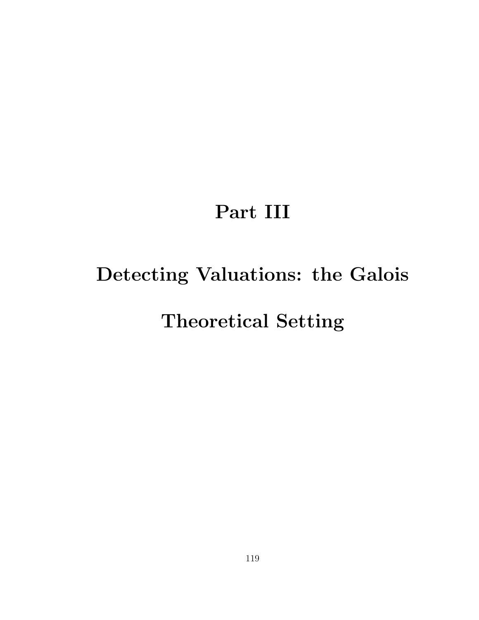# Part III

# Detecting Valuations: the Galois

# Theoretical Setting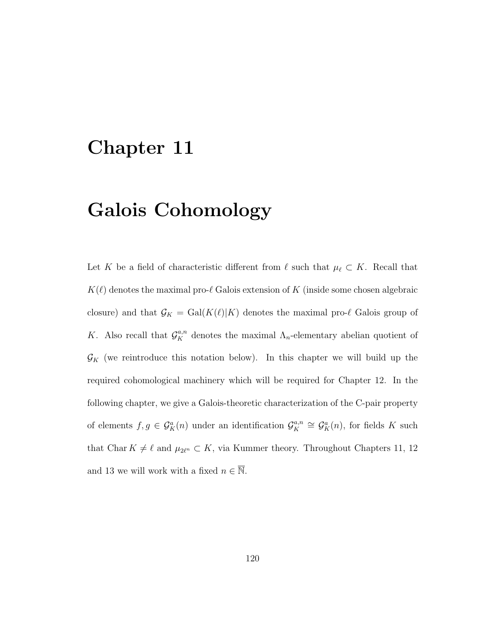### Chapter 11

# Galois Cohomology

Let K be a field of characteristic different from  $\ell$  such that  $\mu_{\ell} \subset K$ . Recall that  $K(\ell)$  denotes the maximal pro- $\ell$  Galois extension of K (inside some chosen algebraic closure) and that  $\mathcal{G}_K = \text{Gal}(K(\ell)|K)$  denotes the maximal pro- $\ell$  Galois group of K. Also recall that  $\mathcal{G}_{K}^{a,n}$  denotes the maximal  $\Lambda_{n}$ -elementary abelian quotient of  $\mathcal{G}_K$  (we reintroduce this notation below). In this chapter we will build up the required cohomological machinery which will be required for Chapter 12. In the following chapter, we give a Galois-theoretic characterization of the C-pair property of elements  $f, g \in \mathcal{G}_K^a(n)$  under an identification  $\mathcal{G}_K^{a,n}$  $\mathcal{G}_K^{a,n} \cong \mathcal{G}_K^a(n)$ , for fields K such that Char  $K \neq \ell$  and  $\mu_{2\ell^n} \subset K$ , via Kummer theory. Throughout Chapters 11, 12 and 13 we will work with a fixed  $n \in \overline{\mathbb{N}}$ .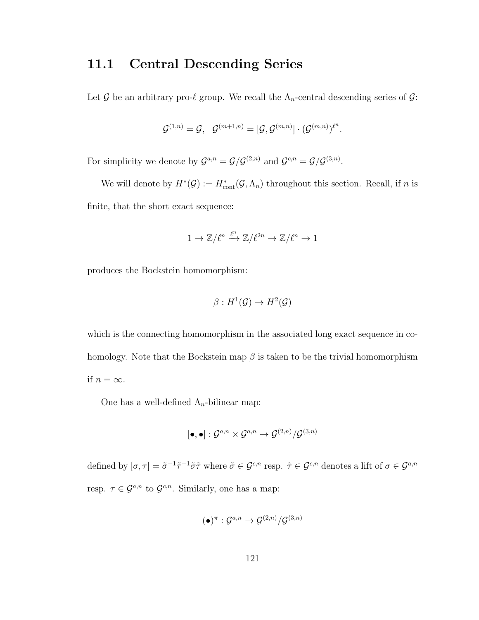### 11.1 Central Descending Series

Let G be an arbitrary pro- $\ell$  group. We recall the  $\Lambda_n$ -central descending series of G:

$$
\mathcal{G}^{(1,n)}=\mathcal{G},\quad \mathcal{G}^{(m+1,n)}=[\mathcal{G},\mathcal{G}^{(m,n)}]\cdot(\mathcal{G}^{(m,n)})^{\ell^n}.
$$

For simplicity we denote by  $\mathcal{G}^{a,n} = \mathcal{G}/\mathcal{G}^{(2,n)}$  and  $\mathcal{G}^{c,n} = \mathcal{G}/\mathcal{G}^{(3,n)}$ .

We will denote by  $H^*(\mathcal{G}) := H^*_{\text{cont}}(\mathcal{G}, \Lambda_n)$  throughout this section. Recall, if n is finite, that the short exact sequence:

$$
1 \to \mathbb{Z}/\ell^n \xrightarrow{\ell^n} \mathbb{Z}/\ell^{2n} \to \mathbb{Z}/\ell^n \to 1
$$

produces the Bockstein homomorphism:

$$
\beta: H^1(\mathcal{G}) \to H^2(\mathcal{G})
$$

which is the connecting homomorphism in the associated long exact sequence in cohomology. Note that the Bockstein map  $\beta$  is taken to be the trivial homomorphism if  $n = \infty$ .

One has a well-defined  $\Lambda_n$ -bilinear map:

$$
[\bullet,\bullet]:\mathcal{G}^{a,n}\times\mathcal{G}^{a,n}\to\mathcal{G}^{(2,n)}/\mathcal{G}^{(3,n)}
$$

defined by  $[\sigma, \tau] = \tilde{\sigma}^{-1} \tilde{\tau}^{-1} \tilde{\sigma} \tilde{\tau}$  where  $\tilde{\sigma} \in \mathcal{G}^{c,n}$  resp.  $\tilde{\tau} \in \mathcal{G}^{c,n}$  denotes a lift of  $\sigma \in \mathcal{G}^{a,n}$ resp.  $\tau \in \mathcal{G}^{a,n}$  to  $\mathcal{G}^{c,n}$ . Similarly, one has a map:

$$
(\bullet)^{\pi}: \mathcal{G}^{a,n} \to \mathcal{G}^{(2,n)}/\mathcal{G}^{(3,n)}
$$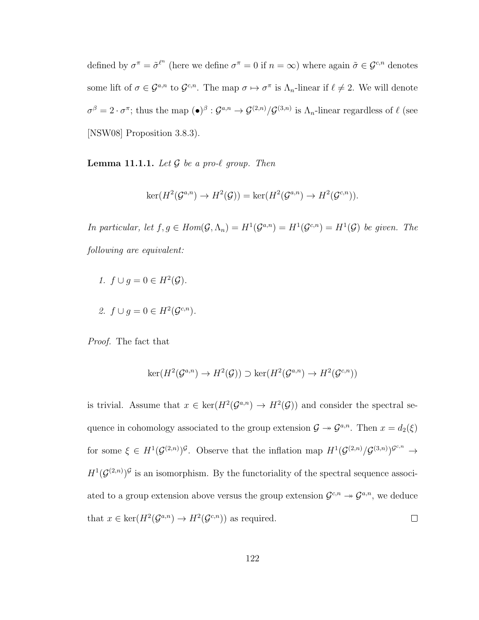defined by  $\sigma^{\pi} = \tilde{\sigma}^{\ell^n}$  (here we define  $\sigma^{\pi} = 0$  if  $n = \infty$ ) where again  $\tilde{\sigma} \in \mathcal{G}^{c,n}$  denotes some lift of  $\sigma \in \mathcal{G}^{a,n}$  to  $\mathcal{G}^{c,n}$ . The map  $\sigma \mapsto \sigma^{\pi}$  is  $\Lambda_n$ -linear if  $\ell \neq 2$ . We will denote  $\sigma^{\beta} = 2 \cdot \sigma^{\pi}$ ; thus the map  $(\bullet)^{\beta} : \mathcal{G}^{a,n} \to \mathcal{G}^{(2,n)}/\mathcal{G}^{(3,n)}$  is  $\Lambda_n$ -linear regardless of  $\ell$  (see [NSW08] Proposition 3.8.3).

**Lemma 11.1.1.** Let  $\mathcal G$  be a pro- $\ell$  group. Then

$$
\ker(H^2(\mathcal{G}^{a,n}) \to H^2(\mathcal{G})) = \ker(H^2(\mathcal{G}^{a,n}) \to H^2(\mathcal{G}^{c,n})).
$$

In particular, let  $f, g \in Hom(\mathcal{G}, \Lambda_n) = H^1(\mathcal{G}^{a,n}) = H^1(\mathcal{G}^{c,n}) = H^1(\mathcal{G})$  be given. The following are equivalent:

- 1.  $f \cup g = 0 \in H^2(\mathcal{G})$ .
- 2.  $f \cup g = 0 \in H^2(\mathcal{G}^{c,n}).$

Proof. The fact that

$$
\ker(H^2(\mathcal{G}^{a,n}) \to H^2(\mathcal{G})) \supset \ker(H^2(\mathcal{G}^{a,n}) \to H^2(\mathcal{G}^{c,n}))
$$

is trivial. Assume that  $x \in \text{ker}(H^2(\mathcal{G}^{a,n}) \to H^2(\mathcal{G}))$  and consider the spectral sequence in cohomology associated to the group extension  $\mathcal{G} \to \mathcal{G}^{a,n}$ . Then  $x = d_2(\xi)$ for some  $\xi \in H^1(\mathcal{G}^{(2,n)})^{\mathcal{G}}$ . Observe that the inflation map  $H^1(\mathcal{G}^{(2,n)}/\mathcal{G}^{(3,n)})^{\mathcal{G}^{c,n}} \to$  $H^1(\mathcal{G}^{(2,n)})^{\mathcal{G}}$  is an isomorphism. By the functoriality of the spectral sequence associated to a group extension above versus the group extension  $\mathcal{G}^{c,n} \to \mathcal{G}^{a,n}$ , we deduce that  $x \in \text{ker}(H^2(\mathcal{G}^{a,n}) \to H^2(\mathcal{G}^{c,n}))$  as required.  $\Box$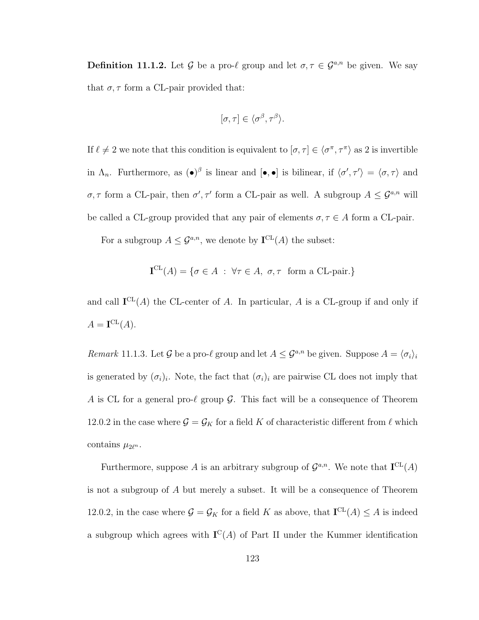**Definition 11.1.2.** Let G be a pro- $\ell$  group and let  $\sigma, \tau \in \mathcal{G}^{a,n}$  be given. We say that  $\sigma, \tau$  form a CL-pair provided that:

$$
[\sigma, \tau] \in \langle \sigma^{\beta}, \tau^{\beta} \rangle.
$$

If  $\ell \neq 2$  we note that this condition is equivalent to  $[\sigma, \tau] \in \langle \sigma^{\pi}, \tau^{\pi} \rangle$  as 2 is invertible in  $\Lambda_n$ . Furthermore, as  $(\bullet)^{\beta}$  is linear and  $[\bullet, \bullet]$  is bilinear, if  $\langle \sigma', \tau' \rangle = \langle \sigma, \tau \rangle$  and  $\sigma, \tau$  form a CL-pair, then  $\sigma', \tau'$  form a CL-pair as well. A subgroup  $A \leq \mathcal{G}^{a,n}$  will be called a CL-group provided that any pair of elements  $\sigma, \tau \in A$  form a CL-pair.

For a subgroup  $A \leq \mathcal{G}^{a,n}$ , we denote by  $\mathbf{I}^{\mathrm{CL}}(A)$  the subset:

$$
\mathbf{I}^{\mathrm{CL}}(A) = \{ \sigma \in A : \forall \tau \in A, \ \sigma, \tau \ \text{ form a CL-pair.} \}
$$

and call  $I^{CL}(A)$  the CL-center of A. In particular, A is a CL-group if and only if  $A = \mathbf{I}^{\mathrm{CL}}(A).$ 

Remark 11.1.3. Let G be a pro- $\ell$  group and let  $A \leq \mathcal{G}^{a,n}$  be given. Suppose  $A = \langle \sigma_i \rangle_i$ is generated by  $(\sigma_i)_i$ . Note, the fact that  $(\sigma_i)_i$  are pairwise CL does not imply that A is CL for a general pro- $\ell$  group  $\mathcal G$ . This fact will be a consequence of Theorem 12.0.2 in the case where  $\mathcal{G} = \mathcal{G}_K$  for a field K of characteristic different from  $\ell$  which contains  $\mu_{2\ell^n}$ .

Furthermore, suppose A is an arbitrary subgroup of  $\mathcal{G}^{a,n}$ . We note that  $\mathbf{I}^{\mathrm{CL}}(A)$ is not a subgroup of A but merely a subset. It will be a consequence of Theorem 12.0.2, in the case where  $\mathcal{G} = \mathcal{G}_K$  for a field K as above, that  $\mathbf{I}^{\mathrm{CL}}(A) \leq A$  is indeed a subgroup which agrees with  $\mathbf{I}^{\mathbf{C}}(A)$  of Part II under the Kummer identification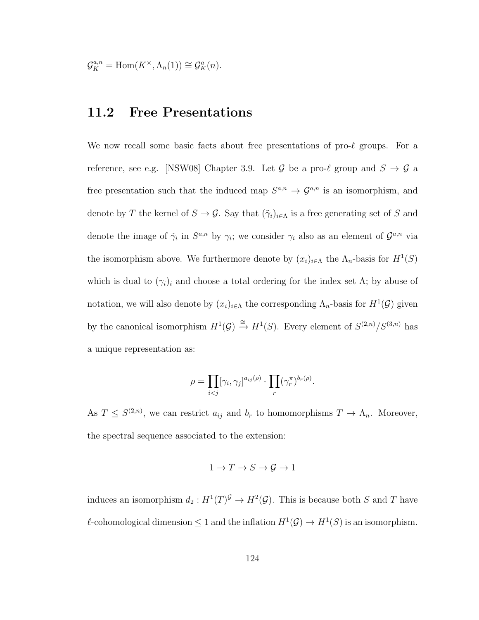$$
\mathcal{G}_K^{a,n} = \text{Hom}(K^\times, \Lambda_n(1)) \cong \mathcal{G}_K^a(n).
$$

### 11.2 Free Presentations

We now recall some basic facts about free presentations of  $\text{pro-}\ell$  groups. For a reference, see e.g. [NSW08] Chapter 3.9. Let  $\mathcal G$  be a pro- $\ell$  group and  $S \to \mathcal G$  a free presentation such that the induced map  $S^{a,n} \to \mathcal{G}^{a,n}$  is an isomorphism, and denote by T the kernel of  $S \to \mathcal{G}$ . Say that  $(\tilde{\gamma}_i)_{i \in \Lambda}$  is a free generating set of S and denote the image of  $\tilde{\gamma}_i$  in  $S^{a,n}$  by  $\gamma_i$ ; we consider  $\gamma_i$  also as an element of  $\mathcal{G}^{a,n}$  via the isomorphism above. We furthermore denote by  $(x_i)_{i \in \Lambda}$  the  $\Lambda_n$ -basis for  $H^1(S)$ which is dual to  $(\gamma_i)_i$  and choose a total ordering for the index set  $\Lambda$ ; by abuse of notation, we will also denote by  $(x_i)_{i \in \Lambda}$  the corresponding  $\Lambda_n$ -basis for  $H^1(\mathcal{G})$  given by the canonical isomorphism  $H^1(\mathcal{G}) \stackrel{\cong}{\to} H^1(S)$ . Every element of  $S^{(2,n)}/S^{(3,n)}$  has a unique representation as:

$$
\rho = \prod_{i < j} [\gamma_i, \gamma_j]^{a_{ij}(\rho)} \cdot \prod_r (\gamma_r^{\pi})^{b_r(\rho)}.
$$

As  $T \leq S^{(2,n)}$ , we can restrict  $a_{ij}$  and  $b_r$  to homomorphisms  $T \to \Lambda_n$ . Moreover, the spectral sequence associated to the extension:

$$
1 \to T \to S \to \mathcal{G} \to 1
$$

induces an isomorphism  $d_2: H^1(T)^{\mathcal{G}} \to H^2(\mathcal{G})$ . This is because both S and T have l-cohomological dimension  $\leq 1$  and the inflation  $H^1(\mathcal{G}) \to H^1(S)$  is an isomorphism.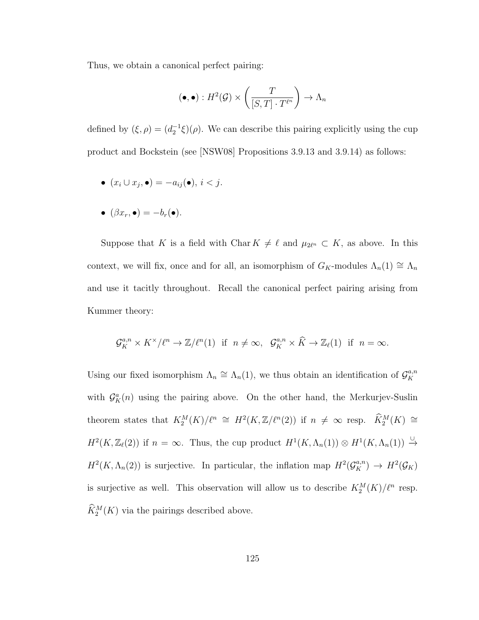Thus, we obtain a canonical perfect pairing:

$$
(\bullet, \bullet) : H^2(\mathcal{G}) \times \left(\frac{T}{[S, T] \cdot T^{\ell^n}}\right) \to \Lambda_n
$$

defined by  $(\xi, \rho) = (d_2^{-1}\xi)(\rho)$ . We can describe this pairing explicitly using the cup product and Bockstein (see [NSW08] Propositions 3.9.13 and 3.9.14) as follows:

 $\bullet$   $(x_i \cup x_j, \bullet) = -a_{ij}(\bullet), i < j.$ 

$$
\bullet \ (\beta x_r, \bullet) = -b_r(\bullet).
$$

Suppose that K is a field with Char  $K \neq \ell$  and  $\mu_{2\ell^n} \subset K$ , as above. In this context, we will fix, once and for all, an isomorphism of  $G_K$ -modules  $\Lambda_n(1) \cong \Lambda_n$ and use it tacitly throughout. Recall the canonical perfect pairing arising from Kummer theory:

$$
\mathcal{G}_{K}^{a,n} \times K^{\times}/\ell^{n} \to \mathbb{Z}/\ell^{n}(1) \text{ if } n \neq \infty, \ \mathcal{G}_{K}^{a,n} \times \widehat{K} \to \mathbb{Z}_{\ell}(1) \text{ if } n = \infty.
$$

Using our fixed isomorphism  $\Lambda_n \cong \Lambda_n(1)$ , we thus obtain an identification of  $\mathcal{G}_K^{a,n}$ K with  $\mathcal{G}_{K}^{a}(n)$  using the pairing above. On the other hand, the Merkurjev-Suslin theorem states that  $K_2^M(K)/\ell^n \cong H^2(K,\mathbb{Z}/\ell^n(2))$  if  $n \neq \infty$  resp.  $\widehat{K}_2^M(K) \cong$  $H^2(K,\mathbb{Z}_{\ell}(2))$  if  $n = \infty$ . Thus, the cup product  $H^1(K,\Lambda_n(1)) \otimes H^1(K,\Lambda_n(1)) \xrightarrow{\cup}$  $H^2(K, \Lambda_n(2))$  is surjective. In particular, the inflation map  $H^2(\mathcal{G}_K^{a,n}) \to H^2(\mathcal{G}_K)$ is surjective as well. This observation will allow us to describe  $K_2^M(K)/\ell^n$  resp.  $\widetilde{K}_2^M(K)$  via the pairings described above.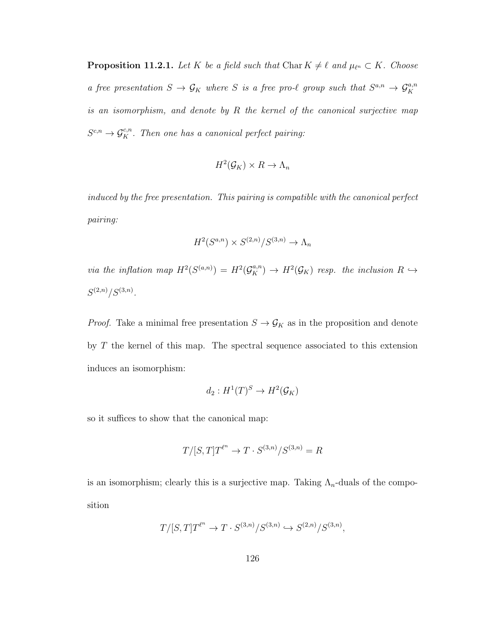**Proposition 11.2.1.** Let K be a field such that Char  $K \neq \ell$  and  $\mu_{\ell^n} \subset K$ . Choose a free presentation  $S \to \mathcal{G}_K$  where S is a free pro- $\ell$  group such that  $S^{a,n} \to \mathcal{G}_K^{a,n}$ is an isomorphism, and denote by R the kernel of the canonical surjective map  $S^{c,n} \to \mathcal{G}_K^{c,n}$ . Then one has a canonical perfect pairing:

$$
H^2(\mathcal{G}_K) \times R \to \Lambda_n
$$

induced by the free presentation. This pairing is compatible with the canonical perfect pairing:

$$
H^2(S^{a,n}) \times S^{(2,n)}/S^{(3,n)} \to \Lambda_n
$$

via the inflation map  $H^2(S^{(a,n)}) = H^2(\mathcal{G}_K^{a,n}) \to H^2(\mathcal{G}_K)$  resp. the inclusion  $R \hookrightarrow$  $S^{(2,n)}/S^{(3,n)}.$ 

*Proof.* Take a minimal free presentation  $S \to \mathcal{G}_K$  as in the proposition and denote by T the kernel of this map. The spectral sequence associated to this extension induces an isomorphism:

$$
d_2: H^1(T)^S \to H^2(\mathcal{G}_K)
$$

so it suffices to show that the canonical map:

$$
T/[S,T]T^{\ell^n} \to T \cdot S^{(3,n)}/S^{(3,n)} = R
$$

is an isomorphism; clearly this is a surjective map. Taking  $\Lambda_n$ -duals of the composition

$$
T/[S,T]T^{\ell^n}\to T\cdot S^{(3,n)}/S^{(3,n)}\hookrightarrow S^{(2,n)}/S^{(3,n)},
$$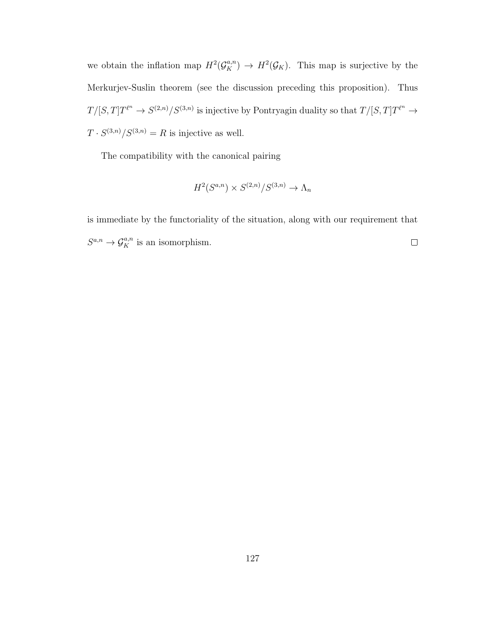we obtain the inflation map  $H^2(\mathcal{G}_K^{a,n}) \to H^2(\mathcal{G}_K)$ . This map is surjective by the Merkurjev-Suslin theorem (see the discussion preceding this proposition). Thus  $T/[S,T]T^{\ell^n} \to S^{(2,n)}/S^{(3,n)}$  is injective by Pontryagin duality so that  $T/[S,T]T^{\ell^n} \to$  $T \cdot S^{(3,n)}/S^{(3,n)} = R$  is injective as well.

The compatibility with the canonical pairing

$$
H^2(S^{a,n}) \times S^{(2,n)}/S^{(3,n)} \to \Lambda_n
$$

is immediate by the functoriality of the situation, along with our requirement that  $S^{a,n} \to \mathcal{G}_K^{a,n}$  is an isomorphism.  $\Box$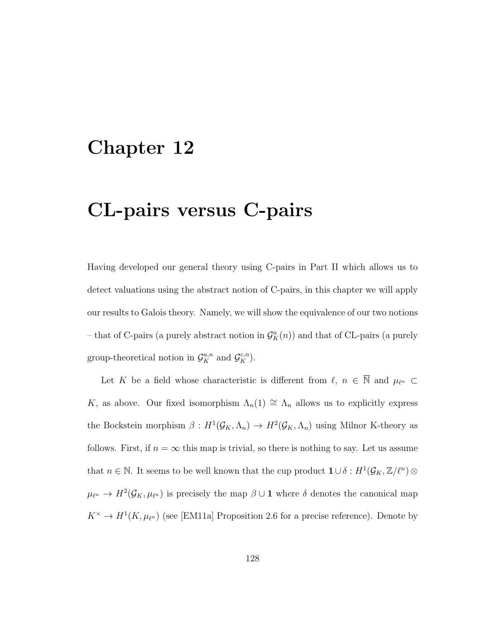### Chapter 12

# CL-pairs versus C-pairs

Having developed our general theory using C-pairs in Part II which allows us to detect valuations using the abstract notion of C-pairs, in this chapter we will apply our results to Galois theory. Namely, we will show the equivalence of our two notions – that of C-pairs (a purely abstract notion in  $\mathcal{G}_{K}^{a}(n)$ ) and that of CL-pairs (a purely group-theoretical notion in  $\mathcal{G}_K^{a,n}$  and  $\mathcal{G}_K^{c,n}$ ).

Let K be a field whose characteristic is different from  $\ell, n \in \overline{\mathbb{N}}$  and  $\mu_{\ell^n} \subset$ K, as above. Our fixed isomorphism  $\Lambda_n(1) \cong \Lambda_n$  allows us to explicitly express the Bockstein morphism  $\beta: H^1(\mathcal{G}_K, \Lambda_n) \to H^2(\mathcal{G}_K, \Lambda_n)$  using Milnor K-theory as follows. First, if  $n = \infty$  this map is trivial, so there is nothing to say. Let us assume that  $n \in \mathbb{N}$ . It seems to be well known that the cup product  $\mathbf{1} \cup \delta : H^1(\mathcal{G}_K, \mathbb{Z}/\ell^n) \otimes$  $\mu_{\ell^n} \to H^2(\mathcal{G}_K, \mu_{\ell^n})$  is precisely the map  $\beta \cup \mathbf{1}$  where  $\delta$  denotes the canonical map  $K^{\times} \to H^1(K, \mu_{\ell^n})$  (see [EM11a] Proposition 2.6 for a precise reference). Denote by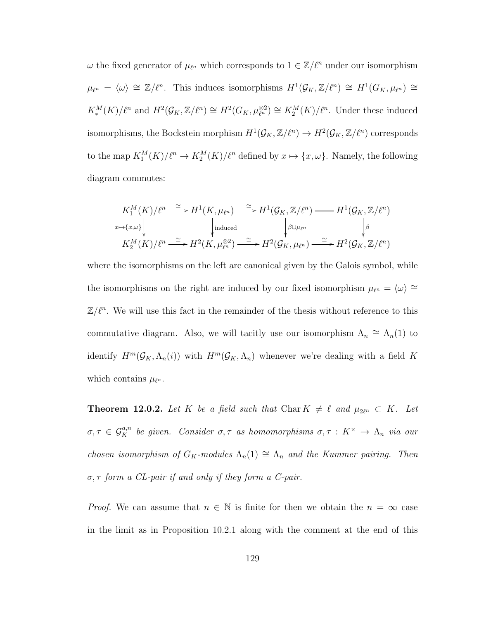$\omega$  the fixed generator of  $\mu_{\ell^n}$  which corresponds to  $1 \in \mathbb{Z}/\ell^n$  under our isomorphism  $\mu_{\ell^n} = \langle \omega \rangle \cong \mathbb{Z}/\ell^n$ . This induces isomorphisms  $H^1(\mathcal{G}_K, \mathbb{Z}/\ell^n) \cong H^1(G_K, \mu_{\ell^n}) \cong$  $K_*^M(K)/\ell^n$  and  $H^2(\mathcal{G}_K,\mathbb{Z}/\ell^n) \cong H^2(G_K,\mu_{\ell^n}^{\otimes 2}) \cong K_2^M(K)/\ell^n$ . Under these induced isomorphisms, the Bockstein morphism  $H^1(\mathcal{G}_K, \mathbb{Z}/\ell^n) \to H^2(\mathcal{G}_K, \mathbb{Z}/\ell^n)$  corresponds to the map  $K_1^M(K)/\ell^n \to K_2^M(K)/\ell^n$  defined by  $x \mapsto \{x, \omega\}$ . Namely, the following diagram commutes:

$$
K_1^M(K)/\ell^n \xrightarrow{\cong} H^1(K, \mu_{\ell^n}) \xrightarrow{\cong} H^1(\mathcal{G}_K, \mathbb{Z}/\ell^n) \xrightarrow{\operatorname{mod} H^1(\mathcal{G}_K, \mathbb{Z}/\ell^n)} H^1(\mathcal{G}_K, \mathbb{Z}/\ell^n)
$$
\n
$$
\downarrow^{\text{induced}} \qquad \qquad \downarrow^{\beta \cup \mu_{\ell^n}} \qquad \qquad \downarrow^{\beta}
$$
\n
$$
K_2^M(K)/\ell^n \xrightarrow{\cong} H^2(K, \mu_{\ell^n}) \xrightarrow{\cong} H^2(\mathcal{G}_K, \mu_{\ell^n}) \xrightarrow{\cong} H^2(\mathcal{G}_K, \mathbb{Z}/\ell^n)
$$

where the isomorphisms on the left are canonical given by the Galois symbol, while the isomorphisms on the right are induced by our fixed isomorphism  $\mu_{\ell^n} = \langle \omega \rangle \cong$  $\mathbb{Z}/\ell^n$ . We will use this fact in the remainder of the thesis without reference to this commutative diagram. Also, we will tacitly use our isomorphism  $\Lambda_n \cong \Lambda_n(1)$  to identify  $H^m(\mathcal{G}_K,\Lambda_n(i))$  with  $H^m(\mathcal{G}_K,\Lambda_n)$  whenever we're dealing with a field K which contains  $\mu_{\ell^n}$ .

**Theorem 12.0.2.** Let K be a field such that Char  $K \neq \ell$  and  $\mu_{2\ell^n} \subset K$ . Let  $\sigma, \tau \in \mathcal{G}_K^{a,n}$  be given. Consider  $\sigma, \tau$  as homomorphisms  $\sigma, \tau : K^\times \to \Lambda_n$  via our chosen isomorphism of  $G_K$ -modules  $\Lambda_n(1) \cong \Lambda_n$  and the Kummer pairing. Then σ, τ form a CL-pair if and only if they form a C-pair.

*Proof.* We can assume that  $n \in \mathbb{N}$  is finite for then we obtain the  $n = \infty$  case in the limit as in Proposition 10.2.1 along with the comment at the end of this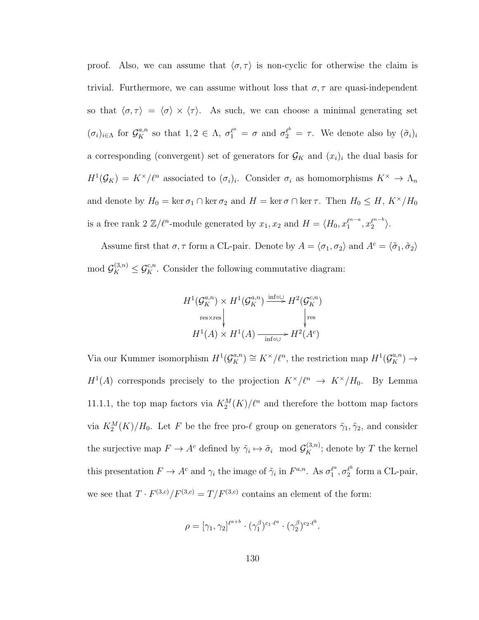proof. Also, we can assume that  $\langle \sigma, \tau \rangle$  is non-cyclic for otherwise the claim is trivial. Furthermore, we can assume without loss that  $\sigma, \tau$  are quasi-independent so that  $\langle \sigma, \tau \rangle = \langle \sigma \rangle \times \langle \tau \rangle$ . As such, we can choose a minimal generating set  $(\sigma_i)_{i\in\Lambda}$  for  $\mathcal{G}_K^{a,n}$  so that  $1,2\in\Lambda$ ,  $\sigma_1^{\ell^a}=\sigma$  and  $\sigma_2^{\ell^b}=\tau$ . We denote also by  $(\tilde{\sigma}_i)_i$ a corresponding (convergent) set of generators for  $\mathcal{G}_K$  and  $(x_i)_i$  the dual basis for  $H^1(\mathcal{G}_K) = K^\times \ell^n$  associated to  $(\sigma_i)_i$ . Consider  $\sigma_i$  as homomorphisms  $K^\times \to \Lambda_n$ and denote by  $H_0 = \ker \sigma_1 \cap \ker \sigma_2$  and  $H = \ker \sigma \cap \ker \tau$ . Then  $H_0 \leq H$ ,  $K^{\times}/H_0$ is a free rank 2  $\mathbb{Z}/\ell^n$ -module generated by  $x_1, x_2$  and  $H = \langle H_0, x_1^{\ell^{n-a}} \rangle$  $\binom{\ell^{n-a}}{1}, x_2^{\ell^{n-b}}$  $\binom{\ell^{n-o}}{2}$ .

Assume first that  $\sigma, \tau$  form a CL-pair. Denote by  $A = \langle \sigma_1, \sigma_2 \rangle$  and  $A^c = \langle \tilde{\sigma}_1, \tilde{\sigma}_2 \rangle$ mod  $\mathcal{G}_K^{(3,n)} \leq \mathcal{G}_K^{c,n}$ . Consider the following commutative diagram:

$$
H^1(\mathcal{G}_K^{a,n}) \times H^1(\mathcal{G}_K^{a,n}) \xrightarrow{\text{info} \cup} H^2(\mathcal{G}_K^{c,n})
$$
  
res×res  

$$
H^1(A) \times H^1(A) \xrightarrow{\text{info} \cup} H^2(A^c)
$$

Via our Kummer isomorphism  $H^1(\mathcal{G}_K^{a,n}) \cong K^\times \ell^n$ , the restriction map  $H^1(\mathcal{G}_K^{a,n}) \to$  $H^1(A)$  corresponds precisely to the projection  $K^\times/\ell^n \to K^\times/H_0$ . By Lemma 11.1.1, the top map factors via  $K_2^M(K)/\ell^n$  and therefore the bottom map factors via  $K_2^M(K)/H_0$ . Let F be the free pro- $\ell$  group on generators  $\tilde{\gamma}_1, \tilde{\gamma}_2$ , and consider the surjective map  $F \to A^c$  defined by  $\tilde{\gamma}_i \mapsto \tilde{\sigma}_i \mod \mathcal{G}_K^{(3,n)}$ ; denote by T the kernel this presentation  $F \to A^c$  and  $\gamma_i$  the image of  $\tilde{\gamma}_i$  in  $F^{a,n}$ . As  $\sigma_1^{\ell^a}$  $\frac{\ell^a}{1}, \sigma_2^{\ell^b}$  $l_2^{\ell}$  form a CL-pair, we see that  $T \cdot F^{(3,c)}/F^{(3,c)} = T/F^{(3,c)}$  contains an element of the form:

$$
\rho = [\gamma_1, \gamma_2]^{\ell^{a+b}} \cdot (\gamma_1^{\beta})^{c_1 \cdot \ell^a} \cdot (\gamma_2^{\beta})^{c_2 \cdot \ell^b}.
$$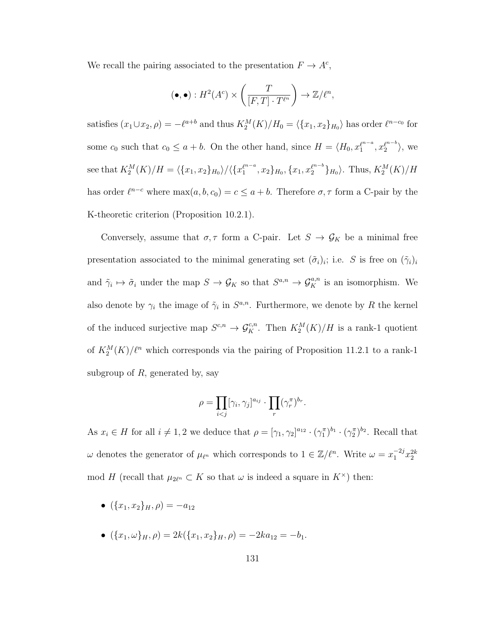We recall the pairing associated to the presentation  $F \to A^c$ ,

$$
(\bullet, \bullet) : H^2(A^c) \times \left(\frac{T}{[F, T] \cdot T^{\ell^n}}\right) \to \mathbb{Z}/\ell^n,
$$

satisfies  $(x_1 \cup x_2, \rho) = -\ell^{a+b}$  and thus  $K_2^M(K)/H_0 = \langle \{x_1, x_2\}_{H_0} \rangle$  has order  $\ell^{n-c_0}$  for some  $c_0$  such that  $c_0 \le a + b$ . On the other hand, since  $H = \langle H_0, x_1^{p^{n-a}} \rangle$  $\binom{\ell^{n-a}}{1}, x_2^{\ell^{n-b}}$  $\binom{\ell^{n-o}}{2}$ , we see that  $K_2^M(K)/H = \langle \{x_1, x_2\}_{H_0} \rangle / \langle \{x_1^{e^{n-a}}\rangle\}$  $\{x_1^{e^{n-a}}, x_2\}_{H_0}, \{x_1, x_2^{e^{n-b}}\}_{H_0}$ . Thus,  $K_2^M(K)/H$ has order  $\ell^{n-c}$  where  $\max(a, b, c_0) = c \le a + b$ . Therefore  $\sigma, \tau$  form a C-pair by the K-theoretic criterion (Proposition 10.2.1).

Conversely, assume that  $\sigma, \tau$  form a C-pair. Let  $S \to \mathcal{G}_K$  be a minimal free presentation associated to the minimal generating set  $(\tilde{\sigma}_i)_i$ ; i.e. S is free on  $(\tilde{\gamma}_i)_i$ and  $\tilde{\gamma}_i \mapsto \tilde{\sigma}_i$  under the map  $S \to \mathcal{G}_K$  so that  $S^{a,n} \to \mathcal{G}_K^{a,n}$  is an isomorphism. We also denote by  $\gamma_i$  the image of  $\tilde{\gamma}_i$  in  $S^{a,n}$ . Furthermore, we denote by R the kernel of the induced surjective map  $S^{c,n} \to \mathcal{G}_K^{c,n}$ . Then  $K_2^M(K)/H$  is a rank-1 quotient of  $K_2^M(K)/\ell^n$  which corresponds via the pairing of Proposition 11.2.1 to a rank-1 subgroup of  $R$ , generated by, say

$$
\rho = \prod_{i < j} [\gamma_i, \gamma_j]^{a_{ij}} \cdot \prod_r (\gamma_r^{\pi})^{b_r}.
$$

As  $x_i \in H$  for all  $i \neq 1, 2$  we deduce that  $\rho = [\gamma_1, \gamma_2]^{a_{12}} \cdot (\gamma_1^{\pi})^{b_1} \cdot (\gamma_2^{\pi})^{b_2}$ . Recall that  $\omega$  denotes the generator of  $\mu_{\ell^n}$  which corresponds to  $1 \in \mathbb{Z}/\ell^n$ . Write  $\omega = x_1^{-2j} x_2^{2k}$ mod H (recall that  $\mu_{2\ell^n} \subset K$  so that  $\omega$  is indeed a square in  $K^{\times}$ ) then:

- $({x_1, x_2}_H, \rho) = -a_{12}$
- $({x_1, \omega}_H, \rho) = 2k({x_1, x_2}_H, \rho) = -2ka_{12} = -b_1.$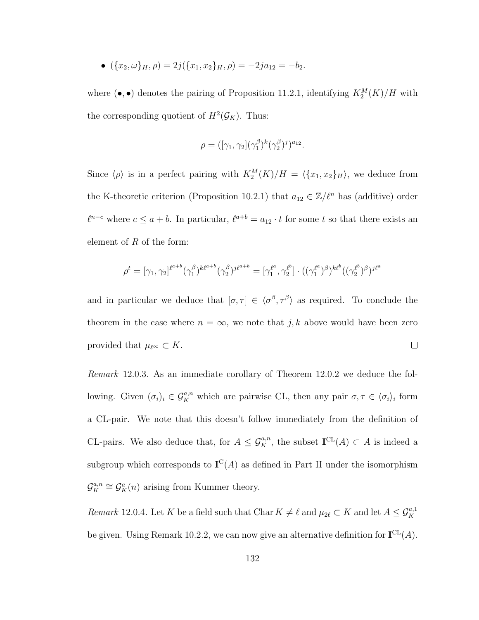• 
$$
(\{x_2, \omega\}_H, \rho) = 2j(\{x_1, x_2\}_H, \rho) = -2ja_{12} = -b_2.
$$

where  $(\bullet, \bullet)$  denotes the pairing of Proposition 11.2.1, identifying  $K_2^M(K)/H$  with the corresponding quotient of  $H^2(\mathcal{G}_K)$ . Thus:

$$
\rho = ([\gamma_1, \gamma_2](\gamma_1^{\beta})^k (\gamma_2^{\beta})^j)^{a_{12}}.
$$

Since  $\langle \rho \rangle$  is in a perfect pairing with  $K_2^M(K)/H = \langle \{x_1, x_2\}_H \rangle$ , we deduce from the K-theoretic criterion (Proposition 10.2.1) that  $a_{12} \in \mathbb{Z}/\ell^n$  has (additive) order  $\ell^{n-c}$  where  $c \le a + b$ . In particular,  $\ell^{a+b} = a_{12} \cdot t$  for some t so that there exists an element of  $R$  of the form:

$$
\rho^t = [\gamma_1, \gamma_2]^{l^{a+b}} (\gamma_1^{\beta})^{k^{a+b}} (\gamma_2^{\beta})^{j^{a+b}} = [\gamma_1^{\ell^a}, \gamma_2^{\ell^b}] \cdot ((\gamma_1^{\ell^a})^{\beta})^{k^{b}} ((\gamma_2^{\ell^b})^{\beta})^{j^{a+b}}
$$

and in particular we deduce that  $[\sigma, \tau] \in \langle \sigma^{\beta}, \tau^{\beta} \rangle$  as required. To conclude the theorem in the case where  $n = \infty$ , we note that j, k above would have been zero provided that  $\mu_{\ell^{\infty}} \subset K$ .  $\Box$ 

Remark 12.0.3. As an immediate corollary of Theorem 12.0.2 we deduce the following. Given  $(\sigma_i)_i \in \mathcal{G}_K^{a,n}$  which are pairwise CL, then any pair  $\sigma, \tau \in \langle \sigma_i \rangle_i$  form a CL-pair. We note that this doesn't follow immediately from the definition of CL-pairs. We also deduce that, for  $A \leq \mathcal{G}_K^{a,n}$ , the subset  $\mathbf{I}^{\mathrm{CL}}(A) \subset A$  is indeed a subgroup which corresponds to  $I^C(A)$  as defined in Part II under the isomorphism  ${\cal G}_K^{a,n}$  $\mathcal{G}_K^{a,n} \cong \mathcal{G}_K^a(n)$  arising from Kummer theory.

Remark 12.0.4. Let K be a field such that Char  $K \neq \ell$  and  $\mu_{2\ell} \subset K$  and let  $A \leq \mathcal{G}_K^{a,1}$ be given. Using Remark 10.2.2, we can now give an alternative definition for  $I^{\text{CL}}(A)$ .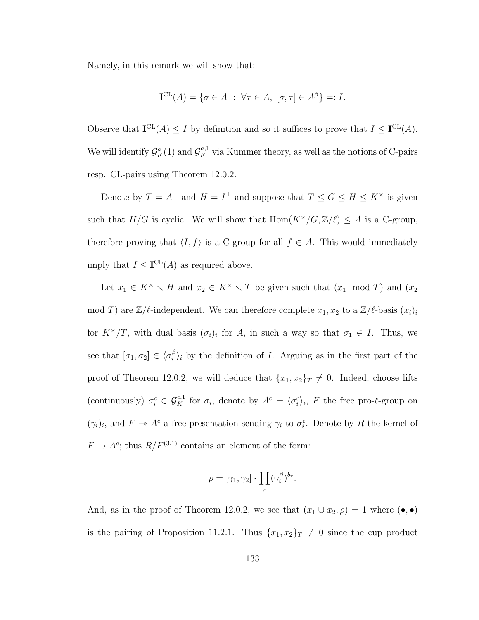Namely, in this remark we will show that:

$$
\mathbf{I}^{\mathrm{CL}}(A) = \{ \sigma \in A \; : \; \forall \tau \in A, \; [\sigma, \tau] \in A^{\beta} \} =: I.
$$

Observe that  $I^{CL}(A) \leq I$  by definition and so it suffices to prove that  $I \leq I^{CL}(A)$ . We will identify  $\mathcal{G}_{K}^{a}(1)$  and  $\mathcal{G}_{K}^{a,1}$  via Kummer theory, as well as the notions of C-pairs resp. CL-pairs using Theorem 12.0.2.

Denote by  $T = A^{\perp}$  and  $H = I^{\perp}$  and suppose that  $T \le G \le H \le K^{\times}$  is given such that  $H/G$  is cyclic. We will show that  $\text{Hom}(K^{\times}/G, \mathbb{Z}/\ell) \leq A$  is a C-group, therefore proving that  $\langle I, f \rangle$  is a C-group for all  $f \in A$ . This would immediately imply that  $I \leq I^{\text{CL}}(A)$  as required above.

Let  $x_1 \in K^{\times} \setminus H$  and  $x_2 \in K^{\times} \setminus T$  be given such that  $(x_1 \mod T)$  and  $(x_2$ mod T) are  $\mathbb{Z}/\ell$ -independent. We can therefore complete  $x_1, x_2$  to a  $\mathbb{Z}/\ell$ -basis  $(x_i)_i$ for  $K^{\times}/T$ , with dual basis  $(\sigma_i)_i$  for A, in such a way so that  $\sigma_1 \in I$ . Thus, we see that  $[\sigma_1, \sigma_2] \in \langle \sigma_i^{\beta} \rangle$  $i<sub>i</sub><sup>\beta</sup>$ )<sub>i</sub> by the definition of *I*. Arguing as in the first part of the proof of Theorem 12.0.2, we will deduce that  ${x_1, x_2}_T \neq 0$ . Indeed, choose lifts (continuously)  $\sigma_i^c \in \mathcal{G}_K^{c,1}$  for  $\sigma_i$ , denote by  $A^c = \langle \sigma_i^c \rangle_i$ , F the free pro- $\ell$ -group on  $(\gamma_i)_i$ , and  $F \to A^c$  a free presentation sending  $\gamma_i$  to  $\sigma_i^c$ . Denote by R the kernel of  $F \to A^c$ ; thus  $R/F^{(3,1)}$  contains an element of the form:

$$
\rho = [\gamma_1, \gamma_2] \cdot \prod_r (\gamma_i^{\beta})^{b_r}.
$$

And, as in the proof of Theorem 12.0.2, we see that  $(x_1 \cup x_2, \rho) = 1$  where  $(\bullet, \bullet)$ is the pairing of Proposition 11.2.1. Thus  $\{x_1, x_2\}_T \neq 0$  since the cup product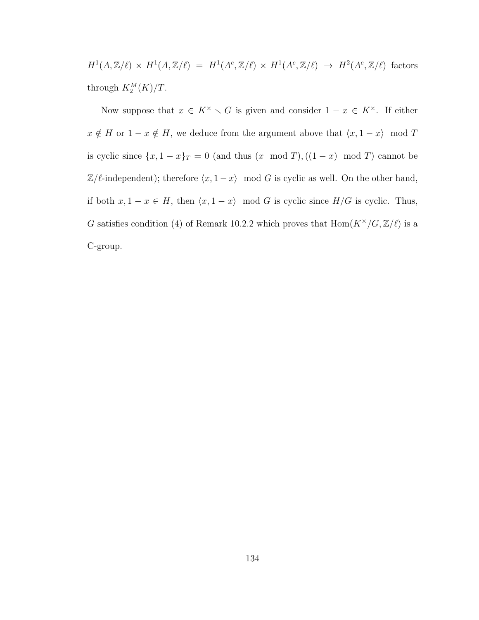$H^1(A,\mathbb{Z}/\ell) \times H^1(A,\mathbb{Z}/\ell) = H^1(A^c,\mathbb{Z}/\ell) \times H^1(A^c,\mathbb{Z}/\ell) \rightarrow H^2(A^c,\mathbb{Z}/\ell)$  factors through  $K_2^M(K)/T$ .

Now suppose that  $x \in K^{\times} \setminus G$  is given and consider  $1 - x \in K^{\times}$ . If either  $x \notin H$  or  $1 - x \notin H$ , we deduce from the argument above that  $\langle x, 1 - x \rangle \mod T$ is cyclic since  $\{x, 1 - x\}_T = 0$  (and thus  $(x \mod T)$ ,  $((1 - x) \mod T)$  cannot be  $\mathbb{Z}/\ell$ -independent); therefore  $\langle x, 1 - x \rangle$  mod G is cyclic as well. On the other hand, if both  $x, 1 - x \in H$ , then  $\langle x, 1 - x \rangle$  mod G is cyclic since  $H/G$  is cyclic. Thus, G satisfies condition (4) of Remark 10.2.2 which proves that  $\text{Hom}(K^{\times}/G, \mathbb{Z}/\ell)$  is a C-group.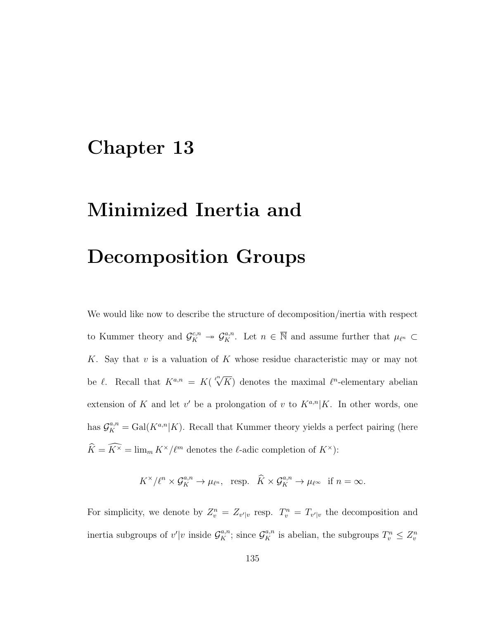# Chapter 13

# Minimized Inertia and Decomposition Groups

We would like now to describe the structure of decomposition/inertia with respect to Kummer theory and  $\mathcal{G}_K^{c,n} \to \mathcal{G}_K^{a,n}$ . Let  $n \in \overline{\mathbb{N}}$  and assume further that  $\mu_{\ell^n} \subset$ K. Say that  $v$  is a valuation of  $K$  whose residue characteristic may or may not be  $\ell$ . Recall that  $K^{a,n} = K(\sqrt[\ell^n]{K})$  denotes the maximal  $\ell^n$ -elementary abelian extension of K and let v' be a prolongation of v to  $K^{a,n}|K$ . In other words, one has  $\mathcal{G}_{K}^{a,n} = \text{Gal}(K^{a,n}|K)$ . Recall that Kummer theory yields a perfect pairing (here  $\widehat{K} = \widehat{K^\times} = \lim_m K^\times/\ell^m$  denotes the  $\ell\text{-}\mathrm{adic}$  completion of  $K^\times)$ :

 $K^{\times}/\ell^n \times \mathcal{G}_K^{a,n} \to \mu_{\ell^n}$ , resp.  $\widehat{K} \times \mathcal{G}_K^{a,n} \to \mu_{\ell^{\infty}}$  if  $n = \infty$ .

For simplicity, we denote by  $Z_v^n = Z_{v'|v}$  resp.  $T_v^n = T_{v'|v}$  the decomposition and inertia subgroups of  $v'|v$  inside  $\mathcal{G}_K^{a,n}$ ; since  $\mathcal{G}_K^{a,n}$  is abelian, the subgroups  $T_v^n \leq Z_v^n$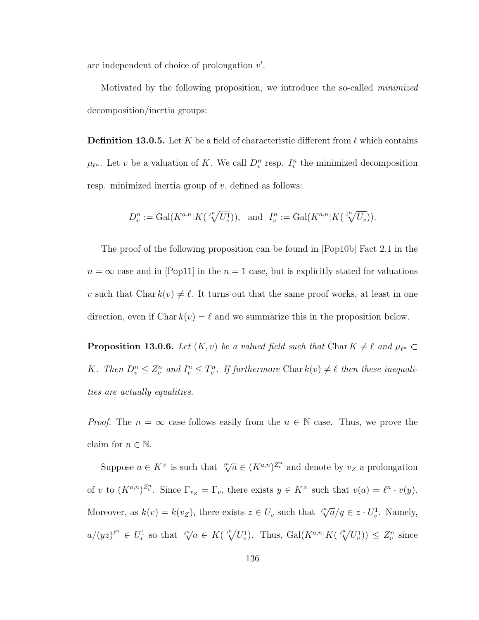are independent of choice of prolongation  $v'$ .

Motivated by the following proposition, we introduce the so-called minimized decomposition/inertia groups:

**Definition 13.0.5.** Let K be a field of characteristic different from  $\ell$  which contains  $\mu_{\ell^n}$ . Let v be a valuation of K. We call  $D_v^n$  resp.  $I_v^n$  the minimized decomposition resp. minimized inertia group of  $v$ , defined as follows:

$$
D_v^n := \mathrm{Gal}(K^{a,n}|K(\sqrt[p^n]{U_v^1})), \text{ and } I_v^n := \mathrm{Gal}(K^{a,n}|K(\sqrt[p^n]{U_v})).
$$

The proof of the following proposition can be found in [Pop10b] Fact 2.1 in the  $n = \infty$  case and in [Pop11] in the  $n = 1$  case, but is explicitly stated for valuations v such that Char  $k(v) \neq \ell$ . It turns out that the same proof works, at least in one direction, even if Char  $k(v) = \ell$  and we summarize this in the proposition below.

**Proposition 13.0.6.** Let  $(K, v)$  be a valued field such that Char  $K \neq \ell$  and  $\mu_{\ell^n} \subset$ K. Then  $D_v^n \leq Z_v^n$  and  $I_v^n \leq T_v^n$ . If furthermore Char  $k(v) \neq \ell$  then these inequalities are actually equalities.

*Proof.* The  $n = \infty$  case follows easily from the  $n \in \mathbb{N}$  case. Thus, we prove the claim for  $n \in \mathbb{N}$ .

Suppose  $a \in K^{\times}$  is such that  $\sqrt[n]{a} \in (K^{a,n})^{\mathbb{Z}_{v}^{n}}$  and denote by  $v_{Z}$  a prolongation of v to  $(K^{a,n})^{\mathbb{Z}_v^n}$ . Since  $\Gamma_{v_\mathbb{Z}} = \Gamma_v$ , there exists  $y \in K^\times$  such that  $v(a) = \ell^n \cdot v(y)$ . Moreover, as  $k(v) = k(vz)$ , there exists  $z \in U_v$  such that  $\sqrt[n]{a}/y \in z \cdot U_v^1$ . Namely,  $a/(yz)^{\ell^n} \in U_v^1$  so that  $\sqrt[\ell^n]{a} \in K(\sqrt[\ell^n]{U_v^1})$ . Thus,  $Gal(K^{a,n}|K(\sqrt[\ell^n]{U_v^1})) \leq Z_v^n$  since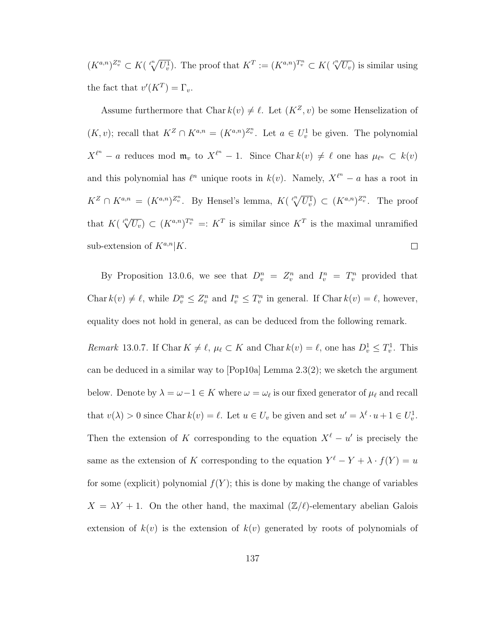$(K^{a,n})^{\mathbb{Z}^n_v} \subset K(\sqrt[p^n]{U_v^1})$ . The proof that  $K^T := (K^{a,n})^{\mathbb{Z}^n_v} \subset K(\sqrt[p^n]{U_v})$  is similar using the fact that  $v'(K^T) = \Gamma_v$ .

Assume furthermore that Char  $k(v) \neq \ell$ . Let  $(K^Z, v)$  be some Henselization of  $(K, v)$ ; recall that  $K^Z \cap K^{a,n} = (K^{a,n})^{Z_v^n}$ . Let  $a \in U_v^1$  be given. The polynomial  $X^{\ell^n}$  – a reduces mod  $\mathfrak{m}_v$  to  $X^{\ell^n}$  – 1. Since Char  $k(v) \neq \ell$  one has  $\mu_{\ell^n} \subset k(v)$ and this polynomial has  $\ell^n$  unique roots in  $k(v)$ . Namely,  $X^{\ell^n} - a$  has a root in  $K^Z \cap K^{a,n} = (K^{a,n})^{Z^n_v}$ . By Hensel's lemma,  $K(\sqrt[p^n]{U_v^n}) \subset (K^{a,n})^{Z^n_v}$ . The proof that  $K(\sqrt[\ell^n]{U_v}) \subset (K^{a,n})^{T_v^n} =: K^T$  is similar since  $K^T$  is the maximal unramified sub-extension of  $K^{a,n}|K$ .  $\Box$ 

By Proposition 13.0.6, we see that  $D_v^n = Z_v^n$  and  $I_v^n = T_v^n$  provided that Char  $k(v) \neq \ell$ , while  $D_v^n \leq Z_v^n$  and  $I_v^n \leq T_v^n$  in general. If Char  $k(v) = \ell$ , however, equality does not hold in general, as can be deduced from the following remark.

Remark 13.0.7. If Char  $K \neq \ell$ ,  $\mu_{\ell} \subset K$  and Char  $k(v) = \ell$ , one has  $D_v^1 \leq T_v^1$ . This can be deduced in a similar way to [Pop10a] Lemma 2.3(2); we sketch the argument below. Denote by  $\lambda = \omega - 1 \in K$  where  $\omega = \omega_{\ell}$  is our fixed generator of  $\mu_{\ell}$  and recall that  $v(\lambda) > 0$  since Char  $k(v) = \ell$ . Let  $u \in U_v$  be given and set  $u' = \lambda^{\ell} \cdot u + 1 \in U_v^1$ . Then the extension of K corresponding to the equation  $X^{\ell} - u'$  is precisely the same as the extension of K corresponding to the equation  $Y^{\ell} - Y + \lambda \cdot f(Y) = u$ for some (explicit) polynomial  $f(Y)$ ; this is done by making the change of variables  $X = \lambda Y + 1$ . On the other hand, the maximal  $(\mathbb{Z}/\ell)$ -elementary abelian Galois extension of  $k(v)$  is the extension of  $k(v)$  generated by roots of polynomials of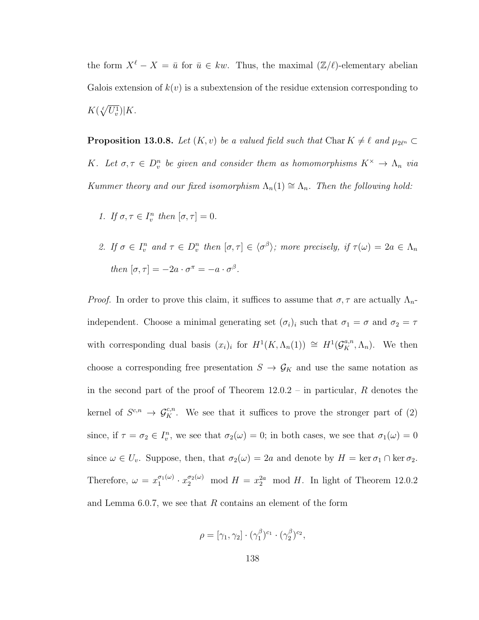the form  $X^{\ell} - X = \bar{u}$  for  $\bar{u} \in kw$ . Thus, the maximal  $(\mathbb{Z}/\ell)$ -elementary abelian Galois extension of  $k(v)$  is a subextension of the residue extension corresponding to  $K(\sqrt[\ell]{U_v^1})|K.$ 

**Proposition 13.0.8.** Let  $(K, v)$  be a valued field such that Char  $K \neq \ell$  and  $\mu_{2\ell^n} \subset$ K. Let  $\sigma, \tau \in D_v^n$  be given and consider them as homomorphisms  $K^\times \to \Lambda_n$  via Kummer theory and our fixed isomorphism  $\Lambda_n(1) \cong \Lambda_n$ . Then the following hold:

- 1. If  $\sigma, \tau \in I_v^n$  then  $[\sigma, \tau] = 0$ .
- 2. If  $\sigma \in I_v^n$  and  $\tau \in D_v^n$  then  $[\sigma, \tau] \in \langle \sigma^{\beta} \rangle$ ; more precisely, if  $\tau(\omega) = 2a \in \Lambda_n$ then  $[\sigma, \tau] = -2a \cdot \sigma^{\pi} = -a \cdot \sigma^{\beta}$ .

*Proof.* In order to prove this claim, it suffices to assume that  $\sigma$ ,  $\tau$  are actually  $\Lambda_n$ independent. Choose a minimal generating set  $(\sigma_i)_i$  such that  $\sigma_1 = \sigma$  and  $\sigma_2 = \tau$ with corresponding dual basis  $(x_i)_i$  for  $H^1(K, \Lambda_n(1)) \cong H^1(\mathcal{G}_K^{a,n}, \Lambda_n)$ . We then choose a corresponding free presentation  $S \to \mathcal{G}_K$  and use the same notation as in the second part of the proof of Theorem 12.0.2 – in particular, R denotes the kernel of  $S^{c,n} \to \mathcal{G}_K^{c,n}$ . We see that it suffices to prove the stronger part of (2) since, if  $\tau = \sigma_2 \in I_v^n$ , we see that  $\sigma_2(\omega) = 0$ ; in both cases, we see that  $\sigma_1(\omega) = 0$ since  $\omega \in U_v$ . Suppose, then, that  $\sigma_2(\omega) = 2a$  and denote by  $H = \ker \sigma_1 \cap \ker \sigma_2$ . Therefore,  $\omega = x_1^{\sigma_1(\omega)}$  $x_1^{\sigma_1(\omega)} \cdot x_2^{\sigma_2(\omega)} \mod H = x_2^{2a} \mod H$ . In light of Theorem 12.0.2 and Lemma  $6.0.7$ , we see that  $R$  contains an element of the form

$$
\rho = [\gamma_1, \gamma_2] \cdot (\gamma_1^{\beta})^{c_1} \cdot (\gamma_2^{\beta})^{c_2},
$$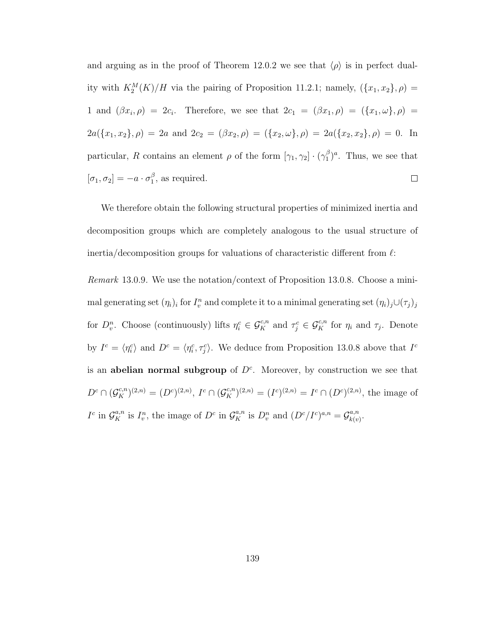and arguing as in the proof of Theorem 12.0.2 we see that  $\langle \rho \rangle$  is in perfect duality with  $K_2^M(K)/H$  via the pairing of Proposition 11.2.1; namely,  $({x_1, x_2}, \rho) =$ 1 and  $(\beta x_i, \rho) = 2c_i$ . Therefore, we see that  $2c_1 = (\beta x_1, \rho) = (\{x_1, \omega\}, \rho)$  $2a({x_1, x_2}, \rho) = 2a$  and  $2c_2 = (\beta x_2, \rho) = ({x_2, \omega}, \rho) = 2a({x_2, x_2}, \rho) = 0$ . In particular, R contains an element  $\rho$  of the form  $[\gamma_1, \gamma_2] \cdot (\gamma_1^{\beta})$  $_{1}^{\beta})^a$ . Thus, we see that  $[\sigma_1, \sigma_2] = -a \cdot \sigma_1^{\beta}$  $_1^{\beta}$ , as required.  $\Box$ 

We therefore obtain the following structural properties of minimized inertia and decomposition groups which are completely analogous to the usual structure of inertia/decomposition groups for valuations of characteristic different from  $\ell$ :

Remark 13.0.9. We use the notation/context of Proposition 13.0.8. Choose a minimal generating set  $(\eta_i)_i$  for  $I_v^n$  and complete it to a minimal generating set  $(\eta_i)_j \cup (\tau_j)_j$ for  $D_{v}^{n}$ . Choose (continuously) lifts  $\eta_i^c \in \mathcal{G}_K^{c,n}$  and  $\tau_j^c \in \mathcal{G}_K^{c,n}$  for  $\eta_i$  and  $\tau_j$ . Denote by  $I^c = \langle \eta_i^c \rangle$  and  $D^c = \langle \eta_i^c, \tau_j^c \rangle$ . We deduce from Proposition 13.0.8 above that  $I^c$ is an abelian normal subgroup of  $D<sup>c</sup>$ . Moreover, by construction we see that  $D^c \cap (\mathcal{G}_K^{c,n})^{(2,n)} = (D^c)^{(2,n)}, I^c \cap (\mathcal{G}_K^{c,n})^{(2,n)} = (I^c)^{(2,n)} = I^c \cap (D^c)^{(2,n)},$  the image of  $I^c$  in  $\mathcal{G}_{K}^{a,n}$  is  $I_v^n$ , the image of  $D^c$  in  $\mathcal{G}_{K}^{a,n}$  is  $D_v^n$  and  $(D^c/I^c)^{a,n} = \mathcal{G}_{k(v)}^{a,n}$  $_{k(v)}^{a,n}.$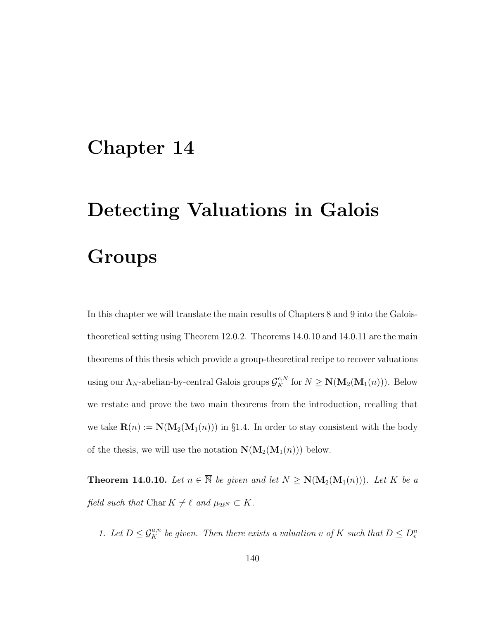### Chapter 14

# Detecting Valuations in Galois **Groups**

In this chapter we will translate the main results of Chapters 8 and 9 into the Galoistheoretical setting using Theorem 12.0.2. Theorems 14.0.10 and 14.0.11 are the main theorems of this thesis which provide a group-theoretical recipe to recover valuations using our  $\Lambda_N$ -abelian-by-central Galois groups  $\mathcal{G}_K^{c,N}$  for  $N \geq \mathbf{N}(\mathbf{M}_2(\mathbf{M}_1(n)))$ . Below we restate and prove the two main theorems from the introduction, recalling that we take  $\mathbf{R}(n) := \mathbf{N}(\mathbf{M}_2(\mathbf{M}_1(n)))$  in §1.4. In order to stay consistent with the body of the thesis, we will use the notation  $\mathbf{N}(\mathbf{M}_2(\mathbf{M}_1(n)))$  below.

**Theorem 14.0.10.** Let  $n \in \overline{\mathbb{N}}$  be given and let  $N \ge N(M_2(M_1(n)))$ . Let K be a field such that Char  $K \neq \ell$  and  $\mu_{2\ell^N} \subset K$ .

1. Let  $D \leq \mathcal{G}_{K}^{a,n}$  be given. Then there exists a valuation v of K such that  $D \leq D_{v}^{n}$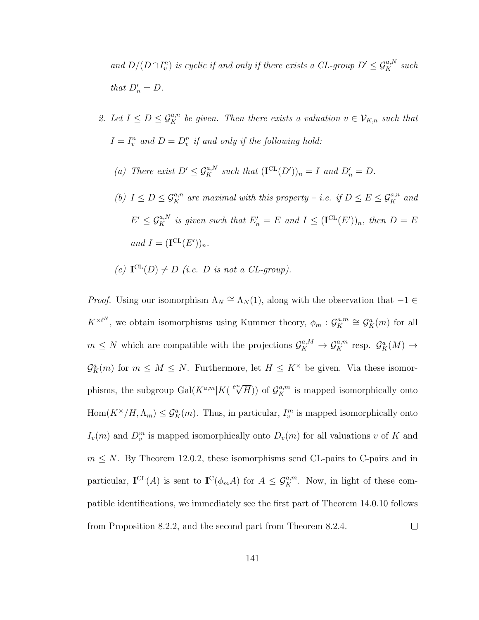and  $D/(D \cap I_v^n)$  is cyclic if and only if there exists a CL-group  $D' \leq \mathcal{G}_K^{a,N}$  such that  $D'_n = D$ .

- 2. Let  $I \leq D \leq \mathcal{G}_K^{a,n}$  be given. Then there exists a valuation  $v \in \mathcal{V}_{K,n}$  such that  $I = I_v^n$  and  $D = D_v^n$  if and only if the following hold:
	- (a) There exist  $D' \leq \mathcal{G}_K^{a,N}$  such that  $(\mathbf{I}^{\mathrm{CL}}(D'))_n = I$  and  $D'_n = D$ .
	- (b)  $I \leq D \leq \mathcal{G}_{K}^{a,n}$  are maximal with this property i.e. if  $D \leq E \leq \mathcal{G}_{K}^{a,n}$  and  $E' \leq \mathcal{G}_K^{a,N}$  is given such that  $E'_n = E$  and  $I \leq (\mathbf{I}^{\mathrm{CL}}(E'))_n$ , then  $D = E$ and  $I = (\mathbf{I}^{\mathrm{CL}}(E'))_n$ .
	- (c)  $\mathbf{I}^{\mathrm{CL}}(D) \neq D$  (i.e. D is not a CL-group).

*Proof.* Using our isomorphism  $\Lambda_N \cong \Lambda_N(1)$ , along with the observation that  $-1 \in$  $K^{\times \ell^N}$ , we obtain isomorphisms using Kummer theory,  $\phi_m$ :  $\mathcal{G}_K^{a,m}$  $\mathcal{G}_K^{a,m} \cong \mathcal{G}_K^a(m)$  for all  $m \leq N$  which are compatible with the projections  $\mathcal{G}_K^{a,M} \to \mathcal{G}_K^{a,m}$  resp.  $\mathcal{G}_K^a(M) \to$  $\mathcal{G}_{K}^{a}(m)$  for  $m \leq M \leq N$ . Furthermore, let  $H \leq K^{\times}$  be given. Via these isomorphisms, the subgroup  $Gal(K^{a,m}|K(\sqrt[p]{H}))$  of  $\mathcal{G}_{K}^{a,m}$  is mapped isomorphically onto  $Hom(K^{\times}/H, \Lambda_m) \leq \mathcal{G}_K^a(m)$ . Thus, in particular,  $I_v^m$  is mapped isomorphically onto  $I_v(m)$  and  $D_v^m$  is mapped isomorphically onto  $D_v(m)$  for all valuations v of K and  $m \leq N$ . By Theorem 12.0.2, these isomorphisms send CL-pairs to C-pairs and in particular,  $I^{CL}(A)$  is sent to  $I^{C}(\phi_{m}A)$  for  $A \leq \mathcal{G}_{K}^{a,m}$ . Now, in light of these compatible identifications, we immediately see the first part of Theorem 14.0.10 follows from Proposition 8.2.2, and the second part from Theorem 8.2.4.  $\Box$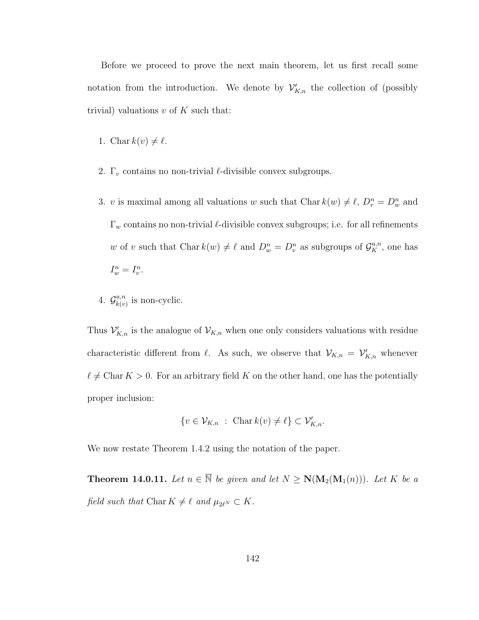Before we proceed to prove the next main theorem, let us first recall some notation from the introduction. We denote by  $\mathcal{V}'_{K,n}$  the collection of (possibly trivial) valuations  $v$  of  $K$  such that:

- 1. Char  $k(v) \neq \ell$ .
- 2.  $\Gamma_v$  contains no non-trivial  $\ell$ -divisible convex subgroups.
- 3. v is maximal among all valuations w such that Char  $k(w) \neq \ell$ ,  $D_v^n = D_w^n$  and  $\Gamma_w$  contains no non-trivial  $\ell$ -divisible convex subgroups; i.e. for all refinements w of v such that Char  $k(w) \neq \ell$  and  $D_w^n = D_v^n$  as subgroups of  $\mathcal{G}_K^{a,n}$ , one has  $I_w^n = I_v^n$ .
- 4.  $\mathcal{G}_{k(n)}^{a,n}$  $\binom{a,n}{k(v)}$  is non-cyclic.

Thus  $\mathcal{V}'_{K,n}$  is the analogue of  $\mathcal{V}_{K,n}$  when one only considers valuations with residue characteristic different from  $\ell$ . As such, we observe that  $\mathcal{V}_{K,n} = \mathcal{V}'_{K,n}$  whenever  $\ell \neq$  Char  $K > 0$ . For an arbitrary field K on the other hand, one has the potentially proper inclusion:

$$
\{v \in \mathcal{V}_{K,n} \; : \; \mathrm{Char}\, k(v) \neq \ell\} \subset \mathcal{V}'_{K,n}.
$$

We now restate Theorem 1.4.2 using the notation of the paper.

**Theorem 14.0.11.** Let  $n \in \overline{\mathbb{N}}$  be given and let  $N \ge N(M_2(M_1(n)))$ . Let K be a field such that Char  $K \neq \ell$  and  $\mu_{2\ell^N} \subset K$ .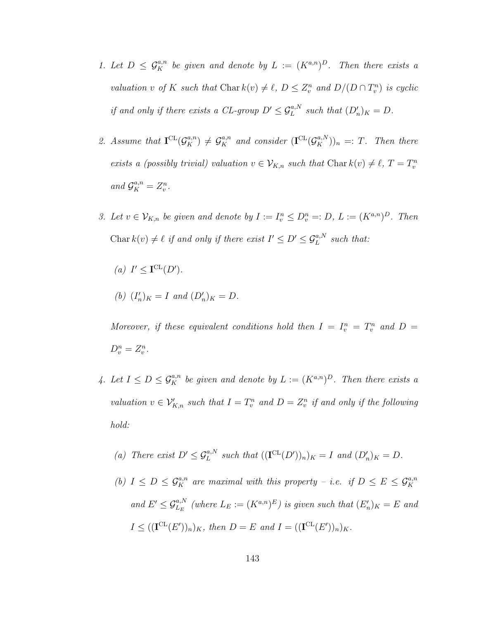- 1. Let  $D \leq \mathcal{G}_{K}^{a,n}$  be given and denote by  $L := (K^{a,n})^D$ . Then there exists a valuation v of K such that Char  $k(v) \neq \ell$ ,  $D \leq Z_v^n$  and  $D/(D \cap T_v^n)$  is cyclic if and only if there exists a CL-group  $D' \leq \mathcal{G}_L^{a,N}$  such that  $(D'_n)_K = D$ .
- 2. Assume that  $\mathbf{I}^{CL}(\mathcal{G}_K^{a,n}) \neq \mathcal{G}_K^{a,n}$  and consider  $(\mathbf{I}^{CL}(\mathcal{G}_K^{a,N}))_n =: T$ . Then there exists a (possibly trivial) valuation  $v \in V_{K,n}$  such that Char  $k(v) \neq \ell$ ,  $T = T_v^n$ and  $\mathcal{G}_K^{a,n} = Z_v^n$ .
- 3. Let  $v \in V_{K,n}$  be given and denote by  $I := I_v^n \leq D_v^n =: D, L := (K^{a,n})^D$ . Then Char $k(v) \neq \ell$  if and only if there exist  $I' \leq D' \leq \mathcal{G}_L^{a,N}$  such that:
	- (a)  $I' \leq \mathbf{I}^{\mathrm{CL}}(D')$ .
	- (b)  $(I'_n)_K = I$  and  $(D'_n)_K = D$ .

Moreover, if these equivalent conditions hold then  $I = I_v^n = T_v^n$  and  $D =$  $D_v^n = Z_v^n$ .

- 4. Let  $I \leq D \leq \mathcal{G}_K^{a,n}$  be given and denote by  $L := (K^{a,n})^D$ . Then there exists a valuation  $v \in \mathcal{V}_{K,n}'$  such that  $I = T_v^n$  and  $D = Z_v^n$  if and only if the following hold:
	- (a) There exist  $D' \leq \mathcal{G}_L^{a,N}$  such that  $((\mathbf{I}^{\mathrm{CL}}(D'))_n)_K = I$  and  $(D'_n)_K = D$ .
	- (b)  $I \leq D \leq \mathcal{G}_K^{a,n}$  are maximal with this property i.e. if  $D \leq E \leq \mathcal{G}_K^{a,n}$ and  $E' \leq \mathcal{G}_{L_E}^{a,N}$  (where  $L_E := (K^{a,n})^E$ ) is given such that  $(E'_n)_K = E$  and  $I \leq ((\mathbf{I}^{\mathrm{CL}}(E'))_n)_K$ , then  $D = E$  and  $I = ((\mathbf{I}^{\mathrm{CL}}(E'))_n)_K$ .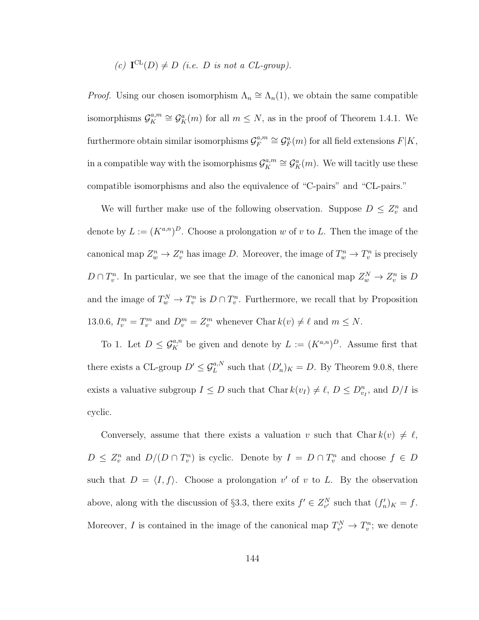#### (c)  $\mathbf{I}^{\mathrm{CL}}(D) \neq D$  (i.e. D is not a CL-group).

*Proof.* Using our chosen isomorphism  $\Lambda_n \cong \Lambda_n(1)$ , we obtain the same compatible isomorphisms  $\mathcal{G}_K^{a,m}$ <sup>a,m</sup> ≅  $\mathcal{G}_{K}^{a}(m)$  for all  $m \leq N$ , as in the proof of Theorem 1.4.1. We furthermore obtain similar isomorphisms  $\mathcal{G}^{a,m}_{F}$  $\mathcal{G}_F^{a,m} \cong \mathcal{G}_F^a(m)$  for all field extensions  $F|K$ , in a compatible way with the isomorphisms  $\mathcal{G}_{\kappa}^{a,m}$  $\mathcal{G}_K^{a,m} \cong \mathcal{G}_K^a(m)$ . We will tacitly use these compatible isomorphisms and also the equivalence of "C-pairs" and "CL-pairs."

We will further make use of the following observation. Suppose  $D \leq Z_v^n$  and denote by  $L := (K^{a,n})^D$ . Choose a prolongation w of v to L. Then the image of the canonical map  $Z_w^n \to Z_v^n$  has image D. Moreover, the image of  $T_w^n \to T_v^n$  is precisely  $D \cap T_v^n$ . In particular, we see that the image of the canonical map  $Z_w^N \to Z_v^n$  is D and the image of  $T_w^N \to T_v^n$  is  $D \cap T_v^n$ . Furthermore, we recall that by Proposition 13.0.6,  $I_v^m = T_v^m$  and  $D_v^m = Z_v^m$  whenever Char  $k(v) \neq \ell$  and  $m \leq N$ .

To 1. Let  $D \leq \mathcal{G}_K^{a,n}$  be given and denote by  $L := (K^{a,n})^D$ . Assume first that there exists a CL-group  $D' \leq \mathcal{G}_L^{a,N}$  such that  $(D'_n)_K = D$ . By Theorem 9.0.8, there exists a valuative subgroup  $I \leq D$  such that Char  $k(v_I) \neq \ell$ ,  $D \leq D_{v_I}^n$ , and  $D/I$  is cyclic.

Conversely, assume that there exists a valuation v such that Char  $k(v) \neq \ell$ ,  $D \leq Z_v^n$  and  $D/(D \cap T_v^n)$  is cyclic. Denote by  $I = D \cap T_v^n$  and choose  $f \in D$ such that  $D = \langle I, f \rangle$ . Choose a prolongation v' of v to L. By the observation above, along with the discussion of §3.3, there exits  $f' \in Z_{v'}^N$  such that  $(f'_n)_{K} = f$ . Moreover, I is contained in the image of the canonical map  $T_{v'}^N \to T_v^n$ ; we denote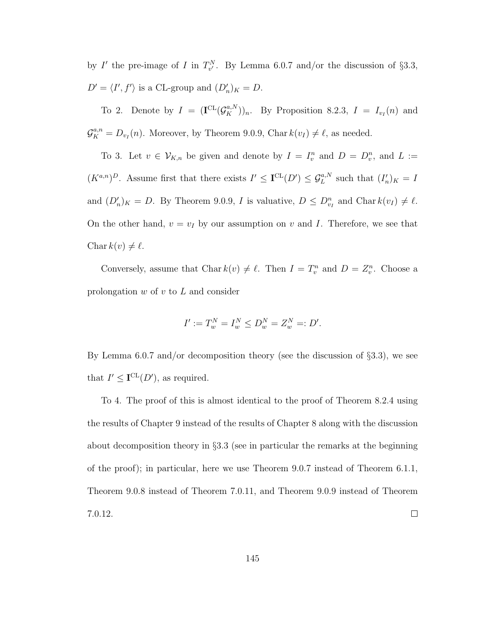by I' the pre-image of I in  $T_{v'}^N$ . By Lemma 6.0.7 and/or the discussion of §3.3,  $D' = \langle I', f' \rangle$  is a CL-group and  $(D'_n)_K = D$ .

To 2. Denote by  $I = (\mathbf{I}^{\mathrm{CL}}(\mathcal{G}_K^{a,N}))_n$ . By Proposition 8.2.3,  $I = I_{v_I}(n)$  and  $\mathcal{G}_{K}^{a,n} = D_{v_I}(n)$ . Moreover, by Theorem 9.0.9, Char  $k(v_I) \neq \ell$ , as needed.

To 3. Let  $v \in V_{K,n}$  be given and denote by  $I = I_v^n$  and  $D = D_v^n$ , and  $L :=$  $(K^{a,n})^D$ . Assume first that there exists  $I' \leq \mathbf{I}^{\mathrm{CL}}(D') \leq \mathcal{G}_L^{a,N}$  such that  $(I'_n)_K = I$ and  $(D'_n)_K = D$ . By Theorem 9.0.9, I is valuative,  $D \leq D_{v_I}^n$  and Char  $k(v_I) \neq \ell$ . On the other hand,  $v = v_I$  by our assumption on v and I. Therefore, we see that Char  $k(v) \neq \ell$ .

Conversely, assume that Char  $k(v) \neq \ell$ . Then  $I = T_v^n$  and  $D = Z_v^n$ . Choose a prolongation  $w$  of  $v$  to  $L$  and consider

$$
I':=T_w^N=I_w^N\leq D_w^N=Z_w^N=:D'.
$$

By Lemma 6.0.7 and/or decomposition theory (see the discussion of  $\S 3.3$ ), we see that  $I' \leq I^{\text{CL}}(D')$ , as required.

To 4. The proof of this is almost identical to the proof of Theorem 8.2.4 using the results of Chapter 9 instead of the results of Chapter 8 along with the discussion about decomposition theory in  $\S 3.3$  (see in particular the remarks at the beginning of the proof); in particular, here we use Theorem 9.0.7 instead of Theorem 6.1.1, Theorem 9.0.8 instead of Theorem 7.0.11, and Theorem 9.0.9 instead of Theorem  $\Box$ 7.0.12.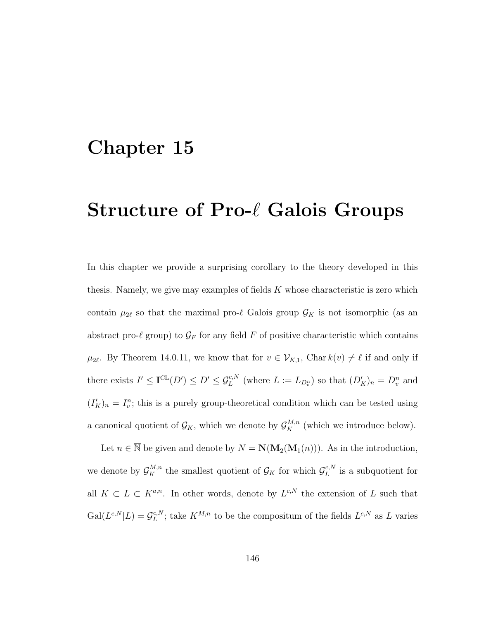### Chapter 15

# Structure of  $Pro- $\ell$  Galois Groups$

In this chapter we provide a surprising corollary to the theory developed in this thesis. Namely, we give may examples of fields  $K$  whose characteristic is zero which contain  $\mu_{2\ell}$  so that the maximal pro- $\ell$  Galois group  $\mathcal{G}_K$  is not isomorphic (as an abstract pro- $\ell$  group) to  $\mathcal{G}_F$  for any field F of positive characteristic which contains  $\mu_{2\ell}$ . By Theorem 14.0.11, we know that for  $v \in \mathcal{V}_{K,1}$ , Char  $k(v) \neq \ell$  if and only if there exists  $I' \leq \mathbf{I}^{\mathrm{CL}}(D') \leq D' \leq \mathcal{G}_L^{c,N}$  (where  $L := L_{D_v^n}$ ) so that  $(D'_K)_n = D_v^n$  and  $(I_K')_n = I_v^n$ ; this is a purely group-theoretical condition which can be tested using a canonical quotient of  $\mathcal{G}_K$ , which we denote by  $\mathcal{G}_K^{M,n}$  (which we introduce below).

Let  $n \in \overline{\mathbb{N}}$  be given and denote by  $N = \mathbf{N}(\mathbf{M}_2(\mathbf{M}_1(n)))$ . As in the introduction, we denote by  $\mathcal{G}_K^{M,n}$  the smallest quotient of  $\mathcal{G}_K$  for which  $\mathcal{G}_L^{c,N}$  $L^{c,N}$  is a subquotient for all  $K \subset L \subset K^{a,n}$ . In other words, denote by  $L^{c,N}$  the extension of L such that  $\mathrm{Gal}(L^{c,N}|L)=\mathcal{G}_L^{c,N}$  $L^{c,N}$ ; take  $K^{M,n}$  to be the compositum of the fields  $L^{c,N}$  as L varies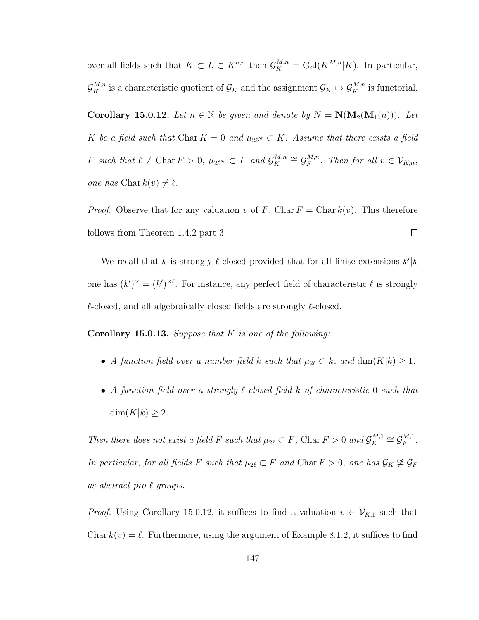over all fields such that  $K \subset L \subset K^{a,n}$  then  $\mathcal{G}_K^{M,n} = \text{Gal}(K^{M,n}|K)$ . In particular,  $\mathcal{G}_K^{M,n}$  is a characteristic quotient of  $\mathcal{G}_K$  and the assignment  $\mathcal{G}_K \mapsto \mathcal{G}_K^{M,n}$  is functorial.

Corollary 15.0.12. Let  $n \in \overline{\mathbb{N}}$  be given and denote by  $N = \mathbb{N}(\mathbf{M}_2(\mathbf{M}_1(n)))$ . Let K be a field such that Char  $K = 0$  and  $\mu_{2\ell^N} \subset K$ . Assume that there exists a field F such that  $\ell \neq \text{Char } F > 0$ ,  $\mu_{2\ell^N} \subset F$  and  $\mathcal{G}_K^{M,n}$  $\mathcal{C}_K^{M,n} \cong \mathcal{G}_F^{M,n}$  $F^{M,n}_{F}$ . Then for all  $v \in \mathcal{V}_{K,n}$ , one has  $\text{Char } k(v) \neq \ell$ .

*Proof.* Observe that for any valuation v of F, Char  $F = \text{Char } k(v)$ . This therefore follows from Theorem 1.4.2 part 3.  $\Box$ 

We recall that k is strongly l-closed provided that for all finite extensions  $k'|k$ one has  $(k')^{\times} = (k')^{\times \ell}$ . For instance, any perfect field of characteristic  $\ell$  is strongly  $\ell$ -closed, and all algebraically closed fields are strongly  $\ell$ -closed.

**Corollary 15.0.13.** Suppose that  $K$  is one of the following:

- A function field over a number field k such that  $\mu_{2\ell} \subset k$ , and  $\dim(K|k) \geq 1$ .
- A function field over a strongly  $\ell$ -closed field k of characteristic 0 such that  $\dim(K|k) \geq 2$ .

Then there does not exist a field F such that  $\mu_{2\ell} \subset F$ , Char  $F > 0$  and  $\mathcal{G}_K^{M,1}$  $\mathcal{G}_K^{M,1} \cong \mathcal{G}_F^{M,1}$  $_{F}^{M,1}$  . In particular, for all fields F such that  $\mu_{2\ell} \subset F$  and Char  $F > 0$ , one has  $\mathcal{G}_K \not\cong \mathcal{G}_F$ as abstract pro- $\ell$  groups.

*Proof.* Using Corollary 15.0.12, it suffices to find a valuation  $v \in V_{K,1}$  such that Char  $k(v) = \ell$ . Furthermore, using the argument of Example 8.1.2, it suffices to find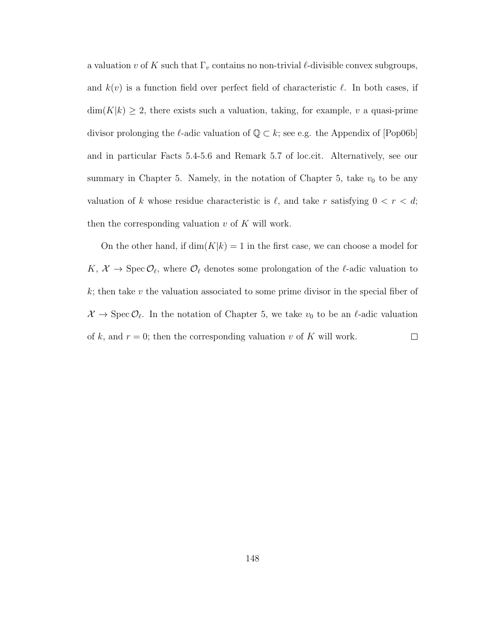a valuation v of K such that  $\Gamma_v$  contains no non-trivial  $\ell$ -divisible convex subgroups, and  $k(v)$  is a function field over perfect field of characteristic  $\ell$ . In both cases, if  $\dim(K|k) \geq 2$ , there exists such a valuation, taking, for example, v a quasi-prime divisor prolonging the  $\ell$ -adic valuation of  $\mathbb{Q} \subset k$ ; see e.g. the Appendix of [Pop06b] and in particular Facts 5.4-5.6 and Remark 5.7 of loc.cit. Alternatively, see our summary in Chapter 5. Namely, in the notation of Chapter 5, take  $v_0$  to be any valuation of k whose residue characteristic is  $\ell$ , and take r satisfying  $0 < r < d$ ; then the corresponding valuation  $v$  of  $K$  will work.

On the other hand, if  $\dim(K|k) = 1$  in the first case, we can choose a model for  $K, \mathcal{X} \to \text{Spec } \mathcal{O}_{\ell}$ , where  $\mathcal{O}_{\ell}$  denotes some prolongation of the  $\ell$ -adic valuation to  $k$ ; then take  $v$  the valuation associated to some prime divisor in the special fiber of  $\mathcal{X} \to \text{Spec } \mathcal{O}_\ell$ . In the notation of Chapter 5, we take  $v_0$  to be an  $\ell$ -adic valuation of k, and  $r = 0$ ; then the corresponding valuation v of K will work.  $\Box$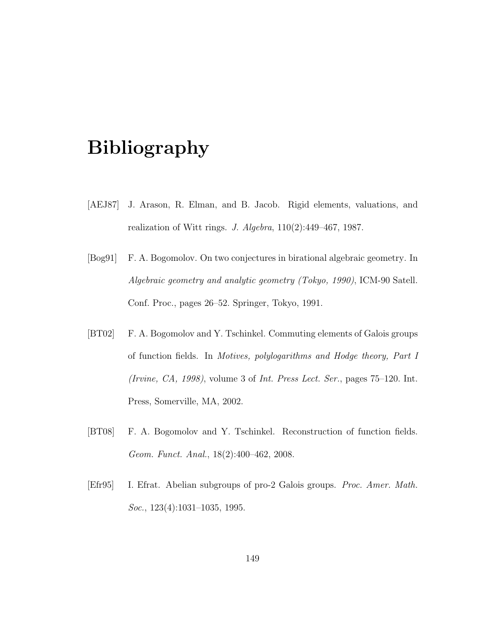# Bibliography

- [AEJ87] J. Arason, R. Elman, and B. Jacob. Rigid elements, valuations, and realization of Witt rings. J. Algebra, 110(2):449–467, 1987.
- [Bog91] F. A. Bogomolov. On two conjectures in birational algebraic geometry. In Algebraic geometry and analytic geometry (Tokyo, 1990), ICM-90 Satell. Conf. Proc., pages 26–52. Springer, Tokyo, 1991.
- [BT02] F. A. Bogomolov and Y. Tschinkel. Commuting elements of Galois groups of function fields. In Motives, polylogarithms and Hodge theory, Part I (Irvine, CA, 1998), volume 3 of Int. Press Lect. Ser., pages 75–120. Int. Press, Somerville, MA, 2002.
- [BT08] F. A. Bogomolov and Y. Tschinkel. Reconstruction of function fields. Geom. Funct. Anal., 18(2):400–462, 2008.
- [Efr95] I. Efrat. Abelian subgroups of pro-2 Galois groups. Proc. Amer. Math. Soc., 123(4):1031–1035, 1995.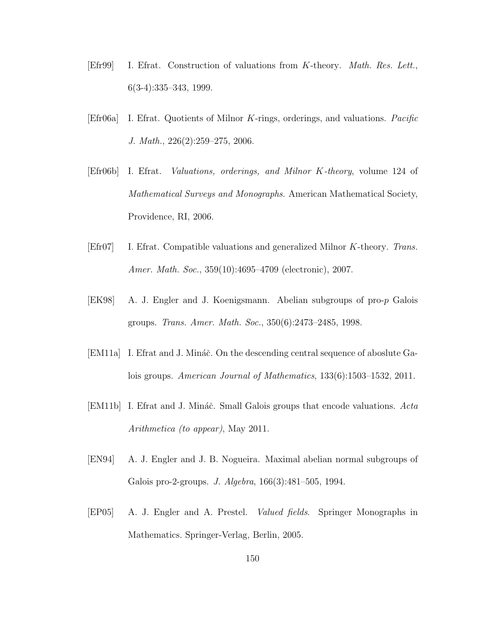- [Efr99] I. Efrat. Construction of valuations from K-theory. Math. Res. Lett., 6(3-4):335–343, 1999.
- [Efr06a] I. Efrat. Quotients of Milnor K-rings, orderings, and valuations. Pacific J. Math., 226(2):259–275, 2006.
- [Efr06b] I. Efrat. Valuations, orderings, and Milnor K-theory, volume 124 of Mathematical Surveys and Monographs. American Mathematical Society, Providence, RI, 2006.
- [Efr07] I. Efrat. Compatible valuations and generalized Milnor K-theory. Trans. Amer. Math. Soc., 359(10):4695–4709 (electronic), 2007.
- [EK98] A. J. Engler and J. Koenigsmann. Abelian subgroups of pro-p Galois groups. Trans. Amer. Math. Soc., 350(6):2473–2485, 1998.
- [EM11a] I. Efrat and J. Mináč. On the descending central sequence of aboslute Galois groups. American Journal of Mathematics, 133(6):1503–1532, 2011.
- [EM11b] I. Efrat and J. Mináč. Small Galois groups that encode valuations. Acta Arithmetica (to appear), May 2011.
- [EN94] A. J. Engler and J. B. Nogueira. Maximal abelian normal subgroups of Galois pro-2-groups. J. Algebra, 166(3):481–505, 1994.
- [EP05] A. J. Engler and A. Prestel. Valued fields. Springer Monographs in Mathematics. Springer-Verlag, Berlin, 2005.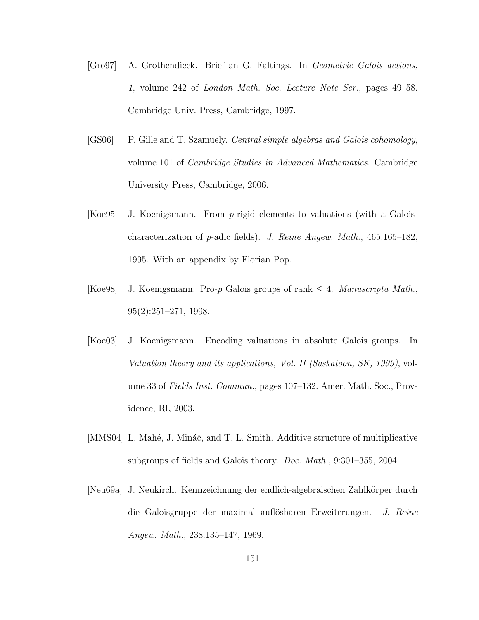- [Gro97] A. Grothendieck. Brief an G. Faltings. In Geometric Galois actions, 1, volume 242 of London Math. Soc. Lecture Note Ser., pages 49–58. Cambridge Univ. Press, Cambridge, 1997.
- [GS06] P. Gille and T. Szamuely. Central simple algebras and Galois cohomology, volume 101 of Cambridge Studies in Advanced Mathematics. Cambridge University Press, Cambridge, 2006.
- [Koe95] J. Koenigsmann. From p-rigid elements to valuations (with a Galoischaracterization of p-adic fields). J. Reine Angew. Math., 465:165–182, 1995. With an appendix by Florian Pop.
- [Koe98] J. Koenigsmann. Pro-p Galois groups of rank  $\leq 4$ . Manuscripta Math., 95(2):251–271, 1998.
- [Koe03] J. Koenigsmann. Encoding valuations in absolute Galois groups. In Valuation theory and its applications, Vol. II (Saskatoon, SK, 1999), volume 33 of Fields Inst. Commun., pages 107–132. Amer. Math. Soc., Providence, RI, 2003.
- [MMS04] L. Mahé, J. Mináč, and T. L. Smith. Additive structure of multiplicative subgroups of fields and Galois theory. Doc. Math., 9:301–355, 2004.
- [Neu69a] J. Neukirch. Kennzeichnung der endlich-algebraischen Zahlkörper durch die Galoisgruppe der maximal auflösbaren Erweiterungen. J. Reine Angew. Math., 238:135–147, 1969.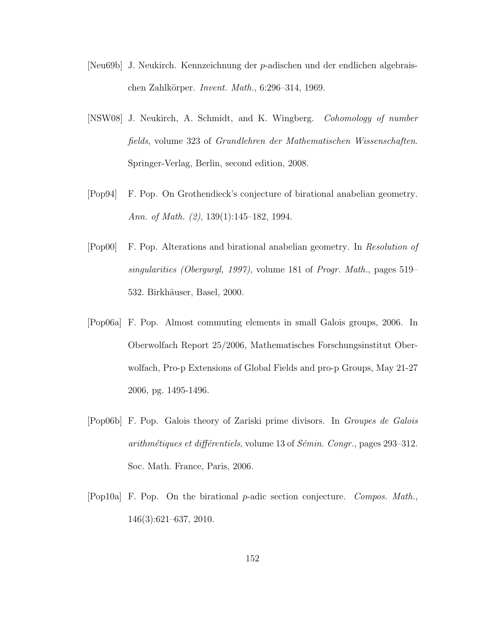- [Neu69b] J. Neukirch. Kennzeichnung der p-adischen und der endlichen algebraischen Zahlkörper. Invent. Math.,  $6:296-314$ , 1969.
- [NSW08] J. Neukirch, A. Schmidt, and K. Wingberg. Cohomology of number fields, volume 323 of Grundlehren der Mathematischen Wissenschaften. Springer-Verlag, Berlin, second edition, 2008.
- [Pop94] F. Pop. On Grothendieck's conjecture of birational anabelian geometry. Ann. of Math. (2), 139(1):145–182, 1994.
- [Pop00] F. Pop. Alterations and birational anabelian geometry. In Resolution of singularities (Obergurgl, 1997), volume 181 of Progr. Math., pages 519– 532. Birkhäuser, Basel, 2000.
- [Pop06a] F. Pop. Almost commuting elements in small Galois groups, 2006. In Oberwolfach Report 25/2006, Mathematisches Forschungsinstitut Oberwolfach, Pro-p Extensions of Global Fields and pro-p Groups, May 21-27 2006, pg. 1495-1496.
- [Pop06b] F. Pop. Galois theory of Zariski prime divisors. In Groupes de Galois arithm $\acute{e}t$ iques et diff $\acute{e}r$ entiels, volume 13 of S $\acute{e}min$ . Congr., pages 293–312. Soc. Math. France, Paris, 2006.
- [Pop10a] F. Pop. On the birational p-adic section conjecture. Compos. Math., 146(3):621–637, 2010.